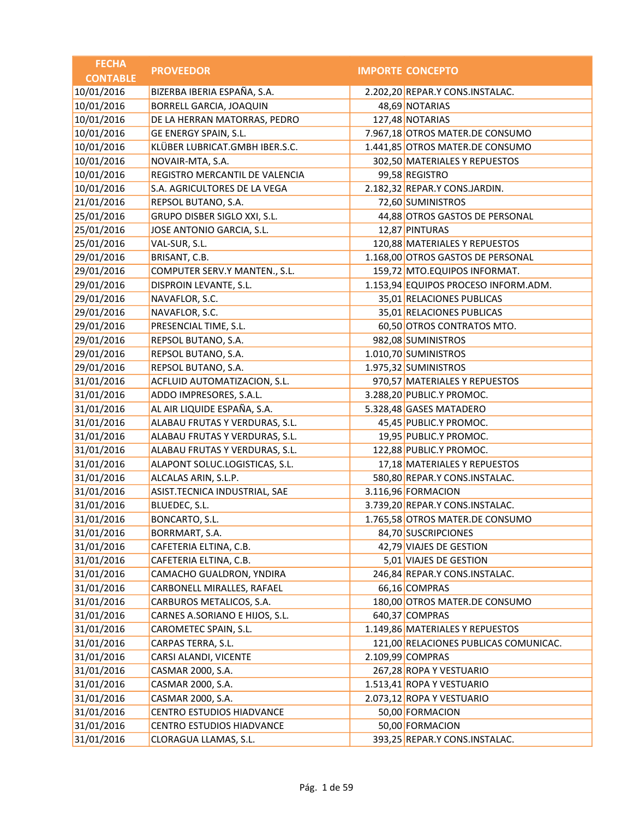| <b>FECHA</b>    | <b>PROVEEDOR</b>               | <b>IMPORTE CONCEPTO</b>               |
|-----------------|--------------------------------|---------------------------------------|
| <b>CONTABLE</b> |                                |                                       |
| 10/01/2016      | BIZERBA IBERIA ESPAÑA, S.A.    | 2.202,20 REPAR.Y CONS.INSTALAC.       |
| 10/01/2016      | <b>BORRELL GARCIA, JOAQUIN</b> | 48,69 NOTARIAS                        |
| 10/01/2016      | DE LA HERRAN MATORRAS, PEDRO   | 127,48 NOTARIAS                       |
| 10/01/2016      | GE ENERGY SPAIN, S.L.          | 7.967,18 OTROS MATER.DE CONSUMO       |
| 10/01/2016      | KLÜBER LUBRICAT.GMBH IBER.S.C. | 1.441,85 OTROS MATER.DE CONSUMO       |
| 10/01/2016      | NOVAIR-MTA, S.A.               | 302,50 MATERIALES Y REPUESTOS         |
| 10/01/2016      | REGISTRO MERCANTIL DE VALENCIA | 99,58 REGISTRO                        |
| 10/01/2016      | S.A. AGRICULTORES DE LA VEGA   | 2.182,32 REPAR.Y CONS.JARDIN.         |
| 21/01/2016      | REPSOL BUTANO, S.A.            | 72,60 SUMINISTROS                     |
| 25/01/2016      | GRUPO DISBER SIGLO XXI, S.L.   | 44,88 OTROS GASTOS DE PERSONAL        |
| 25/01/2016      | JOSE ANTONIO GARCIA, S.L.      | 12,87 PINTURAS                        |
| 25/01/2016      | VAL-SUR, S.L.                  | 120,88 MATERIALES Y REPUESTOS         |
| 29/01/2016      | BRISANT, C.B.                  | 1.168,00 OTROS GASTOS DE PERSONAL     |
| 29/01/2016      | COMPUTER SERV.Y MANTEN., S.L.  | 159,72 MTO.EQUIPOS INFORMAT.          |
| 29/01/2016      | DISPROIN LEVANTE, S.L.         | 1.153,94 EQUIPOS PROCESO INFORM.ADM.  |
| 29/01/2016      | NAVAFLOR, S.C.                 | 35,01 RELACIONES PUBLICAS             |
| 29/01/2016      | NAVAFLOR, S.C.                 | 35,01 RELACIONES PUBLICAS             |
| 29/01/2016      | PRESENCIAL TIME, S.L.          | 60,50 OTROS CONTRATOS MTO.            |
| 29/01/2016      | REPSOL BUTANO, S.A.            | 982,08 SUMINISTROS                    |
| 29/01/2016      | REPSOL BUTANO, S.A.            | 1.010,70 SUMINISTROS                  |
| 29/01/2016      | REPSOL BUTANO, S.A.            | 1.975,32 SUMINISTROS                  |
| 31/01/2016      | ACFLUID AUTOMATIZACION, S.L.   | 970,57 MATERIALES Y REPUESTOS         |
| 31/01/2016      | ADDO IMPRESORES, S.A.L.        | 3.288,20 PUBLIC.Y PROMOC.             |
| 31/01/2016      | AL AIR LIQUIDE ESPAÑA, S.A.    | 5.328,48 GASES MATADERO               |
| 31/01/2016      | ALABAU FRUTAS Y VERDURAS, S.L. | 45,45 PUBLIC.Y PROMOC.                |
| 31/01/2016      | ALABAU FRUTAS Y VERDURAS, S.L. | 19,95 PUBLIC.Y PROMOC.                |
| 31/01/2016      | ALABAU FRUTAS Y VERDURAS, S.L. | 122,88 PUBLIC.Y PROMOC.               |
| 31/01/2016      | ALAPONT SOLUC.LOGISTICAS, S.L. | 17,18 MATERIALES Y REPUESTOS          |
| 31/01/2016      | ALCALAS ARIN, S.L.P.           | 580,80 REPAR.Y CONS.INSTALAC.         |
| 31/01/2016      | ASIST.TECNICA INDUSTRIAL, SAE  | 3.116,96 FORMACION                    |
| 31/01/2016      | BLUEDEC, S.L.                  | 3.739,20 REPAR.Y CONS.INSTALAC.       |
| 31/01/2016      | BONCARTO, S.L.                 | 1.765,58 OTROS MATER.DE CONSUMO       |
| 31/01/2016      | BORRMART, S.A.                 | 84,70 SUSCRIPCIONES                   |
| 31/01/2016      | CAFETERIA ELTINA, C.B.         | 42,79 VIAJES DE GESTION               |
| 31/01/2016      | CAFETERIA ELTINA, C.B.         | 5,01 VIAJES DE GESTION                |
| 31/01/2016      | CAMACHO GUALDRON, YNDIRA       | 246,84 REPAR.Y CONS.INSTALAC.         |
| 31/01/2016      | CARBONELL MIRALLES, RAFAEL     | 66,16 COMPRAS                         |
| 31/01/2016      | CARBUROS METALICOS, S.A.       | 180,00 OTROS MATER.DE CONSUMO         |
| 31/01/2016      | CARNES A.SORIANO E HIJOS, S.L. | 640,37 COMPRAS                        |
| 31/01/2016      | CAROMETEC SPAIN, S.L.          | 1.149,86 MATERIALES Y REPUESTOS       |
| 31/01/2016      | CARPAS TERRA, S.L.             | 121,00 RELACIONES PUBLICAS COMUNICAC. |
| 31/01/2016      | CARSI ALANDI, VICENTE          | 2.109,99 COMPRAS                      |
| 31/01/2016      | CASMAR 2000, S.A.              | 267,28 ROPA Y VESTUARIO               |
| 31/01/2016      | CASMAR 2000, S.A.              | 1.513,41 ROPA Y VESTUARIO             |
| 31/01/2016      | CASMAR 2000, S.A.              | 2.073,12 ROPA Y VESTUARIO             |
| 31/01/2016      | CENTRO ESTUDIOS HIADVANCE      | 50,00 FORMACION                       |
| 31/01/2016      | CENTRO ESTUDIOS HIADVANCE      | 50,00 FORMACION                       |
| 31/01/2016      | CLORAGUA LLAMAS, S.L.          | 393,25 REPAR.Y CONS.INSTALAC.         |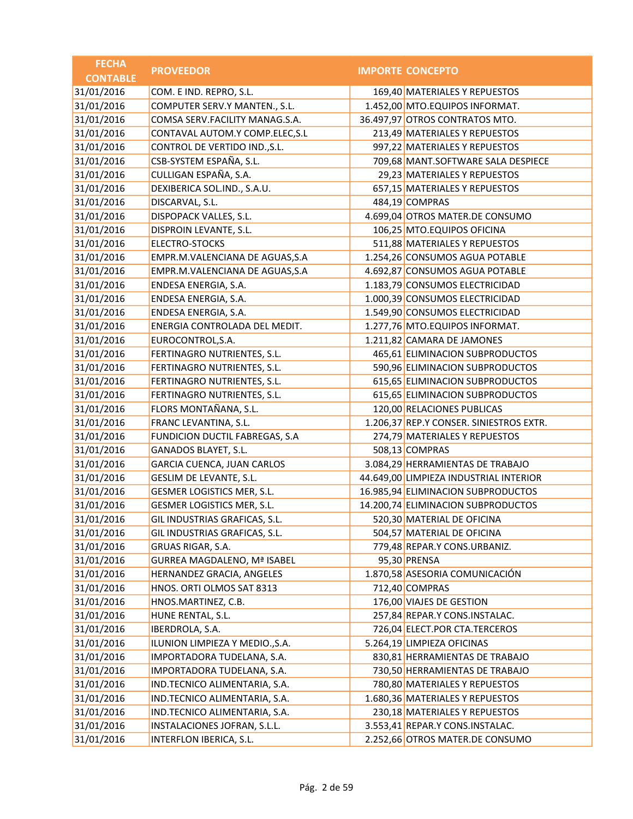| <b>FECHA</b>    | <b>PROVEEDOR</b>                   | <b>IMPORTE CONCEPTO</b>                 |
|-----------------|------------------------------------|-----------------------------------------|
| <b>CONTABLE</b> |                                    |                                         |
| 31/01/2016      | COM. E IND. REPRO, S.L.            | 169,40 MATERIALES Y REPUESTOS           |
| 31/01/2016      | COMPUTER SERV.Y MANTEN., S.L.      | 1.452,00 MTO.EQUIPOS INFORMAT.          |
| 31/01/2016      | COMSA SERV.FACILITY MANAG.S.A.     | 36.497,97 OTROS CONTRATOS MTO.          |
| 31/01/2016      | CONTAVAL AUTOM.Y COMP.ELEC, S.L    | 213,49 MATERIALES Y REPUESTOS           |
| 31/01/2016      | CONTROL DE VERTIDO IND., S.L.      | 997,22 MATERIALES Y REPUESTOS           |
| 31/01/2016      | CSB-SYSTEM ESPAÑA, S.L.            | 709,68 MANT.SOFTWARE SALA DESPIECE      |
| 31/01/2016      | CULLIGAN ESPAÑA, S.A.              | 29,23 MATERIALES Y REPUESTOS            |
| 31/01/2016      | DEXIBERICA SOL.IND., S.A.U.        | 657,15 MATERIALES Y REPUESTOS           |
| 31/01/2016      | DISCARVAL, S.L.                    | 484,19 COMPRAS                          |
| 31/01/2016      | DISPOPACK VALLES, S.L.             | 4.699,04 OTROS MATER.DE CONSUMO         |
| 31/01/2016      | DISPROIN LEVANTE, S.L.             | 106,25 MTO.EQUIPOS OFICINA              |
| 31/01/2016      | ELECTRO-STOCKS                     | 511,88 MATERIALES Y REPUESTOS           |
| 31/01/2016      | EMPR.M.VALENCIANA DE AGUAS, S.A    | 1.254,26 CONSUMOS AGUA POTABLE          |
| 31/01/2016      | EMPR.M.VALENCIANA DE AGUAS, S.A    | 4.692,87 CONSUMOS AGUA POTABLE          |
| 31/01/2016      | ENDESA ENERGIA, S.A.               | 1.183,79 CONSUMOS ELECTRICIDAD          |
| 31/01/2016      | ENDESA ENERGIA, S.A.               | 1.000,39 CONSUMOS ELECTRICIDAD          |
| 31/01/2016      | ENDESA ENERGIA, S.A.               | 1.549,90 CONSUMOS ELECTRICIDAD          |
| 31/01/2016      | ENERGIA CONTROLADA DEL MEDIT.      | 1.277,76 MTO.EQUIPOS INFORMAT.          |
| 31/01/2016      | EUROCONTROL, S.A.                  | 1.211,82 CAMARA DE JAMONES              |
| 31/01/2016      | FERTINAGRO NUTRIENTES, S.L.        | 465,61 ELIMINACION SUBPRODUCTOS         |
| 31/01/2016      | FERTINAGRO NUTRIENTES, S.L.        | 590,96 ELIMINACION SUBPRODUCTOS         |
| 31/01/2016      | FERTINAGRO NUTRIENTES, S.L.        | 615,65 ELIMINACION SUBPRODUCTOS         |
| 31/01/2016      | FERTINAGRO NUTRIENTES, S.L.        | 615,65 ELIMINACION SUBPRODUCTOS         |
| 31/01/2016      | FLORS MONTAÑANA, S.L.              | 120,00 RELACIONES PUBLICAS              |
| 31/01/2016      | FRANC LEVANTINA, S.L.              | 1.206,37 REP.Y CONSER. SINIESTROS EXTR. |
| 31/01/2016      | FUNDICION DUCTIL FABREGAS, S.A     | 274,79 MATERIALES Y REPUESTOS           |
| 31/01/2016      | GANADOS BLAYET, S.L.               | 508,13 COMPRAS                          |
| 31/01/2016      | GARCIA CUENCA, JUAN CARLOS         | 3.084,29 HERRAMIENTAS DE TRABAJO        |
| 31/01/2016      | GESLIM DE LEVANTE, S.L.            | 44.649,00 LIMPIEZA INDUSTRIAL INTERIOR  |
| 31/01/2016      | GESMER LOGISTICS MER, S.L.         | 16.985,94 ELIMINACION SUBPRODUCTOS      |
| 31/01/2016      | GESMER LOGISTICS MER, S.L.         | 14.200,74 ELIMINACION SUBPRODUCTOS      |
| 31/01/2016      | GIL INDUSTRIAS GRAFICAS, S.L.      | 520,30 MATERIAL DE OFICINA              |
| 31/01/2016      | GIL INDUSTRIAS GRAFICAS, S.L.      | 504,57 MATERIAL DE OFICINA              |
| 31/01/2016      | GRUAS RIGAR, S.A.                  | 779,48 REPAR.Y CONS.URBANIZ.            |
| 31/01/2016      | <b>GURREA MAGDALENO, Mª ISABEL</b> | 95,30 PRENSA                            |
| 31/01/2016      | HERNANDEZ GRACIA, ANGELES          | 1.870,58 ASESORIA COMUNICACIÓN          |
| 31/01/2016      | HNOS. ORTI OLMOS SAT 8313          | 712,40 COMPRAS                          |
| 31/01/2016      | HNOS.MARTINEZ, C.B.                | 176,00 VIAJES DE GESTION                |
| 31/01/2016      | HUNE RENTAL, S.L.                  | 257,84 REPAR.Y CONS.INSTALAC.           |
| 31/01/2016      | IBERDROLA, S.A.                    | 726,04 ELECT.POR CTA.TERCEROS           |
| 31/01/2016      | ILUNION LIMPIEZA Y MEDIO., S.A.    | 5.264,19 LIMPIEZA OFICINAS              |
| 31/01/2016      | IMPORTADORA TUDELANA, S.A.         | 830,81 HERRAMIENTAS DE TRABAJO          |
| 31/01/2016      | IMPORTADORA TUDELANA, S.A.         | 730,50 HERRAMIENTAS DE TRABAJO          |
| 31/01/2016      | IND.TECNICO ALIMENTARIA, S.A.      | 780,80 MATERIALES Y REPUESTOS           |
| 31/01/2016      | IND.TECNICO ALIMENTARIA, S.A.      | 1.680,36 MATERIALES Y REPUESTOS         |
| 31/01/2016      | IND.TECNICO ALIMENTARIA, S.A.      | 230,18 MATERIALES Y REPUESTOS           |
| 31/01/2016      | INSTALACIONES JOFRAN, S.L.L.       | 3.553,41 REPAR.Y CONS.INSTALAC.         |
| 31/01/2016      | INTERFLON IBERICA, S.L.            | 2.252,66 OTROS MATER.DE CONSUMO         |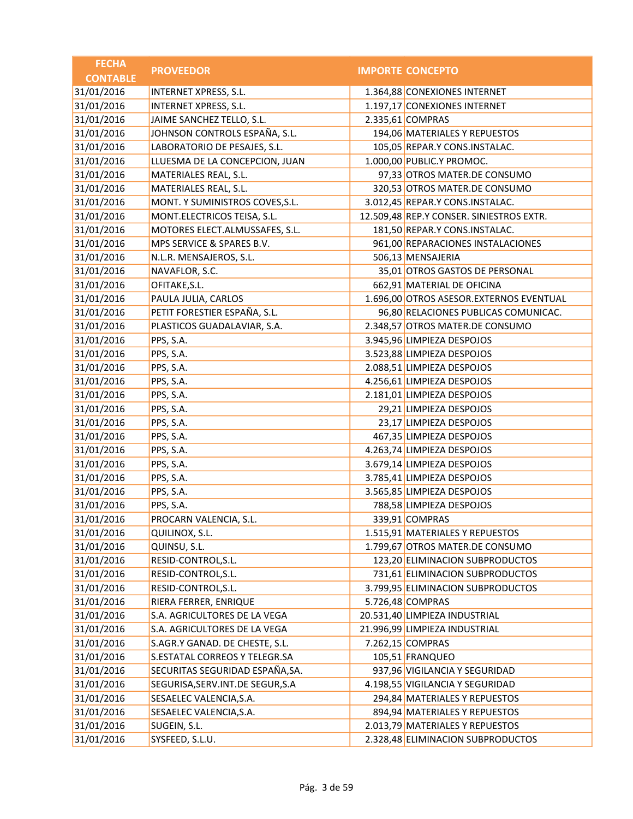| <b>FECHA</b>    | <b>PROVEEDOR</b>                   | <b>IMPORTE CONCEPTO</b>                  |
|-----------------|------------------------------------|------------------------------------------|
| <b>CONTABLE</b> |                                    |                                          |
| 31/01/2016      | <b>INTERNET XPRESS, S.L.</b>       | 1.364,88 CONEXIONES INTERNET             |
| 31/01/2016      | INTERNET XPRESS, S.L.              | 1.197,17 CONEXIONES INTERNET             |
| 31/01/2016      | JAIME SANCHEZ TELLO, S.L.          | 2.335,61 COMPRAS                         |
| 31/01/2016      | JOHNSON CONTROLS ESPAÑA, S.L.      | 194,06 MATERIALES Y REPUESTOS            |
| 31/01/2016      | LABORATORIO DE PESAJES, S.L.       | 105,05 REPAR.Y CONS.INSTALAC.            |
| 31/01/2016      | LLUESMA DE LA CONCEPCION, JUAN     | 1.000,00 PUBLIC.Y PROMOC.                |
| 31/01/2016      | MATERIALES REAL, S.L.              | 97,33 OTROS MATER.DE CONSUMO             |
| 31/01/2016      | MATERIALES REAL, S.L.              | 320,53 OTROS MATER.DE CONSUMO            |
| 31/01/2016      | MONT. Y SUMINISTROS COVES, S.L.    | 3.012,45 REPAR.Y CONS.INSTALAC.          |
| 31/01/2016      | MONT.ELECTRICOS TEISA, S.L.        | 12.509,48 REP.Y CONSER. SINIESTROS EXTR. |
| 31/01/2016      | MOTORES ELECT.ALMUSSAFES, S.L.     | 181,50 REPAR.Y CONS.INSTALAC.            |
| 31/01/2016      | MPS SERVICE & SPARES B.V.          | 961,00 REPARACIONES INSTALACIONES        |
| 31/01/2016      | N.L.R. MENSAJEROS, S.L.            | 506,13 MENSAJERIA                        |
| 31/01/2016      | NAVAFLOR, S.C.                     | 35,01 OTROS GASTOS DE PERSONAL           |
| 31/01/2016      | OFITAKE, S.L.                      | 662,91 MATERIAL DE OFICINA               |
| 31/01/2016      | PAULA JULIA, CARLOS                | 1.696,00 OTROS ASESOR.EXTERNOS EVENTUAL  |
| 31/01/2016      | PETIT FORESTIER ESPAÑA, S.L.       | 96,80 RELACIONES PUBLICAS COMUNICAC.     |
| 31/01/2016      | PLASTICOS GUADALAVIAR, S.A.        | 2.348,57 OTROS MATER.DE CONSUMO          |
| 31/01/2016      | PPS, S.A.                          | 3.945,96 LIMPIEZA DESPOJOS               |
| 31/01/2016      | PPS, S.A.                          | 3.523,88 LIMPIEZA DESPOJOS               |
| 31/01/2016      | PPS, S.A.                          | 2.088,51 LIMPIEZA DESPOJOS               |
| 31/01/2016      | PPS, S.A.                          | 4.256,61 LIMPIEZA DESPOJOS               |
| 31/01/2016      | PPS, S.A.                          | 2.181,01 LIMPIEZA DESPOJOS               |
| 31/01/2016      | PPS, S.A.                          | 29,21 LIMPIEZA DESPOJOS                  |
| 31/01/2016      | PPS, S.A.                          | 23,17 LIMPIEZA DESPOJOS                  |
| 31/01/2016      | PPS, S.A.                          | 467,35 LIMPIEZA DESPOJOS                 |
| 31/01/2016      | PPS, S.A.                          | 4.263,74 LIMPIEZA DESPOJOS               |
| 31/01/2016      | PPS, S.A.                          | 3.679,14 LIMPIEZA DESPOJOS               |
| 31/01/2016      | PPS, S.A.                          | 3.785,41 LIMPIEZA DESPOJOS               |
| 31/01/2016      | PPS, S.A.                          | 3.565,85 LIMPIEZA DESPOJOS               |
| 31/01/2016      | PPS, S.A.                          | 788,58 LIMPIEZA DESPOJOS                 |
| 31/01/2016      | PROCARN VALENCIA, S.L.             | 339,91 COMPRAS                           |
| 31/01/2016      | QUILINOX, S.L.                     | 1.515,91 MATERIALES Y REPUESTOS          |
| 31/01/2016      | QUINSU, S.L.                       | 1.799,67 OTROS MATER.DE CONSUMO          |
| 31/01/2016      | RESID-CONTROL, S.L.                | 123,20 ELIMINACION SUBPRODUCTOS          |
| 31/01/2016      | RESID-CONTROL, S.L.                | 731,61 ELIMINACION SUBPRODUCTOS          |
| 31/01/2016      | RESID-CONTROL, S.L.                | 3.799,95 ELIMINACION SUBPRODUCTOS        |
| 31/01/2016      | RIERA FERRER, ENRIQUE              | 5.726,48 COMPRAS                         |
| 31/01/2016      | S.A. AGRICULTORES DE LA VEGA       | 20.531,40 LIMPIEZA INDUSTRIAL            |
| 31/01/2016      | S.A. AGRICULTORES DE LA VEGA       | 21.996,99 LIMPIEZA INDUSTRIAL            |
| 31/01/2016      | S.AGR.Y GANAD. DE CHESTE, S.L.     | 7.262,15 COMPRAS                         |
| 31/01/2016      | S.ESTATAL CORREOS Y TELEGR.SA      | 105,51 FRANQUEO                          |
| 31/01/2016      | SECURITAS SEGURIDAD ESPAÑA, SA.    | 937,96 VIGILANCIA Y SEGURIDAD            |
| 31/01/2016      | SEGURISA, SERV. INT. DE SEGUR, S.A | 4.198,55 VIGILANCIA Y SEGURIDAD          |
| 31/01/2016      | SESAELEC VALENCIA, S.A.            | 294,84 MATERIALES Y REPUESTOS            |
| 31/01/2016      | SESAELEC VALENCIA, S.A.            | 894,94 MATERIALES Y REPUESTOS            |
| 31/01/2016      | SUGEIN, S.L.                       | 2.013,79 MATERIALES Y REPUESTOS          |
| 31/01/2016      | SYSFEED, S.L.U.                    | 2.328,48 ELIMINACION SUBPRODUCTOS        |
|                 |                                    |                                          |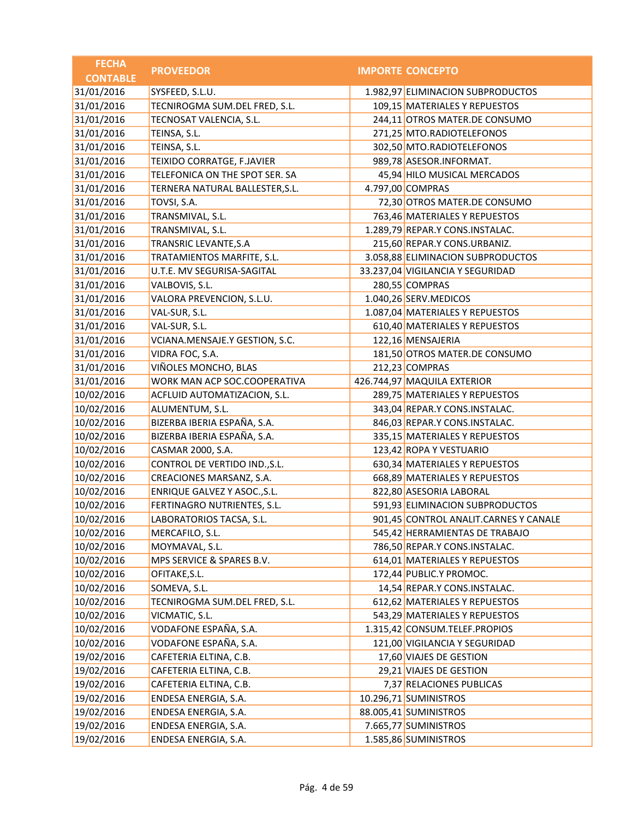| <b>FECHA</b>    | <b>PROVEEDOR</b>                | <b>IMPORTE CONCEPTO</b>               |
|-----------------|---------------------------------|---------------------------------------|
| <b>CONTABLE</b> |                                 |                                       |
| 31/01/2016      | SYSFEED, S.L.U.                 | 1.982,97 ELIMINACION SUBPRODUCTOS     |
| 31/01/2016      | TECNIROGMA SUM.DEL FRED, S.L.   | 109,15 MATERIALES Y REPUESTOS         |
| 31/01/2016      | TECNOSAT VALENCIA, S.L.         | 244,11 OTROS MATER.DE CONSUMO         |
| 31/01/2016      | TEINSA, S.L.                    | 271,25 MTO.RADIOTELEFONOS             |
| 31/01/2016      | TEINSA, S.L.                    | 302,50 MTO.RADIOTELEFONOS             |
| 31/01/2016      | TEIXIDO CORRATGE, F.JAVIER      | 989,78 ASESOR.INFORMAT.               |
| 31/01/2016      | TELEFONICA ON THE SPOT SER. SA  | 45,94 HILO MUSICAL MERCADOS           |
| 31/01/2016      | TERNERA NATURAL BALLESTER, S.L. | 4.797,00 COMPRAS                      |
| 31/01/2016      | TOVSI, S.A.                     | 72,30 OTROS MATER.DE CONSUMO          |
| 31/01/2016      | TRANSMIVAL, S.L.                | 763,46 MATERIALES Y REPUESTOS         |
| 31/01/2016      | TRANSMIVAL, S.L.                | 1.289,79 REPAR.Y CONS.INSTALAC.       |
| 31/01/2016      | TRANSRIC LEVANTE, S.A           | 215,60 REPAR.Y CONS.URBANIZ.          |
| 31/01/2016      | TRATAMIENTOS MARFITE, S.L.      | 3.058,88 ELIMINACION SUBPRODUCTOS     |
| 31/01/2016      | U.T.E. MV SEGURISA-SAGITAL      | 33.237,04 VIGILANCIA Y SEGURIDAD      |
| 31/01/2016      | VALBOVIS, S.L.                  | 280,55 COMPRAS                        |
| 31/01/2016      | VALORA PREVENCION, S.L.U.       | 1.040,26 SERV.MEDICOS                 |
| 31/01/2016      | VAL-SUR, S.L.                   | 1.087,04 MATERIALES Y REPUESTOS       |
| 31/01/2016      | VAL-SUR, S.L.                   | 610,40 MATERIALES Y REPUESTOS         |
| 31/01/2016      | VCIANA.MENSAJE.Y GESTION, S.C.  | 122,16 MENSAJERIA                     |
| 31/01/2016      | VIDRA FOC, S.A.                 | 181,50 OTROS MATER.DE CONSUMO         |
| 31/01/2016      | VIÑOLES MONCHO, BLAS            | 212,23 COMPRAS                        |
| 31/01/2016      | WORK MAN ACP SOC.COOPERATIVA    | 426.744,97 MAQUILA EXTERIOR           |
| 10/02/2016      | ACFLUID AUTOMATIZACION, S.L.    | 289,75 MATERIALES Y REPUESTOS         |
| 10/02/2016      | ALUMENTUM, S.L.                 | 343,04 REPAR.Y CONS.INSTALAC.         |
| 10/02/2016      | BIZERBA IBERIA ESPAÑA, S.A.     | 846,03 REPAR.Y CONS.INSTALAC.         |
| 10/02/2016      | BIZERBA IBERIA ESPAÑA, S.A.     | 335,15 MATERIALES Y REPUESTOS         |
| 10/02/2016      | CASMAR 2000, S.A.               | 123,42 ROPA Y VESTUARIO               |
| 10/02/2016      | CONTROL DE VERTIDO IND., S.L.   | 630,34 MATERIALES Y REPUESTOS         |
| 10/02/2016      | CREACIONES MARSANZ, S.A.        | 668,89 MATERIALES Y REPUESTOS         |
| 10/02/2016      | ENRIQUE GALVEZ Y ASOC., S.L.    | 822,80 ASESORIA LABORAL               |
| 10/02/2016      | FERTINAGRO NUTRIENTES, S.L.     | 591,93 ELIMINACION SUBPRODUCTOS       |
| 10/02/2016      | LABORATORIOS TACSA, S.L.        | 901,45 CONTROL ANALIT.CARNES Y CANALE |
| 10/02/2016      | MERCAFILO, S.L.                 | 545,42 HERRAMIENTAS DE TRABAJO        |
| 10/02/2016      | MOYMAVAL, S.L.                  | 786,50 REPAR.Y CONS.INSTALAC.         |
| 10/02/2016      | MPS SERVICE & SPARES B.V.       | 614,01 MATERIALES Y REPUESTOS         |
| 10/02/2016      | OFITAKE, S.L.                   | 172,44 PUBLIC.Y PROMOC.               |
| 10/02/2016      | SOMEVA, S.L.                    | 14,54 REPAR.Y CONS.INSTALAC.          |
| 10/02/2016      | TECNIROGMA SUM.DEL FRED, S.L.   | 612,62 MATERIALES Y REPUESTOS         |
| 10/02/2016      | VICMATIC, S.L.                  | 543,29 MATERIALES Y REPUESTOS         |
| 10/02/2016      | VODAFONE ESPAÑA, S.A.           | 1.315,42 CONSUM.TELEF.PROPIOS         |
| 10/02/2016      | VODAFONE ESPAÑA, S.A.           | 121,00 VIGILANCIA Y SEGURIDAD         |
| 19/02/2016      | CAFETERIA ELTINA, C.B.          | 17,60 VIAJES DE GESTION               |
| 19/02/2016      | CAFETERIA ELTINA, C.B.          | 29,21 VIAJES DE GESTION               |
| 19/02/2016      | CAFETERIA ELTINA, C.B.          | 7,37 RELACIONES PUBLICAS              |
| 19/02/2016      | ENDESA ENERGIA, S.A.            | 10.296,71 SUMINISTROS                 |
| 19/02/2016      | ENDESA ENERGIA, S.A.            | 88.005,41 SUMINISTROS                 |
| 19/02/2016      | ENDESA ENERGIA, S.A.            | 7.665,77 SUMINISTROS                  |
| 19/02/2016      | ENDESA ENERGIA, S.A.            | 1.585,86 SUMINISTROS                  |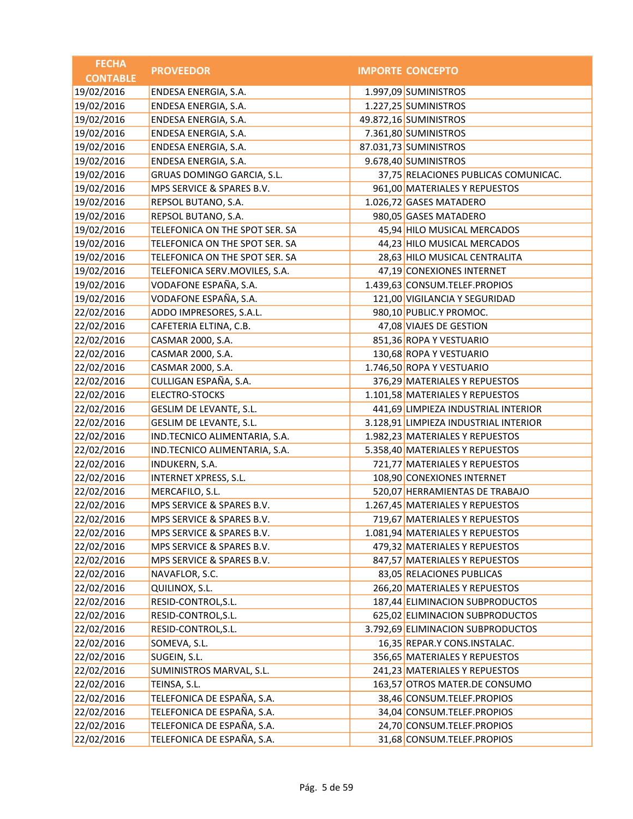| <b>FECHA</b>    | <b>PROVEEDOR</b>               | <b>IMPORTE CONCEPTO</b>               |
|-----------------|--------------------------------|---------------------------------------|
| <b>CONTABLE</b> |                                |                                       |
| 19/02/2016      | ENDESA ENERGIA, S.A.           | 1.997,09 SUMINISTROS                  |
| 19/02/2016      | ENDESA ENERGIA, S.A.           | 1.227,25 SUMINISTROS                  |
| 19/02/2016      | ENDESA ENERGIA, S.A.           | 49.872,16 SUMINISTROS                 |
| 19/02/2016      | ENDESA ENERGIA, S.A.           | 7.361,80 SUMINISTROS                  |
| 19/02/2016      | ENDESA ENERGIA, S.A.           | 87.031,73 SUMINISTROS                 |
| 19/02/2016      | ENDESA ENERGIA, S.A.           | 9.678,40 SUMINISTROS                  |
| 19/02/2016      | GRUAS DOMINGO GARCIA, S.L.     | 37,75 RELACIONES PUBLICAS COMUNICAC.  |
| 19/02/2016      | MPS SERVICE & SPARES B.V.      | 961,00 MATERIALES Y REPUESTOS         |
| 19/02/2016      | REPSOL BUTANO, S.A.            | 1.026,72 GASES MATADERO               |
| 19/02/2016      | REPSOL BUTANO, S.A.            | 980,05 GASES MATADERO                 |
| 19/02/2016      | TELEFONICA ON THE SPOT SER. SA | 45,94 HILO MUSICAL MERCADOS           |
| 19/02/2016      | TELEFONICA ON THE SPOT SER. SA | 44,23 HILO MUSICAL MERCADOS           |
| 19/02/2016      | TELEFONICA ON THE SPOT SER. SA | 28,63 HILO MUSICAL CENTRALITA         |
| 19/02/2016      | TELEFONICA SERV.MOVILES, S.A.  | 47,19 CONEXIONES INTERNET             |
| 19/02/2016      | VODAFONE ESPAÑA, S.A.          | 1.439,63 CONSUM.TELEF.PROPIOS         |
| 19/02/2016      | VODAFONE ESPAÑA, S.A.          | 121,00 VIGILANCIA Y SEGURIDAD         |
| 22/02/2016      | ADDO IMPRESORES, S.A.L.        | 980,10 PUBLIC.Y PROMOC.               |
| 22/02/2016      | CAFETERIA ELTINA, C.B.         | 47,08 VIAJES DE GESTION               |
| 22/02/2016      | CASMAR 2000, S.A.              | 851,36 ROPA Y VESTUARIO               |
| 22/02/2016      | CASMAR 2000, S.A.              | 130,68 ROPA Y VESTUARIO               |
| 22/02/2016      | CASMAR 2000, S.A.              | 1.746,50 ROPA Y VESTUARIO             |
| 22/02/2016      | CULLIGAN ESPAÑA, S.A.          | 376,29 MATERIALES Y REPUESTOS         |
| 22/02/2016      | <b>ELECTRO-STOCKS</b>          | 1.101,58 MATERIALES Y REPUESTOS       |
| 22/02/2016      | GESLIM DE LEVANTE, S.L.        | 441,69 LIMPIEZA INDUSTRIAL INTERIOR   |
| 22/02/2016      | GESLIM DE LEVANTE, S.L.        | 3.128,91 LIMPIEZA INDUSTRIAL INTERIOR |
| 22/02/2016      | IND.TECNICO ALIMENTARIA, S.A.  | 1.982,23 MATERIALES Y REPUESTOS       |
| 22/02/2016      | IND.TECNICO ALIMENTARIA, S.A.  | 5.358,40 MATERIALES Y REPUESTOS       |
| 22/02/2016      | INDUKERN, S.A.                 | 721,77 MATERIALES Y REPUESTOS         |
| 22/02/2016      | <b>INTERNET XPRESS, S.L.</b>   | 108,90 CONEXIONES INTERNET            |
| 22/02/2016      | MERCAFILO, S.L.                | 520,07 HERRAMIENTAS DE TRABAJO        |
| 22/02/2016      | MPS SERVICE & SPARES B.V.      | 1.267,45 MATERIALES Y REPUESTOS       |
| 22/02/2016      | MPS SERVICE & SPARES B.V.      | 719,67 MATERIALES Y REPUESTOS         |
| 22/02/2016      | MPS SERVICE & SPARES B.V.      | 1.081,94 MATERIALES Y REPUESTOS       |
| 22/02/2016      | MPS SERVICE & SPARES B.V.      | 479,32 MATERIALES Y REPUESTOS         |
| 22/02/2016      | MPS SERVICE & SPARES B.V.      | 847,57 MATERIALES Y REPUESTOS         |
| 22/02/2016      | NAVAFLOR, S.C.                 | 83,05 RELACIONES PUBLICAS             |
| 22/02/2016      | QUILINOX, S.L.                 | 266,20 MATERIALES Y REPUESTOS         |
| 22/02/2016      | RESID-CONTROL, S.L.            | 187,44 ELIMINACION SUBPRODUCTOS       |
| 22/02/2016      | RESID-CONTROL, S.L.            | 625,02 ELIMINACION SUBPRODUCTOS       |
| 22/02/2016      | RESID-CONTROL, S.L.            | 3.792,69 ELIMINACION SUBPRODUCTOS     |
| 22/02/2016      | SOMEVA, S.L.                   | 16,35 REPAR.Y CONS.INSTALAC.          |
| 22/02/2016      | SUGEIN, S.L.                   | 356,65 MATERIALES Y REPUESTOS         |
| 22/02/2016      | SUMINISTROS MARVAL, S.L.       | 241,23 MATERIALES Y REPUESTOS         |
| 22/02/2016      | TEINSA, S.L.                   | 163,57 OTROS MATER.DE CONSUMO         |
| 22/02/2016      | TELEFONICA DE ESPAÑA, S.A.     | 38,46 CONSUM.TELEF.PROPIOS            |
| 22/02/2016      | TELEFONICA DE ESPAÑA, S.A.     | 34,04 CONSUM.TELEF.PROPIOS            |
| 22/02/2016      | TELEFONICA DE ESPAÑA, S.A.     | 24,70 CONSUM.TELEF.PROPIOS            |
| 22/02/2016      | TELEFONICA DE ESPAÑA, S.A.     | 31,68 CONSUM.TELEF.PROPIOS            |
|                 |                                |                                       |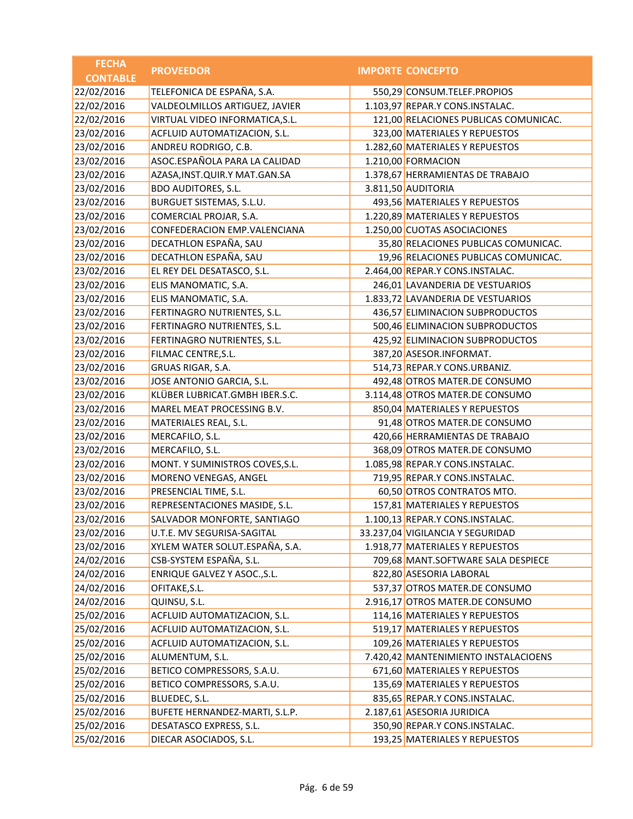| <b>FECHA</b>    | <b>PROVEEDOR</b>                  | <b>IMPORTE CONCEPTO</b>               |
|-----------------|-----------------------------------|---------------------------------------|
| <b>CONTABLE</b> |                                   |                                       |
| 22/02/2016      | TELEFONICA DE ESPAÑA, S.A.        | 550,29 CONSUM.TELEF.PROPIOS           |
| 22/02/2016      | VALDEOLMILLOS ARTIGUEZ, JAVIER    | 1.103,97 REPAR.Y CONS.INSTALAC.       |
| 22/02/2016      | VIRTUAL VIDEO INFORMATICA, S.L.   | 121,00 RELACIONES PUBLICAS COMUNICAC. |
| 23/02/2016      | ACFLUID AUTOMATIZACION, S.L.      | 323,00 MATERIALES Y REPUESTOS         |
| 23/02/2016      | ANDREU RODRIGO, C.B.              | 1.282,60 MATERIALES Y REPUESTOS       |
| 23/02/2016      | ASOC.ESPAÑOLA PARA LA CALIDAD     | 1.210,00 FORMACION                    |
| 23/02/2016      | AZASA, INST. QUIR. Y MAT. GAN. SA | 1.378,67 HERRAMIENTAS DE TRABAJO      |
| 23/02/2016      | <b>BDO AUDITORES, S.L.</b>        | 3.811,50 AUDITORIA                    |
| 23/02/2016      | BURGUET SISTEMAS, S.L.U.          | 493,56 MATERIALES Y REPUESTOS         |
| 23/02/2016      | COMERCIAL PROJAR, S.A.            | 1.220,89 MATERIALES Y REPUESTOS       |
| 23/02/2016      | CONFEDERACION EMP.VALENCIANA      | 1.250,00 CUOTAS ASOCIACIONES          |
| 23/02/2016      | DECATHLON ESPAÑA, SAU             | 35,80 RELACIONES PUBLICAS COMUNICAC.  |
| 23/02/2016      | DECATHLON ESPAÑA, SAU             | 19,96 RELACIONES PUBLICAS COMUNICAC.  |
| 23/02/2016      | EL REY DEL DESATASCO, S.L.        | 2.464,00 REPAR.Y CONS.INSTALAC.       |
| 23/02/2016      | ELIS MANOMATIC, S.A.              | 246,01 LAVANDERIA DE VESTUARIOS       |
| 23/02/2016      | ELIS MANOMATIC, S.A.              | 1.833,72 LAVANDERIA DE VESTUARIOS     |
| 23/02/2016      | FERTINAGRO NUTRIENTES, S.L.       | 436,57 ELIMINACION SUBPRODUCTOS       |
| 23/02/2016      | FERTINAGRO NUTRIENTES, S.L.       | 500,46 ELIMINACION SUBPRODUCTOS       |
| 23/02/2016      | FERTINAGRO NUTRIENTES, S.L.       | 425,92 ELIMINACION SUBPRODUCTOS       |
| 23/02/2016      | FILMAC CENTRE, S.L.               | 387,20 ASESOR.INFORMAT.               |
| 23/02/2016      | GRUAS RIGAR, S.A.                 | 514,73 REPAR.Y CONS.URBANIZ.          |
| 23/02/2016      | JOSE ANTONIO GARCIA, S.L.         | 492,48 OTROS MATER.DE CONSUMO         |
| 23/02/2016      | KLÜBER LUBRICAT.GMBH IBER.S.C.    | 3.114,48 OTROS MATER.DE CONSUMO       |
| 23/02/2016      | MAREL MEAT PROCESSING B.V.        | 850,04 MATERIALES Y REPUESTOS         |
| 23/02/2016      | MATERIALES REAL, S.L.             | 91,48 OTROS MATER.DE CONSUMO          |
| 23/02/2016      | MERCAFILO, S.L.                   | 420,66 HERRAMIENTAS DE TRABAJO        |
| 23/02/2016      | MERCAFILO, S.L.                   | 368,09 OTROS MATER.DE CONSUMO         |
| 23/02/2016      | MONT. Y SUMINISTROS COVES, S.L.   | 1.085,98 REPAR.Y CONS.INSTALAC.       |
| 23/02/2016      | MORENO VENEGAS, ANGEL             | 719,95 REPAR.Y CONS.INSTALAC.         |
| 23/02/2016      | PRESENCIAL TIME, S.L.             | 60,50 OTROS CONTRATOS MTO.            |
| 23/02/2016      | REPRESENTACIONES MASIDE, S.L.     | 157,81 MATERIALES Y REPUESTOS         |
| 23/02/2016      | SALVADOR MONFORTE, SANTIAGO       | 1.100,13 REPAR.Y CONS.INSTALAC.       |
| 23/02/2016      | U.T.E. MV SEGURISA-SAGITAL        | 33.237,04 VIGILANCIA Y SEGURIDAD      |
| 23/02/2016      | XYLEM WATER SOLUT.ESPAÑA, S.A.    | 1.918,77 MATERIALES Y REPUESTOS       |
| 24/02/2016      | CSB-SYSTEM ESPAÑA, S.L.           | 709,68 MANT.SOFTWARE SALA DESPIECE    |
| 24/02/2016      | ENRIQUE GALVEZ Y ASOC., S.L.      | 822,80 ASESORIA LABORAL               |
| 24/02/2016      | OFITAKE, S.L.                     | 537,37 OTROS MATER.DE CONSUMO         |
| 24/02/2016      | QUINSU, S.L.                      | 2.916,17 OTROS MATER.DE CONSUMO       |
| 25/02/2016      | ACFLUID AUTOMATIZACION, S.L.      | 114,16 MATERIALES Y REPUESTOS         |
| 25/02/2016      | ACFLUID AUTOMATIZACION, S.L.      | 519,17 MATERIALES Y REPUESTOS         |
| 25/02/2016      | ACFLUID AUTOMATIZACION, S.L.      | 109,26 MATERIALES Y REPUESTOS         |
| 25/02/2016      | ALUMENTUM, S.L.                   | 7.420,42 MANTENIMIENTO INSTALACIOENS  |
| 25/02/2016      | BETICO COMPRESSORS, S.A.U.        | 671,60 MATERIALES Y REPUESTOS         |
| 25/02/2016      | BETICO COMPRESSORS, S.A.U.        | 135,69 MATERIALES Y REPUESTOS         |
| 25/02/2016      | BLUEDEC, S.L.                     | 835,65 REPAR.Y CONS.INSTALAC.         |
| 25/02/2016      | BUFETE HERNANDEZ-MARTI, S.L.P.    | 2.187,61 ASESORIA JURIDICA            |
| 25/02/2016      | DESATASCO EXPRESS, S.L.           | 350,90 REPAR.Y CONS.INSTALAC.         |
| 25/02/2016      | DIECAR ASOCIADOS, S.L.            | 193,25 MATERIALES Y REPUESTOS         |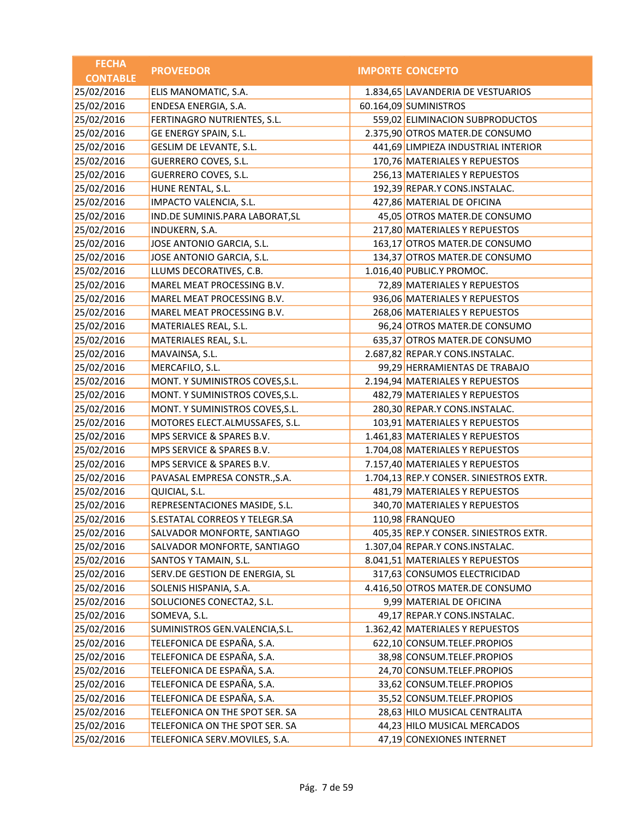| <b>FECHA</b>    | <b>PROVEEDOR</b>                | <b>IMPORTE CONCEPTO</b>                 |
|-----------------|---------------------------------|-----------------------------------------|
| <b>CONTABLE</b> |                                 |                                         |
| 25/02/2016      | ELIS MANOMATIC, S.A.            | 1.834,65 LAVANDERIA DE VESTUARIOS       |
| 25/02/2016      | ENDESA ENERGIA, S.A.            | 60.164,09 SUMINISTROS                   |
| 25/02/2016      | FERTINAGRO NUTRIENTES, S.L.     | 559,02 ELIMINACION SUBPRODUCTOS         |
| 25/02/2016      | GE ENERGY SPAIN, S.L.           | 2.375,90 OTROS MATER.DE CONSUMO         |
| 25/02/2016      | GESLIM DE LEVANTE, S.L.         | 441,69 LIMPIEZA INDUSTRIAL INTERIOR     |
| 25/02/2016      | <b>GUERRERO COVES, S.L.</b>     | 170,76 MATERIALES Y REPUESTOS           |
| 25/02/2016      | <b>GUERRERO COVES, S.L.</b>     | 256,13 MATERIALES Y REPUESTOS           |
| 25/02/2016      | HUNE RENTAL, S.L.               | 192,39 REPAR.Y CONS.INSTALAC.           |
| 25/02/2016      | IMPACTO VALENCIA, S.L.          | 427,86 MATERIAL DE OFICINA              |
| 25/02/2016      | IND.DE SUMINIS.PARA LABORAT, SL | 45,05 OTROS MATER.DE CONSUMO            |
| 25/02/2016      | INDUKERN, S.A.                  | 217,80 MATERIALES Y REPUESTOS           |
| 25/02/2016      | JOSE ANTONIO GARCIA, S.L.       | 163,17 OTROS MATER.DE CONSUMO           |
| 25/02/2016      | JOSE ANTONIO GARCIA, S.L.       | 134,37 OTROS MATER.DE CONSUMO           |
| 25/02/2016      | LLUMS DECORATIVES, C.B.         | 1.016,40 PUBLIC.Y PROMOC.               |
| 25/02/2016      | MAREL MEAT PROCESSING B.V.      | 72,89 MATERIALES Y REPUESTOS            |
| 25/02/2016      | MAREL MEAT PROCESSING B.V.      | 936,06 MATERIALES Y REPUESTOS           |
| 25/02/2016      | MAREL MEAT PROCESSING B.V.      | 268,06 MATERIALES Y REPUESTOS           |
| 25/02/2016      | MATERIALES REAL, S.L.           | 96,24 OTROS MATER.DE CONSUMO            |
| 25/02/2016      | MATERIALES REAL, S.L.           | 635,37 OTROS MATER.DE CONSUMO           |
| 25/02/2016      | MAVAINSA, S.L.                  | 2.687,82 REPAR.Y CONS.INSTALAC.         |
| 25/02/2016      | MERCAFILO, S.L.                 | 99,29 HERRAMIENTAS DE TRABAJO           |
| 25/02/2016      | MONT. Y SUMINISTROS COVES, S.L. | 2.194,94 MATERIALES Y REPUESTOS         |
| 25/02/2016      | MONT. Y SUMINISTROS COVES, S.L. | 482,79 MATERIALES Y REPUESTOS           |
| 25/02/2016      | MONT. Y SUMINISTROS COVES, S.L. | 280,30 REPAR.Y CONS.INSTALAC.           |
| 25/02/2016      | MOTORES ELECT.ALMUSSAFES, S.L.  | 103,91 MATERIALES Y REPUESTOS           |
| 25/02/2016      | MPS SERVICE & SPARES B.V.       | 1.461,83 MATERIALES Y REPUESTOS         |
| 25/02/2016      | MPS SERVICE & SPARES B.V.       | 1.704,08 MATERIALES Y REPUESTOS         |
| 25/02/2016      | MPS SERVICE & SPARES B.V.       | 7.157,40 MATERIALES Y REPUESTOS         |
| 25/02/2016      | PAVASAL EMPRESA CONSTR., S.A.   | 1.704,13 REP.Y CONSER. SINIESTROS EXTR. |
| 25/02/2016      | QUICIAL, S.L.                   | 481,79 MATERIALES Y REPUESTOS           |
| 25/02/2016      | REPRESENTACIONES MASIDE, S.L.   | 340,70 MATERIALES Y REPUESTOS           |
| 25/02/2016      | S.ESTATAL CORREOS Y TELEGR.SA   | 110,98 FRANQUEO                         |
| 25/02/2016      | SALVADOR MONFORTE, SANTIAGO     | 405,35 REP.Y CONSER. SINIESTROS EXTR.   |
| 25/02/2016      | SALVADOR MONFORTE, SANTIAGO     | 1.307,04 REPAR.Y CONS.INSTALAC.         |
| 25/02/2016      | SANTOS Y TAMAIN, S.L.           | 8.041,51 MATERIALES Y REPUESTOS         |
| 25/02/2016      | SERV.DE GESTION DE ENERGIA, SL  | 317,63 CONSUMOS ELECTRICIDAD            |
| 25/02/2016      | SOLENIS HISPANIA, S.A.          | 4.416,50 OTROS MATER.DE CONSUMO         |
| 25/02/2016      | SOLUCIONES CONECTA2, S.L.       | 9,99 MATERIAL DE OFICINA                |
| 25/02/2016      | SOMEVA, S.L.                    | 49,17 REPAR.Y CONS.INSTALAC.            |
| 25/02/2016      | SUMINISTROS GEN.VALENCIA, S.L.  | 1.362,42 MATERIALES Y REPUESTOS         |
| 25/02/2016      | TELEFONICA DE ESPAÑA, S.A.      | 622,10 CONSUM.TELEF.PROPIOS             |
| 25/02/2016      | TELEFONICA DE ESPAÑA, S.A.      | 38,98 CONSUM.TELEF.PROPIOS              |
| 25/02/2016      | TELEFONICA DE ESPAÑA, S.A.      | 24,70 CONSUM.TELEF.PROPIOS              |
| 25/02/2016      | TELEFONICA DE ESPAÑA, S.A.      | 33,62 CONSUM.TELEF.PROPIOS              |
| 25/02/2016      | TELEFONICA DE ESPAÑA, S.A.      | 35,52 CONSUM.TELEF.PROPIOS              |
| 25/02/2016      | TELEFONICA ON THE SPOT SER. SA  | 28,63 HILO MUSICAL CENTRALITA           |
| 25/02/2016      | TELEFONICA ON THE SPOT SER. SA  | 44,23 HILO MUSICAL MERCADOS             |
| 25/02/2016      | TELEFONICA SERV.MOVILES, S.A.   | 47,19 CONEXIONES INTERNET               |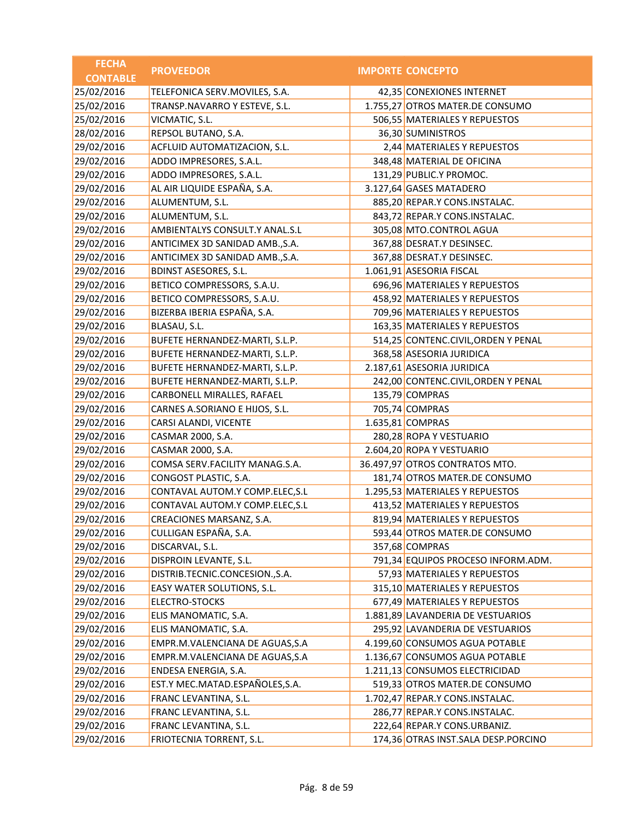| <b>FECHA</b>    | <b>PROVEEDOR</b>                | <b>IMPORTE CONCEPTO</b>             |
|-----------------|---------------------------------|-------------------------------------|
| <b>CONTABLE</b> |                                 |                                     |
| 25/02/2016      | TELEFONICA SERV.MOVILES, S.A.   | 42,35 CONEXIONES INTERNET           |
| 25/02/2016      | TRANSP.NAVARRO Y ESTEVE, S.L.   | 1.755,27 OTROS MATER.DE CONSUMO     |
| 25/02/2016      | VICMATIC, S.L.                  | 506,55 MATERIALES Y REPUESTOS       |
| 28/02/2016      | REPSOL BUTANO, S.A.             | 36,30 SUMINISTROS                   |
| 29/02/2016      | ACFLUID AUTOMATIZACION, S.L.    | 2,44 MATERIALES Y REPUESTOS         |
| 29/02/2016      | ADDO IMPRESORES, S.A.L.         | 348,48 MATERIAL DE OFICINA          |
| 29/02/2016      | ADDO IMPRESORES, S.A.L.         | 131,29 PUBLIC.Y PROMOC.             |
| 29/02/2016      | AL AIR LIQUIDE ESPAÑA, S.A.     | 3.127,64 GASES MATADERO             |
| 29/02/2016      | ALUMENTUM, S.L.                 | 885,20 REPAR.Y CONS.INSTALAC.       |
| 29/02/2016      | ALUMENTUM, S.L.                 | 843,72 REPAR.Y CONS.INSTALAC.       |
| 29/02/2016      | AMBIENTALYS CONSULT.Y ANAL.S.L  | 305,08 MTO.CONTROL AGUA             |
| 29/02/2016      | ANTICIMEX 3D SANIDAD AMB., S.A. | 367,88 DESRAT.Y DESINSEC.           |
| 29/02/2016      | ANTICIMEX 3D SANIDAD AMB., S.A. | 367,88 DESRAT.Y DESINSEC.           |
| 29/02/2016      | <b>BDINST ASESORES, S.L.</b>    | 1.061,91 ASESORIA FISCAL            |
| 29/02/2016      | BETICO COMPRESSORS, S.A.U.      | 696,96 MATERIALES Y REPUESTOS       |
| 29/02/2016      | BETICO COMPRESSORS, S.A.U.      | 458,92 MATERIALES Y REPUESTOS       |
| 29/02/2016      | BIZERBA IBERIA ESPAÑA, S.A.     | 709,96 MATERIALES Y REPUESTOS       |
| 29/02/2016      | BLASAU, S.L.                    | 163,35 MATERIALES Y REPUESTOS       |
| 29/02/2016      | BUFETE HERNANDEZ-MARTI, S.L.P.  | 514,25 CONTENC.CIVIL, ORDEN Y PENAL |
| 29/02/2016      | BUFETE HERNANDEZ-MARTI, S.L.P.  | 368,58 ASESORIA JURIDICA            |
| 29/02/2016      | BUFETE HERNANDEZ-MARTI, S.L.P.  | 2.187,61 ASESORIA JURIDICA          |
| 29/02/2016      | BUFETE HERNANDEZ-MARTI, S.L.P.  | 242,00 CONTENC.CIVIL, ORDEN Y PENAL |
| 29/02/2016      | CARBONELL MIRALLES, RAFAEL      | 135,79 COMPRAS                      |
| 29/02/2016      | CARNES A.SORIANO E HIJOS, S.L.  | 705,74 COMPRAS                      |
| 29/02/2016      | CARSI ALANDI, VICENTE           | 1.635,81 COMPRAS                    |
| 29/02/2016      | CASMAR 2000, S.A.               | 280,28 ROPA Y VESTUARIO             |
| 29/02/2016      | CASMAR 2000, S.A.               | 2.604,20 ROPA Y VESTUARIO           |
| 29/02/2016      | COMSA SERV.FACILITY MANAG.S.A.  | 36.497,97 OTROS CONTRATOS MTO.      |
| 29/02/2016      | CONGOST PLASTIC, S.A.           | 181,74 OTROS MATER.DE CONSUMO       |
| 29/02/2016      | CONTAVAL AUTOM.Y COMP.ELEC, S.L | 1.295,53 MATERIALES Y REPUESTOS     |
| 29/02/2016      | CONTAVAL AUTOM.Y COMP.ELEC, S.L | 413,52 MATERIALES Y REPUESTOS       |
| 29/02/2016      | CREACIONES MARSANZ, S.A.        | 819,94 MATERIALES Y REPUESTOS       |
| 29/02/2016      | CULLIGAN ESPAÑA, S.A.           | 593,44 OTROS MATER.DE CONSUMO       |
| 29/02/2016      | DISCARVAL, S.L.                 | 357,68 COMPRAS                      |
| 29/02/2016      | DISPROIN LEVANTE, S.L.          | 791,34 EQUIPOS PROCESO INFORM.ADM.  |
| 29/02/2016      | DISTRIB.TECNIC.CONCESION.,S.A.  | 57,93 MATERIALES Y REPUESTOS        |
| 29/02/2016      | EASY WATER SOLUTIONS, S.L.      | 315,10 MATERIALES Y REPUESTOS       |
| 29/02/2016      | ELECTRO-STOCKS                  | 677,49 MATERIALES Y REPUESTOS       |
| 29/02/2016      | ELIS MANOMATIC, S.A.            | 1.881,89 LAVANDERIA DE VESTUARIOS   |
| 29/02/2016      | ELIS MANOMATIC, S.A.            | 295,92 LAVANDERIA DE VESTUARIOS     |
| 29/02/2016      | EMPR.M.VALENCIANA DE AGUAS, S.A | 4.199,60 CONSUMOS AGUA POTABLE      |
| 29/02/2016      | EMPR.M.VALENCIANA DE AGUAS, S.A | 1.136,67 CONSUMOS AGUA POTABLE      |
| 29/02/2016      | ENDESA ENERGIA, S.A.            | 1.211,13 CONSUMOS ELECTRICIDAD      |
| 29/02/2016      | EST.Y MEC.MATAD.ESPAÑOLES,S.A.  | 519,33 OTROS MATER.DE CONSUMO       |
| 29/02/2016      | FRANC LEVANTINA, S.L.           | 1.702,47 REPAR.Y CONS.INSTALAC.     |
| 29/02/2016      | FRANC LEVANTINA, S.L.           | 286,77 REPAR.Y CONS.INSTALAC.       |
| 29/02/2016      | FRANC LEVANTINA, S.L.           | 222,64 REPAR.Y CONS.URBANIZ.        |
| 29/02/2016      | FRIOTECNIA TORRENT, S.L.        | 174,36 OTRAS INST.SALA DESP.PORCINO |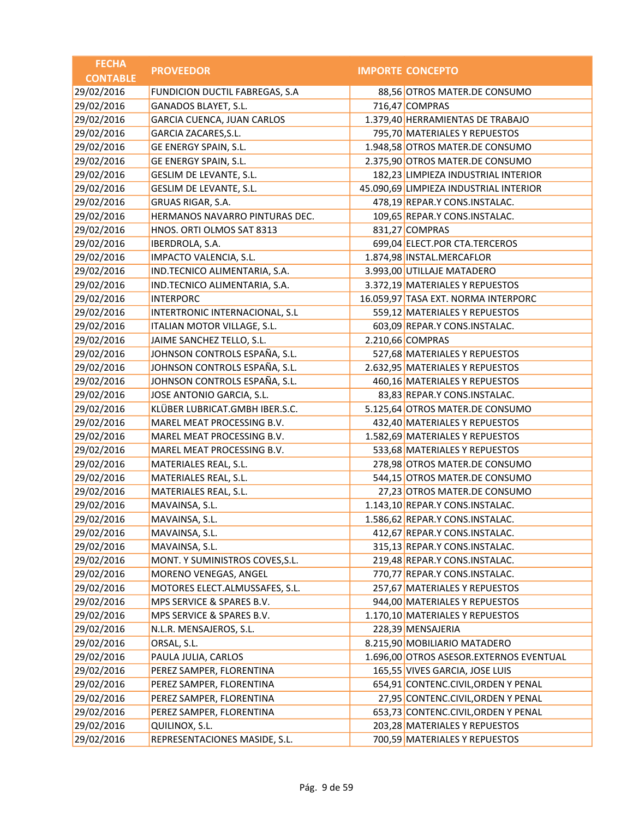| <b>FECHA</b>    | <b>PROVEEDOR</b>                | <b>IMPORTE CONCEPTO</b>                 |
|-----------------|---------------------------------|-----------------------------------------|
| <b>CONTABLE</b> |                                 |                                         |
| 29/02/2016      | FUNDICION DUCTIL FABREGAS, S.A  | 88,56 OTROS MATER.DE CONSUMO            |
| 29/02/2016      | GANADOS BLAYET, S.L.            | 716,47 COMPRAS                          |
| 29/02/2016      | GARCIA CUENCA, JUAN CARLOS      | 1.379,40 HERRAMIENTAS DE TRABAJO        |
| 29/02/2016      | <b>GARCIA ZACARES, S.L.</b>     | 795,70 MATERIALES Y REPUESTOS           |
| 29/02/2016      | GE ENERGY SPAIN, S.L.           | 1.948,58 OTROS MATER.DE CONSUMO         |
| 29/02/2016      | GE ENERGY SPAIN, S.L.           | 2.375,90 OTROS MATER.DE CONSUMO         |
| 29/02/2016      | <b>GESLIM DE LEVANTE, S.L.</b>  | 182,23 LIMPIEZA INDUSTRIAL INTERIOR     |
| 29/02/2016      | GESLIM DE LEVANTE, S.L.         | 45.090,69 LIMPIEZA INDUSTRIAL INTERIOR  |
| 29/02/2016      | GRUAS RIGAR, S.A.               | 478,19 REPAR.Y CONS.INSTALAC.           |
| 29/02/2016      | HERMANOS NAVARRO PINTURAS DEC.  | 109,65 REPAR.Y CONS.INSTALAC.           |
| 29/02/2016      | HNOS. ORTI OLMOS SAT 8313       | 831,27 COMPRAS                          |
| 29/02/2016      | IBERDROLA, S.A.                 | 699,04 ELECT.POR CTA.TERCEROS           |
| 29/02/2016      | IMPACTO VALENCIA, S.L.          | 1.874,98 INSTAL.MERCAFLOR               |
| 29/02/2016      | IND.TECNICO ALIMENTARIA, S.A.   | 3.993,00 UTILLAJE MATADERO              |
| 29/02/2016      | IND.TECNICO ALIMENTARIA, S.A.   | 3.372,19 MATERIALES Y REPUESTOS         |
| 29/02/2016      | <b>INTERPORC</b>                | 16.059,97 TASA EXT. NORMA INTERPORC     |
| 29/02/2016      | INTERTRONIC INTERNACIONAL, S.L  | 559,12 MATERIALES Y REPUESTOS           |
| 29/02/2016      | ITALIAN MOTOR VILLAGE, S.L.     | 603,09 REPAR.Y CONS.INSTALAC.           |
| 29/02/2016      | JAIME SANCHEZ TELLO, S.L.       | 2.210,66 COMPRAS                        |
| 29/02/2016      | JOHNSON CONTROLS ESPAÑA, S.L.   | 527,68 MATERIALES Y REPUESTOS           |
| 29/02/2016      | JOHNSON CONTROLS ESPAÑA, S.L.   | 2.632,95 MATERIALES Y REPUESTOS         |
| 29/02/2016      | JOHNSON CONTROLS ESPAÑA, S.L.   | 460,16 MATERIALES Y REPUESTOS           |
| 29/02/2016      | JOSE ANTONIO GARCIA, S.L.       | 83,83 REPAR.Y CONS.INSTALAC.            |
| 29/02/2016      | KLÜBER LUBRICAT.GMBH IBER.S.C.  | 5.125,64 OTROS MATER.DE CONSUMO         |
| 29/02/2016      | MAREL MEAT PROCESSING B.V.      | 432,40 MATERIALES Y REPUESTOS           |
| 29/02/2016      | MAREL MEAT PROCESSING B.V.      | 1.582,69 MATERIALES Y REPUESTOS         |
| 29/02/2016      | MAREL MEAT PROCESSING B.V.      | 533,68 MATERIALES Y REPUESTOS           |
| 29/02/2016      | MATERIALES REAL, S.L.           | 278,98 OTROS MATER.DE CONSUMO           |
| 29/02/2016      | MATERIALES REAL, S.L.           | 544,15 OTROS MATER.DE CONSUMO           |
| 29/02/2016      | MATERIALES REAL, S.L.           | 27,23 OTROS MATER.DE CONSUMO            |
| 29/02/2016      | MAVAINSA, S.L.                  | 1.143,10 REPAR.Y CONS.INSTALAC.         |
| 29/02/2016      | MAVAINSA, S.L.                  | 1.586,62 REPAR.Y CONS.INSTALAC.         |
| 29/02/2016      | MAVAINSA, S.L.                  | 412,67 REPAR.Y CONS.INSTALAC.           |
| 29/02/2016      | MAVAINSA, S.L.                  | 315,13 REPAR.Y CONS.INSTALAC.           |
| 29/02/2016      | MONT. Y SUMINISTROS COVES, S.L. | 219,48 REPAR.Y CONS.INSTALAC.           |
| 29/02/2016      | MORENO VENEGAS, ANGEL           | 770,77 REPAR.Y CONS.INSTALAC.           |
| 29/02/2016      | MOTORES ELECT.ALMUSSAFES, S.L.  | 257,67 MATERIALES Y REPUESTOS           |
| 29/02/2016      | MPS SERVICE & SPARES B.V.       | 944,00 MATERIALES Y REPUESTOS           |
| 29/02/2016      | MPS SERVICE & SPARES B.V.       | 1.170,10 MATERIALES Y REPUESTOS         |
| 29/02/2016      | N.L.R. MENSAJEROS, S.L.         | 228,39 MENSAJERIA                       |
| 29/02/2016      | ORSAL, S.L.                     | 8.215,90 MOBILIARIO MATADERO            |
| 29/02/2016      | PAULA JULIA, CARLOS             | 1.696,00 OTROS ASESOR.EXTERNOS EVENTUAL |
| 29/02/2016      | PEREZ SAMPER, FLORENTINA        | 165,55 VIVES GARCIA, JOSE LUIS          |
| 29/02/2016      | PEREZ SAMPER, FLORENTINA        | 654,91 CONTENC.CIVIL, ORDEN Y PENAL     |
| 29/02/2016      | PEREZ SAMPER, FLORENTINA        | 27,95 CONTENC.CIVIL, ORDEN Y PENAL      |
| 29/02/2016      | PEREZ SAMPER, FLORENTINA        | 653,73 CONTENC.CIVIL, ORDEN Y PENAL     |
| 29/02/2016      | QUILINOX, S.L.                  | 203,28 MATERIALES Y REPUESTOS           |
| 29/02/2016      | REPRESENTACIONES MASIDE, S.L.   | 700,59 MATERIALES Y REPUESTOS           |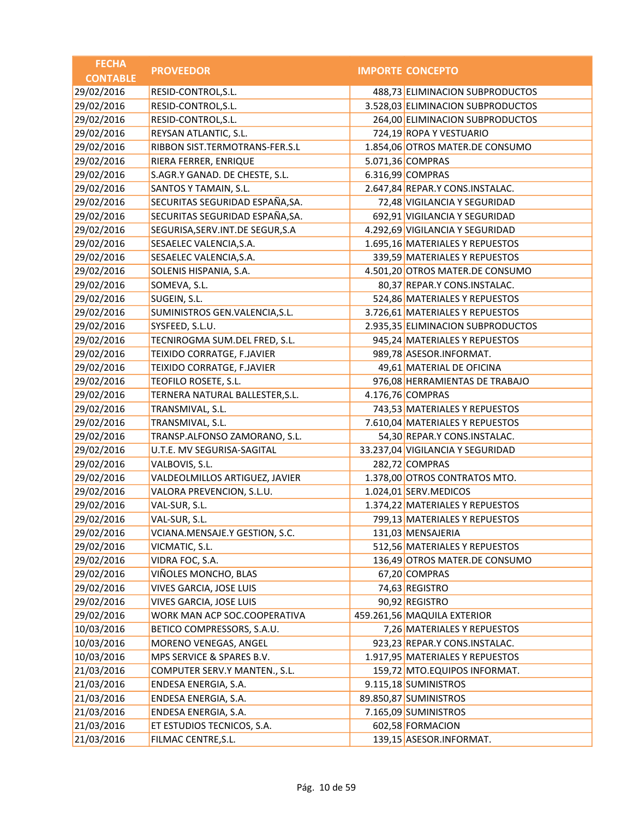| <b>FECHA</b>    | <b>PROVEEDOR</b>                   | <b>IMPORTE CONCEPTO</b>           |
|-----------------|------------------------------------|-----------------------------------|
| <b>CONTABLE</b> |                                    |                                   |
| 29/02/2016      | RESID-CONTROL, S.L.                | 488,73 ELIMINACION SUBPRODUCTOS   |
| 29/02/2016      | RESID-CONTROL, S.L.                | 3.528,03 ELIMINACION SUBPRODUCTOS |
| 29/02/2016      | RESID-CONTROL, S.L.                | 264,00 ELIMINACION SUBPRODUCTOS   |
| 29/02/2016      | REYSAN ATLANTIC, S.L.              | 724,19 ROPA Y VESTUARIO           |
| 29/02/2016      | RIBBON SIST.TERMOTRANS-FER.S.L     | 1.854,06 OTROS MATER.DE CONSUMO   |
| 29/02/2016      | RIERA FERRER, ENRIQUE              | 5.071,36 COMPRAS                  |
| 29/02/2016      | S.AGR.Y GANAD. DE CHESTE, S.L.     | 6.316,99 COMPRAS                  |
| 29/02/2016      | SANTOS Y TAMAIN, S.L.              | 2.647,84 REPAR.Y CONS.INSTALAC.   |
| 29/02/2016      | SECURITAS SEGURIDAD ESPAÑA, SA.    | 72,48 VIGILANCIA Y SEGURIDAD      |
| 29/02/2016      | SECURITAS SEGURIDAD ESPAÑA, SA.    | 692,91 VIGILANCIA Y SEGURIDAD     |
| 29/02/2016      | SEGURISA, SERV. INT. DE SEGUR, S.A | 4.292,69 VIGILANCIA Y SEGURIDAD   |
| 29/02/2016      | SESAELEC VALENCIA, S.A.            | 1.695,16 MATERIALES Y REPUESTOS   |
| 29/02/2016      | SESAELEC VALENCIA, S.A.            | 339,59 MATERIALES Y REPUESTOS     |
| 29/02/2016      | SOLENIS HISPANIA, S.A.             | 4.501,20 OTROS MATER.DE CONSUMO   |
| 29/02/2016      | SOMEVA, S.L.                       | 80,37 REPAR.Y CONS.INSTALAC.      |
| 29/02/2016      | SUGEIN, S.L.                       | 524,86 MATERIALES Y REPUESTOS     |
| 29/02/2016      | SUMINISTROS GEN.VALENCIA, S.L.     | 3.726,61 MATERIALES Y REPUESTOS   |
| 29/02/2016      | SYSFEED, S.L.U.                    | 2.935,35 ELIMINACION SUBPRODUCTOS |
| 29/02/2016      | TECNIROGMA SUM.DEL FRED, S.L.      | 945,24 MATERIALES Y REPUESTOS     |
| 29/02/2016      | TEIXIDO CORRATGE, F.JAVIER         | 989,78 ASESOR.INFORMAT.           |
| 29/02/2016      | TEIXIDO CORRATGE, F.JAVIER         | 49,61 MATERIAL DE OFICINA         |
| 29/02/2016      | TEOFILO ROSETE, S.L.               | 976,08 HERRAMIENTAS DE TRABAJO    |
| 29/02/2016      | TERNERA NATURAL BALLESTER, S.L.    | 4.176,76 COMPRAS                  |
| 29/02/2016      | TRANSMIVAL, S.L.                   | 743,53 MATERIALES Y REPUESTOS     |
| 29/02/2016      | TRANSMIVAL, S.L.                   | 7.610,04 MATERIALES Y REPUESTOS   |
| 29/02/2016      | TRANSP.ALFONSO ZAMORANO, S.L.      | 54,30 REPAR.Y CONS.INSTALAC.      |
| 29/02/2016      | U.T.E. MV SEGURISA-SAGITAL         | 33.237,04 VIGILANCIA Y SEGURIDAD  |
| 29/02/2016      | VALBOVIS, S.L.                     | 282,72 COMPRAS                    |
| 29/02/2016      | VALDEOLMILLOS ARTIGUEZ, JAVIER     | 1.378,00 OTROS CONTRATOS MTO.     |
| 29/02/2016      | VALORA PREVENCION, S.L.U.          | 1.024,01 SERV.MEDICOS             |
| 29/02/2016      | VAL-SUR, S.L.                      | 1.374,22 MATERIALES Y REPUESTOS   |
| 29/02/2016      | VAL-SUR, S.L.                      | 799,13 MATERIALES Y REPUESTOS     |
| 29/02/2016      | VCIANA.MENSAJE.Y GESTION, S.C.     | 131,03 MENSAJERIA                 |
| 29/02/2016      | VICMATIC, S.L.                     | 512,56 MATERIALES Y REPUESTOS     |
| 29/02/2016      | VIDRA FOC, S.A.                    | 136,49 OTROS MATER.DE CONSUMO     |
| 29/02/2016      | VIÑOLES MONCHO, BLAS               | 67,20 COMPRAS                     |
| 29/02/2016      | VIVES GARCIA, JOSE LUIS            | 74,63 REGISTRO                    |
| 29/02/2016      | VIVES GARCIA, JOSE LUIS            | 90,92 REGISTRO                    |
| 29/02/2016      | WORK MAN ACP SOC.COOPERATIVA       | 459.261,56 MAQUILA EXTERIOR       |
| 10/03/2016      | BETICO COMPRESSORS, S.A.U.         | 7,26 MATERIALES Y REPUESTOS       |
| 10/03/2016      | MORENO VENEGAS, ANGEL              | 923,23 REPAR.Y CONS.INSTALAC.     |
| 10/03/2016      | MPS SERVICE & SPARES B.V.          | 1.917,95 MATERIALES Y REPUESTOS   |
| 21/03/2016      | COMPUTER SERV.Y MANTEN., S.L.      | 159,72 MTO.EQUIPOS INFORMAT.      |
| 21/03/2016      | ENDESA ENERGIA, S.A.               | 9.115,18 SUMINISTROS              |
| 21/03/2016      | ENDESA ENERGIA, S.A.               | 89.850,87 SUMINISTROS             |
| 21/03/2016      | ENDESA ENERGIA, S.A.               | 7.165,09 SUMINISTROS              |
| 21/03/2016      | ET ESTUDIOS TECNICOS, S.A.         | 602,58 FORMACION                  |
| 21/03/2016      | FILMAC CENTRE, S.L.                | 139,15 ASESOR.INFORMAT.           |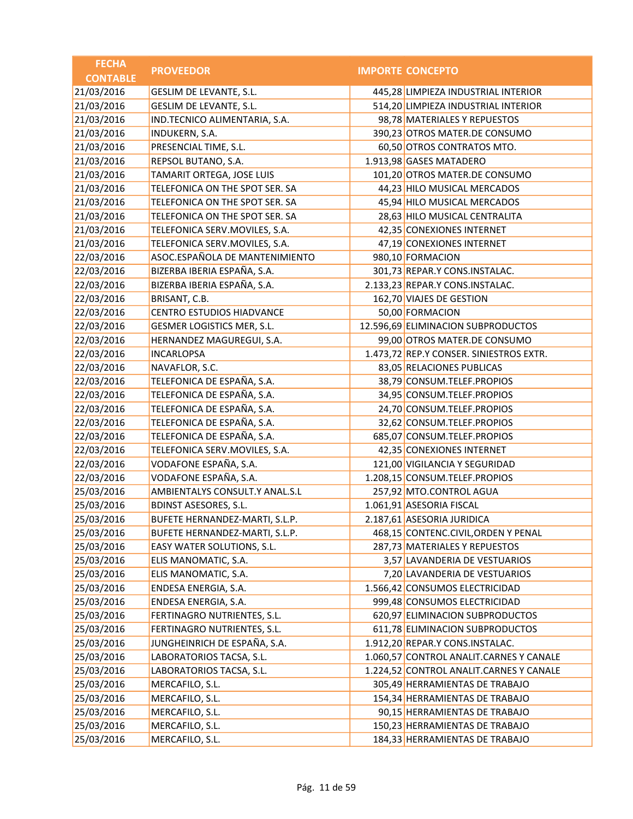| <b>FECHA</b>    | <b>PROVEEDOR</b>                 | <b>IMPORTE CONCEPTO</b>                 |
|-----------------|----------------------------------|-----------------------------------------|
| <b>CONTABLE</b> |                                  |                                         |
| 21/03/2016      | GESLIM DE LEVANTE, S.L.          | 445,28 LIMPIEZA INDUSTRIAL INTERIOR     |
| 21/03/2016      | GESLIM DE LEVANTE, S.L.          | 514,20 LIMPIEZA INDUSTRIAL INTERIOR     |
| 21/03/2016      | IND.TECNICO ALIMENTARIA, S.A.    | 98,78 MATERIALES Y REPUESTOS            |
| 21/03/2016      | INDUKERN, S.A.                   | 390,23 OTROS MATER.DE CONSUMO           |
| 21/03/2016      | PRESENCIAL TIME, S.L.            | 60,50 OTROS CONTRATOS MTO.              |
| 21/03/2016      | REPSOL BUTANO, S.A.              | 1.913,98 GASES MATADERO                 |
| 21/03/2016      | TAMARIT ORTEGA, JOSE LUIS        | 101,20 OTROS MATER.DE CONSUMO           |
| 21/03/2016      | TELEFONICA ON THE SPOT SER. SA   | 44,23 HILO MUSICAL MERCADOS             |
| 21/03/2016      | TELEFONICA ON THE SPOT SER. SA   | 45,94 HILO MUSICAL MERCADOS             |
| 21/03/2016      | TELEFONICA ON THE SPOT SER. SA   | 28,63 HILO MUSICAL CENTRALITA           |
| 21/03/2016      | TELEFONICA SERV.MOVILES, S.A.    | 42,35 CONEXIONES INTERNET               |
| 21/03/2016      | TELEFONICA SERV.MOVILES, S.A.    | 47,19 CONEXIONES INTERNET               |
| 22/03/2016      | ASOC.ESPAÑOLA DE MANTENIMIENTO   | 980,10 FORMACION                        |
| 22/03/2016      | BIZERBA IBERIA ESPAÑA, S.A.      | 301,73 REPAR.Y CONS.INSTALAC.           |
| 22/03/2016      | BIZERBA IBERIA ESPAÑA, S.A.      | 2.133,23 REPAR.Y CONS.INSTALAC.         |
| 22/03/2016      | BRISANT, C.B.                    | 162,70 VIAJES DE GESTION                |
| 22/03/2016      | <b>CENTRO ESTUDIOS HIADVANCE</b> | 50,00 FORMACION                         |
| 22/03/2016      | GESMER LOGISTICS MER, S.L.       | 12.596,69 ELIMINACION SUBPRODUCTOS      |
| 22/03/2016      | HERNANDEZ MAGUREGUI, S.A.        | 99,00 OTROS MATER.DE CONSUMO            |
| 22/03/2016      | <b>INCARLOPSA</b>                | 1.473,72 REP.Y CONSER. SINIESTROS EXTR. |
| 22/03/2016      | NAVAFLOR, S.C.                   | 83,05 RELACIONES PUBLICAS               |
| 22/03/2016      | TELEFONICA DE ESPAÑA, S.A.       | 38,79 CONSUM.TELEF.PROPIOS              |
| 22/03/2016      | TELEFONICA DE ESPAÑA, S.A.       | 34,95 CONSUM.TELEF.PROPIOS              |
| 22/03/2016      | TELEFONICA DE ESPAÑA, S.A.       | 24,70 CONSUM.TELEF.PROPIOS              |
| 22/03/2016      | TELEFONICA DE ESPAÑA, S.A.       | 32,62 CONSUM.TELEF.PROPIOS              |
| 22/03/2016      | TELEFONICA DE ESPAÑA, S.A.       | 685,07 CONSUM.TELEF.PROPIOS             |
| 22/03/2016      | TELEFONICA SERV.MOVILES, S.A.    | 42,35 CONEXIONES INTERNET               |
| 22/03/2016      | VODAFONE ESPAÑA, S.A.            | 121,00 VIGILANCIA Y SEGURIDAD           |
| 22/03/2016      | VODAFONE ESPAÑA, S.A.            | 1.208,15 CONSUM.TELEF.PROPIOS           |
| 25/03/2016      | AMBIENTALYS CONSULT.Y ANAL.S.L   | 257,92 MTO.CONTROL AGUA                 |
| 25/03/2016      | <b>BDINST ASESORES, S.L.</b>     | 1.061,91 ASESORIA FISCAL                |
| 25/03/2016      | BUFETE HERNANDEZ-MARTI, S.L.P.   | 2.187,61 ASESORIA JURIDICA              |
| 25/03/2016      | BUFETE HERNANDEZ-MARTI, S.L.P.   | 468,15 CONTENC.CIVIL, ORDEN Y PENAL     |
| 25/03/2016      | EASY WATER SOLUTIONS, S.L.       | 287,73 MATERIALES Y REPUESTOS           |
| 25/03/2016      | ELIS MANOMATIC, S.A.             | 3,57 LAVANDERIA DE VESTUARIOS           |
| 25/03/2016      | ELIS MANOMATIC, S.A.             | 7,20 LAVANDERIA DE VESTUARIOS           |
| 25/03/2016      | ENDESA ENERGIA, S.A.             | 1.566,42 CONSUMOS ELECTRICIDAD          |
| 25/03/2016      | ENDESA ENERGIA, S.A.             | 999,48 CONSUMOS ELECTRICIDAD            |
| 25/03/2016      | FERTINAGRO NUTRIENTES, S.L.      | 620,97 ELIMINACION SUBPRODUCTOS         |
| 25/03/2016      | FERTINAGRO NUTRIENTES, S.L.      | 611,78 ELIMINACION SUBPRODUCTOS         |
| 25/03/2016      | JUNGHEINRICH DE ESPAÑA, S.A.     | 1.912,20 REPAR.Y CONS.INSTALAC.         |
| 25/03/2016      | LABORATORIOS TACSA, S.L.         | 1.060,57 CONTROL ANALIT.CARNES Y CANALE |
| 25/03/2016      | LABORATORIOS TACSA, S.L.         | 1.224,52 CONTROL ANALIT.CARNES Y CANALE |
| 25/03/2016      | MERCAFILO, S.L.                  | 305,49 HERRAMIENTAS DE TRABAJO          |
| 25/03/2016      | MERCAFILO, S.L.                  | 154,34 HERRAMIENTAS DE TRABAJO          |
| 25/03/2016      | MERCAFILO, S.L.                  | 90,15 HERRAMIENTAS DE TRABAJO           |
| 25/03/2016      | MERCAFILO, S.L.                  | 150,23 HERRAMIENTAS DE TRABAJO          |
| 25/03/2016      | MERCAFILO, S.L.                  | 184,33 HERRAMIENTAS DE TRABAJO          |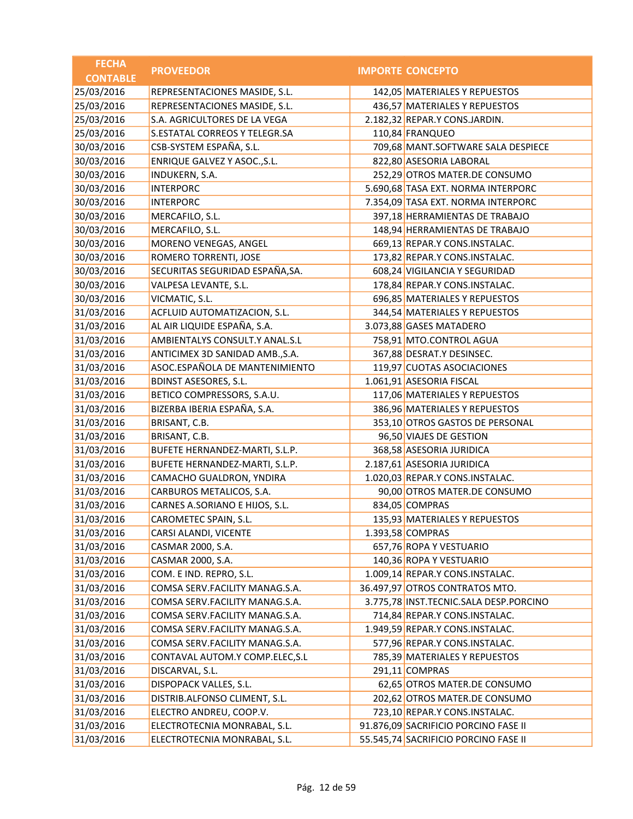| <b>FECHA</b>    | <b>PROVEEDOR</b>                | <b>IMPORTE CONCEPTO</b>                |
|-----------------|---------------------------------|----------------------------------------|
| <b>CONTABLE</b> |                                 |                                        |
| 25/03/2016      | REPRESENTACIONES MASIDE, S.L.   | 142,05 MATERIALES Y REPUESTOS          |
| 25/03/2016      | REPRESENTACIONES MASIDE, S.L.   | 436,57 MATERIALES Y REPUESTOS          |
| 25/03/2016      | S.A. AGRICULTORES DE LA VEGA    | 2.182,32 REPAR.Y CONS.JARDIN.          |
| 25/03/2016      | S.ESTATAL CORREOS Y TELEGR.SA   | 110,84 FRANQUEO                        |
| 30/03/2016      | CSB-SYSTEM ESPAÑA, S.L.         | 709,68 MANT.SOFTWARE SALA DESPIECE     |
| 30/03/2016      | ENRIQUE GALVEZ Y ASOC., S.L.    | 822,80 ASESORIA LABORAL                |
| 30/03/2016      | INDUKERN, S.A.                  | 252,29 OTROS MATER.DE CONSUMO          |
| 30/03/2016      | <b>INTERPORC</b>                | 5.690,68 TASA EXT. NORMA INTERPORC     |
| 30/03/2016      | <b>INTERPORC</b>                | 7.354,09 TASA EXT. NORMA INTERPORC     |
| 30/03/2016      | MERCAFILO, S.L.                 | 397,18 HERRAMIENTAS DE TRABAJO         |
| 30/03/2016      | MERCAFILO, S.L.                 | 148,94 HERRAMIENTAS DE TRABAJO         |
| 30/03/2016      | MORENO VENEGAS, ANGEL           | 669,13 REPAR.Y CONS.INSTALAC.          |
| 30/03/2016      | ROMERO TORRENTI, JOSE           | 173,82 REPAR.Y CONS.INSTALAC.          |
| 30/03/2016      | SECURITAS SEGURIDAD ESPAÑA, SA. | 608,24 VIGILANCIA Y SEGURIDAD          |
| 30/03/2016      | VALPESA LEVANTE, S.L.           | 178,84 REPAR.Y CONS.INSTALAC.          |
| 30/03/2016      | VICMATIC, S.L.                  | 696,85 MATERIALES Y REPUESTOS          |
| 31/03/2016      | ACFLUID AUTOMATIZACION, S.L.    | 344,54 MATERIALES Y REPUESTOS          |
| 31/03/2016      | AL AIR LIQUIDE ESPAÑA, S.A.     | 3.073,88 GASES MATADERO                |
| 31/03/2016      | AMBIENTALYS CONSULT.Y ANAL.S.L  | 758,91 MTO.CONTROL AGUA                |
| 31/03/2016      | ANTICIMEX 3D SANIDAD AMB., S.A. | 367,88 DESRAT.Y DESINSEC.              |
| 31/03/2016      | ASOC.ESPAÑOLA DE MANTENIMIENTO  | 119,97 CUOTAS ASOCIACIONES             |
| 31/03/2016      | <b>BDINST ASESORES, S.L.</b>    | 1.061,91 ASESORIA FISCAL               |
| 31/03/2016      | BETICO COMPRESSORS, S.A.U.      | 117,06 MATERIALES Y REPUESTOS          |
| 31/03/2016      | BIZERBA IBERIA ESPAÑA, S.A.     | 386,96 MATERIALES Y REPUESTOS          |
| 31/03/2016      | BRISANT, C.B.                   | 353,10 OTROS GASTOS DE PERSONAL        |
| 31/03/2016      | BRISANT, C.B.                   | 96,50 VIAJES DE GESTION                |
| 31/03/2016      | BUFETE HERNANDEZ-MARTI, S.L.P.  | 368,58 ASESORIA JURIDICA               |
| 31/03/2016      | BUFETE HERNANDEZ-MARTI, S.L.P.  | 2.187,61 ASESORIA JURIDICA             |
| 31/03/2016      | CAMACHO GUALDRON, YNDIRA        | 1.020,03 REPAR.Y CONS.INSTALAC.        |
| 31/03/2016      | CARBUROS METALICOS, S.A.        | 90,00 OTROS MATER.DE CONSUMO           |
| 31/03/2016      | CARNES A.SORIANO E HIJOS, S.L.  | 834,05 COMPRAS                         |
| 31/03/2016      | CAROMETEC SPAIN, S.L.           | 135,93 MATERIALES Y REPUESTOS          |
| 31/03/2016      | CARSI ALANDI, VICENTE           | 1.393,58 COMPRAS                       |
| 31/03/2016      | CASMAR 2000, S.A.               | 657,76 ROPA Y VESTUARIO                |
| 31/03/2016      | CASMAR 2000, S.A.               | 140,36 ROPA Y VESTUARIO                |
| 31/03/2016      | COM. E IND. REPRO, S.L.         | 1.009,14 REPAR.Y CONS.INSTALAC.        |
| 31/03/2016      | COMSA SERV.FACILITY MANAG.S.A.  | 36.497,97 OTROS CONTRATOS MTO.         |
| 31/03/2016      | COMSA SERV.FACILITY MANAG.S.A.  | 3.775,78 INST.TECNIC.SALA DESP.PORCINO |
| 31/03/2016      | COMSA SERV.FACILITY MANAG.S.A.  | 714,84 REPAR.Y CONS.INSTALAC.          |
| 31/03/2016      | COMSA SERV.FACILITY MANAG.S.A.  | 1.949,59 REPAR.Y CONS.INSTALAC.        |
| 31/03/2016      | COMSA SERV.FACILITY MANAG.S.A.  | 577,96 REPAR.Y CONS.INSTALAC.          |
| 31/03/2016      | CONTAVAL AUTOM.Y COMP.ELEC, S.L | 785,39 MATERIALES Y REPUESTOS          |
| 31/03/2016      | DISCARVAL, S.L.                 | 291,11 COMPRAS                         |
| 31/03/2016      | DISPOPACK VALLES, S.L.          | 62,65 OTROS MATER.DE CONSUMO           |
| 31/03/2016      | DISTRIB.ALFONSO CLIMENT, S.L.   | 202,62 OTROS MATER.DE CONSUMO          |
| 31/03/2016      | ELECTRO ANDREU, COOP.V.         | 723,10 REPAR.Y CONS.INSTALAC.          |
| 31/03/2016      | ELECTROTECNIA MONRABAL, S.L.    | 91.876,09 SACRIFICIO PORCINO FASE II   |
| 31/03/2016      | ELECTROTECNIA MONRABAL, S.L.    | 55.545,74 SACRIFICIO PORCINO FASE II   |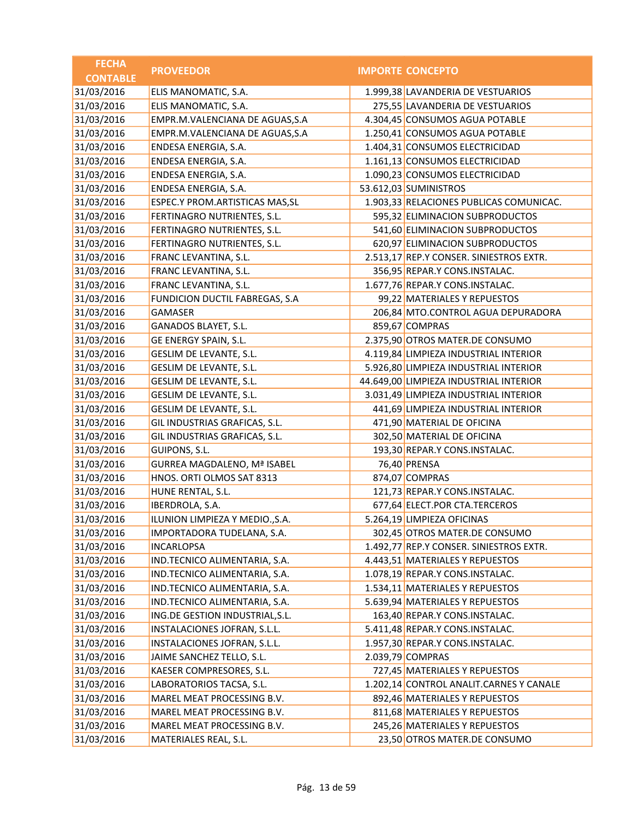| <b>FECHA</b>    | <b>PROVEEDOR</b>                   | <b>IMPORTE CONCEPTO</b>                 |
|-----------------|------------------------------------|-----------------------------------------|
| <b>CONTABLE</b> |                                    |                                         |
| 31/03/2016      | ELIS MANOMATIC, S.A.               | 1.999,38 LAVANDERIA DE VESTUARIOS       |
| 31/03/2016      | ELIS MANOMATIC, S.A.               | 275,55 LAVANDERIA DE VESTUARIOS         |
| 31/03/2016      | EMPR.M.VALENCIANA DE AGUAS, S.A    | 4.304,45 CONSUMOS AGUA POTABLE          |
| 31/03/2016      | EMPR.M.VALENCIANA DE AGUAS, S.A    | 1.250,41 CONSUMOS AGUA POTABLE          |
| 31/03/2016      | ENDESA ENERGIA, S.A.               | 1.404,31 CONSUMOS ELECTRICIDAD          |
| 31/03/2016      | ENDESA ENERGIA, S.A.               | 1.161,13 CONSUMOS ELECTRICIDAD          |
| 31/03/2016      | ENDESA ENERGIA, S.A.               | 1.090,23 CONSUMOS ELECTRICIDAD          |
| 31/03/2016      | ENDESA ENERGIA, S.A.               | 53.612,03 SUMINISTROS                   |
| 31/03/2016      | ESPEC.Y PROM.ARTISTICAS MAS, SL    | 1.903,33 RELACIONES PUBLICAS COMUNICAC. |
| 31/03/2016      | FERTINAGRO NUTRIENTES, S.L.        | 595,32 ELIMINACION SUBPRODUCTOS         |
| 31/03/2016      | FERTINAGRO NUTRIENTES, S.L.        | 541,60 ELIMINACION SUBPRODUCTOS         |
| 31/03/2016      | FERTINAGRO NUTRIENTES, S.L.        | 620,97 ELIMINACION SUBPRODUCTOS         |
| 31/03/2016      | FRANC LEVANTINA, S.L.              | 2.513,17 REP.Y CONSER. SINIESTROS EXTR. |
| 31/03/2016      | FRANC LEVANTINA, S.L.              | 356,95 REPAR.Y CONS.INSTALAC.           |
| 31/03/2016      | FRANC LEVANTINA, S.L.              | 1.677,76 REPAR.Y CONS.INSTALAC.         |
| 31/03/2016      | FUNDICION DUCTIL FABREGAS, S.A     | 99,22 MATERIALES Y REPUESTOS            |
| 31/03/2016      | GAMASER                            | 206,84 MTO.CONTROL AGUA DEPURADORA      |
| 31/03/2016      | GANADOS BLAYET, S.L.               | 859,67 COMPRAS                          |
| 31/03/2016      | GE ENERGY SPAIN, S.L.              | 2.375,90 OTROS MATER.DE CONSUMO         |
| 31/03/2016      | GESLIM DE LEVANTE, S.L.            | 4.119,84 LIMPIEZA INDUSTRIAL INTERIOR   |
| 31/03/2016      | GESLIM DE LEVANTE, S.L.            | 5.926,80 LIMPIEZA INDUSTRIAL INTERIOR   |
| 31/03/2016      | GESLIM DE LEVANTE, S.L.            | 44.649,00 LIMPIEZA INDUSTRIAL INTERIOR  |
| 31/03/2016      | GESLIM DE LEVANTE, S.L.            | 3.031,49 LIMPIEZA INDUSTRIAL INTERIOR   |
| 31/03/2016      | GESLIM DE LEVANTE, S.L.            | 441,69 LIMPIEZA INDUSTRIAL INTERIOR     |
| 31/03/2016      | GIL INDUSTRIAS GRAFICAS, S.L.      | 471,90 MATERIAL DE OFICINA              |
| 31/03/2016      | GIL INDUSTRIAS GRAFICAS, S.L.      | 302,50 MATERIAL DE OFICINA              |
| 31/03/2016      | GUIPONS, S.L.                      | 193,30 REPAR.Y CONS.INSTALAC.           |
| 31/03/2016      | <b>GURREA MAGDALENO, Mª ISABEL</b> | 76,40 PRENSA                            |
| 31/03/2016      | HNOS. ORTI OLMOS SAT 8313          | 874,07 COMPRAS                          |
| 31/03/2016      | HUNE RENTAL, S.L.                  | 121,73 REPAR.Y CONS.INSTALAC.           |
| 31/03/2016      | IBERDROLA, S.A.                    | 677,64 ELECT.POR CTA.TERCEROS           |
| 31/03/2016      | ILUNION LIMPIEZA Y MEDIO., S.A.    | 5.264,19 LIMPIEZA OFICINAS              |
| 31/03/2016      | IMPORTADORA TUDELANA, S.A.         | 302,45 OTROS MATER.DE CONSUMO           |
| 31/03/2016      | <b>INCARLOPSA</b>                  | 1.492,77 REP.Y CONSER. SINIESTROS EXTR. |
| 31/03/2016      | IND.TECNICO ALIMENTARIA, S.A.      | 4.443,51 MATERIALES Y REPUESTOS         |
| 31/03/2016      | IND.TECNICO ALIMENTARIA, S.A.      | 1.078,19 REPAR.Y CONS.INSTALAC.         |
| 31/03/2016      | IND.TECNICO ALIMENTARIA, S.A.      | 1.534,11 MATERIALES Y REPUESTOS         |
| 31/03/2016      | IND.TECNICO ALIMENTARIA, S.A.      | 5.639,94 MATERIALES Y REPUESTOS         |
| 31/03/2016      | ING.DE GESTION INDUSTRIAL, S.L.    | 163,40 REPAR.Y CONS.INSTALAC.           |
| 31/03/2016      | INSTALACIONES JOFRAN, S.L.L.       | 5.411,48 REPAR.Y CONS.INSTALAC.         |
| 31/03/2016      | INSTALACIONES JOFRAN, S.L.L.       | 1.957,30 REPAR.Y CONS.INSTALAC.         |
| 31/03/2016      | JAIME SANCHEZ TELLO, S.L.          | 2.039,79 COMPRAS                        |
| 31/03/2016      | KAESER COMPRESORES, S.L.           | 727,45 MATERIALES Y REPUESTOS           |
| 31/03/2016      | LABORATORIOS TACSA, S.L.           | 1.202,14 CONTROL ANALIT.CARNES Y CANALE |
| 31/03/2016      | MAREL MEAT PROCESSING B.V.         | 892,46 MATERIALES Y REPUESTOS           |
| 31/03/2016      | MAREL MEAT PROCESSING B.V.         | 811,68 MATERIALES Y REPUESTOS           |
| 31/03/2016      | MAREL MEAT PROCESSING B.V.         | 245,26 MATERIALES Y REPUESTOS           |
| 31/03/2016      | MATERIALES REAL, S.L.              | 23,50 OTROS MATER.DE CONSUMO            |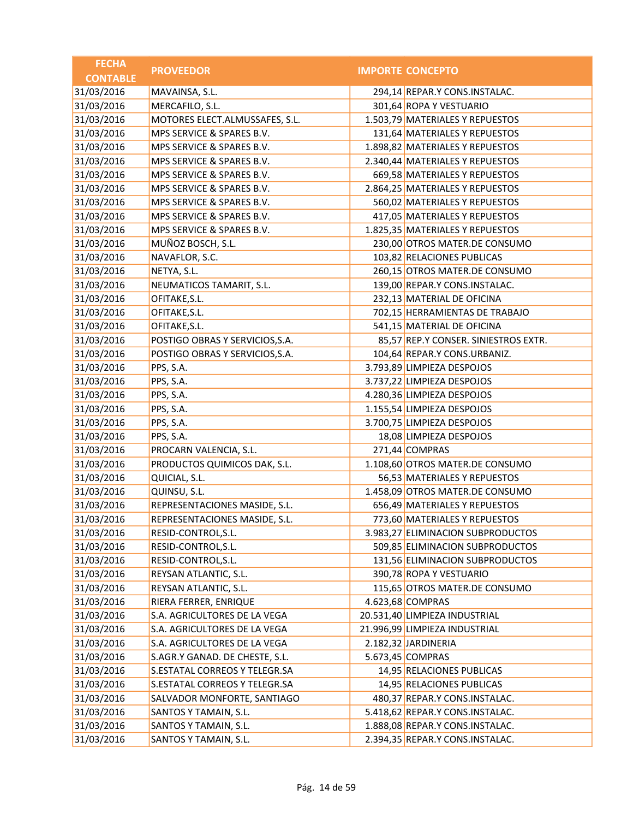| <b>FECHA</b>    | <b>PROVEEDOR</b>                | <b>IMPORTE CONCEPTO</b>              |
|-----------------|---------------------------------|--------------------------------------|
| <b>CONTABLE</b> |                                 |                                      |
| 31/03/2016      | MAVAINSA, S.L.                  | 294,14 REPAR.Y CONS.INSTALAC.        |
| 31/03/2016      | MERCAFILO, S.L.                 | 301,64 ROPA Y VESTUARIO              |
| 31/03/2016      | MOTORES ELECT.ALMUSSAFES, S.L.  | 1.503,79 MATERIALES Y REPUESTOS      |
| 31/03/2016      | MPS SERVICE & SPARES B.V.       | 131,64 MATERIALES Y REPUESTOS        |
| 31/03/2016      | MPS SERVICE & SPARES B.V.       | 1.898,82 MATERIALES Y REPUESTOS      |
| 31/03/2016      | MPS SERVICE & SPARES B.V.       | 2.340,44 MATERIALES Y REPUESTOS      |
| 31/03/2016      | MPS SERVICE & SPARES B.V.       | 669,58 MATERIALES Y REPUESTOS        |
| 31/03/2016      | MPS SERVICE & SPARES B.V.       | 2.864,25 MATERIALES Y REPUESTOS      |
| 31/03/2016      | MPS SERVICE & SPARES B.V.       | 560,02 MATERIALES Y REPUESTOS        |
| 31/03/2016      | MPS SERVICE & SPARES B.V.       | 417,05 MATERIALES Y REPUESTOS        |
| 31/03/2016      | MPS SERVICE & SPARES B.V.       | 1.825,35 MATERIALES Y REPUESTOS      |
| 31/03/2016      | MUÑOZ BOSCH, S.L.               | 230,00 OTROS MATER.DE CONSUMO        |
| 31/03/2016      | NAVAFLOR, S.C.                  | 103,82 RELACIONES PUBLICAS           |
| 31/03/2016      | NETYA, S.L.                     | 260,15 OTROS MATER.DE CONSUMO        |
| 31/03/2016      | NEUMATICOS TAMARIT, S.L.        | 139,00 REPAR.Y CONS.INSTALAC.        |
| 31/03/2016      | OFITAKE, S.L.                   | 232,13 MATERIAL DE OFICINA           |
| 31/03/2016      | OFITAKE, S.L.                   | 702,15 HERRAMIENTAS DE TRABAJO       |
| 31/03/2016      | OFITAKE, S.L.                   | 541,15 MATERIAL DE OFICINA           |
| 31/03/2016      | POSTIGO OBRAS Y SERVICIOS, S.A. | 85,57 REP.Y CONSER. SINIESTROS EXTR. |
| 31/03/2016      | POSTIGO OBRAS Y SERVICIOS, S.A. | 104,64 REPAR.Y CONS.URBANIZ.         |
| 31/03/2016      | PPS, S.A.                       | 3.793,89 LIMPIEZA DESPOJOS           |
| 31/03/2016      | PPS, S.A.                       | 3.737,22 LIMPIEZA DESPOJOS           |
| 31/03/2016      | PPS, S.A.                       | 4.280,36 LIMPIEZA DESPOJOS           |
| 31/03/2016      | PPS, S.A.                       | 1.155,54 LIMPIEZA DESPOJOS           |
| 31/03/2016      | PPS, S.A.                       | 3.700,75 LIMPIEZA DESPOJOS           |
| 31/03/2016      | PPS, S.A.                       | 18,08 LIMPIEZA DESPOJOS              |
| 31/03/2016      | PROCARN VALENCIA, S.L.          | 271,44 COMPRAS                       |
| 31/03/2016      | PRODUCTOS QUIMICOS DAK, S.L.    | 1.108,60 OTROS MATER.DE CONSUMO      |
| 31/03/2016      | QUICIAL, S.L.                   | 56,53 MATERIALES Y REPUESTOS         |
| 31/03/2016      | QUINSU, S.L.                    | 1.458,09 OTROS MATER.DE CONSUMO      |
| 31/03/2016      | REPRESENTACIONES MASIDE, S.L.   | 656,49 MATERIALES Y REPUESTOS        |
| 31/03/2016      | REPRESENTACIONES MASIDE, S.L.   | 773,60 MATERIALES Y REPUESTOS        |
| 31/03/2016      | RESID-CONTROL, S.L.             | 3.983,27 ELIMINACION SUBPRODUCTOS    |
| 31/03/2016      | RESID-CONTROL, S.L.             | 509,85 ELIMINACION SUBPRODUCTOS      |
| 31/03/2016      | RESID-CONTROL, S.L.             | 131,56 ELIMINACION SUBPRODUCTOS      |
| 31/03/2016      | REYSAN ATLANTIC, S.L.           | 390,78 ROPA Y VESTUARIO              |
| 31/03/2016      | REYSAN ATLANTIC, S.L.           | 115,65 OTROS MATER.DE CONSUMO        |
| 31/03/2016      | RIERA FERRER, ENRIQUE           | 4.623,68 COMPRAS                     |
| 31/03/2016      | S.A. AGRICULTORES DE LA VEGA    | 20.531,40 LIMPIEZA INDUSTRIAL        |
| 31/03/2016      | S.A. AGRICULTORES DE LA VEGA    | 21.996,99 LIMPIEZA INDUSTRIAL        |
| 31/03/2016      | S.A. AGRICULTORES DE LA VEGA    | 2.182,32 JARDINERIA                  |
| 31/03/2016      | S.AGR.Y GANAD. DE CHESTE, S.L.  | 5.673,45 COMPRAS                     |
| 31/03/2016      | S.ESTATAL CORREOS Y TELEGR.SA   | 14,95 RELACIONES PUBLICAS            |
| 31/03/2016      | S.ESTATAL CORREOS Y TELEGR.SA   | 14,95 RELACIONES PUBLICAS            |
| 31/03/2016      | SALVADOR MONFORTE, SANTIAGO     | 480,37 REPAR.Y CONS.INSTALAC.        |
| 31/03/2016      | SANTOS Y TAMAIN, S.L.           | 5.418,62 REPAR.Y CONS.INSTALAC.      |
| 31/03/2016      | SANTOS Y TAMAIN, S.L.           | 1.888,08 REPAR.Y CONS.INSTALAC.      |
| 31/03/2016      | SANTOS Y TAMAIN, S.L.           | 2.394,35 REPAR.Y CONS.INSTALAC.      |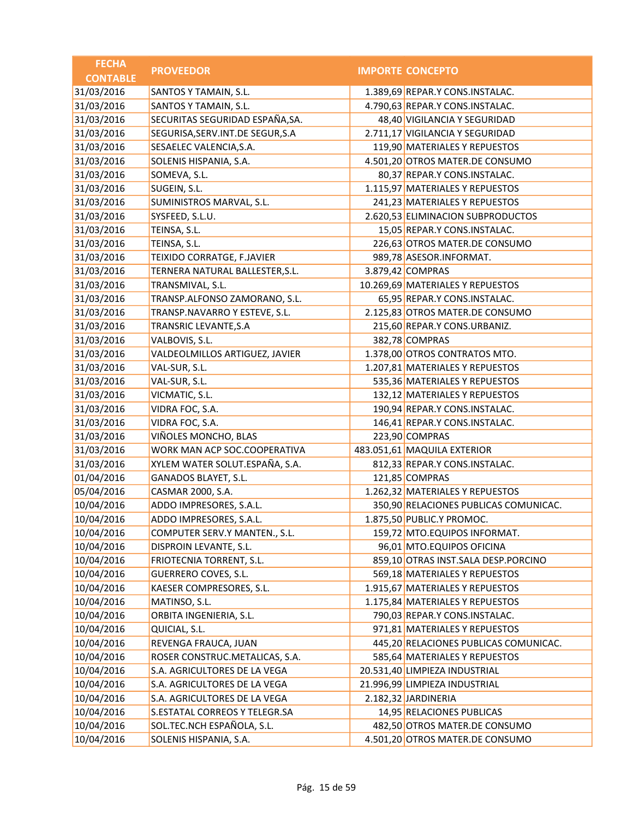| <b>FECHA</b>    | <b>PROVEEDOR</b>                   | <b>IMPORTE CONCEPTO</b>               |
|-----------------|------------------------------------|---------------------------------------|
| <b>CONTABLE</b> |                                    |                                       |
| 31/03/2016      | SANTOS Y TAMAIN, S.L.              | 1.389,69 REPAR.Y CONS.INSTALAC.       |
| 31/03/2016      | SANTOS Y TAMAIN, S.L.              | 4.790,63 REPAR.Y CONS.INSTALAC.       |
| 31/03/2016      | SECURITAS SEGURIDAD ESPAÑA, SA.    | 48,40 VIGILANCIA Y SEGURIDAD          |
| 31/03/2016      | SEGURISA, SERV. INT. DE SEGUR, S.A | 2.711,17 VIGILANCIA Y SEGURIDAD       |
| 31/03/2016      | SESAELEC VALENCIA, S.A.            | 119,90 MATERIALES Y REPUESTOS         |
| 31/03/2016      | SOLENIS HISPANIA, S.A.             | 4.501,20 OTROS MATER.DE CONSUMO       |
| 31/03/2016      | SOMEVA, S.L.                       | 80,37 REPAR.Y CONS.INSTALAC.          |
| 31/03/2016      | SUGEIN, S.L.                       | 1.115,97 MATERIALES Y REPUESTOS       |
| 31/03/2016      | SUMINISTROS MARVAL, S.L.           | 241,23 MATERIALES Y REPUESTOS         |
| 31/03/2016      | SYSFEED, S.L.U.                    | 2.620,53 ELIMINACION SUBPRODUCTOS     |
| 31/03/2016      | TEINSA, S.L.                       | 15,05 REPAR.Y CONS.INSTALAC.          |
| 31/03/2016      | TEINSA, S.L.                       | 226,63 OTROS MATER.DE CONSUMO         |
| 31/03/2016      | TEIXIDO CORRATGE, F.JAVIER         | 989,78 ASESOR.INFORMAT.               |
| 31/03/2016      | TERNERA NATURAL BALLESTER, S.L.    | 3.879,42 COMPRAS                      |
| 31/03/2016      | TRANSMIVAL, S.L.                   | 10.269,69 MATERIALES Y REPUESTOS      |
| 31/03/2016      | TRANSP.ALFONSO ZAMORANO, S.L.      | 65,95 REPAR.Y CONS.INSTALAC.          |
| 31/03/2016      | TRANSP.NAVARRO Y ESTEVE, S.L.      | 2.125,83 OTROS MATER.DE CONSUMO       |
| 31/03/2016      | TRANSRIC LEVANTE, S.A              | 215,60 REPAR.Y CONS.URBANIZ.          |
| 31/03/2016      | VALBOVIS, S.L.                     | 382,78 COMPRAS                        |
| 31/03/2016      | VALDEOLMILLOS ARTIGUEZ, JAVIER     | 1.378,00 OTROS CONTRATOS MTO.         |
| 31/03/2016      | VAL-SUR, S.L.                      | 1.207,81 MATERIALES Y REPUESTOS       |
| 31/03/2016      | VAL-SUR, S.L.                      | 535,36 MATERIALES Y REPUESTOS         |
| 31/03/2016      | VICMATIC, S.L.                     | 132,12 MATERIALES Y REPUESTOS         |
| 31/03/2016      | VIDRA FOC, S.A.                    | 190,94 REPAR.Y CONS.INSTALAC.         |
| 31/03/2016      | VIDRA FOC, S.A.                    | 146,41 REPAR.Y CONS.INSTALAC.         |
| 31/03/2016      | VIÑOLES MONCHO, BLAS               | 223,90 COMPRAS                        |
| 31/03/2016      | WORK MAN ACP SOC.COOPERATIVA       | 483.051,61 MAQUILA EXTERIOR           |
| 31/03/2016      | XYLEM WATER SOLUT.ESPAÑA, S.A.     | 812,33 REPAR.Y CONS.INSTALAC.         |
| 01/04/2016      | <b>GANADOS BLAYET, S.L.</b>        | 121,85 COMPRAS                        |
| 05/04/2016      | CASMAR 2000, S.A.                  | 1.262,32 MATERIALES Y REPUESTOS       |
| 10/04/2016      | ADDO IMPRESORES, S.A.L.            | 350,90 RELACIONES PUBLICAS COMUNICAC. |
| 10/04/2016      | ADDO IMPRESORES, S.A.L.            | 1.875,50 PUBLIC.Y PROMOC.             |
| 10/04/2016      | COMPUTER SERV.Y MANTEN., S.L.      | 159,72 MTO.EQUIPOS INFORMAT.          |
| 10/04/2016      | DISPROIN LEVANTE, S.L.             | 96,01 MTO.EQUIPOS OFICINA             |
| 10/04/2016      | FRIOTECNIA TORRENT, S.L.           | 859,10 OTRAS INST.SALA DESP.PORCINO   |
| 10/04/2016      | GUERRERO COVES, S.L.               | 569,18 MATERIALES Y REPUESTOS         |
| 10/04/2016      | KAESER COMPRESORES, S.L.           | 1.915,67 MATERIALES Y REPUESTOS       |
| 10/04/2016      | MATINSO, S.L.                      | 1.175,84 MATERIALES Y REPUESTOS       |
| 10/04/2016      | ORBITA INGENIERIA, S.L.            | 790,03 REPAR.Y CONS.INSTALAC.         |
| 10/04/2016      | QUICIAL, S.L.                      | 971,81 MATERIALES Y REPUESTOS         |
| 10/04/2016      | REVENGA FRAUCA, JUAN               | 445,20 RELACIONES PUBLICAS COMUNICAC. |
| 10/04/2016      | ROSER CONSTRUC.METALICAS, S.A.     | 585,64 MATERIALES Y REPUESTOS         |
| 10/04/2016      | S.A. AGRICULTORES DE LA VEGA       | 20.531,40 LIMPIEZA INDUSTRIAL         |
| 10/04/2016      | S.A. AGRICULTORES DE LA VEGA       | 21.996,99 LIMPIEZA INDUSTRIAL         |
| 10/04/2016      | S.A. AGRICULTORES DE LA VEGA       | 2.182,32 JARDINERIA                   |
| 10/04/2016      | S.ESTATAL CORREOS Y TELEGR.SA      | 14,95 RELACIONES PUBLICAS             |
| 10/04/2016      | SOL.TEC.NCH ESPAÑOLA, S.L.         | 482,50 OTROS MATER.DE CONSUMO         |
| 10/04/2016      | SOLENIS HISPANIA, S.A.             | 4.501,20 OTROS MATER.DE CONSUMO       |
|                 |                                    |                                       |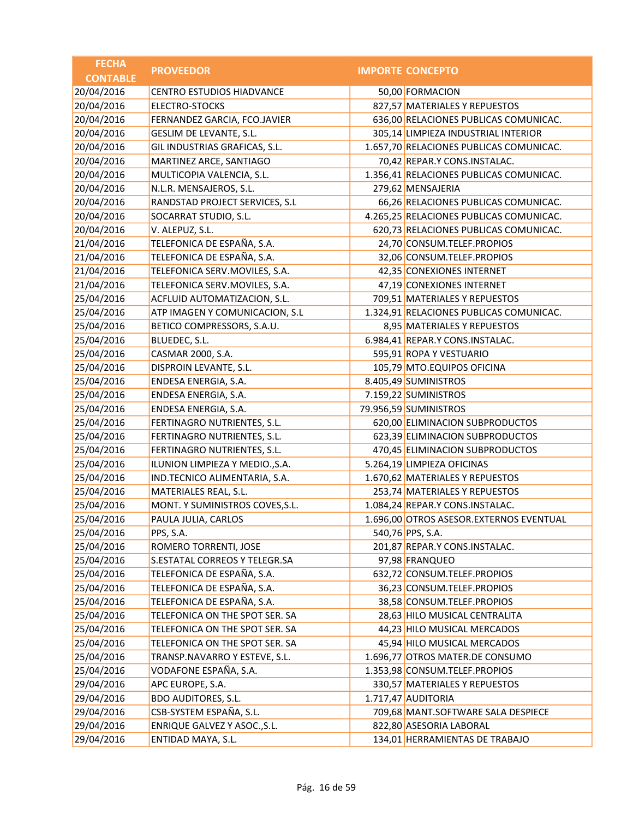| <b>FECHA</b>    | <b>PROVEEDOR</b>                 | <b>IMPORTE CONCEPTO</b>                 |
|-----------------|----------------------------------|-----------------------------------------|
| <b>CONTABLE</b> |                                  |                                         |
| 20/04/2016      | <b>CENTRO ESTUDIOS HIADVANCE</b> | 50,00 FORMACION                         |
| 20/04/2016      | ELECTRO-STOCKS                   | 827,57 MATERIALES Y REPUESTOS           |
| 20/04/2016      | FERNANDEZ GARCIA, FCO.JAVIER     | 636,00 RELACIONES PUBLICAS COMUNICAC.   |
| 20/04/2016      | <b>GESLIM DE LEVANTE, S.L.</b>   | 305,14 LIMPIEZA INDUSTRIAL INTERIOR     |
| 20/04/2016      | GIL INDUSTRIAS GRAFICAS, S.L.    | 1.657,70 RELACIONES PUBLICAS COMUNICAC. |
| 20/04/2016      | MARTINEZ ARCE, SANTIAGO          | 70,42 REPAR.Y CONS.INSTALAC.            |
| 20/04/2016      | MULTICOPIA VALENCIA, S.L.        | 1.356,41 RELACIONES PUBLICAS COMUNICAC. |
| 20/04/2016      | N.L.R. MENSAJEROS, S.L.          | 279,62 MENSAJERIA                       |
| 20/04/2016      | RANDSTAD PROJECT SERVICES, S.L   | 66,26 RELACIONES PUBLICAS COMUNICAC.    |
| 20/04/2016      | SOCARRAT STUDIO, S.L.            | 4.265,25 RELACIONES PUBLICAS COMUNICAC. |
| 20/04/2016      | V. ALEPUZ, S.L.                  | 620,73 RELACIONES PUBLICAS COMUNICAC.   |
| 21/04/2016      | TELEFONICA DE ESPAÑA, S.A.       | 24,70 CONSUM.TELEF.PROPIOS              |
| 21/04/2016      | TELEFONICA DE ESPAÑA, S.A.       | 32,06 CONSUM.TELEF.PROPIOS              |
| 21/04/2016      | TELEFONICA SERV.MOVILES, S.A.    | 42,35 CONEXIONES INTERNET               |
| 21/04/2016      | TELEFONICA SERV.MOVILES, S.A.    | 47,19 CONEXIONES INTERNET               |
| 25/04/2016      | ACFLUID AUTOMATIZACION, S.L.     | 709,51 MATERIALES Y REPUESTOS           |
| 25/04/2016      | ATP IMAGEN Y COMUNICACION, S.L   | 1.324,91 RELACIONES PUBLICAS COMUNICAC. |
| 25/04/2016      | BETICO COMPRESSORS, S.A.U.       | 8,95 MATERIALES Y REPUESTOS             |
| 25/04/2016      | BLUEDEC, S.L.                    | 6.984,41 REPAR.Y CONS.INSTALAC.         |
| 25/04/2016      | CASMAR 2000, S.A.                | 595,91 ROPA Y VESTUARIO                 |
| 25/04/2016      | DISPROIN LEVANTE, S.L.           | 105,79 MTO.EQUIPOS OFICINA              |
| 25/04/2016      | ENDESA ENERGIA, S.A.             | 8.405,49 SUMINISTROS                    |
| 25/04/2016      | ENDESA ENERGIA, S.A.             | 7.159,22 SUMINISTROS                    |
| 25/04/2016      | ENDESA ENERGIA, S.A.             | 79.956,59 SUMINISTROS                   |
| 25/04/2016      | FERTINAGRO NUTRIENTES, S.L.      | 620,00 ELIMINACION SUBPRODUCTOS         |
| 25/04/2016      | FERTINAGRO NUTRIENTES, S.L.      | 623,39 ELIMINACION SUBPRODUCTOS         |
| 25/04/2016      | FERTINAGRO NUTRIENTES, S.L.      | 470,45 ELIMINACION SUBPRODUCTOS         |
| 25/04/2016      | ILUNION LIMPIEZA Y MEDIO., S.A.  | 5.264,19 LIMPIEZA OFICINAS              |
| 25/04/2016      | IND.TECNICO ALIMENTARIA, S.A.    | 1.670,62 MATERIALES Y REPUESTOS         |
| 25/04/2016      | MATERIALES REAL, S.L.            | 253,74 MATERIALES Y REPUESTOS           |
| 25/04/2016      | MONT. Y SUMINISTROS COVES, S.L.  | 1.084,24 REPAR.Y CONS.INSTALAC.         |
| 25/04/2016      | PAULA JULIA, CARLOS              | 1.696,00 OTROS ASESOR.EXTERNOS EVENTUAL |
| 25/04/2016      | PPS, S.A.                        | 540,76 PPS, S.A.                        |
| 25/04/2016      | ROMERO TORRENTI, JOSE            | 201,87 REPAR.Y CONS.INSTALAC.           |
| 25/04/2016      | S.ESTATAL CORREOS Y TELEGR.SA    | 97,98 FRANQUEO                          |
| 25/04/2016      | TELEFONICA DE ESPAÑA, S.A.       | 632,72 CONSUM.TELEF.PROPIOS             |
| 25/04/2016      | TELEFONICA DE ESPAÑA, S.A.       | 36,23 CONSUM.TELEF.PROPIOS              |
| 25/04/2016      | TELEFONICA DE ESPAÑA, S.A.       | 38,58 CONSUM.TELEF.PROPIOS              |
| 25/04/2016      | TELEFONICA ON THE SPOT SER. SA   | 28,63 HILO MUSICAL CENTRALITA           |
| 25/04/2016      | TELEFONICA ON THE SPOT SER. SA   | 44,23 HILO MUSICAL MERCADOS             |
| 25/04/2016      | TELEFONICA ON THE SPOT SER. SA   | 45,94 HILO MUSICAL MERCADOS             |
| 25/04/2016      | TRANSP.NAVARRO Y ESTEVE, S.L.    | 1.696,77 OTROS MATER.DE CONSUMO         |
| 25/04/2016      | VODAFONE ESPAÑA, S.A.            | 1.353,98 CONSUM.TELEF.PROPIOS           |
| 29/04/2016      | APC EUROPE, S.A.                 | 330,57 MATERIALES Y REPUESTOS           |
| 29/04/2016      | <b>BDO AUDITORES, S.L.</b>       | 1.717,47 AUDITORIA                      |
| 29/04/2016      | CSB-SYSTEM ESPAÑA, S.L.          | 709,68 MANT.SOFTWARE SALA DESPIECE      |
| 29/04/2016      | ENRIQUE GALVEZ Y ASOC., S.L.     | 822,80 ASESORIA LABORAL                 |
| 29/04/2016      | ENTIDAD MAYA, S.L.               | 134,01 HERRAMIENTAS DE TRABAJO          |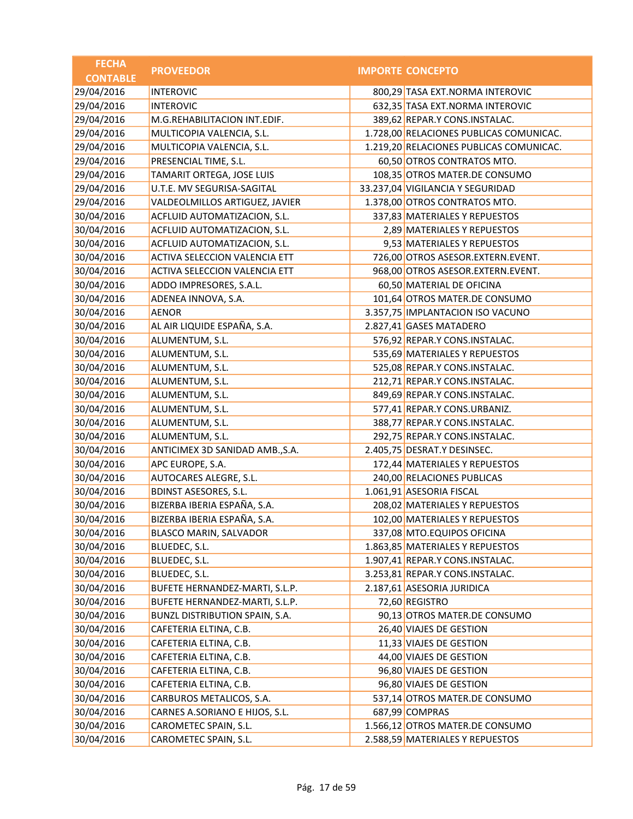| <b>FECHA</b>    | <b>PROVEEDOR</b>                | <b>IMPORTE CONCEPTO</b>                 |
|-----------------|---------------------------------|-----------------------------------------|
| <b>CONTABLE</b> |                                 |                                         |
| 29/04/2016      | <b>INTEROVIC</b>                | 800,29 TASA EXT.NORMA INTEROVIC         |
| 29/04/2016      | <b>INTEROVIC</b>                | 632,35 TASA EXT.NORMA INTEROVIC         |
| 29/04/2016      | M.G.REHABILITACION INT.EDIF.    | 389,62 REPAR.Y CONS.INSTALAC.           |
| 29/04/2016      | MULTICOPIA VALENCIA, S.L.       | 1.728,00 RELACIONES PUBLICAS COMUNICAC. |
| 29/04/2016      | MULTICOPIA VALENCIA, S.L.       | 1.219,20 RELACIONES PUBLICAS COMUNICAC. |
| 29/04/2016      | PRESENCIAL TIME, S.L.           | 60,50 OTROS CONTRATOS MTO.              |
| 29/04/2016      | TAMARIT ORTEGA, JOSE LUIS       | 108,35 OTROS MATER.DE CONSUMO           |
| 29/04/2016      | U.T.E. MV SEGURISA-SAGITAL      | 33.237,04 VIGILANCIA Y SEGURIDAD        |
| 29/04/2016      | VALDEOLMILLOS ARTIGUEZ, JAVIER  | 1.378,00 OTROS CONTRATOS MTO.           |
| 30/04/2016      | ACFLUID AUTOMATIZACION, S.L.    | 337,83 MATERIALES Y REPUESTOS           |
| 30/04/2016      | ACFLUID AUTOMATIZACION, S.L.    | 2,89 MATERIALES Y REPUESTOS             |
| 30/04/2016      | ACFLUID AUTOMATIZACION, S.L.    | 9,53 MATERIALES Y REPUESTOS             |
| 30/04/2016      | ACTIVA SELECCION VALENCIA ETT   | 726,00 OTROS ASESOR.EXTERN.EVENT.       |
| 30/04/2016      | ACTIVA SELECCION VALENCIA ETT   | 968,00 OTROS ASESOR.EXTERN.EVENT.       |
| 30/04/2016      | ADDO IMPRESORES, S.A.L.         | 60,50 MATERIAL DE OFICINA               |
| 30/04/2016      | ADENEA INNOVA, S.A.             | 101,64 OTROS MATER.DE CONSUMO           |
| 30/04/2016      | <b>AENOR</b>                    | 3.357,75 IMPLANTACION ISO VACUNO        |
| 30/04/2016      | AL AIR LIQUIDE ESPAÑA, S.A.     | 2.827,41 GASES MATADERO                 |
| 30/04/2016      | ALUMENTUM, S.L.                 | 576,92 REPAR.Y CONS.INSTALAC.           |
| 30/04/2016      | ALUMENTUM, S.L.                 | 535,69 MATERIALES Y REPUESTOS           |
| 30/04/2016      | ALUMENTUM, S.L.                 | 525,08 REPAR.Y CONS.INSTALAC.           |
| 30/04/2016      | ALUMENTUM, S.L.                 | 212,71 REPAR.Y CONS.INSTALAC.           |
| 30/04/2016      | ALUMENTUM, S.L.                 | 849,69 REPAR.Y CONS.INSTALAC.           |
| 30/04/2016      | ALUMENTUM, S.L.                 | 577,41 REPAR.Y CONS.URBANIZ.            |
| 30/04/2016      | ALUMENTUM, S.L.                 | 388,77 REPAR.Y CONS.INSTALAC.           |
| 30/04/2016      | ALUMENTUM, S.L.                 | 292,75 REPAR.Y CONS.INSTALAC.           |
| 30/04/2016      | ANTICIMEX 3D SANIDAD AMB., S.A. | 2.405,75 DESRAT.Y DESINSEC.             |
| 30/04/2016      | APC EUROPE, S.A.                | 172,44 MATERIALES Y REPUESTOS           |
| 30/04/2016      | AUTOCARES ALEGRE, S.L.          | 240,00 RELACIONES PUBLICAS              |
| 30/04/2016      | <b>BDINST ASESORES, S.L.</b>    | 1.061,91 ASESORIA FISCAL                |
| 30/04/2016      | BIZERBA IBERIA ESPAÑA, S.A.     | 208,02 MATERIALES Y REPUESTOS           |
| 30/04/2016      | BIZERBA IBERIA ESPAÑA, S.A.     | 102,00 MATERIALES Y REPUESTOS           |
| 30/04/2016      | BLASCO MARIN, SALVADOR          | 337,08 MTO.EQUIPOS OFICINA              |
| 30/04/2016      | BLUEDEC, S.L.                   | 1.863,85 MATERIALES Y REPUESTOS         |
| 30/04/2016      | BLUEDEC, S.L.                   | 1.907,41 REPAR.Y CONS.INSTALAC.         |
| 30/04/2016      | BLUEDEC, S.L.                   | 3.253,81 REPAR.Y CONS.INSTALAC.         |
| 30/04/2016      | BUFETE HERNANDEZ-MARTI, S.L.P.  | 2.187,61 ASESORIA JURIDICA              |
| 30/04/2016      | BUFETE HERNANDEZ-MARTI, S.L.P.  | 72,60 REGISTRO                          |
| 30/04/2016      | BUNZL DISTRIBUTION SPAIN, S.A.  | 90,13 OTROS MATER.DE CONSUMO            |
| 30/04/2016      | CAFETERIA ELTINA, C.B.          | 26,40 VIAJES DE GESTION                 |
| 30/04/2016      | CAFETERIA ELTINA, C.B.          | 11,33 VIAJES DE GESTION                 |
| 30/04/2016      | CAFETERIA ELTINA, C.B.          | 44,00 VIAJES DE GESTION                 |
| 30/04/2016      | CAFETERIA ELTINA, C.B.          | 96,80 VIAJES DE GESTION                 |
| 30/04/2016      | CAFETERIA ELTINA, C.B.          | 96,80 VIAJES DE GESTION                 |
| 30/04/2016      | CARBUROS METALICOS, S.A.        | 537,14 OTROS MATER.DE CONSUMO           |
| 30/04/2016      | CARNES A.SORIANO E HIJOS, S.L.  | 687,99 COMPRAS                          |
| 30/04/2016      | CAROMETEC SPAIN, S.L.           | 1.566,12 OTROS MATER.DE CONSUMO         |
| 30/04/2016      | CAROMETEC SPAIN, S.L.           | 2.588,59 MATERIALES Y REPUESTOS         |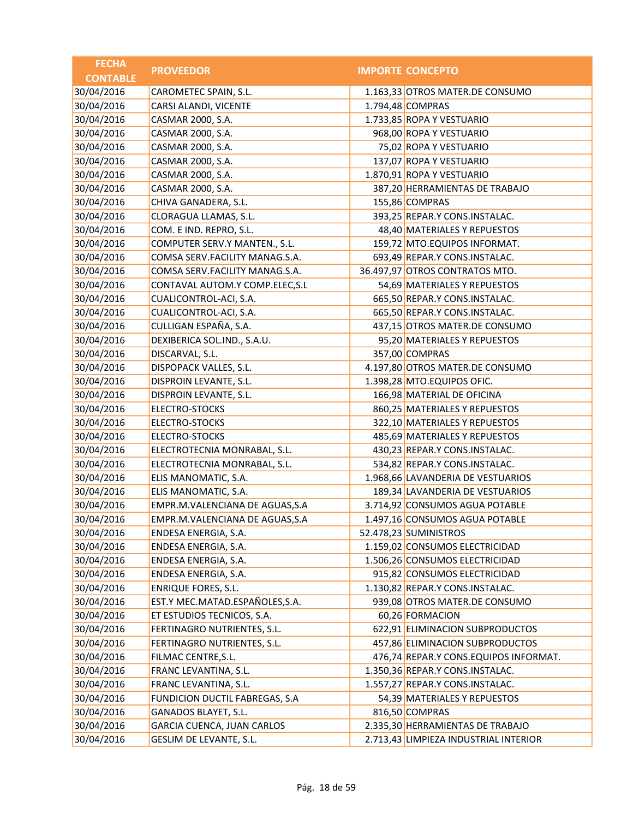| <b>FECHA</b>    | <b>PROVEEDOR</b>                | <b>IMPORTE CONCEPTO</b>               |
|-----------------|---------------------------------|---------------------------------------|
| <b>CONTABLE</b> |                                 |                                       |
| 30/04/2016      | CAROMETEC SPAIN, S.L.           | 1.163,33 OTROS MATER.DE CONSUMO       |
| 30/04/2016      | CARSI ALANDI, VICENTE           | 1.794,48 COMPRAS                      |
| 30/04/2016      | CASMAR 2000, S.A.               | 1.733,85 ROPA Y VESTUARIO             |
| 30/04/2016      | CASMAR 2000, S.A.               | 968,00 ROPA Y VESTUARIO               |
| 30/04/2016      | CASMAR 2000, S.A.               | 75,02 ROPA Y VESTUARIO                |
| 30/04/2016      | CASMAR 2000, S.A.               | 137,07 ROPA Y VESTUARIO               |
| 30/04/2016      | CASMAR 2000, S.A.               | 1.870,91 ROPA Y VESTUARIO             |
| 30/04/2016      | CASMAR 2000, S.A.               | 387,20 HERRAMIENTAS DE TRABAJO        |
| 30/04/2016      | CHIVA GANADERA, S.L.            | 155,86 COMPRAS                        |
| 30/04/2016      | CLORAGUA LLAMAS, S.L.           | 393,25 REPAR.Y CONS.INSTALAC.         |
| 30/04/2016      | COM. E IND. REPRO, S.L.         | 48,40 MATERIALES Y REPUESTOS          |
| 30/04/2016      | COMPUTER SERV.Y MANTEN., S.L.   | 159,72 MTO.EQUIPOS INFORMAT.          |
| 30/04/2016      | COMSA SERV.FACILITY MANAG.S.A.  | 693,49 REPAR.Y CONS.INSTALAC.         |
| 30/04/2016      | COMSA SERV.FACILITY MANAG.S.A.  | 36.497,97 OTROS CONTRATOS MTO.        |
| 30/04/2016      | CONTAVAL AUTOM.Y COMP.ELEC, S.L | 54,69 MATERIALES Y REPUESTOS          |
| 30/04/2016      | CUALICONTROL-ACI, S.A.          | 665,50 REPAR.Y CONS.INSTALAC.         |
| 30/04/2016      | CUALICONTROL-ACI, S.A.          | 665,50 REPAR.Y CONS.INSTALAC.         |
| 30/04/2016      | CULLIGAN ESPAÑA, S.A.           | 437,15 OTROS MATER.DE CONSUMO         |
| 30/04/2016      | DEXIBERICA SOL.IND., S.A.U.     | 95,20 MATERIALES Y REPUESTOS          |
| 30/04/2016      | DISCARVAL, S.L.                 | 357,00 COMPRAS                        |
| 30/04/2016      | DISPOPACK VALLES, S.L.          | 4.197,80 OTROS MATER.DE CONSUMO       |
| 30/04/2016      | DISPROIN LEVANTE, S.L.          | 1.398,28 MTO.EQUIPOS OFIC.            |
| 30/04/2016      | DISPROIN LEVANTE, S.L.          | 166,98 MATERIAL DE OFICINA            |
| 30/04/2016      | <b>ELECTRO-STOCKS</b>           | 860,25 MATERIALES Y REPUESTOS         |
| 30/04/2016      | <b>ELECTRO-STOCKS</b>           | 322,10 MATERIALES Y REPUESTOS         |
| 30/04/2016      | <b>ELECTRO-STOCKS</b>           | 485,69 MATERIALES Y REPUESTOS         |
| 30/04/2016      | ELECTROTECNIA MONRABAL, S.L.    | 430,23 REPAR.Y CONS.INSTALAC.         |
| 30/04/2016      | ELECTROTECNIA MONRABAL, S.L.    | 534,82 REPAR.Y CONS.INSTALAC.         |
| 30/04/2016      | ELIS MANOMATIC, S.A.            | 1.968,66 LAVANDERIA DE VESTUARIOS     |
| 30/04/2016      | ELIS MANOMATIC, S.A.            | 189,34 LAVANDERIA DE VESTUARIOS       |
| 30/04/2016      | EMPR.M.VALENCIANA DE AGUAS, S.A | 3.714,92 CONSUMOS AGUA POTABLE        |
| 30/04/2016      | EMPR.M.VALENCIANA DE AGUAS, S.A | 1.497,16 CONSUMOS AGUA POTABLE        |
| 30/04/2016      | ENDESA ENERGIA, S.A.            | 52.478,23 SUMINISTROS                 |
| 30/04/2016      | ENDESA ENERGIA, S.A.            | 1.159,02 CONSUMOS ELECTRICIDAD        |
| 30/04/2016      | ENDESA ENERGIA, S.A.            | 1.506,26 CONSUMOS ELECTRICIDAD        |
| 30/04/2016      | ENDESA ENERGIA, S.A.            | 915,82 CONSUMOS ELECTRICIDAD          |
| 30/04/2016      | <b>ENRIQUE FORES, S.L.</b>      | 1.130,82 REPAR.Y CONS.INSTALAC.       |
| 30/04/2016      | EST.Y MEC.MATAD.ESPAÑOLES,S.A.  | 939,08 OTROS MATER.DE CONSUMO         |
| 30/04/2016      | ET ESTUDIOS TECNICOS, S.A.      | 60,26 FORMACION                       |
| 30/04/2016      | FERTINAGRO NUTRIENTES, S.L.     | 622,91 ELIMINACION SUBPRODUCTOS       |
| 30/04/2016      | FERTINAGRO NUTRIENTES, S.L.     | 457,86 ELIMINACION SUBPRODUCTOS       |
| 30/04/2016      | FILMAC CENTRE, S.L.             | 476,74 REPAR.Y CONS.EQUIPOS INFORMAT. |
| 30/04/2016      | FRANC LEVANTINA, S.L.           | 1.350,36 REPAR.Y CONS.INSTALAC.       |
| 30/04/2016      | FRANC LEVANTINA, S.L.           | 1.557,27 REPAR.Y CONS.INSTALAC.       |
| 30/04/2016      | FUNDICION DUCTIL FABREGAS, S.A  | 54,39 MATERIALES Y REPUESTOS          |
| 30/04/2016      | GANADOS BLAYET, S.L.            | 816,50 COMPRAS                        |
| 30/04/2016      | GARCIA CUENCA, JUAN CARLOS      | 2.335,30 HERRAMIENTAS DE TRABAJO      |
| 30/04/2016      | GESLIM DE LEVANTE, S.L.         | 2.713,43 LIMPIEZA INDUSTRIAL INTERIOR |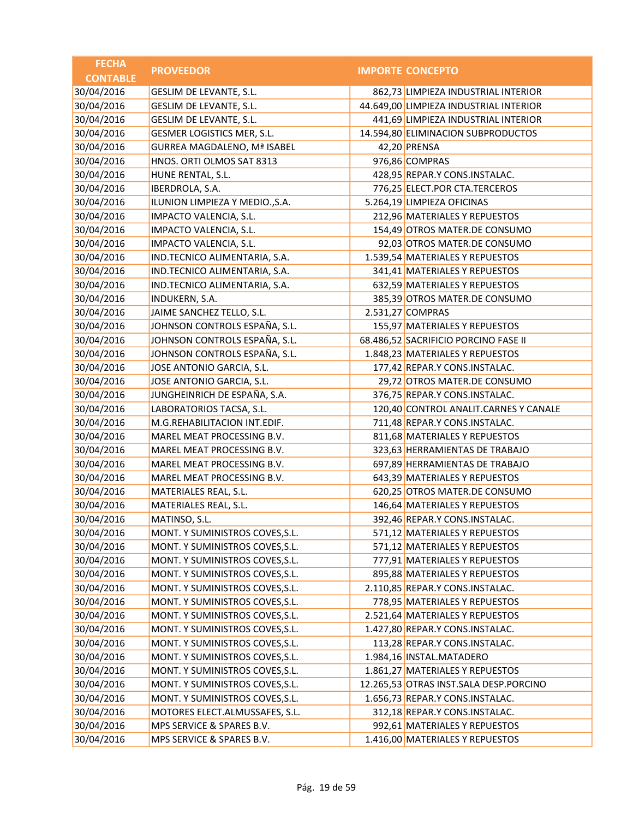| <b>FECHA</b>    | <b>PROVEEDOR</b>                   | <b>IMPORTE CONCEPTO</b>                |
|-----------------|------------------------------------|----------------------------------------|
| <b>CONTABLE</b> |                                    |                                        |
| 30/04/2016      | GESLIM DE LEVANTE, S.L.            | 862,73 LIMPIEZA INDUSTRIAL INTERIOR    |
| 30/04/2016      | GESLIM DE LEVANTE, S.L.            | 44.649,00 LIMPIEZA INDUSTRIAL INTERIOR |
| 30/04/2016      | GESLIM DE LEVANTE, S.L.            | 441,69 LIMPIEZA INDUSTRIAL INTERIOR    |
| 30/04/2016      | GESMER LOGISTICS MER, S.L.         | 14.594,80 ELIMINACION SUBPRODUCTOS     |
| 30/04/2016      | <b>GURREA MAGDALENO, Mª ISABEL</b> | 42,20 PRENSA                           |
| 30/04/2016      | HNOS. ORTI OLMOS SAT 8313          | 976,86 COMPRAS                         |
| 30/04/2016      | HUNE RENTAL, S.L.                  | 428,95 REPAR.Y CONS.INSTALAC.          |
| 30/04/2016      | IBERDROLA, S.A.                    | 776,25 ELECT.POR CTA.TERCEROS          |
| 30/04/2016      | ILUNION LIMPIEZA Y MEDIO., S.A.    | 5.264,19 LIMPIEZA OFICINAS             |
| 30/04/2016      | IMPACTO VALENCIA, S.L.             | 212,96 MATERIALES Y REPUESTOS          |
| 30/04/2016      | IMPACTO VALENCIA, S.L.             | 154,49 OTROS MATER.DE CONSUMO          |
| 30/04/2016      | IMPACTO VALENCIA, S.L.             | 92,03 OTROS MATER.DE CONSUMO           |
| 30/04/2016      | IND.TECNICO ALIMENTARIA, S.A.      | 1.539,54 MATERIALES Y REPUESTOS        |
| 30/04/2016      | IND.TECNICO ALIMENTARIA, S.A.      | 341,41 MATERIALES Y REPUESTOS          |
| 30/04/2016      | IND.TECNICO ALIMENTARIA, S.A.      | 632,59 MATERIALES Y REPUESTOS          |
| 30/04/2016      | INDUKERN, S.A.                     | 385,39 OTROS MATER.DE CONSUMO          |
| 30/04/2016      | JAIME SANCHEZ TELLO, S.L.          | 2.531,27 COMPRAS                       |
| 30/04/2016      | JOHNSON CONTROLS ESPAÑA, S.L.      | 155,97 MATERIALES Y REPUESTOS          |
| 30/04/2016      | JOHNSON CONTROLS ESPAÑA, S.L.      | 68.486,52 SACRIFICIO PORCINO FASE II   |
| 30/04/2016      | JOHNSON CONTROLS ESPAÑA, S.L.      | 1.848,23 MATERIALES Y REPUESTOS        |
| 30/04/2016      | JOSE ANTONIO GARCIA, S.L.          | 177,42 REPAR.Y CONS.INSTALAC.          |
| 30/04/2016      | JOSE ANTONIO GARCIA, S.L.          | 29,72 OTROS MATER.DE CONSUMO           |
| 30/04/2016      | JUNGHEINRICH DE ESPAÑA, S.A.       | 376,75 REPAR.Y CONS.INSTALAC.          |
| 30/04/2016      | LABORATORIOS TACSA, S.L.           | 120,40 CONTROL ANALIT.CARNES Y CANALE  |
| 30/04/2016      | M.G.REHABILITACION INT.EDIF.       | 711,48 REPAR.Y CONS.INSTALAC.          |
| 30/04/2016      | MAREL MEAT PROCESSING B.V.         | 811,68 MATERIALES Y REPUESTOS          |
| 30/04/2016      | MAREL MEAT PROCESSING B.V.         | 323,63 HERRAMIENTAS DE TRABAJO         |
| 30/04/2016      | MAREL MEAT PROCESSING B.V.         | 697,89 HERRAMIENTAS DE TRABAJO         |
| 30/04/2016      | MAREL MEAT PROCESSING B.V.         | 643,39 MATERIALES Y REPUESTOS          |
| 30/04/2016      | MATERIALES REAL, S.L.              | 620,25 OTROS MATER.DE CONSUMO          |
| 30/04/2016      | MATERIALES REAL, S.L.              | 146,64 MATERIALES Y REPUESTOS          |
| 30/04/2016      | MATINSO, S.L.                      | 392,46 REPAR.Y CONS.INSTALAC.          |
| 30/04/2016      | MONT. Y SUMINISTROS COVES, S.L.    | 571,12 MATERIALES Y REPUESTOS          |
| 30/04/2016      | MONT. Y SUMINISTROS COVES, S.L.    | 571,12 MATERIALES Y REPUESTOS          |
| 30/04/2016      | MONT. Y SUMINISTROS COVES, S.L.    | 777,91 MATERIALES Y REPUESTOS          |
| 30/04/2016      | MONT. Y SUMINISTROS COVES, S.L.    | 895,88 MATERIALES Y REPUESTOS          |
| 30/04/2016      | MONT. Y SUMINISTROS COVES, S.L.    | 2.110,85 REPAR.Y CONS.INSTALAC.        |
| 30/04/2016      | MONT. Y SUMINISTROS COVES, S.L.    | 778,95 MATERIALES Y REPUESTOS          |
| 30/04/2016      | MONT. Y SUMINISTROS COVES, S.L.    | 2.521,64 MATERIALES Y REPUESTOS        |
| 30/04/2016      | MONT. Y SUMINISTROS COVES, S.L.    | 1.427,80 REPAR.Y CONS.INSTALAC.        |
| 30/04/2016      | MONT. Y SUMINISTROS COVES, S.L.    | 113,28 REPAR.Y CONS.INSTALAC.          |
| 30/04/2016      | MONT. Y SUMINISTROS COVES, S.L.    | 1.984,16 INSTAL.MATADERO               |
| 30/04/2016      | MONT. Y SUMINISTROS COVES, S.L.    | 1.861,27 MATERIALES Y REPUESTOS        |
| 30/04/2016      | MONT. Y SUMINISTROS COVES, S.L.    | 12.265,53 OTRAS INST.SALA DESP.PORCINO |
| 30/04/2016      | MONT. Y SUMINISTROS COVES, S.L.    | 1.656,73 REPAR.Y CONS.INSTALAC.        |
| 30/04/2016      | MOTORES ELECT.ALMUSSAFES, S.L.     | 312,18 REPAR.Y CONS.INSTALAC.          |
| 30/04/2016      | MPS SERVICE & SPARES B.V.          | 992,61 MATERIALES Y REPUESTOS          |
| 30/04/2016      | MPS SERVICE & SPARES B.V.          | 1.416,00 MATERIALES Y REPUESTOS        |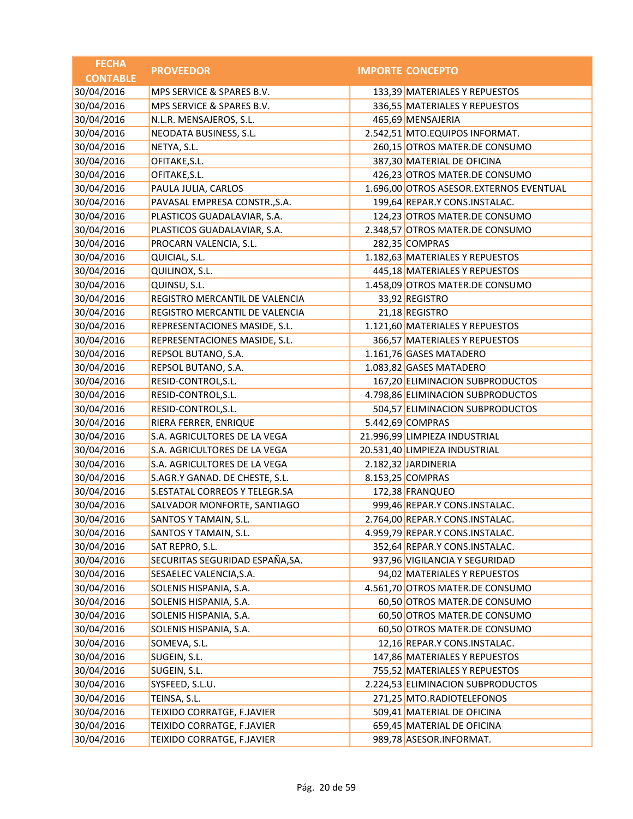| <b>FECHA</b>    | <b>PROVEEDOR</b>                | <b>IMPORTE CONCEPTO</b>                 |
|-----------------|---------------------------------|-----------------------------------------|
| <b>CONTABLE</b> |                                 |                                         |
| 30/04/2016      | MPS SERVICE & SPARES B.V.       | 133,39 MATERIALES Y REPUESTOS           |
| 30/04/2016      | MPS SERVICE & SPARES B.V.       | 336,55 MATERIALES Y REPUESTOS           |
| 30/04/2016      | N.L.R. MENSAJEROS, S.L.         | 465,69 MENSAJERIA                       |
| 30/04/2016      | NEODATA BUSINESS, S.L.          | 2.542,51 MTO.EQUIPOS INFORMAT.          |
| 30/04/2016      | NETYA, S.L.                     | 260,15 OTROS MATER.DE CONSUMO           |
| 30/04/2016      | OFITAKE, S.L.                   | 387,30 MATERIAL DE OFICINA              |
| 30/04/2016      | OFITAKE, S.L.                   | 426,23 OTROS MATER.DE CONSUMO           |
| 30/04/2016      | PAULA JULIA, CARLOS             | 1.696,00 OTROS ASESOR.EXTERNOS EVENTUAL |
| 30/04/2016      | PAVASAL EMPRESA CONSTR., S.A.   | 199,64 REPAR.Y CONS.INSTALAC.           |
| 30/04/2016      | PLASTICOS GUADALAVIAR, S.A.     | 124,23 OTROS MATER.DE CONSUMO           |
| 30/04/2016      | PLASTICOS GUADALAVIAR, S.A.     | 2.348,57 OTROS MATER.DE CONSUMO         |
| 30/04/2016      | PROCARN VALENCIA, S.L.          | 282,35 COMPRAS                          |
| 30/04/2016      | QUICIAL, S.L.                   | 1.182,63 MATERIALES Y REPUESTOS         |
| 30/04/2016      | QUILINOX, S.L.                  | 445,18 MATERIALES Y REPUESTOS           |
| 30/04/2016      | QUINSU, S.L.                    | 1.458,09 OTROS MATER.DE CONSUMO         |
| 30/04/2016      | REGISTRO MERCANTIL DE VALENCIA  | 33,92 REGISTRO                          |
| 30/04/2016      | REGISTRO MERCANTIL DE VALENCIA  | 21,18 REGISTRO                          |
| 30/04/2016      | REPRESENTACIONES MASIDE, S.L.   | 1.121,60 MATERIALES Y REPUESTOS         |
| 30/04/2016      | REPRESENTACIONES MASIDE, S.L.   | 366,57 MATERIALES Y REPUESTOS           |
| 30/04/2016      | REPSOL BUTANO, S.A.             | 1.161,76 GASES MATADERO                 |
| 30/04/2016      | REPSOL BUTANO, S.A.             | 1.083,82 GASES MATADERO                 |
| 30/04/2016      | RESID-CONTROL, S.L.             | 167,20 ELIMINACION SUBPRODUCTOS         |
| 30/04/2016      | RESID-CONTROL, S.L.             | 4.798,86 ELIMINACION SUBPRODUCTOS       |
| 30/04/2016      | RESID-CONTROL, S.L.             | 504,57 ELIMINACION SUBPRODUCTOS         |
| 30/04/2016      | RIERA FERRER, ENRIQUE           | 5.442,69 COMPRAS                        |
| 30/04/2016      | S.A. AGRICULTORES DE LA VEGA    | 21.996,99 LIMPIEZA INDUSTRIAL           |
| 30/04/2016      | S.A. AGRICULTORES DE LA VEGA    | 20.531,40 LIMPIEZA INDUSTRIAL           |
| 30/04/2016      | S.A. AGRICULTORES DE LA VEGA    | 2.182,32 JARDINERIA                     |
| 30/04/2016      | S.AGR.Y GANAD. DE CHESTE, S.L.  | 8.153,25 COMPRAS                        |
| 30/04/2016      | S.ESTATAL CORREOS Y TELEGR.SA   | 172,38 FRANQUEO                         |
| 30/04/2016      | SALVADOR MONFORTE, SANTIAGO     | 999,46 REPAR.Y CONS.INSTALAC.           |
| 30/04/2016      | SANTOS Y TAMAIN, S.L.           | 2.764,00 REPAR.Y CONS.INSTALAC.         |
| 30/04/2016      | SANTOS Y TAMAIN, S.L.           | 4.959,79 REPAR.Y CONS.INSTALAC.         |
| 30/04/2016      | SAT REPRO, S.L.                 | 352,64 REPAR.Y CONS.INSTALAC.           |
| 30/04/2016      | SECURITAS SEGURIDAD ESPAÑA, SA. | 937,96 VIGILANCIA Y SEGURIDAD           |
| 30/04/2016      | SESAELEC VALENCIA, S.A.         | 94,02 MATERIALES Y REPUESTOS            |
| 30/04/2016      | SOLENIS HISPANIA, S.A.          | 4.561,70 OTROS MATER.DE CONSUMO         |
| 30/04/2016      | SOLENIS HISPANIA, S.A.          | 60,50 OTROS MATER.DE CONSUMO            |
| 30/04/2016      | SOLENIS HISPANIA, S.A.          | 60,50 OTROS MATER.DE CONSUMO            |
| 30/04/2016      | SOLENIS HISPANIA, S.A.          | 60,50 OTROS MATER.DE CONSUMO            |
| 30/04/2016      | SOMEVA, S.L.                    | 12,16 REPAR.Y CONS.INSTALAC.            |
| 30/04/2016      | SUGEIN, S.L.                    | 147,86 MATERIALES Y REPUESTOS           |
| 30/04/2016      | SUGEIN, S.L.                    | 755,52 MATERIALES Y REPUESTOS           |
| 30/04/2016      | SYSFEED, S.L.U.                 | 2.224,53 ELIMINACION SUBPRODUCTOS       |
| 30/04/2016      | TEINSA, S.L.                    | 271,25 MTO.RADIOTELEFONOS               |
| 30/04/2016      | TEIXIDO CORRATGE, F.JAVIER      | 509,41 MATERIAL DE OFICINA              |
| 30/04/2016      | TEIXIDO CORRATGE, F.JAVIER      | 659,45 MATERIAL DE OFICINA              |
| 30/04/2016      | TEIXIDO CORRATGE, F.JAVIER      | 989,78 ASESOR.INFORMAT.                 |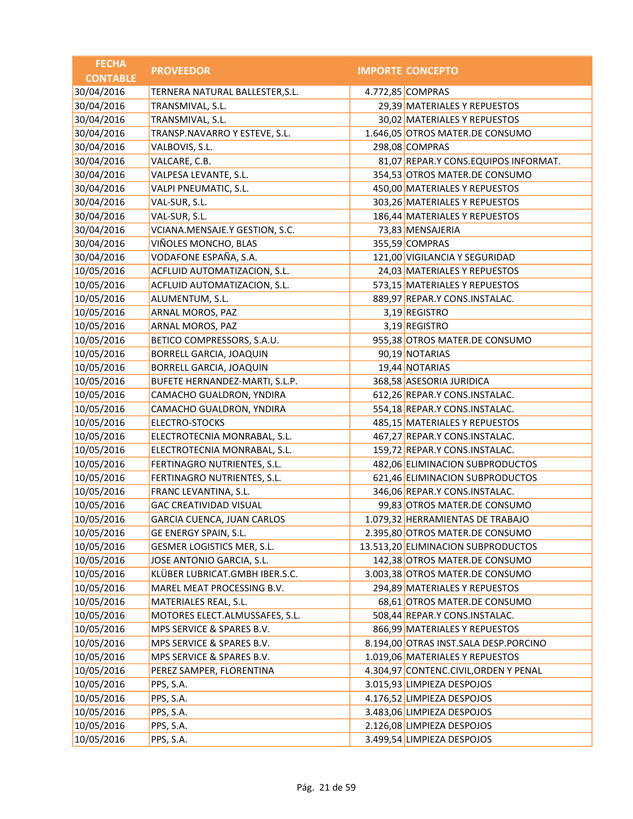| <b>FECHA</b><br><b>CONTABLE</b> | <b>PROVEEDOR</b>                | <b>IMPORTE CONCEPTO</b>               |
|---------------------------------|---------------------------------|---------------------------------------|
| 30/04/2016                      | TERNERA NATURAL BALLESTER, S.L. | 4.772,85 COMPRAS                      |
| 30/04/2016                      | TRANSMIVAL, S.L.                | 29,39 MATERIALES Y REPUESTOS          |
| 30/04/2016                      | TRANSMIVAL, S.L.                | 30,02 MATERIALES Y REPUESTOS          |
| 30/04/2016                      | TRANSP.NAVARRO Y ESTEVE, S.L.   | 1.646,05 OTROS MATER.DE CONSUMO       |
| 30/04/2016                      | VALBOVIS, S.L.                  | 298,08 COMPRAS                        |
| 30/04/2016                      | VALCARE, C.B.                   | 81,07 REPAR.Y CONS.EQUIPOS INFORMAT.  |
| 30/04/2016                      | VALPESA LEVANTE, S.L.           | 354,53 OTROS MATER.DE CONSUMO         |
| 30/04/2016                      | VALPI PNEUMATIC, S.L.           | 450,00 MATERIALES Y REPUESTOS         |
| 30/04/2016                      | VAL-SUR, S.L.                   | 303,26 MATERIALES Y REPUESTOS         |
| 30/04/2016                      | VAL-SUR, S.L.                   | 186,44 MATERIALES Y REPUESTOS         |
| 30/04/2016                      | VCIANA.MENSAJE.Y GESTION, S.C.  | 73,83 MENSAJERIA                      |
| 30/04/2016                      | VIÑOLES MONCHO, BLAS            | 355,59 COMPRAS                        |
| 30/04/2016                      | VODAFONE ESPAÑA, S.A.           | 121,00 VIGILANCIA Y SEGURIDAD         |
| 10/05/2016                      | ACFLUID AUTOMATIZACION, S.L.    | 24,03 MATERIALES Y REPUESTOS          |
| 10/05/2016                      | ACFLUID AUTOMATIZACION, S.L.    | 573,15 MATERIALES Y REPUESTOS         |
| 10/05/2016                      | ALUMENTUM, S.L.                 | 889,97 REPAR.Y CONS.INSTALAC.         |
| 10/05/2016                      | ARNAL MOROS, PAZ                | 3,19 REGISTRO                         |
| 10/05/2016                      | ARNAL MOROS, PAZ                | 3,19 REGISTRO                         |
| 10/05/2016                      | BETICO COMPRESSORS, S.A.U.      | 955,38 OTROS MATER.DE CONSUMO         |
| 10/05/2016                      | <b>BORRELL GARCIA, JOAQUIN</b>  | 90,19 NOTARIAS                        |
| 10/05/2016                      | BORRELL GARCIA, JOAQUIN         | 19,44 NOTARIAS                        |
| 10/05/2016                      | BUFETE HERNANDEZ-MARTI, S.L.P.  | 368,58 ASESORIA JURIDICA              |
| 10/05/2016                      | CAMACHO GUALDRON, YNDIRA        | 612,26 REPAR.Y CONS.INSTALAC.         |
| 10/05/2016                      | CAMACHO GUALDRON, YNDIRA        | 554,18 REPAR.Y CONS.INSTALAC.         |
| 10/05/2016                      | ELECTRO-STOCKS                  | 485,15 MATERIALES Y REPUESTOS         |
| 10/05/2016                      | ELECTROTECNIA MONRABAL, S.L.    | 467,27 REPAR.Y CONS.INSTALAC.         |
| 10/05/2016                      | ELECTROTECNIA MONRABAL, S.L.    | 159,72 REPAR.Y CONS.INSTALAC.         |
| 10/05/2016                      | FERTINAGRO NUTRIENTES, S.L.     | 482,06 ELIMINACION SUBPRODUCTOS       |
| 10/05/2016                      | FERTINAGRO NUTRIENTES, S.L.     | 621,46 ELIMINACION SUBPRODUCTOS       |
| 10/05/2016                      | FRANC LEVANTINA, S.L.           | 346,06 REPAR.Y CONS.INSTALAC.         |
| 10/05/2016                      | <b>GAC CREATIVIDAD VISUAL</b>   | 99,83 OTROS MATER.DE CONSUMO          |
| 10/05/2016                      | GARCIA CUENCA, JUAN CARLOS      | 1.079,32 HERRAMIENTAS DE TRABAJO      |
| 10/05/2016                      | GE ENERGY SPAIN, S.L.           | 2.395,80 OTROS MATER.DE CONSUMO       |
| 10/05/2016                      | GESMER LOGISTICS MER, S.L.      | 13.513,20 ELIMINACION SUBPRODUCTOS    |
| 10/05/2016                      | JOSE ANTONIO GARCIA, S.L.       | 142,38 OTROS MATER.DE CONSUMO         |
| 10/05/2016                      | KLÜBER LUBRICAT.GMBH IBER.S.C.  | 3.003,38 OTROS MATER.DE CONSUMO       |
| 10/05/2016                      | MAREL MEAT PROCESSING B.V.      | 294,89 MATERIALES Y REPUESTOS         |
| 10/05/2016                      | MATERIALES REAL, S.L.           | 68,61 OTROS MATER.DE CONSUMO          |
| 10/05/2016                      | MOTORES ELECT.ALMUSSAFES, S.L.  | 508,44 REPAR.Y CONS.INSTALAC.         |
| 10/05/2016                      | MPS SERVICE & SPARES B.V.       | 866,99 MATERIALES Y REPUESTOS         |
| 10/05/2016                      | MPS SERVICE & SPARES B.V.       | 8.194,00 OTRAS INST.SALA DESP.PORCINO |
| 10/05/2016                      | MPS SERVICE & SPARES B.V.       | 1.019,06 MATERIALES Y REPUESTOS       |
| 10/05/2016                      | PEREZ SAMPER, FLORENTINA        | 4.304,97 CONTENC.CIVIL, ORDEN Y PENAL |
| 10/05/2016                      | PPS, S.A.                       | 3.015,93 LIMPIEZA DESPOJOS            |
| 10/05/2016                      | PPS, S.A.                       | 4.176,52 LIMPIEZA DESPOJOS            |
| 10/05/2016                      | PPS, S.A.                       | 3.483,06 LIMPIEZA DESPOJOS            |
| 10/05/2016                      | PPS, S.A.                       | 2.126,08 LIMPIEZA DESPOJOS            |
| 10/05/2016                      | PPS, S.A.                       | 3.499,54 LIMPIEZA DESPOJOS            |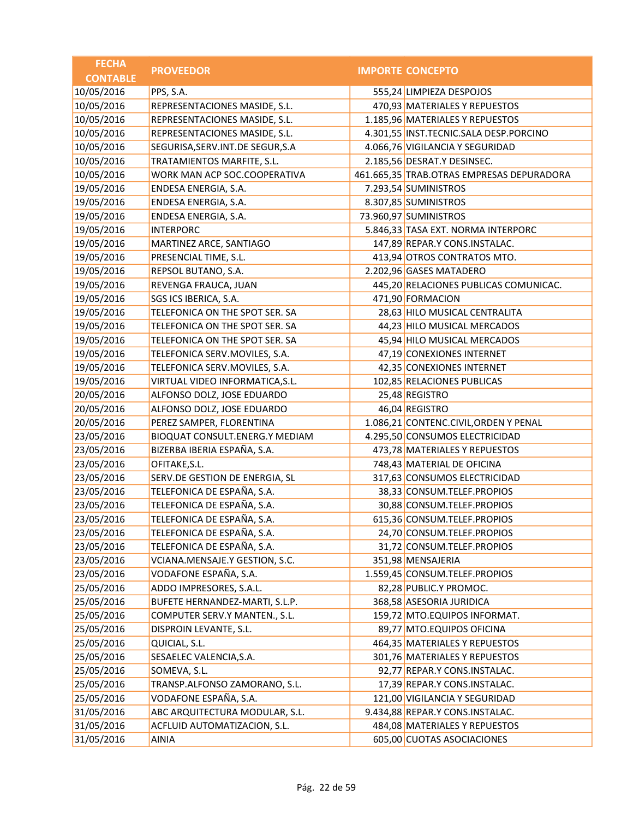| <b>FECHA</b><br><b>PROVEEDOR</b><br><b>IMPORTE CONCEPTO</b>                             |  |
|-----------------------------------------------------------------------------------------|--|
| <b>CONTABLE</b>                                                                         |  |
| 10/05/2016<br>555,24 LIMPIEZA DESPOJOS<br>PPS, S.A.                                     |  |
| 10/05/2016<br>470,93 MATERIALES Y REPUESTOS<br>REPRESENTACIONES MASIDE, S.L.            |  |
| 10/05/2016<br>1.185,96 MATERIALES Y REPUESTOS<br>REPRESENTACIONES MASIDE, S.L.          |  |
| 10/05/2016<br>4.301,55 INST.TECNIC.SALA DESP.PORCINO<br>REPRESENTACIONES MASIDE, S.L.   |  |
| 10/05/2016<br>SEGURISA, SERV.INT. DE SEGUR, S.A<br>4.066,76 VIGILANCIA Y SEGURIDAD      |  |
| 10/05/2016<br>TRATAMIENTOS MARFITE, S.L.<br>2.185,56 DESRAT.Y DESINSEC.                 |  |
| 10/05/2016<br>WORK MAN ACP SOC.COOPERATIVA<br>461.665,35 TRAB.OTRAS EMPRESAS DEPURADORA |  |
| 19/05/2016<br>7.293,54 SUMINISTROS<br>ENDESA ENERGIA, S.A.                              |  |
| 8.307,85 SUMINISTROS<br>19/05/2016<br>ENDESA ENERGIA, S.A.                              |  |
| 19/05/2016<br>73.960,97 SUMINISTROS<br>ENDESA ENERGIA, S.A.                             |  |
| 19/05/2016<br>5.846,33 TASA EXT. NORMA INTERPORC<br><b>INTERPORC</b>                    |  |
| 19/05/2016<br>147,89 REPAR.Y CONS.INSTALAC.<br>MARTINEZ ARCE, SANTIAGO                  |  |
| 19/05/2016<br>PRESENCIAL TIME, S.L.<br>413,94 OTROS CONTRATOS MTO.                      |  |
| 19/05/2016<br>REPSOL BUTANO, S.A.<br>2.202,96 GASES MATADERO                            |  |
| 19/05/2016<br>445,20 RELACIONES PUBLICAS COMUNICAC.<br>REVENGA FRAUCA, JUAN             |  |
| 19/05/2016<br>471,90 FORMACION<br>SGS ICS IBERICA, S.A.                                 |  |
| 19/05/2016<br>TELEFONICA ON THE SPOT SER. SA<br>28,63 HILO MUSICAL CENTRALITA           |  |
| 19/05/2016<br>44,23 HILO MUSICAL MERCADOS<br>TELEFONICA ON THE SPOT SER. SA             |  |
| 19/05/2016<br>TELEFONICA ON THE SPOT SER. SA<br>45,94 HILO MUSICAL MERCADOS             |  |
| 19/05/2016<br>47,19 CONEXIONES INTERNET<br>TELEFONICA SERV.MOVILES, S.A.                |  |
| 19/05/2016<br>TELEFONICA SERV.MOVILES, S.A.<br>42,35 CONEXIONES INTERNET                |  |
| 19/05/2016<br>VIRTUAL VIDEO INFORMATICA, S.L.<br>102,85 RELACIONES PUBLICAS             |  |
| 20/05/2016<br>ALFONSO DOLZ, JOSE EDUARDO<br>25,48 REGISTRO                              |  |
| 20/05/2016<br>ALFONSO DOLZ, JOSE EDUARDO<br>46,04 REGISTRO                              |  |
| 20/05/2016<br>1.086,21 CONTENC.CIVIL, ORDEN Y PENAL<br>PEREZ SAMPER, FLORENTINA         |  |
| 23/05/2016<br>BIOQUAT CONSULT.ENERG.Y MEDIAM<br>4.295,50 CONSUMOS ELECTRICIDAD          |  |
| BIZERBA IBERIA ESPAÑA, S.A.<br>23/05/2016<br>473,78 MATERIALES Y REPUESTOS              |  |
| 23/05/2016<br>OFITAKE, S.L.<br>748,43 MATERIAL DE OFICINA                               |  |
| 23/05/2016<br>SERV.DE GESTION DE ENERGIA, SL<br>317,63 CONSUMOS ELECTRICIDAD            |  |
| TELEFONICA DE ESPAÑA, S.A.<br>23/05/2016<br>38,33 CONSUM.TELEF.PROPIOS                  |  |
| TELEFONICA DE ESPAÑA, S.A.<br>23/05/2016<br>30,88 CONSUM.TELEF.PROPIOS                  |  |
| TELEFONICA DE ESPAÑA, S.A.<br>23/05/2016<br>615,36 CONSUM.TELEF.PROPIOS                 |  |
| TELEFONICA DE ESPAÑA, S.A.<br>24,70 CONSUM.TELEF.PROPIOS<br>23/05/2016                  |  |
| TELEFONICA DE ESPAÑA, S.A.<br>23/05/2016<br>31,72 CONSUM.TELEF.PROPIOS                  |  |
| 23/05/2016<br>VCIANA.MENSAJE.Y GESTION, S.C.<br>351,98 MENSAJERIA                       |  |
| VODAFONE ESPAÑA, S.A.<br>23/05/2016<br>1.559,45 CONSUM.TELEF.PROPIOS                    |  |
| 25/05/2016<br>ADDO IMPRESORES, S.A.L.<br>82,28 PUBLIC.Y PROMOC.                         |  |
| 25/05/2016<br>368,58 ASESORIA JURIDICA<br>BUFETE HERNANDEZ-MARTI, S.L.P.                |  |
| 25/05/2016<br>COMPUTER SERV.Y MANTEN., S.L.<br>159,72 MTO.EQUIPOS INFORMAT.             |  |
| 25/05/2016<br>89,77 MTO.EQUIPOS OFICINA<br>DISPROIN LEVANTE, S.L.                       |  |
| 25/05/2016<br>QUICIAL, S.L.<br>464,35 MATERIALES Y REPUESTOS                            |  |
| 25/05/2016<br>SESAELEC VALENCIA, S.A.<br>301,76 MATERIALES Y REPUESTOS                  |  |
| 25/05/2016<br>SOMEVA, S.L.<br>92,77 REPAR.Y CONS.INSTALAC.                              |  |
| 25/05/2016<br>TRANSP.ALFONSO ZAMORANO, S.L.<br>17,39 REPAR.Y CONS.INSTALAC.             |  |
| VODAFONE ESPAÑA, S.A.<br>25/05/2016<br>121,00 VIGILANCIA Y SEGURIDAD                    |  |
| 31/05/2016<br>ABC ARQUITECTURA MODULAR, S.L.<br>9.434,88 REPAR.Y CONS.INSTALAC.         |  |
| 31/05/2016<br>ACFLUID AUTOMATIZACION, S.L.<br>484,08 MATERIALES Y REPUESTOS             |  |
| 31/05/2016<br>605,00 CUOTAS ASOCIACIONES<br>AINIA                                       |  |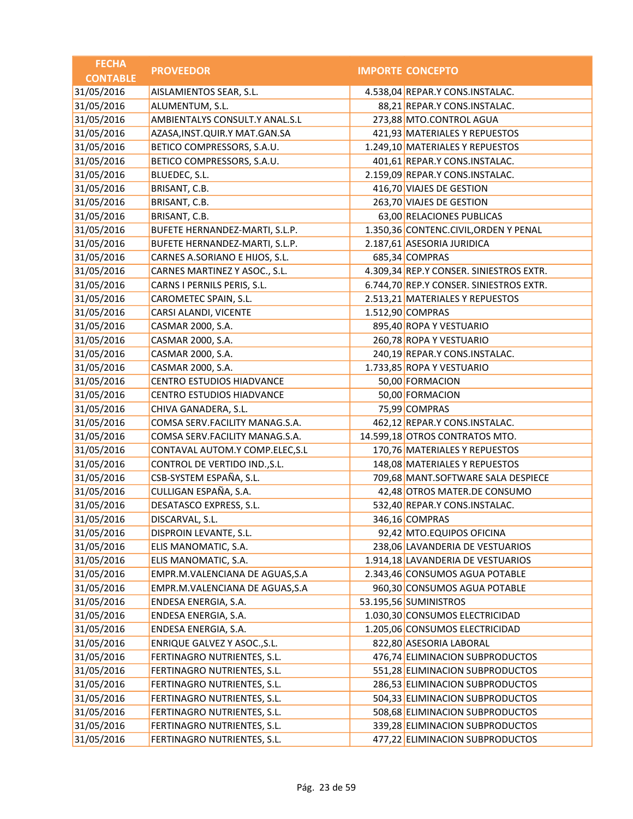| <b>FECHA</b>    | <b>PROVEEDOR</b>                  | <b>IMPORTE CONCEPTO</b>                 |
|-----------------|-----------------------------------|-----------------------------------------|
| <b>CONTABLE</b> |                                   |                                         |
| 31/05/2016      | AISLAMIENTOS SEAR, S.L.           | 4.538,04 REPAR.Y CONS.INSTALAC.         |
| 31/05/2016      | ALUMENTUM, S.L.                   | 88,21 REPAR.Y CONS.INSTALAC.            |
| 31/05/2016      | AMBIENTALYS CONSULT.Y ANAL.S.L    | 273,88 MTO.CONTROL AGUA                 |
| 31/05/2016      | AZASA, INST. QUIR. Y MAT. GAN. SA | 421,93 MATERIALES Y REPUESTOS           |
| 31/05/2016      | BETICO COMPRESSORS, S.A.U.        | 1.249,10 MATERIALES Y REPUESTOS         |
| 31/05/2016      | BETICO COMPRESSORS, S.A.U.        | 401,61 REPAR.Y CONS.INSTALAC.           |
| 31/05/2016      | BLUEDEC, S.L.                     | 2.159,09 REPAR.Y CONS.INSTALAC.         |
| 31/05/2016      | BRISANT, C.B.                     | 416,70 VIAJES DE GESTION                |
| 31/05/2016      | BRISANT, C.B.                     | 263,70 VIAJES DE GESTION                |
| 31/05/2016      | BRISANT, C.B.                     | 63,00 RELACIONES PUBLICAS               |
| 31/05/2016      | BUFETE HERNANDEZ-MARTI, S.L.P.    | 1.350,36 CONTENC.CIVIL, ORDEN Y PENAL   |
| 31/05/2016      | BUFETE HERNANDEZ-MARTI, S.L.P.    | 2.187,61 ASESORIA JURIDICA              |
| 31/05/2016      | CARNES A.SORIANO E HIJOS, S.L.    | 685,34 COMPRAS                          |
| 31/05/2016      | CARNES MARTINEZ Y ASOC., S.L.     | 4.309,34 REP.Y CONSER. SINIESTROS EXTR. |
| 31/05/2016      | CARNS I PERNILS PERIS, S.L.       | 6.744,70 REP.Y CONSER. SINIESTROS EXTR. |
| 31/05/2016      | CAROMETEC SPAIN, S.L.             | 2.513,21 MATERIALES Y REPUESTOS         |
| 31/05/2016      | CARSI ALANDI, VICENTE             | 1.512,90 COMPRAS                        |
| 31/05/2016      | CASMAR 2000, S.A.                 | 895,40 ROPA Y VESTUARIO                 |
| 31/05/2016      | CASMAR 2000, S.A.                 | 260,78 ROPA Y VESTUARIO                 |
| 31/05/2016      | CASMAR 2000, S.A.                 | 240,19 REPAR.Y CONS.INSTALAC.           |
| 31/05/2016      | CASMAR 2000, S.A.                 | 1.733,85 ROPA Y VESTUARIO               |
| 31/05/2016      | <b>CENTRO ESTUDIOS HIADVANCE</b>  | 50,00 FORMACION                         |
| 31/05/2016      | <b>CENTRO ESTUDIOS HIADVANCE</b>  | 50,00 FORMACION                         |
| 31/05/2016      | CHIVA GANADERA, S.L.              | 75,99 COMPRAS                           |
| 31/05/2016      | COMSA SERV.FACILITY MANAG.S.A.    | 462,12 REPAR.Y CONS.INSTALAC.           |
| 31/05/2016      | COMSA SERV.FACILITY MANAG.S.A.    | 14.599,18 OTROS CONTRATOS MTO.          |
| 31/05/2016      | CONTAVAL AUTOM.Y COMP.ELEC, S.L   | 170,76 MATERIALES Y REPUESTOS           |
| 31/05/2016      | CONTROL DE VERTIDO IND., S.L.     | 148,08 MATERIALES Y REPUESTOS           |
| 31/05/2016      | CSB-SYSTEM ESPAÑA, S.L.           | 709,68 MANT.SOFTWARE SALA DESPIECE      |
| 31/05/2016      | CULLIGAN ESPAÑA, S.A.             | 42,48 OTROS MATER.DE CONSUMO            |
| 31/05/2016      | DESATASCO EXPRESS, S.L.           | 532,40 REPAR.Y CONS.INSTALAC.           |
| 31/05/2016      | DISCARVAL, S.L.                   | 346,16 COMPRAS                          |
| 31/05/2016      | DISPROIN LEVANTE, S.L.            | 92,42 MTO.EQUIPOS OFICINA               |
| 31/05/2016      | ELIS MANOMATIC, S.A.              | 238,06 LAVANDERIA DE VESTUARIOS         |
| 31/05/2016      | ELIS MANOMATIC, S.A.              | 1.914,18 LAVANDERIA DE VESTUARIOS       |
| 31/05/2016      | EMPR.M.VALENCIANA DE AGUAS, S.A   | 2.343,46 CONSUMOS AGUA POTABLE          |
| 31/05/2016      | EMPR.M.VALENCIANA DE AGUAS, S.A   | 960,30 CONSUMOS AGUA POTABLE            |
| 31/05/2016      | ENDESA ENERGIA, S.A.              | 53.195,56 SUMINISTROS                   |
| 31/05/2016      | ENDESA ENERGIA, S.A.              | 1.030,30 CONSUMOS ELECTRICIDAD          |
| 31/05/2016      | ENDESA ENERGIA, S.A.              | 1.205,06 CONSUMOS ELECTRICIDAD          |
| 31/05/2016      | ENRIQUE GALVEZ Y ASOC., S.L.      | 822,80 ASESORIA LABORAL                 |
| 31/05/2016      | FERTINAGRO NUTRIENTES, S.L.       | 476,74 ELIMINACION SUBPRODUCTOS         |
| 31/05/2016      | FERTINAGRO NUTRIENTES, S.L.       | 551,28 ELIMINACION SUBPRODUCTOS         |
| 31/05/2016      | FERTINAGRO NUTRIENTES, S.L.       | 286,53 ELIMINACION SUBPRODUCTOS         |
| 31/05/2016      | FERTINAGRO NUTRIENTES, S.L.       | 504,33 ELIMINACION SUBPRODUCTOS         |
| 31/05/2016      | FERTINAGRO NUTRIENTES, S.L.       | 508,68 ELIMINACION SUBPRODUCTOS         |
| 31/05/2016      | FERTINAGRO NUTRIENTES, S.L.       | 339,28 ELIMINACION SUBPRODUCTOS         |
| 31/05/2016      | FERTINAGRO NUTRIENTES, S.L.       | 477,22 ELIMINACION SUBPRODUCTOS         |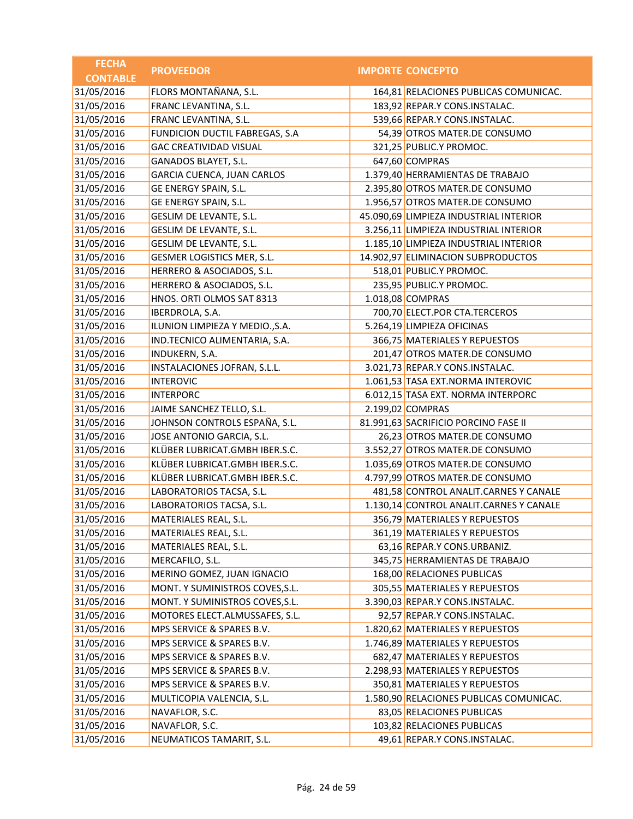| <b>FECHA</b>    | <b>PROVEEDOR</b>                  | <b>IMPORTE CONCEPTO</b>                 |
|-----------------|-----------------------------------|-----------------------------------------|
| <b>CONTABLE</b> |                                   |                                         |
| 31/05/2016      | FLORS MONTAÑANA, S.L.             | 164,81 RELACIONES PUBLICAS COMUNICAC.   |
| 31/05/2016      | FRANC LEVANTINA, S.L.             | 183,92 REPAR.Y CONS.INSTALAC.           |
| 31/05/2016      | FRANC LEVANTINA, S.L.             | 539,66 REPAR.Y CONS.INSTALAC.           |
| 31/05/2016      | FUNDICION DUCTIL FABREGAS, S.A    | 54,39 OTROS MATER.DE CONSUMO            |
| 31/05/2016      | <b>GAC CREATIVIDAD VISUAL</b>     | 321,25 PUBLIC.Y PROMOC.                 |
| 31/05/2016      | GANADOS BLAYET, S.L.              | 647,60 COMPRAS                          |
| 31/05/2016      | <b>GARCIA CUENCA, JUAN CARLOS</b> | 1.379,40 HERRAMIENTAS DE TRABAJO        |
| 31/05/2016      | GE ENERGY SPAIN, S.L.             | 2.395,80 OTROS MATER.DE CONSUMO         |
| 31/05/2016      | GE ENERGY SPAIN, S.L.             | 1.956,57 OTROS MATER.DE CONSUMO         |
| 31/05/2016      | GESLIM DE LEVANTE, S.L.           | 45.090,69 LIMPIEZA INDUSTRIAL INTERIOR  |
| 31/05/2016      | GESLIM DE LEVANTE, S.L.           | 3.256,11 LIMPIEZA INDUSTRIAL INTERIOR   |
| 31/05/2016      | GESLIM DE LEVANTE, S.L.           | 1.185,10 LIMPIEZA INDUSTRIAL INTERIOR   |
| 31/05/2016      | GESMER LOGISTICS MER, S.L.        | 14.902,97 ELIMINACION SUBPRODUCTOS      |
| 31/05/2016      | HERRERO & ASOCIADOS, S.L.         | 518,01 PUBLIC.Y PROMOC.                 |
| 31/05/2016      | HERRERO & ASOCIADOS, S.L.         | 235,95 PUBLIC.Y PROMOC.                 |
| 31/05/2016      | HNOS. ORTI OLMOS SAT 8313         | 1.018,08 COMPRAS                        |
| 31/05/2016      | IBERDROLA, S.A.                   | 700,70 ELECT.POR CTA.TERCEROS           |
| 31/05/2016      | ILUNION LIMPIEZA Y MEDIO., S.A.   | 5.264,19 LIMPIEZA OFICINAS              |
| 31/05/2016      | IND.TECNICO ALIMENTARIA, S.A.     | 366,75 MATERIALES Y REPUESTOS           |
| 31/05/2016      | INDUKERN, S.A.                    | 201,47 OTROS MATER.DE CONSUMO           |
| 31/05/2016      | INSTALACIONES JOFRAN, S.L.L.      | 3.021,73 REPAR.Y CONS.INSTALAC.         |
| 31/05/2016      | <b>INTEROVIC</b>                  | 1.061,53 TASA EXT.NORMA INTEROVIC       |
| 31/05/2016      | <b>INTERPORC</b>                  | 6.012,15 TASA EXT. NORMA INTERPORC      |
| 31/05/2016      | JAIME SANCHEZ TELLO, S.L.         | 2.199,02 COMPRAS                        |
| 31/05/2016      | JOHNSON CONTROLS ESPAÑA, S.L.     | 81.991,63 SACRIFICIO PORCINO FASE II    |
| 31/05/2016      | JOSE ANTONIO GARCIA, S.L.         | 26,23 OTROS MATER.DE CONSUMO            |
| 31/05/2016      | KLÜBER LUBRICAT.GMBH IBER.S.C.    | 3.552,27 OTROS MATER.DE CONSUMO         |
| 31/05/2016      | KLÜBER LUBRICAT.GMBH IBER.S.C.    | 1.035,69 OTROS MATER.DE CONSUMO         |
| 31/05/2016      | KLÜBER LUBRICAT.GMBH IBER.S.C.    | 4.797,99 OTROS MATER.DE CONSUMO         |
| 31/05/2016      | LABORATORIOS TACSA, S.L.          | 481,58 CONTROL ANALIT.CARNES Y CANALE   |
| 31/05/2016      | LABORATORIOS TACSA, S.L.          | 1.130,14 CONTROL ANALIT.CARNES Y CANALE |
| 31/05/2016      | MATERIALES REAL, S.L.             | 356,79 MATERIALES Y REPUESTOS           |
| 31/05/2016      | MATERIALES REAL, S.L.             | 361,19 MATERIALES Y REPUESTOS           |
| 31/05/2016      | MATERIALES REAL, S.L.             | 63,16 REPAR.Y CONS.URBANIZ.             |
| 31/05/2016      | MERCAFILO, S.L.                   | 345,75 HERRAMIENTAS DE TRABAJO          |
| 31/05/2016      | MERINO GOMEZ, JUAN IGNACIO        | 168,00 RELACIONES PUBLICAS              |
| 31/05/2016      | MONT. Y SUMINISTROS COVES, S.L.   | 305,55 MATERIALES Y REPUESTOS           |
| 31/05/2016      | MONT. Y SUMINISTROS COVES, S.L.   | 3.390,03 REPAR.Y CONS.INSTALAC.         |
| 31/05/2016      | MOTORES ELECT.ALMUSSAFES, S.L.    | 92,57 REPAR.Y CONS.INSTALAC.            |
| 31/05/2016      | MPS SERVICE & SPARES B.V.         | 1.820,62 MATERIALES Y REPUESTOS         |
| 31/05/2016      | MPS SERVICE & SPARES B.V.         | 1.746,89 MATERIALES Y REPUESTOS         |
| 31/05/2016      | MPS SERVICE & SPARES B.V.         | 682,47 MATERIALES Y REPUESTOS           |
| 31/05/2016      | MPS SERVICE & SPARES B.V.         | 2.298,93 MATERIALES Y REPUESTOS         |
| 31/05/2016      | MPS SERVICE & SPARES B.V.         | 350,81 MATERIALES Y REPUESTOS           |
| 31/05/2016      | MULTICOPIA VALENCIA, S.L.         | 1.580,90 RELACIONES PUBLICAS COMUNICAC. |
| 31/05/2016      | NAVAFLOR, S.C.                    | 83,05 RELACIONES PUBLICAS               |
| 31/05/2016      | NAVAFLOR, S.C.                    | 103,82 RELACIONES PUBLICAS              |
| 31/05/2016      | NEUMATICOS TAMARIT, S.L.          | 49,61 REPAR.Y CONS.INSTALAC.            |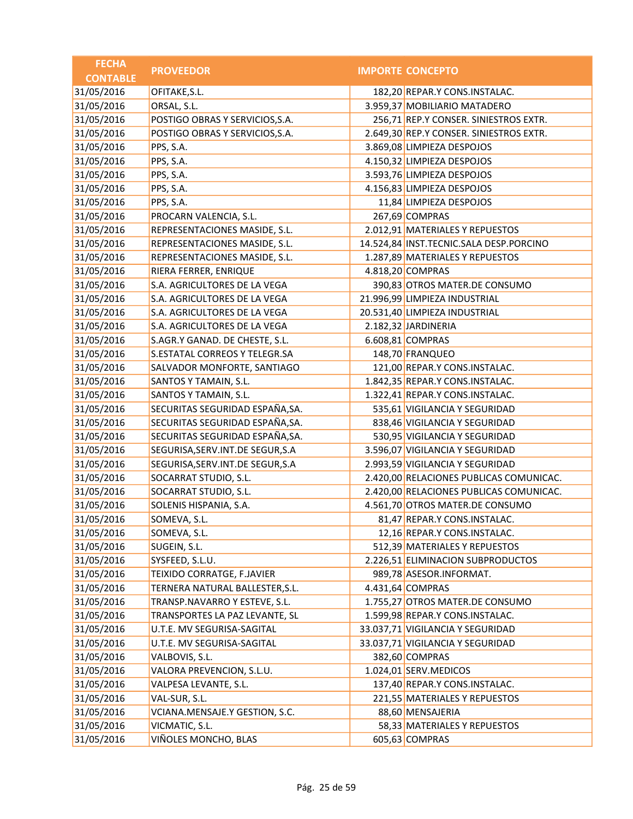| <b>FECHA</b>    |                                    |                                         |
|-----------------|------------------------------------|-----------------------------------------|
| <b>CONTABLE</b> | <b>PROVEEDOR</b>                   | <b>IMPORTE CONCEPTO</b>                 |
| 31/05/2016      | OFITAKE, S.L.                      | 182,20 REPAR.Y CONS.INSTALAC.           |
| 31/05/2016      | ORSAL, S.L.                        | 3.959,37 MOBILIARIO MATADERO            |
| 31/05/2016      | POSTIGO OBRAS Y SERVICIOS, S.A.    | 256,71 REP.Y CONSER. SINIESTROS EXTR.   |
| 31/05/2016      | POSTIGO OBRAS Y SERVICIOS, S.A.    | 2.649,30 REP.Y CONSER. SINIESTROS EXTR. |
| 31/05/2016      | PPS, S.A.                          | 3.869,08 LIMPIEZA DESPOJOS              |
| 31/05/2016      | PPS, S.A.                          | 4.150,32 LIMPIEZA DESPOJOS              |
| 31/05/2016      | PPS, S.A.                          | 3.593,76 LIMPIEZA DESPOJOS              |
| 31/05/2016      | PPS, S.A.                          | 4.156,83 LIMPIEZA DESPOJOS              |
| 31/05/2016      | PPS, S.A.                          | 11,84 LIMPIEZA DESPOJOS                 |
| 31/05/2016      | PROCARN VALENCIA, S.L.             | 267,69 COMPRAS                          |
| 31/05/2016      | REPRESENTACIONES MASIDE, S.L.      | 2.012,91 MATERIALES Y REPUESTOS         |
| 31/05/2016      | REPRESENTACIONES MASIDE, S.L.      | 14.524,84 INST.TECNIC.SALA DESP.PORCINO |
| 31/05/2016      | REPRESENTACIONES MASIDE, S.L.      | 1.287,89 MATERIALES Y REPUESTOS         |
| 31/05/2016      | RIERA FERRER, ENRIQUE              | 4.818,20 COMPRAS                        |
| 31/05/2016      | S.A. AGRICULTORES DE LA VEGA       | 390,83 OTROS MATER.DE CONSUMO           |
| 31/05/2016      | S.A. AGRICULTORES DE LA VEGA       | 21.996,99 LIMPIEZA INDUSTRIAL           |
| 31/05/2016      | S.A. AGRICULTORES DE LA VEGA       | 20.531,40 LIMPIEZA INDUSTRIAL           |
| 31/05/2016      | S.A. AGRICULTORES DE LA VEGA       | 2.182,32 JARDINERIA                     |
| 31/05/2016      | S.AGR.Y GANAD. DE CHESTE, S.L.     | 6.608,81 COMPRAS                        |
| 31/05/2016      | S.ESTATAL CORREOS Y TELEGR.SA      | 148,70 FRANQUEO                         |
| 31/05/2016      | SALVADOR MONFORTE, SANTIAGO        | 121,00 REPAR.Y CONS.INSTALAC.           |
| 31/05/2016      | SANTOS Y TAMAIN, S.L.              | 1.842,35 REPAR.Y CONS.INSTALAC.         |
| 31/05/2016      | SANTOS Y TAMAIN, S.L.              | 1.322,41 REPAR.Y CONS.INSTALAC.         |
| 31/05/2016      | SECURITAS SEGURIDAD ESPAÑA, SA.    | 535,61 VIGILANCIA Y SEGURIDAD           |
| 31/05/2016      | SECURITAS SEGURIDAD ESPAÑA, SA.    | 838,46 VIGILANCIA Y SEGURIDAD           |
| 31/05/2016      | SECURITAS SEGURIDAD ESPAÑA, SA.    | 530,95 VIGILANCIA Y SEGURIDAD           |
| 31/05/2016      | SEGURISA, SERV. INT. DE SEGUR, S.A | 3.596,07 VIGILANCIA Y SEGURIDAD         |
| 31/05/2016      | SEGURISA, SERV. INT. DE SEGUR, S.A | 2.993,59 VIGILANCIA Y SEGURIDAD         |
| 31/05/2016      | SOCARRAT STUDIO, S.L.              | 2.420,00 RELACIONES PUBLICAS COMUNICAC. |
| 31/05/2016      | SOCARRAT STUDIO, S.L.              | 2.420,00 RELACIONES PUBLICAS COMUNICAC. |
| 31/05/2016      | SOLENIS HISPANIA, S.A.             | 4.561,70 OTROS MATER.DE CONSUMO         |
| 31/05/2016      | SOMEVA, S.L.                       | 81,47 REPAR.Y CONS.INSTALAC.            |
| 31/05/2016      | SOMEVA, S.L.                       | 12,16 REPAR.Y CONS.INSTALAC.            |
| 31/05/2016      | SUGEIN, S.L.                       | 512,39 MATERIALES Y REPUESTOS           |
| 31/05/2016      | SYSFEED, S.L.U.                    | 2.226,51 ELIMINACION SUBPRODUCTOS       |
| 31/05/2016      | TEIXIDO CORRATGE, F.JAVIER         | 989,78 ASESOR.INFORMAT.                 |
| 31/05/2016      | TERNERA NATURAL BALLESTER, S.L.    | 4.431,64 COMPRAS                        |
| 31/05/2016      | TRANSP.NAVARRO Y ESTEVE, S.L.      | 1.755,27 OTROS MATER.DE CONSUMO         |
| 31/05/2016      | TRANSPORTES LA PAZ LEVANTE, SL     | 1.599,98 REPAR.Y CONS.INSTALAC.         |
| 31/05/2016      | U.T.E. MV SEGURISA-SAGITAL         | 33.037,71 VIGILANCIA Y SEGURIDAD        |
| 31/05/2016      | U.T.E. MV SEGURISA-SAGITAL         | 33.037,71 VIGILANCIA Y SEGURIDAD        |
| 31/05/2016      | VALBOVIS, S.L.                     | 382,60 COMPRAS                          |
| 31/05/2016      | VALORA PREVENCION, S.L.U.          | 1.024,01 SERV.MEDICOS                   |
| 31/05/2016      | VALPESA LEVANTE, S.L.              | 137,40 REPAR.Y CONS.INSTALAC.           |
| 31/05/2016      | VAL-SUR, S.L.                      | 221,55 MATERIALES Y REPUESTOS           |
| 31/05/2016      | VCIANA.MENSAJE.Y GESTION, S.C.     | 88,60 MENSAJERIA                        |
| 31/05/2016      | VICMATIC, S.L.                     | 58,33 MATERIALES Y REPUESTOS            |
| 31/05/2016      | VIÑOLES MONCHO, BLAS               | 605,63 COMPRAS                          |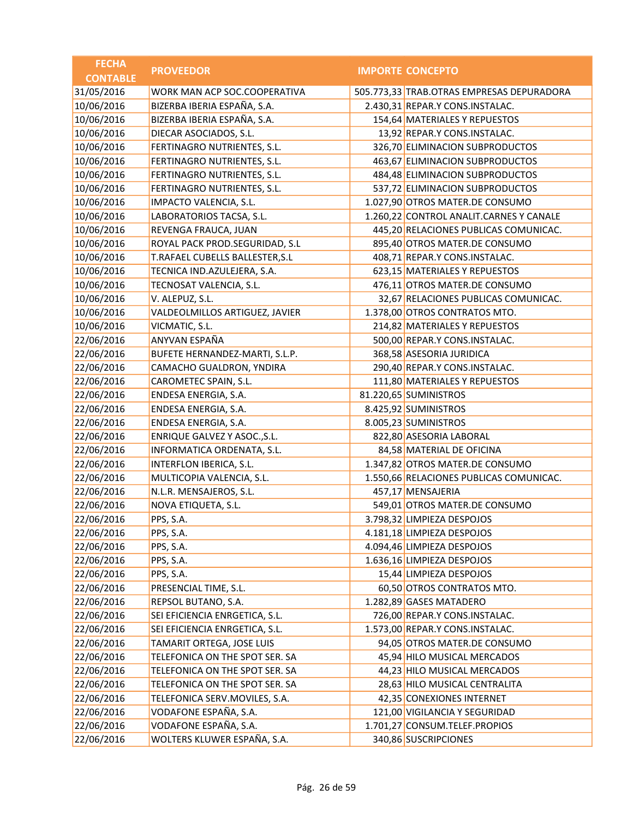| <b>FECHA</b>    | <b>PROVEEDOR</b>                | <b>IMPORTE CONCEPTO</b>                   |
|-----------------|---------------------------------|-------------------------------------------|
| <b>CONTABLE</b> |                                 |                                           |
| 31/05/2016      | WORK MAN ACP SOC.COOPERATIVA    | 505.773,33 TRAB.OTRAS EMPRESAS DEPURADORA |
| 10/06/2016      | BIZERBA IBERIA ESPAÑA, S.A.     | 2.430,31 REPAR.Y CONS.INSTALAC.           |
| 10/06/2016      | BIZERBA IBERIA ESPAÑA, S.A.     | 154,64 MATERIALES Y REPUESTOS             |
| 10/06/2016      | DIECAR ASOCIADOS, S.L.          | 13,92 REPAR.Y CONS.INSTALAC.              |
| 10/06/2016      | FERTINAGRO NUTRIENTES, S.L.     | 326,70 ELIMINACION SUBPRODUCTOS           |
| 10/06/2016      | FERTINAGRO NUTRIENTES, S.L.     | 463,67 ELIMINACION SUBPRODUCTOS           |
| 10/06/2016      | FERTINAGRO NUTRIENTES, S.L.     | 484,48 ELIMINACION SUBPRODUCTOS           |
| 10/06/2016      | FERTINAGRO NUTRIENTES, S.L.     | 537,72 ELIMINACION SUBPRODUCTOS           |
| 10/06/2016      | IMPACTO VALENCIA, S.L.          | 1.027,90 OTROS MATER.DE CONSUMO           |
| 10/06/2016      | LABORATORIOS TACSA, S.L.        | 1.260,22 CONTROL ANALIT.CARNES Y CANALE   |
| 10/06/2016      | REVENGA FRAUCA, JUAN            | 445,20 RELACIONES PUBLICAS COMUNICAC.     |
| 10/06/2016      | ROYAL PACK PROD.SEGURIDAD, S.L  | 895,40 OTROS MATER.DE CONSUMO             |
| 10/06/2016      | T.RAFAEL CUBELLS BALLESTER, S.L | 408,71 REPAR.Y CONS.INSTALAC.             |
| 10/06/2016      | TECNICA IND.AZULEJERA, S.A.     | 623,15 MATERIALES Y REPUESTOS             |
| 10/06/2016      | TECNOSAT VALENCIA, S.L.         | 476,11 OTROS MATER.DE CONSUMO             |
| 10/06/2016      | V. ALEPUZ, S.L.                 | 32,67 RELACIONES PUBLICAS COMUNICAC.      |
| 10/06/2016      | VALDEOLMILLOS ARTIGUEZ, JAVIER  | 1.378,00 OTROS CONTRATOS MTO.             |
| 10/06/2016      | VICMATIC, S.L.                  | 214,82 MATERIALES Y REPUESTOS             |
| 22/06/2016      | ANYVAN ESPAÑA                   | 500,00 REPAR.Y CONS.INSTALAC.             |
| 22/06/2016      | BUFETE HERNANDEZ-MARTI, S.L.P.  | 368,58 ASESORIA JURIDICA                  |
| 22/06/2016      | CAMACHO GUALDRON, YNDIRA        | 290,40 REPAR.Y CONS.INSTALAC.             |
| 22/06/2016      | CAROMETEC SPAIN, S.L.           | 111,80 MATERIALES Y REPUESTOS             |
| 22/06/2016      | ENDESA ENERGIA, S.A.            | 81.220,65 SUMINISTROS                     |
| 22/06/2016      | ENDESA ENERGIA, S.A.            | 8.425,92 SUMINISTROS                      |
| 22/06/2016      | ENDESA ENERGIA, S.A.            | 8.005,23 SUMINISTROS                      |
| 22/06/2016      | ENRIQUE GALVEZ Y ASOC., S.L.    | 822,80 ASESORIA LABORAL                   |
| 22/06/2016      | INFORMATICA ORDENATA, S.L.      | 84,58 MATERIAL DE OFICINA                 |
| 22/06/2016      | INTERFLON IBERICA, S.L.         | 1.347,82 OTROS MATER.DE CONSUMO           |
| 22/06/2016      | MULTICOPIA VALENCIA, S.L.       | 1.550,66 RELACIONES PUBLICAS COMUNICAC.   |
| 22/06/2016      | N.L.R. MENSAJEROS, S.L.         | 457,17 MENSAJERIA                         |
| 22/06/2016      | NOVA ETIQUETA, S.L.             | 549,01 OTROS MATER.DE CONSUMO             |
| 22/06/2016      | PPS, S.A.                       | 3.798,32 LIMPIEZA DESPOJOS                |
| 22/06/2016      | PPS, S.A.                       | 4.181,18 LIMPIEZA DESPOJOS                |
| 22/06/2016      | PPS, S.A.                       | 4.094,46 LIMPIEZA DESPOJOS                |
| 22/06/2016      | PPS, S.A.                       | 1.636,16 LIMPIEZA DESPOJOS                |
| 22/06/2016      | PPS, S.A.                       | 15,44 LIMPIEZA DESPOJOS                   |
| 22/06/2016      | PRESENCIAL TIME, S.L.           | 60,50 OTROS CONTRATOS MTO.                |
| 22/06/2016      | REPSOL BUTANO, S.A.             | 1.282,89 GASES MATADERO                   |
| 22/06/2016      | SEI EFICIENCIA ENRGETICA, S.L.  | 726,00 REPAR.Y CONS.INSTALAC.             |
| 22/06/2016      | SEI EFICIENCIA ENRGETICA, S.L.  | 1.573,00 REPAR.Y CONS.INSTALAC.           |
| 22/06/2016      | TAMARIT ORTEGA, JOSE LUIS       | 94,05 OTROS MATER.DE CONSUMO              |
| 22/06/2016      | TELEFONICA ON THE SPOT SER. SA  | 45,94 HILO MUSICAL MERCADOS               |
| 22/06/2016      | TELEFONICA ON THE SPOT SER. SA  | 44,23 HILO MUSICAL MERCADOS               |
| 22/06/2016      | TELEFONICA ON THE SPOT SER. SA  | 28,63 HILO MUSICAL CENTRALITA             |
| 22/06/2016      | TELEFONICA SERV.MOVILES, S.A.   | 42,35 CONEXIONES INTERNET                 |
| 22/06/2016      | VODAFONE ESPAÑA, S.A.           | 121,00 VIGILANCIA Y SEGURIDAD             |
| 22/06/2016      | VODAFONE ESPAÑA, S.A.           | 1.701,27 CONSUM.TELEF.PROPIOS             |
| 22/06/2016      | WOLTERS KLUWER ESPAÑA, S.A.     | 340,86 SUSCRIPCIONES                      |
|                 |                                 |                                           |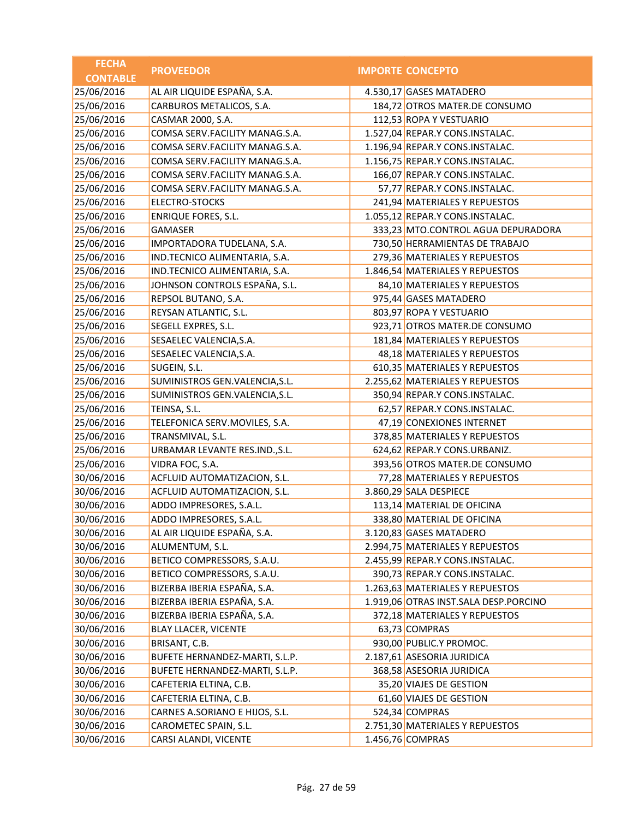| <b>FECHA</b>    | <b>PROVEEDOR</b>               | <b>IMPORTE CONCEPTO</b>               |
|-----------------|--------------------------------|---------------------------------------|
| <b>CONTABLE</b> |                                |                                       |
| 25/06/2016      | AL AIR LIQUIDE ESPAÑA, S.A.    | 4.530,17 GASES MATADERO               |
| 25/06/2016      | CARBUROS METALICOS, S.A.       | 184,72 OTROS MATER.DE CONSUMO         |
| 25/06/2016      | CASMAR 2000, S.A.              | 112,53 ROPA Y VESTUARIO               |
| 25/06/2016      | COMSA SERV.FACILITY MANAG.S.A. | 1.527,04 REPAR.Y CONS.INSTALAC.       |
| 25/06/2016      | COMSA SERV.FACILITY MANAG.S.A. | 1.196,94 REPAR.Y CONS.INSTALAC.       |
| 25/06/2016      | COMSA SERV.FACILITY MANAG.S.A. | 1.156,75 REPAR.Y CONS.INSTALAC.       |
| 25/06/2016      | COMSA SERV.FACILITY MANAG.S.A. | 166,07 REPAR.Y CONS.INSTALAC.         |
| 25/06/2016      | COMSA SERV.FACILITY MANAG.S.A. | 57,77 REPAR.Y CONS.INSTALAC.          |
| 25/06/2016      | <b>ELECTRO-STOCKS</b>          | 241,94 MATERIALES Y REPUESTOS         |
| 25/06/2016      | <b>ENRIQUE FORES, S.L.</b>     | 1.055,12 REPAR.Y CONS.INSTALAC.       |
| 25/06/2016      | <b>GAMASER</b>                 | 333,23 MTO.CONTROL AGUA DEPURADORA    |
| 25/06/2016      | IMPORTADORA TUDELANA, S.A.     | 730,50 HERRAMIENTAS DE TRABAJO        |
| 25/06/2016      | IND.TECNICO ALIMENTARIA, S.A.  | 279,36 MATERIALES Y REPUESTOS         |
| 25/06/2016      | IND.TECNICO ALIMENTARIA, S.A.  | 1.846,54 MATERIALES Y REPUESTOS       |
| 25/06/2016      | JOHNSON CONTROLS ESPAÑA, S.L.  | 84,10 MATERIALES Y REPUESTOS          |
| 25/06/2016      | REPSOL BUTANO, S.A.            | 975,44 GASES MATADERO                 |
| 25/06/2016      | REYSAN ATLANTIC, S.L.          | 803,97 ROPA Y VESTUARIO               |
| 25/06/2016      | SEGELL EXPRES, S.L.            | 923,71 OTROS MATER.DE CONSUMO         |
| 25/06/2016      | SESAELEC VALENCIA, S.A.        | 181,84 MATERIALES Y REPUESTOS         |
| 25/06/2016      | SESAELEC VALENCIA, S.A.        | 48,18 MATERIALES Y REPUESTOS          |
| 25/06/2016      | SUGEIN, S.L.                   | 610,35 MATERIALES Y REPUESTOS         |
| 25/06/2016      | SUMINISTROS GEN.VALENCIA, S.L. | 2.255,62 MATERIALES Y REPUESTOS       |
| 25/06/2016      | SUMINISTROS GEN.VALENCIA, S.L. | 350,94 REPAR.Y CONS.INSTALAC.         |
| 25/06/2016      | TEINSA, S.L.                   | 62,57 REPAR.Y CONS.INSTALAC.          |
| 25/06/2016      | TELEFONICA SERV.MOVILES, S.A.  | 47,19 CONEXIONES INTERNET             |
| 25/06/2016      | TRANSMIVAL, S.L.               | 378,85 MATERIALES Y REPUESTOS         |
| 25/06/2016      | URBAMAR LEVANTE RES.IND., S.L. | 624,62 REPAR.Y CONS.URBANIZ.          |
| 25/06/2016      | VIDRA FOC, S.A.                | 393,56 OTROS MATER.DE CONSUMO         |
| 30/06/2016      | ACFLUID AUTOMATIZACION, S.L.   | 77,28 MATERIALES Y REPUESTOS          |
| 30/06/2016      | ACFLUID AUTOMATIZACION, S.L.   | 3.860,29 SALA DESPIECE                |
| 30/06/2016      | ADDO IMPRESORES, S.A.L.        | 113,14 MATERIAL DE OFICINA            |
| 30/06/2016      | ADDO IMPRESORES, S.A.L         | 338,80 MATERIAL DE OFICINA            |
| 30/06/2016      | AL AIR LIQUIDE ESPAÑA, S.A.    | 3.120,83 GASES MATADERO               |
| 30/06/2016      | ALUMENTUM, S.L.                | 2.994,75 MATERIALES Y REPUESTOS       |
| 30/06/2016      | BETICO COMPRESSORS, S.A.U.     | 2.455,99 REPAR.Y CONS.INSTALAC.       |
| 30/06/2016      | BETICO COMPRESSORS, S.A.U.     | 390,73 REPAR.Y CONS.INSTALAC.         |
| 30/06/2016      | BIZERBA IBERIA ESPAÑA, S.A.    | 1.263,63 MATERIALES Y REPUESTOS       |
| 30/06/2016      | BIZERBA IBERIA ESPAÑA, S.A.    | 1.919,06 OTRAS INST.SALA DESP.PORCINO |
| 30/06/2016      | BIZERBA IBERIA ESPAÑA, S.A.    | 372,18 MATERIALES Y REPUESTOS         |
| 30/06/2016      | <b>BLAY LLACER, VICENTE</b>    | 63,73 COMPRAS                         |
| 30/06/2016      | BRISANT, C.B.                  | 930,00 PUBLIC.Y PROMOC.               |
| 30/06/2016      | BUFETE HERNANDEZ-MARTI, S.L.P. | 2.187,61 ASESORIA JURIDICA            |
| 30/06/2016      | BUFETE HERNANDEZ-MARTI, S.L.P. | 368,58 ASESORIA JURIDICA              |
| 30/06/2016      | CAFETERIA ELTINA, C.B.         | 35,20 VIAJES DE GESTION               |
| 30/06/2016      | CAFETERIA ELTINA, C.B.         | 61,60 VIAJES DE GESTION               |
| 30/06/2016      | CARNES A.SORIANO E HIJOS, S.L. | 524,34 COMPRAS                        |
| 30/06/2016      | CAROMETEC SPAIN, S.L.          | 2.751,30 MATERIALES Y REPUESTOS       |
| 30/06/2016      | CARSI ALANDI, VICENTE          | 1.456,76 COMPRAS                      |
|                 |                                |                                       |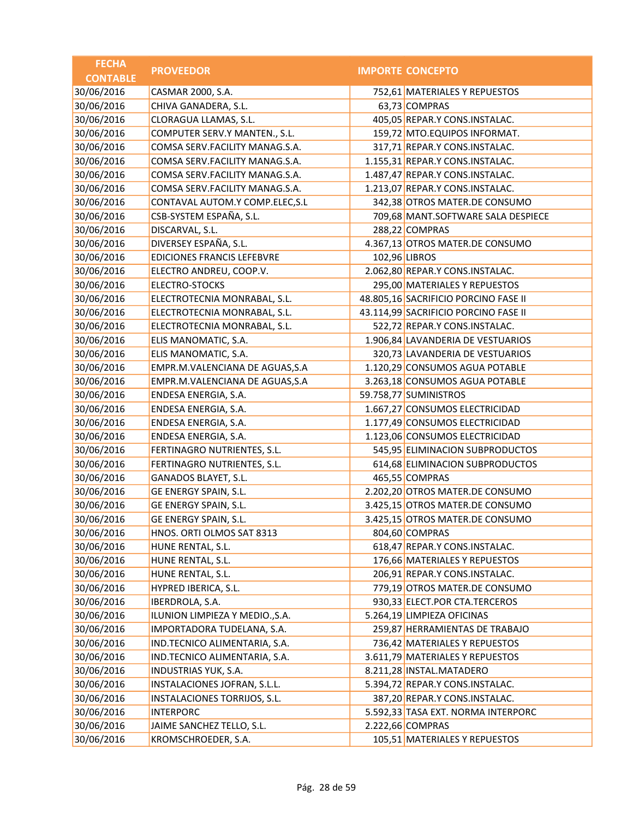| <b>FECHA</b>    | <b>PROVEEDOR</b>                  | <b>IMPORTE CONCEPTO</b>              |
|-----------------|-----------------------------------|--------------------------------------|
| <b>CONTABLE</b> |                                   |                                      |
| 30/06/2016      | CASMAR 2000, S.A.                 | 752,61 MATERIALES Y REPUESTOS        |
| 30/06/2016      | CHIVA GANADERA, S.L.              | 63,73 COMPRAS                        |
| 30/06/2016      | CLORAGUA LLAMAS, S.L.             | 405,05 REPAR.Y CONS.INSTALAC.        |
| 30/06/2016      | COMPUTER SERV.Y MANTEN., S.L.     | 159,72 MTO.EQUIPOS INFORMAT.         |
| 30/06/2016      | COMSA SERV.FACILITY MANAG.S.A.    | 317,71 REPAR.Y CONS.INSTALAC.        |
| 30/06/2016      | COMSA SERV.FACILITY MANAG.S.A.    | 1.155,31 REPAR.Y CONS.INSTALAC.      |
| 30/06/2016      | COMSA SERV.FACILITY MANAG.S.A.    | 1.487,47 REPAR.Y CONS.INSTALAC.      |
| 30/06/2016      | COMSA SERV.FACILITY MANAG.S.A.    | 1.213,07 REPAR.Y CONS.INSTALAC.      |
| 30/06/2016      | CONTAVAL AUTOM.Y COMP.ELEC, S.L   | 342,38 OTROS MATER.DE CONSUMO        |
| 30/06/2016      | CSB-SYSTEM ESPAÑA, S.L.           | 709,68 MANT.SOFTWARE SALA DESPIECE   |
| 30/06/2016      | DISCARVAL, S.L.                   | 288,22 COMPRAS                       |
| 30/06/2016      | DIVERSEY ESPAÑA, S.L.             | 4.367,13 OTROS MATER.DE CONSUMO      |
| 30/06/2016      | <b>EDICIONES FRANCIS LEFEBVRE</b> | 102,96 LIBROS                        |
| 30/06/2016      | ELECTRO ANDREU, COOP.V.           | 2.062,80 REPAR.Y CONS.INSTALAC.      |
| 30/06/2016      | ELECTRO-STOCKS                    | 295,00 MATERIALES Y REPUESTOS        |
| 30/06/2016      | ELECTROTECNIA MONRABAL, S.L.      | 48.805,16 SACRIFICIO PORCINO FASE II |
| 30/06/2016      | ELECTROTECNIA MONRABAL, S.L.      | 43.114,99 SACRIFICIO PORCINO FASE II |
| 30/06/2016      | ELECTROTECNIA MONRABAL, S.L.      | 522,72 REPAR.Y CONS.INSTALAC.        |
| 30/06/2016      | ELIS MANOMATIC, S.A.              | 1.906,84 LAVANDERIA DE VESTUARIOS    |
| 30/06/2016      | ELIS MANOMATIC, S.A.              | 320,73 LAVANDERIA DE VESTUARIOS      |
| 30/06/2016      | EMPR.M.VALENCIANA DE AGUAS, S.A   | 1.120,29 CONSUMOS AGUA POTABLE       |
| 30/06/2016      | EMPR.M.VALENCIANA DE AGUAS, S.A   | 3.263,18 CONSUMOS AGUA POTABLE       |
| 30/06/2016      | ENDESA ENERGIA, S.A.              | 59.758,77 SUMINISTROS                |
| 30/06/2016      | ENDESA ENERGIA, S.A.              | 1.667,27 CONSUMOS ELECTRICIDAD       |
| 30/06/2016      | ENDESA ENERGIA, S.A.              | 1.177,49 CONSUMOS ELECTRICIDAD       |
| 30/06/2016      | ENDESA ENERGIA, S.A.              | 1.123,06 CONSUMOS ELECTRICIDAD       |
| 30/06/2016      | FERTINAGRO NUTRIENTES, S.L.       | 545,95 ELIMINACION SUBPRODUCTOS      |
| 30/06/2016      | FERTINAGRO NUTRIENTES, S.L.       | 614,68 ELIMINACION SUBPRODUCTOS      |
| 30/06/2016      | GANADOS BLAYET, S.L.              | 465,55 COMPRAS                       |
| 30/06/2016      | GE ENERGY SPAIN, S.L.             | 2.202,20 OTROS MATER.DE CONSUMO      |
| 30/06/2016      | GE ENERGY SPAIN, S.L.             | 3.425,15 OTROS MATER.DE CONSUMO      |
| 30/06/2016      | GE ENERGY SPAIN, S.L.             | 3.425,15 OTROS MATER.DE CONSUMO      |
| 30/06/2016      | HNOS. ORTI OLMOS SAT 8313         | 804,60 COMPRAS                       |
| 30/06/2016      | HUNE RENTAL, S.L.                 | 618,47 REPAR.Y CONS.INSTALAC.        |
| 30/06/2016      | HUNE RENTAL, S.L.                 | 176,66 MATERIALES Y REPUESTOS        |
| 30/06/2016      | HUNE RENTAL, S.L.                 | 206,91 REPAR.Y CONS.INSTALAC.        |
| 30/06/2016      | HYPRED IBERICA, S.L.              | 779,19 OTROS MATER.DE CONSUMO        |
| 30/06/2016      | IBERDROLA, S.A.                   | 930,33 ELECT.POR CTA.TERCEROS        |
| 30/06/2016      | ILUNION LIMPIEZA Y MEDIO., S.A.   | 5.264,19 LIMPIEZA OFICINAS           |
| 30/06/2016      | IMPORTADORA TUDELANA, S.A.        | 259,87 HERRAMIENTAS DE TRABAJO       |
| 30/06/2016      | IND.TECNICO ALIMENTARIA, S.A.     | 736,42 MATERIALES Y REPUESTOS        |
| 30/06/2016      | IND.TECNICO ALIMENTARIA, S.A.     | 3.611,79 MATERIALES Y REPUESTOS      |
| 30/06/2016      | INDUSTRIAS YUK, S.A.              | 8.211,28 INSTAL.MATADERO             |
| 30/06/2016      | INSTALACIONES JOFRAN, S.L.L.      | 5.394,72 REPAR.Y CONS.INSTALAC.      |
| 30/06/2016      | INSTALACIONES TORRIJOS, S.L.      | 387,20 REPAR.Y CONS.INSTALAC.        |
| 30/06/2016      | <b>INTERPORC</b>                  | 5.592,33 TASA EXT. NORMA INTERPORC   |
| 30/06/2016      | JAIME SANCHEZ TELLO, S.L.         | 2.222,66 COMPRAS                     |
| 30/06/2016      | KROMSCHROEDER, S.A.               | 105,51 MATERIALES Y REPUESTOS        |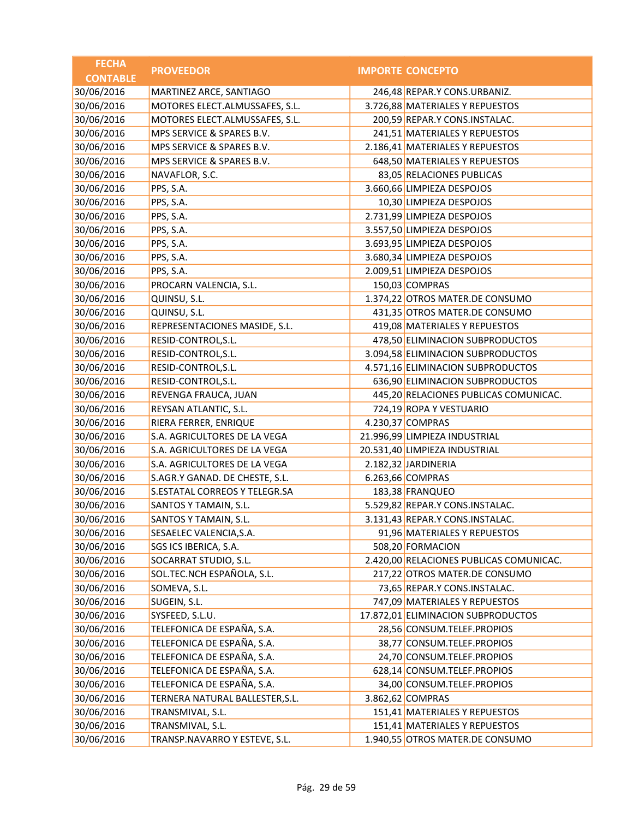| <b>FECHA</b>    |                                 |                                         |
|-----------------|---------------------------------|-----------------------------------------|
| <b>CONTABLE</b> | <b>PROVEEDOR</b>                | <b>IMPORTE CONCEPTO</b>                 |
| 30/06/2016      | MARTINEZ ARCE, SANTIAGO         | 246,48 REPAR.Y CONS.URBANIZ.            |
| 30/06/2016      | MOTORES ELECT.ALMUSSAFES, S.L.  | 3.726,88 MATERIALES Y REPUESTOS         |
| 30/06/2016      | MOTORES ELECT.ALMUSSAFES, S.L.  | 200,59 REPAR.Y CONS.INSTALAC.           |
| 30/06/2016      | MPS SERVICE & SPARES B.V.       | 241,51 MATERIALES Y REPUESTOS           |
| 30/06/2016      | MPS SERVICE & SPARES B.V.       | 2.186,41 MATERIALES Y REPUESTOS         |
| 30/06/2016      | MPS SERVICE & SPARES B.V.       | 648,50 MATERIALES Y REPUESTOS           |
| 30/06/2016      | NAVAFLOR, S.C.                  | 83,05 RELACIONES PUBLICAS               |
| 30/06/2016      | PPS, S.A.                       | 3.660,66 LIMPIEZA DESPOJOS              |
| 30/06/2016      | PPS, S.A.                       | 10,30 LIMPIEZA DESPOJOS                 |
| 30/06/2016      | PPS, S.A.                       | 2.731,99 LIMPIEZA DESPOJOS              |
| 30/06/2016      | PPS, S.A.                       | 3.557,50 LIMPIEZA DESPOJOS              |
| 30/06/2016      | PPS, S.A.                       | 3.693,95 LIMPIEZA DESPOJOS              |
| 30/06/2016      | PPS, S.A.                       | 3.680,34 LIMPIEZA DESPOJOS              |
| 30/06/2016      | PPS, S.A.                       | 2.009,51 LIMPIEZA DESPOJOS              |
| 30/06/2016      | PROCARN VALENCIA, S.L.          | 150,03 COMPRAS                          |
| 30/06/2016      | QUINSU, S.L.                    | 1.374,22 OTROS MATER.DE CONSUMO         |
| 30/06/2016      | QUINSU, S.L.                    | 431,35 OTROS MATER.DE CONSUMO           |
| 30/06/2016      | REPRESENTACIONES MASIDE, S.L.   | 419,08 MATERIALES Y REPUESTOS           |
| 30/06/2016      | RESID-CONTROL, S.L.             | 478,50 ELIMINACION SUBPRODUCTOS         |
| 30/06/2016      | RESID-CONTROL, S.L.             | 3.094,58 ELIMINACION SUBPRODUCTOS       |
| 30/06/2016      | RESID-CONTROL, S.L.             | 4.571,16 ELIMINACION SUBPRODUCTOS       |
| 30/06/2016      | RESID-CONTROL, S.L.             | 636,90 ELIMINACION SUBPRODUCTOS         |
| 30/06/2016      | REVENGA FRAUCA, JUAN            | 445,20 RELACIONES PUBLICAS COMUNICAC.   |
| 30/06/2016      | REYSAN ATLANTIC, S.L.           | 724,19 ROPA Y VESTUARIO                 |
| 30/06/2016      | RIERA FERRER, ENRIQUE           | 4.230,37 COMPRAS                        |
| 30/06/2016      | S.A. AGRICULTORES DE LA VEGA    | 21.996,99 LIMPIEZA INDUSTRIAL           |
| 30/06/2016      | S.A. AGRICULTORES DE LA VEGA    | 20.531,40 LIMPIEZA INDUSTRIAL           |
| 30/06/2016      | S.A. AGRICULTORES DE LA VEGA    | 2.182,32 JARDINERIA                     |
| 30/06/2016      | S.AGR.Y GANAD. DE CHESTE, S.L.  | 6.263,66 COMPRAS                        |
| 30/06/2016      | S.ESTATAL CORREOS Y TELEGR.SA   | 183,38 FRANQUEO                         |
| 30/06/2016      | SANTOS Y TAMAIN, S.L.           | 5.529,82 REPAR.Y CONS.INSTALAC.         |
| 30/06/2016      | SANTOS Y TAMAIN, S.L.           | 3.131,43 REPAR.Y CONS.INSTALAC.         |
| 30/06/2016      | SESAELEC VALENCIA, S.A.         | 91,96 MATERIALES Y REPUESTOS            |
| 30/06/2016      | SGS ICS IBERICA, S.A.           | 508,20 FORMACION                        |
| 30/06/2016      | SOCARRAT STUDIO, S.L.           | 2.420,00 RELACIONES PUBLICAS COMUNICAC. |
| 30/06/2016      | SOL.TEC.NCH ESPAÑOLA, S.L.      | 217,22 OTROS MATER.DE CONSUMO           |
| 30/06/2016      | SOMEVA, S.L.                    | 73,65 REPAR.Y CONS.INSTALAC.            |
| 30/06/2016      | SUGEIN, S.L.                    | 747,09 MATERIALES Y REPUESTOS           |
| 30/06/2016      | SYSFEED, S.L.U.                 | 17.872,01 ELIMINACION SUBPRODUCTOS      |
| 30/06/2016      | TELEFONICA DE ESPAÑA, S.A.      | 28,56 CONSUM.TELEF.PROPIOS              |
| 30/06/2016      | TELEFONICA DE ESPAÑA, S.A.      | 38,77 CONSUM.TELEF.PROPIOS              |
| 30/06/2016      | TELEFONICA DE ESPAÑA, S.A.      | 24,70 CONSUM.TELEF.PROPIOS              |
| 30/06/2016      | TELEFONICA DE ESPAÑA, S.A.      | 628,14 CONSUM.TELEF.PROPIOS             |
| 30/06/2016      | TELEFONICA DE ESPAÑA, S.A.      | 34,00 CONSUM.TELEF.PROPIOS              |
| 30/06/2016      | TERNERA NATURAL BALLESTER, S.L. | 3.862,62 COMPRAS                        |
| 30/06/2016      | TRANSMIVAL, S.L.                | 151,41 MATERIALES Y REPUESTOS           |
| 30/06/2016      | TRANSMIVAL, S.L.                | 151,41 MATERIALES Y REPUESTOS           |
| 30/06/2016      | TRANSP.NAVARRO Y ESTEVE, S.L.   | 1.940,55 OTROS MATER.DE CONSUMO         |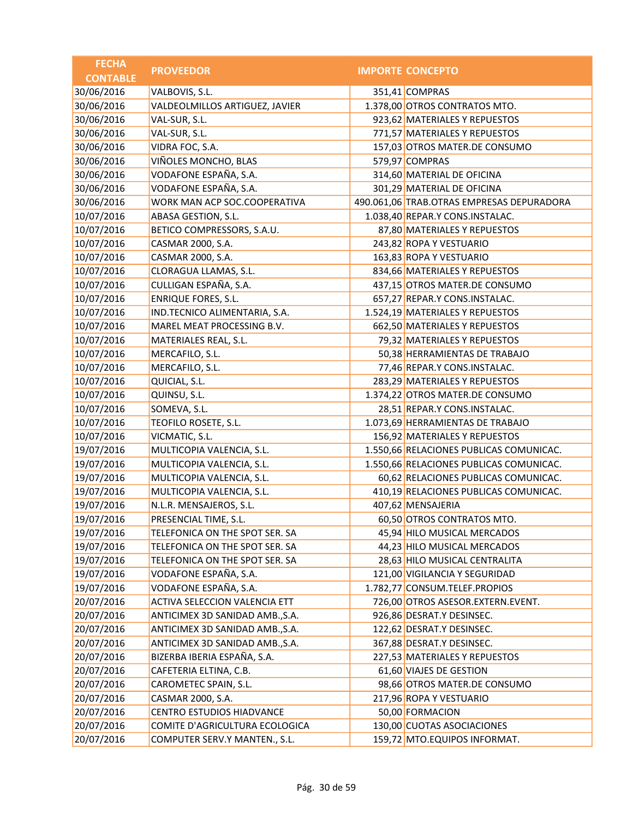| <b>FECHA</b>    | <b>PROVEEDOR</b>                     | <b>IMPORTE CONCEPTO</b>                   |
|-----------------|--------------------------------------|-------------------------------------------|
| <b>CONTABLE</b> |                                      |                                           |
| 30/06/2016      | VALBOVIS, S.L.                       | 351,41 COMPRAS                            |
| 30/06/2016      | VALDEOLMILLOS ARTIGUEZ, JAVIER       | 1.378,00 OTROS CONTRATOS MTO.             |
| 30/06/2016      | VAL-SUR, S.L.                        | 923,62 MATERIALES Y REPUESTOS             |
| 30/06/2016      | VAL-SUR, S.L.                        | 771,57 MATERIALES Y REPUESTOS             |
| 30/06/2016      | VIDRA FOC, S.A.                      | 157,03 OTROS MATER.DE CONSUMO             |
| 30/06/2016      | VIÑOLES MONCHO, BLAS                 | 579,97 COMPRAS                            |
| 30/06/2016      | VODAFONE ESPAÑA, S.A.                | 314,60 MATERIAL DE OFICINA                |
| 30/06/2016      | VODAFONE ESPAÑA, S.A.                | 301,29 MATERIAL DE OFICINA                |
| 30/06/2016      | WORK MAN ACP SOC.COOPERATIVA         | 490.061,06 TRAB.OTRAS EMPRESAS DEPURADORA |
| 10/07/2016      | ABASA GESTION, S.L.                  | 1.038,40 REPAR.Y CONS.INSTALAC.           |
| 10/07/2016      | BETICO COMPRESSORS, S.A.U.           | 87,80 MATERIALES Y REPUESTOS              |
| 10/07/2016      | CASMAR 2000, S.A.                    | 243,82 ROPA Y VESTUARIO                   |
| 10/07/2016      | CASMAR 2000, S.A.                    | 163,83 ROPA Y VESTUARIO                   |
| 10/07/2016      | CLORAGUA LLAMAS, S.L.                | 834,66 MATERIALES Y REPUESTOS             |
| 10/07/2016      | CULLIGAN ESPAÑA, S.A.                | 437,15 OTROS MATER.DE CONSUMO             |
| 10/07/2016      | <b>ENRIQUE FORES, S.L.</b>           | 657,27 REPAR.Y CONS.INSTALAC.             |
| 10/07/2016      | IND.TECNICO ALIMENTARIA, S.A.        | 1.524,19 MATERIALES Y REPUESTOS           |
| 10/07/2016      | MAREL MEAT PROCESSING B.V.           | 662,50 MATERIALES Y REPUESTOS             |
| 10/07/2016      | MATERIALES REAL, S.L.                | 79,32 MATERIALES Y REPUESTOS              |
| 10/07/2016      | MERCAFILO, S.L.                      | 50,38 HERRAMIENTAS DE TRABAJO             |
| 10/07/2016      | MERCAFILO, S.L.                      | 77,46 REPAR.Y CONS.INSTALAC.              |
| 10/07/2016      | QUICIAL, S.L.                        | 283,29 MATERIALES Y REPUESTOS             |
| 10/07/2016      | QUINSU, S.L.                         | 1.374,22 OTROS MATER.DE CONSUMO           |
| 10/07/2016      | SOMEVA, S.L.                         | 28,51 REPAR.Y CONS.INSTALAC.              |
| 10/07/2016      | TEOFILO ROSETE, S.L.                 | 1.073,69 HERRAMIENTAS DE TRABAJO          |
| 10/07/2016      | VICMATIC, S.L.                       | 156,92 MATERIALES Y REPUESTOS             |
| 19/07/2016      | MULTICOPIA VALENCIA, S.L.            | 1.550,66 RELACIONES PUBLICAS COMUNICAC.   |
| 19/07/2016      | MULTICOPIA VALENCIA, S.L.            | 1.550,66 RELACIONES PUBLICAS COMUNICAC.   |
| 19/07/2016      | MULTICOPIA VALENCIA, S.L.            | 60,62 RELACIONES PUBLICAS COMUNICAC.      |
| 19/07/2016      | MULTICOPIA VALENCIA, S.L.            | 410,19 RELACIONES PUBLICAS COMUNICAC.     |
| 19/07/2016      | N.L.R. MENSAJEROS, S.L.              | 407,62 MENSAJERIA                         |
| 19/07/2016      | PRESENCIAL TIME, S.L.                | 60,50 OTROS CONTRATOS MTO.                |
| 19/07/2016      | TELEFONICA ON THE SPOT SER. SA       | 45,94 HILO MUSICAL MERCADOS               |
| 19/07/2016      | TELEFONICA ON THE SPOT SER. SA       | 44,23 HILO MUSICAL MERCADOS               |
| 19/07/2016      | TELEFONICA ON THE SPOT SER. SA       | 28,63 HILO MUSICAL CENTRALITA             |
| 19/07/2016      | VODAFONE ESPAÑA, S.A.                | 121,00 VIGILANCIA Y SEGURIDAD             |
| 19/07/2016      | VODAFONE ESPAÑA, S.A.                | 1.782,77 CONSUM.TELEF.PROPIOS             |
| 20/07/2016      | <b>ACTIVA SELECCION VALENCIA ETT</b> | 726,00 OTROS ASESOR.EXTERN.EVENT.         |
| 20/07/2016      | ANTICIMEX 3D SANIDAD AMB., S.A.      | 926,86 DESRAT.Y DESINSEC.                 |
| 20/07/2016      | ANTICIMEX 3D SANIDAD AMB., S.A.      | 122,62 DESRAT.Y DESINSEC.                 |
| 20/07/2016      | ANTICIMEX 3D SANIDAD AMB., S.A.      | 367,88 DESRAT.Y DESINSEC.                 |
| 20/07/2016      | BIZERBA IBERIA ESPAÑA, S.A.          | 227,53 MATERIALES Y REPUESTOS             |
| 20/07/2016      | CAFETERIA ELTINA, C.B.               | 61,60 VIAJES DE GESTION                   |
| 20/07/2016      | CAROMETEC SPAIN, S.L.                | 98,66 OTROS MATER.DE CONSUMO              |
| 20/07/2016      | CASMAR 2000, S.A.                    | 217,96 ROPA Y VESTUARIO                   |
| 20/07/2016      | CENTRO ESTUDIOS HIADVANCE            | 50,00 FORMACION                           |
| 20/07/2016      | COMITE D'AGRICULTURA ECOLOGICA       | 130,00 CUOTAS ASOCIACIONES                |
| 20/07/2016      | COMPUTER SERV.Y MANTEN., S.L.        | 159,72 MTO.EQUIPOS INFORMAT.              |
|                 |                                      |                                           |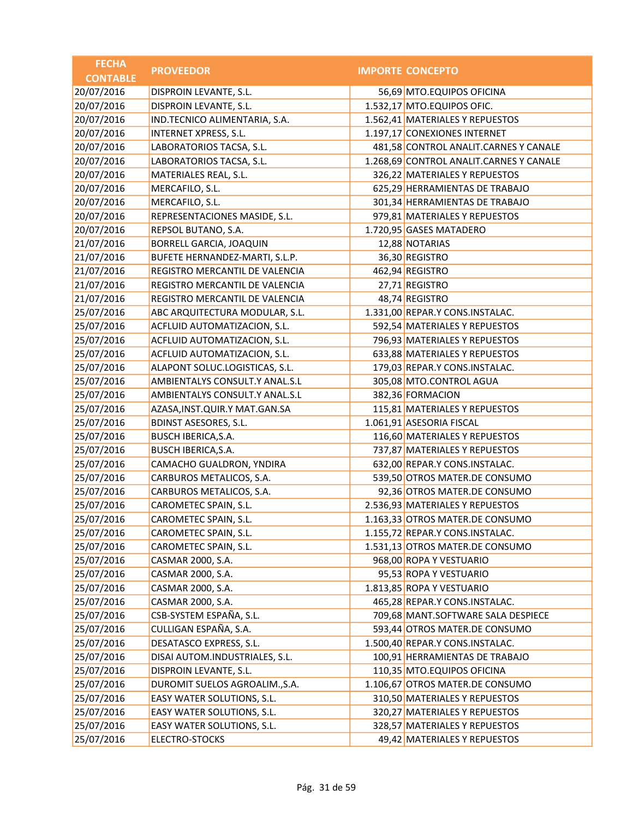| <b>FECHA</b>    | <b>PROVEEDOR</b>                  | <b>IMPORTE CONCEPTO</b>                 |
|-----------------|-----------------------------------|-----------------------------------------|
| <b>CONTABLE</b> |                                   |                                         |
| 20/07/2016      | DISPROIN LEVANTE, S.L.            | 56,69 MTO.EQUIPOS OFICINA               |
| 20/07/2016      | DISPROIN LEVANTE, S.L.            | 1.532,17 MTO.EQUIPOS OFIC.              |
| 20/07/2016      | IND.TECNICO ALIMENTARIA, S.A.     | 1.562,41 MATERIALES Y REPUESTOS         |
| 20/07/2016      | INTERNET XPRESS, S.L.             | 1.197,17 CONEXIONES INTERNET            |
| 20/07/2016      | LABORATORIOS TACSA, S.L.          | 481,58 CONTROL ANALIT.CARNES Y CANALE   |
| 20/07/2016      | LABORATORIOS TACSA, S.L.          | 1.268,69 CONTROL ANALIT.CARNES Y CANALE |
| 20/07/2016      | MATERIALES REAL, S.L.             | 326,22 MATERIALES Y REPUESTOS           |
| 20/07/2016      | MERCAFILO, S.L.                   | 625,29 HERRAMIENTAS DE TRABAJO          |
| 20/07/2016      | MERCAFILO, S.L.                   | 301,34 HERRAMIENTAS DE TRABAJO          |
| 20/07/2016      | REPRESENTACIONES MASIDE, S.L.     | 979,81 MATERIALES Y REPUESTOS           |
| 20/07/2016      | REPSOL BUTANO, S.A.               | 1.720,95 GASES MATADERO                 |
| 21/07/2016      | BORRELL GARCIA, JOAQUIN           | 12,88 NOTARIAS                          |
| 21/07/2016      | BUFETE HERNANDEZ-MARTI, S.L.P.    | 36,30 REGISTRO                          |
| 21/07/2016      | REGISTRO MERCANTIL DE VALENCIA    | 462,94 REGISTRO                         |
| 21/07/2016      | REGISTRO MERCANTIL DE VALENCIA    | 27,71 REGISTRO                          |
| 21/07/2016      | REGISTRO MERCANTIL DE VALENCIA    | 48,74 REGISTRO                          |
| 25/07/2016      | ABC ARQUITECTURA MODULAR, S.L.    | 1.331,00 REPAR.Y CONS.INSTALAC.         |
| 25/07/2016      | ACFLUID AUTOMATIZACION, S.L.      | 592,54 MATERIALES Y REPUESTOS           |
| 25/07/2016      | ACFLUID AUTOMATIZACION, S.L.      | 796,93 MATERIALES Y REPUESTOS           |
| 25/07/2016      | ACFLUID AUTOMATIZACION, S.L.      | 633,88 MATERIALES Y REPUESTOS           |
| 25/07/2016      | ALAPONT SOLUC.LOGISTICAS, S.L.    | 179,03 REPAR.Y CONS.INSTALAC.           |
| 25/07/2016      | AMBIENTALYS CONSULT.Y ANAL.S.L    | 305,08 MTO.CONTROL AGUA                 |
| 25/07/2016      | AMBIENTALYS CONSULT.Y ANAL.S.L    | 382,36 FORMACION                        |
| 25/07/2016      | AZASA, INST. QUIR. Y MAT. GAN. SA | 115,81 MATERIALES Y REPUESTOS           |
| 25/07/2016      | <b>BDINST ASESORES, S.L.</b>      | 1.061,91 ASESORIA FISCAL                |
| 25/07/2016      | BUSCH IBERICA, S.A.               | 116,60 MATERIALES Y REPUESTOS           |
| 25/07/2016      | <b>BUSCH IBERICA, S.A.</b>        | 737,87 MATERIALES Y REPUESTOS           |
| 25/07/2016      | CAMACHO GUALDRON, YNDIRA          | 632,00 REPAR.Y CONS.INSTALAC.           |
| 25/07/2016      | CARBUROS METALICOS, S.A.          | 539,50 OTROS MATER.DE CONSUMO           |
| 25/07/2016      | CARBUROS METALICOS, S.A.          | 92,36 OTROS MATER.DE CONSUMO            |
| 25/07/2016      | CAROMETEC SPAIN, S.L.             | 2.536,93 MATERIALES Y REPUESTOS         |
| 25/07/2016      | CAROMETEC SPAIN, S.L.             | 1.163,33 OTROS MATER.DE CONSUMO         |
| 25/07/2016      | CAROMETEC SPAIN, S.L.             | 1.155,72 REPAR.Y CONS.INSTALAC.         |
| 25/07/2016      | CAROMETEC SPAIN, S.L.             | 1.531,13 OTROS MATER.DE CONSUMO         |
| 25/07/2016      | CASMAR 2000, S.A.                 | 968,00 ROPA Y VESTUARIO                 |
| 25/07/2016      | CASMAR 2000, S.A.                 | 95,53 ROPA Y VESTUARIO                  |
| 25/07/2016      | CASMAR 2000, S.A.                 | 1.813,85 ROPA Y VESTUARIO               |
| 25/07/2016      | CASMAR 2000, S.A.                 | 465,28 REPAR.Y CONS.INSTALAC.           |
| 25/07/2016      | CSB-SYSTEM ESPAÑA, S.L.           | 709,68 MANT.SOFTWARE SALA DESPIECE      |
| 25/07/2016      | CULLIGAN ESPAÑA, S.A.             | 593,44 OTROS MATER.DE CONSUMO           |
| 25/07/2016      | DESATASCO EXPRESS, S.L.           | 1.500,40 REPAR.Y CONS.INSTALAC.         |
| 25/07/2016      | DISAI AUTOM.INDUSTRIALES, S.L.    | 100,91 HERRAMIENTAS DE TRABAJO          |
| 25/07/2016      | DISPROIN LEVANTE, S.L.            | 110,35 MTO.EQUIPOS OFICINA              |
| 25/07/2016      | DUROMIT SUELOS AGROALIM., S.A.    | 1.106,67 OTROS MATER.DE CONSUMO         |
| 25/07/2016      | EASY WATER SOLUTIONS, S.L.        | 310,50 MATERIALES Y REPUESTOS           |
| 25/07/2016      | EASY WATER SOLUTIONS, S.L.        | 320,27 MATERIALES Y REPUESTOS           |
| 25/07/2016      | EASY WATER SOLUTIONS, S.L.        | 328,57 MATERIALES Y REPUESTOS           |
| 25/07/2016      | ELECTRO-STOCKS                    | 49,42 MATERIALES Y REPUESTOS            |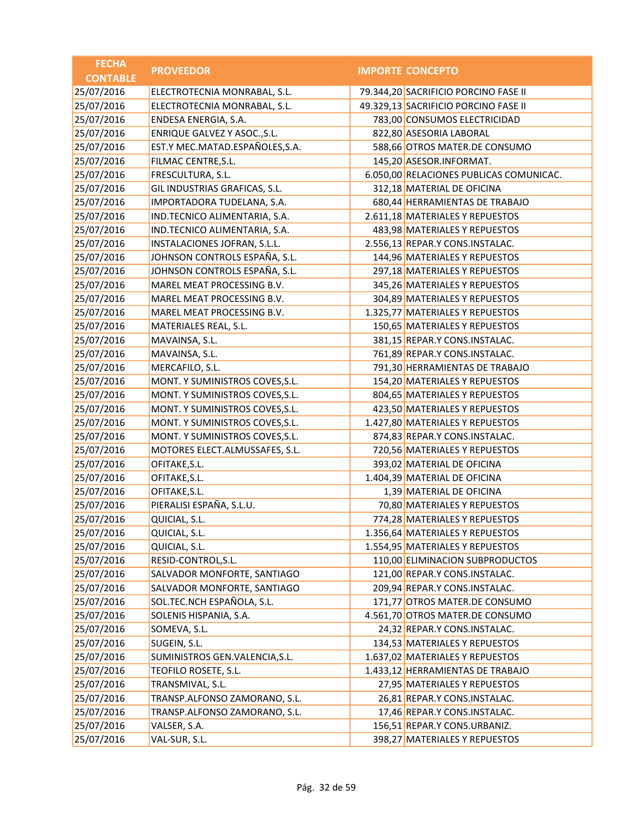| <b>FECHA</b>    | <b>PROVEEDOR</b>                | <b>IMPORTE CONCEPTO</b>                 |
|-----------------|---------------------------------|-----------------------------------------|
| <b>CONTABLE</b> |                                 |                                         |
| 25/07/2016      | ELECTROTECNIA MONRABAL, S.L.    | 79.344,20 SACRIFICIO PORCINO FASE II    |
| 25/07/2016      | ELECTROTECNIA MONRABAL, S.L.    | 49.329,13 SACRIFICIO PORCINO FASE II    |
| 25/07/2016      | ENDESA ENERGIA, S.A.            | 783,00 CONSUMOS ELECTRICIDAD            |
| 25/07/2016      | ENRIQUE GALVEZ Y ASOC., S.L.    | 822,80 ASESORIA LABORAL                 |
| 25/07/2016      | EST.Y MEC.MATAD.ESPAÑOLES,S.A.  | 588,66 OTROS MATER.DE CONSUMO           |
| 25/07/2016      | FILMAC CENTRE, S.L.             | 145,20 ASESOR.INFORMAT.                 |
| 25/07/2016      | FRESCULTURA, S.L.               | 6.050,00 RELACIONES PUBLICAS COMUNICAC. |
| 25/07/2016      | GIL INDUSTRIAS GRAFICAS, S.L.   | 312,18 MATERIAL DE OFICINA              |
| 25/07/2016      | IMPORTADORA TUDELANA, S.A.      | 680,44 HERRAMIENTAS DE TRABAJO          |
| 25/07/2016      | IND.TECNICO ALIMENTARIA, S.A.   | 2.611,18 MATERIALES Y REPUESTOS         |
| 25/07/2016      | IND.TECNICO ALIMENTARIA, S.A.   | 483,98 MATERIALES Y REPUESTOS           |
| 25/07/2016      | INSTALACIONES JOFRAN, S.L.L.    | 2.556,13 REPAR.Y CONS.INSTALAC.         |
| 25/07/2016      | JOHNSON CONTROLS ESPAÑA, S.L.   | 144,96 MATERIALES Y REPUESTOS           |
| 25/07/2016      | JOHNSON CONTROLS ESPAÑA, S.L.   | 297,18 MATERIALES Y REPUESTOS           |
| 25/07/2016      | MAREL MEAT PROCESSING B.V.      | 345,26 MATERIALES Y REPUESTOS           |
| 25/07/2016      | MAREL MEAT PROCESSING B.V.      | 304,89 MATERIALES Y REPUESTOS           |
| 25/07/2016      | MAREL MEAT PROCESSING B.V.      | 1.325,77 MATERIALES Y REPUESTOS         |
| 25/07/2016      | MATERIALES REAL, S.L.           | 150,65 MATERIALES Y REPUESTOS           |
| 25/07/2016      | MAVAINSA, S.L.                  | 381,15 REPAR.Y CONS.INSTALAC.           |
| 25/07/2016      | MAVAINSA, S.L.                  | 761,89 REPAR.Y CONS.INSTALAC.           |
| 25/07/2016      | MERCAFILO, S.L.                 | 791,30 HERRAMIENTAS DE TRABAJO          |
| 25/07/2016      | MONT. Y SUMINISTROS COVES, S.L. | 154,20 MATERIALES Y REPUESTOS           |
| 25/07/2016      | MONT. Y SUMINISTROS COVES, S.L. | 804,65 MATERIALES Y REPUESTOS           |
| 25/07/2016      | MONT. Y SUMINISTROS COVES, S.L. | 423,50 MATERIALES Y REPUESTOS           |
| 25/07/2016      | MONT. Y SUMINISTROS COVES, S.L. | 1.427,80 MATERIALES Y REPUESTOS         |
| 25/07/2016      | MONT. Y SUMINISTROS COVES, S.L. | 874,83 REPAR.Y CONS.INSTALAC.           |
| 25/07/2016      | MOTORES ELECT.ALMUSSAFES, S.L.  | 720,56 MATERIALES Y REPUESTOS           |
| 25/07/2016      | OFITAKE, S.L.                   | 393,02 MATERIAL DE OFICINA              |
| 25/07/2016      | OFITAKE, S.L.                   | 1.404,39 MATERIAL DE OFICINA            |
| 25/07/2016      | OFITAKE, S.L.                   | 1,39 MATERIAL DE OFICINA                |
| 25/07/2016      | PIERALISI ESPAÑA, S.L.U.        | 70,80 MATERIALES Y REPUESTOS            |
| 25/07/2016      | QUICIAL, S.L.                   | 774,28 MATERIALES Y REPUESTOS           |
| 25/07/2016      | QUICIAL, S.L.                   | 1.356,64 MATERIALES Y REPUESTOS         |
| 25/07/2016      | QUICIAL, S.L.                   | 1.554,95 MATERIALES Y REPUESTOS         |
| 25/07/2016      | RESID-CONTROL, S.L.             | 110,00 ELIMINACION SUBPRODUCTOS         |
| 25/07/2016      | SALVADOR MONFORTE, SANTIAGO     | 121,00 REPAR.Y CONS.INSTALAC.           |
| 25/07/2016      | SALVADOR MONFORTE, SANTIAGO     | 209,94 REPAR.Y CONS.INSTALAC.           |
| 25/07/2016      | SOL.TEC.NCH ESPAÑOLA, S.L.      | 171,77 OTROS MATER.DE CONSUMO           |
| 25/07/2016      | SOLENIS HISPANIA, S.A.          | 4.561,70 OTROS MATER.DE CONSUMO         |
| 25/07/2016      | SOMEVA, S.L.                    | 24,32 REPAR.Y CONS.INSTALAC.            |
| 25/07/2016      | SUGEIN, S.L.                    | 134,53 MATERIALES Y REPUESTOS           |
| 25/07/2016      | SUMINISTROS GEN.VALENCIA, S.L.  | 1.637,02 MATERIALES Y REPUESTOS         |
| 25/07/2016      | TEOFILO ROSETE, S.L.            | 1.433,12 HERRAMIENTAS DE TRABAJO        |
| 25/07/2016      | TRANSMIVAL, S.L.                | 27,95 MATERIALES Y REPUESTOS            |
| 25/07/2016      | TRANSP.ALFONSO ZAMORANO, S.L.   | 26,81 REPAR.Y CONS.INSTALAC.            |
| 25/07/2016      | TRANSP.ALFONSO ZAMORANO, S.L.   | 17,46 REPAR.Y CONS.INSTALAC.            |
| 25/07/2016      | VALSER, S.A.                    | 156,51 REPAR.Y CONS.URBANIZ.            |
| 25/07/2016      | VAL-SUR, S.L.                   | 398,27 MATERIALES Y REPUESTOS           |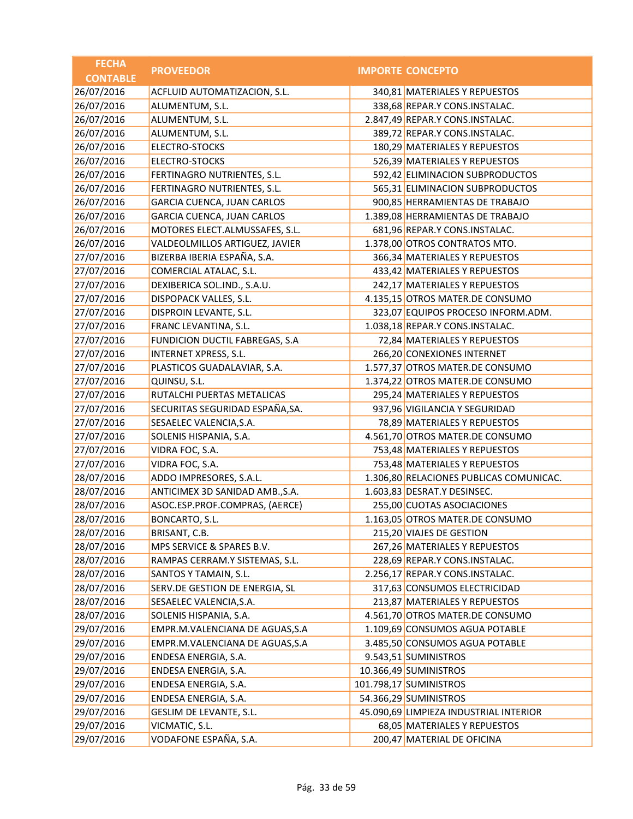| <b>FECHA</b>    | <b>PROVEEDOR</b>                  | <b>IMPORTE CONCEPTO</b>                 |
|-----------------|-----------------------------------|-----------------------------------------|
| <b>CONTABLE</b> |                                   |                                         |
| 26/07/2016      | ACFLUID AUTOMATIZACION, S.L.      | 340,81 MATERIALES Y REPUESTOS           |
| 26/07/2016      | ALUMENTUM, S.L.                   | 338,68 REPAR.Y CONS.INSTALAC.           |
| 26/07/2016      | ALUMENTUM, S.L.                   | 2.847,49 REPAR.Y CONS.INSTALAC.         |
| 26/07/2016      | ALUMENTUM, S.L.                   | 389,72 REPAR.Y CONS.INSTALAC.           |
| 26/07/2016      | ELECTRO-STOCKS                    | 180,29 MATERIALES Y REPUESTOS           |
| 26/07/2016      | <b>ELECTRO-STOCKS</b>             | 526,39 MATERIALES Y REPUESTOS           |
| 26/07/2016      | FERTINAGRO NUTRIENTES, S.L.       | 592,42 ELIMINACION SUBPRODUCTOS         |
| 26/07/2016      | FERTINAGRO NUTRIENTES, S.L.       | 565,31 ELIMINACION SUBPRODUCTOS         |
| 26/07/2016      | <b>GARCIA CUENCA, JUAN CARLOS</b> | 900,85 HERRAMIENTAS DE TRABAJO          |
| 26/07/2016      | <b>GARCIA CUENCA, JUAN CARLOS</b> | 1.389,08 HERRAMIENTAS DE TRABAJO        |
| 26/07/2016      | MOTORES ELECT.ALMUSSAFES, S.L.    | 681,96 REPAR.Y CONS.INSTALAC.           |
| 26/07/2016      | VALDEOLMILLOS ARTIGUEZ, JAVIER    | 1.378,00 OTROS CONTRATOS MTO.           |
| 27/07/2016      | BIZERBA IBERIA ESPAÑA, S.A.       | 366,34 MATERIALES Y REPUESTOS           |
| 27/07/2016      | COMERCIAL ATALAC, S.L.            | 433,42 MATERIALES Y REPUESTOS           |
| 27/07/2016      | DEXIBERICA SOL.IND., S.A.U.       | 242,17 MATERIALES Y REPUESTOS           |
| 27/07/2016      | DISPOPACK VALLES, S.L.            | 4.135,15 OTROS MATER.DE CONSUMO         |
| 27/07/2016      | DISPROIN LEVANTE, S.L.            | 323,07 EQUIPOS PROCESO INFORM.ADM.      |
| 27/07/2016      | FRANC LEVANTINA, S.L.             | 1.038,18 REPAR.Y CONS.INSTALAC.         |
| 27/07/2016      | FUNDICION DUCTIL FABREGAS, S.A    | 72,84 MATERIALES Y REPUESTOS            |
| 27/07/2016      | INTERNET XPRESS, S.L.             | 266,20 CONEXIONES INTERNET              |
| 27/07/2016      | PLASTICOS GUADALAVIAR, S.A.       | 1.577,37 OTROS MATER.DE CONSUMO         |
| 27/07/2016      | QUINSU, S.L.                      | 1.374,22 OTROS MATER.DE CONSUMO         |
| 27/07/2016      | RUTALCHI PUERTAS METALICAS        | 295,24 MATERIALES Y REPUESTOS           |
| 27/07/2016      | SECURITAS SEGURIDAD ESPAÑA, SA.   | 937,96 VIGILANCIA Y SEGURIDAD           |
| 27/07/2016      | SESAELEC VALENCIA, S.A.           | 78,89 MATERIALES Y REPUESTOS            |
| 27/07/2016      | SOLENIS HISPANIA, S.A.            | 4.561,70 OTROS MATER.DE CONSUMO         |
| 27/07/2016      | VIDRA FOC, S.A.                   | 753,48 MATERIALES Y REPUESTOS           |
| 27/07/2016      | VIDRA FOC, S.A.                   | 753,48 MATERIALES Y REPUESTOS           |
| 28/07/2016      | ADDO IMPRESORES, S.A.L.           | 1.306,80 RELACIONES PUBLICAS COMUNICAC. |
| 28/07/2016      | ANTICIMEX 3D SANIDAD AMB., S.A.   | 1.603,83 DESRAT.Y DESINSEC.             |
| 28/07/2016      | ASOC.ESP.PROF.COMPRAS, (AERCE)    | 255,00 CUOTAS ASOCIACIONES              |
| 28/07/2016      | BONCARTO, S.L.                    | 1.163,05 OTROS MATER.DE CONSUMO         |
| 28/07/2016      | BRISANT, C.B.                     | 215,20 VIAJES DE GESTION                |
| 28/07/2016      | MPS SERVICE & SPARES B.V.         | 267,26 MATERIALES Y REPUESTOS           |
| 28/07/2016      | RAMPAS CERRAM.Y SISTEMAS, S.L.    | 228,69 REPAR.Y CONS.INSTALAC.           |
| 28/07/2016      | SANTOS Y TAMAIN, S.L.             | 2.256,17 REPAR.Y CONS.INSTALAC.         |
| 28/07/2016      | SERV.DE GESTION DE ENERGIA, SL    | 317,63 CONSUMOS ELECTRICIDAD            |
| 28/07/2016      | SESAELEC VALENCIA, S.A.           | 213,87 MATERIALES Y REPUESTOS           |
| 28/07/2016      | SOLENIS HISPANIA, S.A.            | 4.561,70 OTROS MATER.DE CONSUMO         |
| 29/07/2016      | EMPR.M.VALENCIANA DE AGUAS, S.A   | 1.109,69 CONSUMOS AGUA POTABLE          |
| 29/07/2016      | EMPR.M.VALENCIANA DE AGUAS, S.A   | 3.485,50 CONSUMOS AGUA POTABLE          |
| 29/07/2016      | ENDESA ENERGIA, S.A.              | 9.543,51 SUMINISTROS                    |
| 29/07/2016      | ENDESA ENERGIA, S.A.              | 10.366,49 SUMINISTROS                   |
| 29/07/2016      | ENDESA ENERGIA, S.A.              | 101.798,17 SUMINISTROS                  |
| 29/07/2016      | ENDESA ENERGIA, S.A.              | 54.366,29 SUMINISTROS                   |
| 29/07/2016      | GESLIM DE LEVANTE, S.L.           | 45.090,69 LIMPIEZA INDUSTRIAL INTERIOR  |
| 29/07/2016      | VICMATIC, S.L.                    | 68,05 MATERIALES Y REPUESTOS            |
| 29/07/2016      | VODAFONE ESPAÑA, S.A.             | 200,47 MATERIAL DE OFICINA              |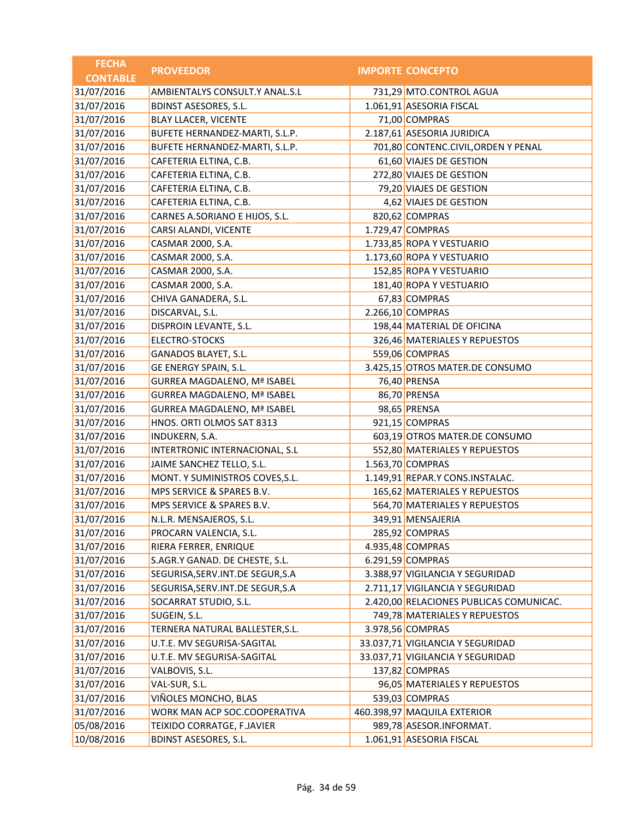| <b>FECHA</b>    | <b>PROVEEDOR</b>                   | <b>IMPORTE CONCEPTO</b>                 |
|-----------------|------------------------------------|-----------------------------------------|
| <b>CONTABLE</b> |                                    |                                         |
| 31/07/2016      | AMBIENTALYS CONSULT.Y ANAL.S.L     | 731,29 MTO.CONTROL AGUA                 |
| 31/07/2016      | <b>BDINST ASESORES, S.L.</b>       | 1.061,91 ASESORIA FISCAL                |
| 31/07/2016      | <b>BLAY LLACER, VICENTE</b>        | 71,00 COMPRAS                           |
| 31/07/2016      | BUFETE HERNANDEZ-MARTI, S.L.P.     | 2.187,61 ASESORIA JURIDICA              |
| 31/07/2016      | BUFETE HERNANDEZ-MARTI, S.L.P.     | 701,80 CONTENC.CIVIL, ORDEN Y PENAL     |
| 31/07/2016      | CAFETERIA ELTINA, C.B.             | 61,60 VIAJES DE GESTION                 |
| 31/07/2016      | CAFETERIA ELTINA, C.B.             | 272,80 VIAJES DE GESTION                |
| 31/07/2016      | CAFETERIA ELTINA, C.B.             | 79,20 VIAJES DE GESTION                 |
| 31/07/2016      | CAFETERIA ELTINA, C.B.             | 4,62 VIAJES DE GESTION                  |
| 31/07/2016      | CARNES A.SORIANO E HIJOS, S.L.     | 820,62 COMPRAS                          |
| 31/07/2016      | CARSI ALANDI, VICENTE              | 1.729,47 COMPRAS                        |
| 31/07/2016      | CASMAR 2000, S.A.                  | 1.733,85 ROPA Y VESTUARIO               |
| 31/07/2016      | CASMAR 2000, S.A.                  | 1.173,60 ROPA Y VESTUARIO               |
| 31/07/2016      | CASMAR 2000, S.A.                  | 152,85 ROPA Y VESTUARIO                 |
| 31/07/2016      | CASMAR 2000, S.A.                  | 181,40 ROPA Y VESTUARIO                 |
| 31/07/2016      | CHIVA GANADERA, S.L.               | 67,83 COMPRAS                           |
| 31/07/2016      | DISCARVAL, S.L.                    | 2.266,10 COMPRAS                        |
| 31/07/2016      | DISPROIN LEVANTE, S.L.             | 198,44 MATERIAL DE OFICINA              |
| 31/07/2016      | <b>ELECTRO-STOCKS</b>              | 326,46 MATERIALES Y REPUESTOS           |
| 31/07/2016      | GANADOS BLAYET, S.L.               | 559,06 COMPRAS                          |
| 31/07/2016      | GE ENERGY SPAIN, S.L.              | 3.425,15 OTROS MATER.DE CONSUMO         |
| 31/07/2016      | <b>GURREA MAGDALENO, Mª ISABEL</b> | 76,40 PRENSA                            |
| 31/07/2016      | <b>GURREA MAGDALENO, Mª ISABEL</b> | 86,70 PRENSA                            |
| 31/07/2016      | <b>GURREA MAGDALENO, Mª ISABEL</b> | 98,65 PRENSA                            |
| 31/07/2016      | HNOS. ORTI OLMOS SAT 8313          | 921,15 COMPRAS                          |
| 31/07/2016      | INDUKERN, S.A.                     | 603,19 OTROS MATER.DE CONSUMO           |
| 31/07/2016      | INTERTRONIC INTERNACIONAL, S.L     | 552,80 MATERIALES Y REPUESTOS           |
| 31/07/2016      | JAIME SANCHEZ TELLO, S.L.          | 1.563,70 COMPRAS                        |
| 31/07/2016      | MONT. Y SUMINISTROS COVES, S.L.    | 1.149,91 REPAR.Y CONS.INSTALAC.         |
| 31/07/2016      | MPS SERVICE & SPARES B.V.          | 165,62 MATERIALES Y REPUESTOS           |
| 31/07/2016      | MPS SERVICE & SPARES B.V.          | 564,70 MATERIALES Y REPUESTOS           |
| 31/07/2016      | N.L.R. MENSAJEROS, S.L             | 349,91 MENSAJERIA                       |
| 31/07/2016      | PROCARN VALENCIA, S.L.             | 285,92 COMPRAS                          |
| 31/07/2016      | RIERA FERRER, ENRIQUE              | 4.935,48 COMPRAS                        |
| 31/07/2016      | S.AGR.Y GANAD. DE CHESTE, S.L.     | 6.291,59 COMPRAS                        |
| 31/07/2016      | SEGURISA, SERV. INT. DE SEGUR, S.A | 3.388,97 VIGILANCIA Y SEGURIDAD         |
| 31/07/2016      | SEGURISA, SERV. INT. DE SEGUR, S.A | 2.711,17 VIGILANCIA Y SEGURIDAD         |
| 31/07/2016      | SOCARRAT STUDIO, S.L.              | 2.420,00 RELACIONES PUBLICAS COMUNICAC. |
| 31/07/2016      | SUGEIN, S.L.                       | 749,78 MATERIALES Y REPUESTOS           |
| 31/07/2016      | TERNERA NATURAL BALLESTER, S.L.    | 3.978,56 COMPRAS                        |
| 31/07/2016      | U.T.E. MV SEGURISA-SAGITAL         | 33.037,71 VIGILANCIA Y SEGURIDAD        |
| 31/07/2016      | U.T.E. MV SEGURISA-SAGITAL         | 33.037,71 VIGILANCIA Y SEGURIDAD        |
| 31/07/2016      | VALBOVIS, S.L.                     | 137,82 COMPRAS                          |
| 31/07/2016      | VAL-SUR, S.L.                      | 96,05 MATERIALES Y REPUESTOS            |
| 31/07/2016      | VIÑOLES MONCHO, BLAS               | 539,03 COMPRAS                          |
| 31/07/2016      | WORK MAN ACP SOC.COOPERATIVA       | 460.398,97 MAQUILA EXTERIOR             |
| 05/08/2016      | TEIXIDO CORRATGE, F.JAVIER         | 989,78 ASESOR.INFORMAT.                 |
| 10/08/2016      | <b>BDINST ASESORES, S.L.</b>       | 1.061,91 ASESORIA FISCAL                |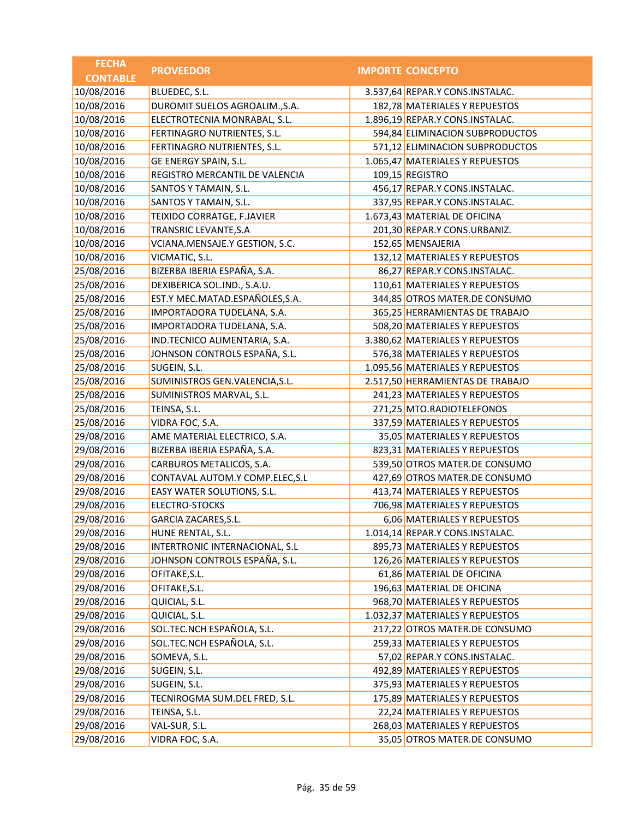| <b>FECHA</b>    | <b>PROVEEDOR</b>                | <b>IMPORTE CONCEPTO</b>          |
|-----------------|---------------------------------|----------------------------------|
| <b>CONTABLE</b> |                                 |                                  |
| 10/08/2016      | BLUEDEC, S.L.                   | 3.537,64 REPAR.Y CONS.INSTALAC.  |
| 10/08/2016      | DUROMIT SUELOS AGROALIM., S.A.  | 182,78 MATERIALES Y REPUESTOS    |
| 10/08/2016      | ELECTROTECNIA MONRABAL, S.L.    | 1.896,19 REPAR.Y CONS.INSTALAC.  |
| 10/08/2016      | FERTINAGRO NUTRIENTES, S.L.     | 594,84 ELIMINACION SUBPRODUCTOS  |
| 10/08/2016      | FERTINAGRO NUTRIENTES, S.L.     | 571,12 ELIMINACION SUBPRODUCTOS  |
| 10/08/2016      | GE ENERGY SPAIN, S.L.           | 1.065,47 MATERIALES Y REPUESTOS  |
| 10/08/2016      | REGISTRO MERCANTIL DE VALENCIA  | 109,15 REGISTRO                  |
| 10/08/2016      | SANTOS Y TAMAIN, S.L.           | 456,17 REPAR.Y CONS.INSTALAC.    |
| 10/08/2016      | SANTOS Y TAMAIN, S.L.           | 337,95 REPAR.Y CONS.INSTALAC.    |
| 10/08/2016      | TEIXIDO CORRATGE, F.JAVIER      | 1.673,43 MATERIAL DE OFICINA     |
| 10/08/2016      | TRANSRIC LEVANTE, S.A           | 201,30 REPAR.Y CONS.URBANIZ.     |
| 10/08/2016      | VCIANA.MENSAJE.Y GESTION, S.C.  | 152,65 MENSAJERIA                |
| 10/08/2016      | VICMATIC, S.L.                  | 132,12 MATERIALES Y REPUESTOS    |
| 25/08/2016      | BIZERBA IBERIA ESPAÑA, S.A.     | 86,27 REPAR.Y CONS.INSTALAC.     |
| 25/08/2016      | DEXIBERICA SOL.IND., S.A.U.     | 110,61 MATERIALES Y REPUESTOS    |
| 25/08/2016      | EST.Y MEC.MATAD.ESPAÑOLES,S.A.  | 344,85 OTROS MATER.DE CONSUMO    |
| 25/08/2016      | IMPORTADORA TUDELANA, S.A.      | 365,25 HERRAMIENTAS DE TRABAJO   |
| 25/08/2016      | IMPORTADORA TUDELANA, S.A.      | 508,20 MATERIALES Y REPUESTOS    |
| 25/08/2016      | IND.TECNICO ALIMENTARIA, S.A.   | 3.380,62 MATERIALES Y REPUESTOS  |
| 25/08/2016      | JOHNSON CONTROLS ESPAÑA, S.L.   | 576,38 MATERIALES Y REPUESTOS    |
| 25/08/2016      | SUGEIN, S.L.                    | 1.095,56 MATERIALES Y REPUESTOS  |
| 25/08/2016      | SUMINISTROS GEN.VALENCIA, S.L.  | 2.517,50 HERRAMIENTAS DE TRABAJO |
| 25/08/2016      | SUMINISTROS MARVAL, S.L.        | 241,23 MATERIALES Y REPUESTOS    |
| 25/08/2016      | TEINSA, S.L.                    | 271,25 MTO.RADIOTELEFONOS        |
| 25/08/2016      | VIDRA FOC, S.A.                 | 337,59 MATERIALES Y REPUESTOS    |
| 29/08/2016      | AME MATERIAL ELECTRICO, S.A.    | 35,05 MATERIALES Y REPUESTOS     |
| 29/08/2016      | BIZERBA IBERIA ESPAÑA, S.A.     | 823,31 MATERIALES Y REPUESTOS    |
| 29/08/2016      | CARBUROS METALICOS, S.A.        | 539,50 OTROS MATER.DE CONSUMO    |
| 29/08/2016      | CONTAVAL AUTOM.Y COMP.ELEC, S.L | 427,69 OTROS MATER.DE CONSUMO    |
| 29/08/2016      | EASY WATER SOLUTIONS, S.L.      | 413,74 MATERIALES Y REPUESTOS    |
| 29/08/2016      | <b>ELECTRO-STOCKS</b>           | 706,98 MATERIALES Y REPUESTOS    |
| 29/08/2016      | GARCIA ZACARES, S.L.            | 6,06 MATERIALES Y REPUESTOS      |
| 29/08/2016      | HUNE RENTAL, S.L.               | 1.014,14 REPAR.Y CONS.INSTALAC.  |
| 29/08/2016      | INTERTRONIC INTERNACIONAL, S.L  | 895,73 MATERIALES Y REPUESTOS    |
| 29/08/2016      | JOHNSON CONTROLS ESPAÑA, S.L.   | 126,26 MATERIALES Y REPUESTOS    |
| 29/08/2016      | OFITAKE, S.L.                   | 61,86 MATERIAL DE OFICINA        |
| 29/08/2016      | OFITAKE, S.L.                   | 196,63 MATERIAL DE OFICINA       |
| 29/08/2016      | QUICIAL, S.L.                   | 968,70 MATERIALES Y REPUESTOS    |
| 29/08/2016      | QUICIAL, S.L.                   | 1.032,37 MATERIALES Y REPUESTOS  |
| 29/08/2016      | SOL.TEC.NCH ESPAÑOLA, S.L.      | 217,22 OTROS MATER.DE CONSUMO    |
| 29/08/2016      | SOL.TEC.NCH ESPAÑOLA, S.L.      | 259,33 MATERIALES Y REPUESTOS    |
| 29/08/2016      | SOMEVA, S.L.                    | 57,02 REPAR.Y CONS.INSTALAC.     |
| 29/08/2016      | SUGEIN, S.L.                    | 492,89 MATERIALES Y REPUESTOS    |
| 29/08/2016      | SUGEIN, S.L.                    | 375,93 MATERIALES Y REPUESTOS    |
| 29/08/2016      | TECNIROGMA SUM.DEL FRED, S.L.   | 175,89 MATERIALES Y REPUESTOS    |
| 29/08/2016      | TEINSA, S.L.                    | 22,24 MATERIALES Y REPUESTOS     |
| 29/08/2016      | VAL-SUR, S.L.                   | 268,03 MATERIALES Y REPUESTOS    |
| 29/08/2016      | VIDRA FOC, S.A.                 | 35,05 OTROS MATER.DE CONSUMO     |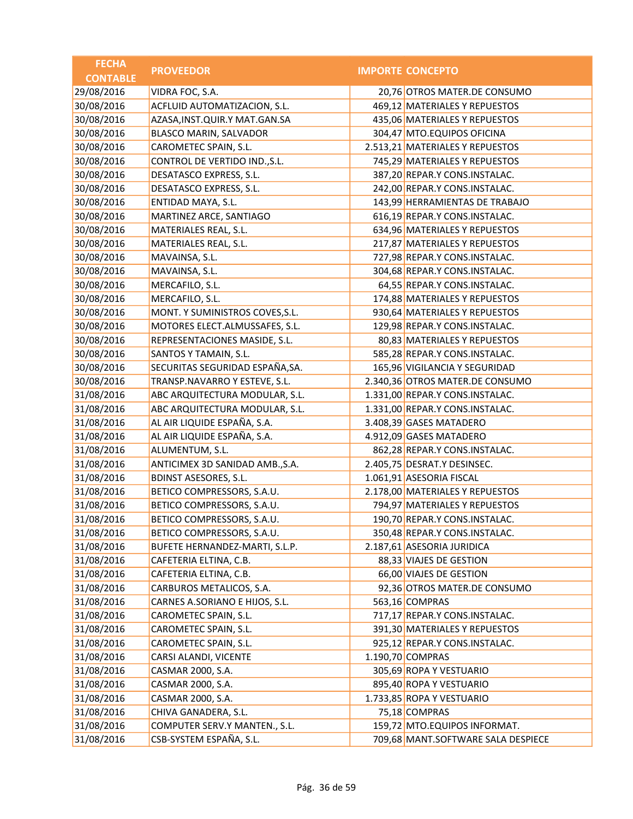| <b>FECHA</b>    | <b>PROVEEDOR</b>                  | <b>IMPORTE CONCEPTO</b>            |
|-----------------|-----------------------------------|------------------------------------|
| <b>CONTABLE</b> |                                   |                                    |
| 29/08/2016      | VIDRA FOC, S.A.                   | 20,76 OTROS MATER.DE CONSUMO       |
| 30/08/2016      | ACFLUID AUTOMATIZACION, S.L.      | 469,12 MATERIALES Y REPUESTOS      |
| 30/08/2016      | AZASA, INST. QUIR. Y MAT. GAN. SA | 435,06 MATERIALES Y REPUESTOS      |
| 30/08/2016      | BLASCO MARIN, SALVADOR            | 304,47 MTO.EQUIPOS OFICINA         |
| 30/08/2016      | CAROMETEC SPAIN, S.L.             | 2.513,21 MATERIALES Y REPUESTOS    |
| 30/08/2016      | CONTROL DE VERTIDO IND., S.L.     | 745,29 MATERIALES Y REPUESTOS      |
| 30/08/2016      | DESATASCO EXPRESS, S.L.           | 387,20 REPAR.Y CONS.INSTALAC.      |
| 30/08/2016      | DESATASCO EXPRESS, S.L.           | 242,00 REPAR.Y CONS.INSTALAC.      |
| 30/08/2016      | ENTIDAD MAYA, S.L.                | 143,99 HERRAMIENTAS DE TRABAJO     |
| 30/08/2016      | MARTINEZ ARCE, SANTIAGO           | 616,19 REPAR.Y CONS.INSTALAC.      |
| 30/08/2016      | MATERIALES REAL, S.L.             | 634,96 MATERIALES Y REPUESTOS      |
| 30/08/2016      | MATERIALES REAL, S.L.             | 217,87 MATERIALES Y REPUESTOS      |
| 30/08/2016      | MAVAINSA, S.L.                    | 727,98 REPAR.Y CONS.INSTALAC.      |
| 30/08/2016      | MAVAINSA, S.L.                    | 304,68 REPAR.Y CONS.INSTALAC.      |
| 30/08/2016      | MERCAFILO, S.L.                   | 64,55 REPAR.Y CONS.INSTALAC.       |
| 30/08/2016      | MERCAFILO, S.L.                   | 174,88 MATERIALES Y REPUESTOS      |
| 30/08/2016      | MONT. Y SUMINISTROS COVES, S.L.   | 930,64 MATERIALES Y REPUESTOS      |
| 30/08/2016      | MOTORES ELECT.ALMUSSAFES, S.L.    | 129,98 REPAR.Y CONS.INSTALAC.      |
| 30/08/2016      | REPRESENTACIONES MASIDE, S.L.     | 80,83 MATERIALES Y REPUESTOS       |
| 30/08/2016      | SANTOS Y TAMAIN, S.L.             | 585,28 REPAR.Y CONS.INSTALAC.      |
| 30/08/2016      | SECURITAS SEGURIDAD ESPAÑA, SA.   | 165,96 VIGILANCIA Y SEGURIDAD      |
| 30/08/2016      | TRANSP.NAVARRO Y ESTEVE, S.L.     | 2.340,36 OTROS MATER.DE CONSUMO    |
| 31/08/2016      | ABC ARQUITECTURA MODULAR, S.L.    | 1.331,00 REPAR.Y CONS.INSTALAC.    |
| 31/08/2016      | ABC ARQUITECTURA MODULAR, S.L.    | 1.331,00 REPAR.Y CONS.INSTALAC.    |
| 31/08/2016      | AL AIR LIQUIDE ESPAÑA, S.A.       | 3.408,39 GASES MATADERO            |
| 31/08/2016      | AL AIR LIQUIDE ESPAÑA, S.A.       | 4.912,09 GASES MATADERO            |
| 31/08/2016      | ALUMENTUM, S.L.                   | 862,28 REPAR.Y CONS.INSTALAC.      |
| 31/08/2016      | ANTICIMEX 3D SANIDAD AMB., S.A.   | 2.405,75 DESRAT.Y DESINSEC.        |
| 31/08/2016      | <b>BDINST ASESORES, S.L.</b>      | 1.061,91 ASESORIA FISCAL           |
| 31/08/2016      | BETICO COMPRESSORS, S.A.U.        | 2.178,00 MATERIALES Y REPUESTOS    |
| 31/08/2016      | BETICO COMPRESSORS, S.A.U.        | 794,97 MATERIALES Y REPUESTOS      |
| 31/08/2016      | BETICO COMPRESSORS, S.A.U.        | 190,70 REPAR.Y CONS.INSTALAC.      |
| 31/08/2016      | BETICO COMPRESSORS, S.A.U.        | 350,48 REPAR.Y CONS.INSTALAC.      |
| 31/08/2016      | BUFETE HERNANDEZ-MARTI, S.L.P.    | 2.187,61 ASESORIA JURIDICA         |
| 31/08/2016      | CAFETERIA ELTINA, C.B.            | 88,33 VIAJES DE GESTION            |
| 31/08/2016      | CAFETERIA ELTINA, C.B.            | 66,00 VIAJES DE GESTION            |
| 31/08/2016      | CARBUROS METALICOS, S.A.          | 92,36 OTROS MATER.DE CONSUMO       |
| 31/08/2016      | CARNES A.SORIANO E HIJOS, S.L.    | 563,16 COMPRAS                     |
| 31/08/2016      | CAROMETEC SPAIN, S.L.             | 717,17 REPAR.Y CONS.INSTALAC.      |
| 31/08/2016      | CAROMETEC SPAIN, S.L.             | 391,30 MATERIALES Y REPUESTOS      |
| 31/08/2016      | CAROMETEC SPAIN, S.L.             | 925,12 REPAR.Y CONS.INSTALAC.      |
| 31/08/2016      | CARSI ALANDI, VICENTE             | 1.190,70 COMPRAS                   |
| 31/08/2016      | CASMAR 2000, S.A.                 | 305,69 ROPA Y VESTUARIO            |
| 31/08/2016      | CASMAR 2000, S.A.                 | 895,40 ROPA Y VESTUARIO            |
| 31/08/2016      | CASMAR 2000, S.A.                 | 1.733,85 ROPA Y VESTUARIO          |
| 31/08/2016      | CHIVA GANADERA, S.L.              | 75,18 COMPRAS                      |
| 31/08/2016      | COMPUTER SERV.Y MANTEN., S.L.     | 159,72 MTO.EQUIPOS INFORMAT.       |
| 31/08/2016      | CSB-SYSTEM ESPAÑA, S.L.           | 709,68 MANT.SOFTWARE SALA DESPIECE |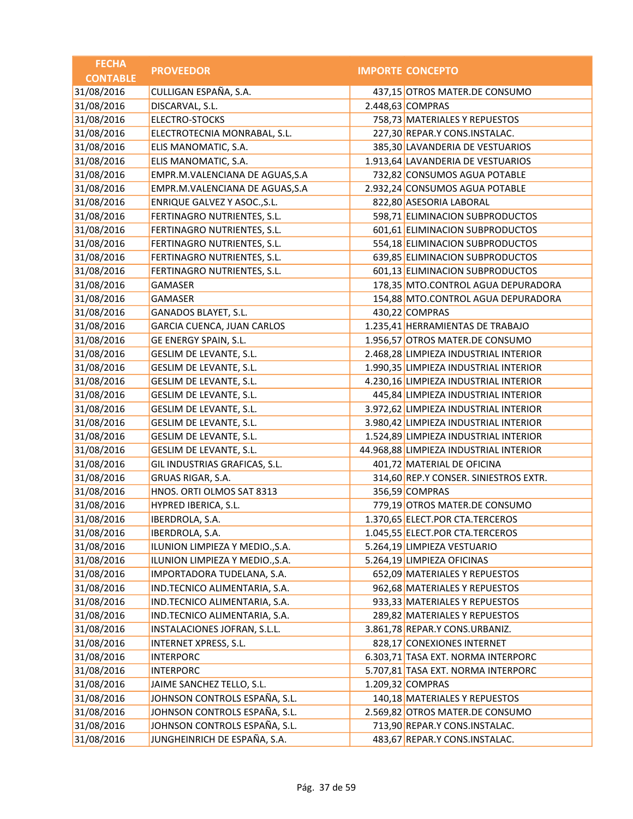| <b>FECHA</b>    | <b>PROVEEDOR</b>                | <b>IMPORTE CONCEPTO</b>                |
|-----------------|---------------------------------|----------------------------------------|
| <b>CONTABLE</b> |                                 |                                        |
| 31/08/2016      | CULLIGAN ESPAÑA, S.A.           | 437,15 OTROS MATER.DE CONSUMO          |
| 31/08/2016      | DISCARVAL, S.L.                 | 2.448,63 COMPRAS                       |
| 31/08/2016      | <b>ELECTRO-STOCKS</b>           | 758,73 MATERIALES Y REPUESTOS          |
| 31/08/2016      | ELECTROTECNIA MONRABAL, S.L.    | 227,30 REPAR.Y CONS.INSTALAC.          |
| 31/08/2016      | ELIS MANOMATIC, S.A.            | 385,30 LAVANDERIA DE VESTUARIOS        |
| 31/08/2016      | ELIS MANOMATIC, S.A.            | 1.913,64 LAVANDERIA DE VESTUARIOS      |
| 31/08/2016      | EMPR.M.VALENCIANA DE AGUAS, S.A | 732,82 CONSUMOS AGUA POTABLE           |
| 31/08/2016      | EMPR.M.VALENCIANA DE AGUAS, S.A | 2.932,24 CONSUMOS AGUA POTABLE         |
| 31/08/2016      | ENRIQUE GALVEZ Y ASOC., S.L.    | 822,80 ASESORIA LABORAL                |
| 31/08/2016      | FERTINAGRO NUTRIENTES, S.L.     | 598,71 ELIMINACION SUBPRODUCTOS        |
| 31/08/2016      | FERTINAGRO NUTRIENTES, S.L.     | 601,61 ELIMINACION SUBPRODUCTOS        |
| 31/08/2016      | FERTINAGRO NUTRIENTES, S.L.     | 554,18 ELIMINACION SUBPRODUCTOS        |
| 31/08/2016      | FERTINAGRO NUTRIENTES, S.L.     | 639,85 ELIMINACION SUBPRODUCTOS        |
| 31/08/2016      | FERTINAGRO NUTRIENTES, S.L.     | 601,13 ELIMINACION SUBPRODUCTOS        |
| 31/08/2016      | GAMASER                         | 178,35 MTO.CONTROL AGUA DEPURADORA     |
| 31/08/2016      | GAMASER                         | 154,88 MTO.CONTROL AGUA DEPURADORA     |
| 31/08/2016      | GANADOS BLAYET, S.L.            | 430,22 COMPRAS                         |
| 31/08/2016      | GARCIA CUENCA, JUAN CARLOS      | 1.235,41 HERRAMIENTAS DE TRABAJO       |
| 31/08/2016      | GE ENERGY SPAIN, S.L.           | 1.956,57 OTROS MATER.DE CONSUMO        |
| 31/08/2016      | GESLIM DE LEVANTE, S.L.         | 2.468,28 LIMPIEZA INDUSTRIAL INTERIOR  |
| 31/08/2016      | GESLIM DE LEVANTE, S.L.         | 1.990,35 LIMPIEZA INDUSTRIAL INTERIOR  |
| 31/08/2016      | GESLIM DE LEVANTE, S.L.         | 4.230,16 LIMPIEZA INDUSTRIAL INTERIOR  |
| 31/08/2016      | GESLIM DE LEVANTE, S.L.         | 445,84 LIMPIEZA INDUSTRIAL INTERIOR    |
| 31/08/2016      | GESLIM DE LEVANTE, S.L.         | 3.972,62 LIMPIEZA INDUSTRIAL INTERIOR  |
| 31/08/2016      | GESLIM DE LEVANTE, S.L.         | 3.980,42 LIMPIEZA INDUSTRIAL INTERIOR  |
| 31/08/2016      | GESLIM DE LEVANTE, S.L.         | 1.524,89 LIMPIEZA INDUSTRIAL INTERIOR  |
| 31/08/2016      | GESLIM DE LEVANTE, S.L.         | 44.968,88 LIMPIEZA INDUSTRIAL INTERIOR |
| 31/08/2016      | GIL INDUSTRIAS GRAFICAS, S.L.   | 401,72 MATERIAL DE OFICINA             |
| 31/08/2016      | GRUAS RIGAR, S.A.               | 314,60 REP.Y CONSER. SINIESTROS EXTR.  |
| 31/08/2016      | HNOS. ORTI OLMOS SAT 8313       | 356,59 COMPRAS                         |
| 31/08/2016      | HYPRED IBERICA, S.L.            | 779,19 OTROS MATER.DE CONSUMO          |
| 31/08/2016      | IBERDROLA, S.A.                 | 1.370,65 ELECT.POR CTA.TERCEROS        |
| 31/08/2016      | IBERDROLA, S.A.                 | 1.045,55 ELECT.POR CTA.TERCEROS        |
| 31/08/2016      | ILUNION LIMPIEZA Y MEDIO., S.A. | 5.264,19 LIMPIEZA VESTUARIO            |
| 31/08/2016      | ILUNION LIMPIEZA Y MEDIO., S.A. | 5.264,19 LIMPIEZA OFICINAS             |
| 31/08/2016      | IMPORTADORA TUDELANA, S.A.      | 652,09 MATERIALES Y REPUESTOS          |
| 31/08/2016      | IND.TECNICO ALIMENTARIA, S.A.   | 962,68 MATERIALES Y REPUESTOS          |
| 31/08/2016      | IND.TECNICO ALIMENTARIA, S.A.   | 933,33 MATERIALES Y REPUESTOS          |
| 31/08/2016      | IND.TECNICO ALIMENTARIA, S.A.   | 289,82 MATERIALES Y REPUESTOS          |
| 31/08/2016      | INSTALACIONES JOFRAN, S.L.L.    | 3.861,78 REPAR.Y CONS.URBANIZ.         |
| 31/08/2016      | INTERNET XPRESS, S.L.           | 828,17 CONEXIONES INTERNET             |
| 31/08/2016      | <b>INTERPORC</b>                | 6.303,71 TASA EXT. NORMA INTERPORC     |
| 31/08/2016      | <b>INTERPORC</b>                | 5.707,81 TASA EXT. NORMA INTERPORC     |
| 31/08/2016      | JAIME SANCHEZ TELLO, S.L.       | 1.209,32 COMPRAS                       |
| 31/08/2016      | JOHNSON CONTROLS ESPAÑA, S.L.   | 140,18 MATERIALES Y REPUESTOS          |
| 31/08/2016      | JOHNSON CONTROLS ESPAÑA, S.L.   | 2.569,82 OTROS MATER.DE CONSUMO        |
| 31/08/2016      | JOHNSON CONTROLS ESPAÑA, S.L.   | 713,90 REPAR.Y CONS.INSTALAC.          |
| 31/08/2016      | JUNGHEINRICH DE ESPAÑA, S.A.    | 483,67 REPAR.Y CONS.INSTALAC.          |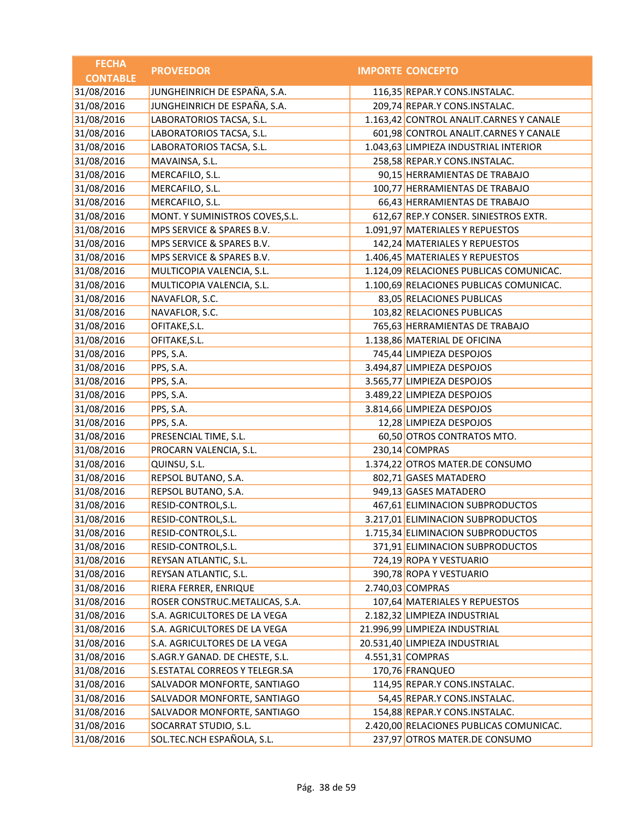| <b>FECHA</b>    | <b>PROVEEDOR</b>                | <b>IMPORTE CONCEPTO</b>                 |
|-----------------|---------------------------------|-----------------------------------------|
| <b>CONTABLE</b> |                                 |                                         |
| 31/08/2016      | JUNGHEINRICH DE ESPAÑA, S.A.    | 116,35 REPAR.Y CONS.INSTALAC.           |
| 31/08/2016      | JUNGHEINRICH DE ESPAÑA, S.A.    | 209,74 REPAR.Y CONS.INSTALAC.           |
| 31/08/2016      | LABORATORIOS TACSA, S.L.        | 1.163,42 CONTROL ANALIT.CARNES Y CANALE |
| 31/08/2016      | LABORATORIOS TACSA, S.L.        | 601,98 CONTROL ANALIT.CARNES Y CANALE   |
| 31/08/2016      | LABORATORIOS TACSA, S.L.        | 1.043,63 LIMPIEZA INDUSTRIAL INTERIOR   |
| 31/08/2016      | MAVAINSA, S.L.                  | 258,58 REPAR.Y CONS.INSTALAC.           |
| 31/08/2016      | MERCAFILO, S.L.                 | 90,15 HERRAMIENTAS DE TRABAJO           |
| 31/08/2016      | MERCAFILO, S.L.                 | 100,77 HERRAMIENTAS DE TRABAJO          |
| 31/08/2016      | MERCAFILO, S.L.                 | 66,43 HERRAMIENTAS DE TRABAJO           |
| 31/08/2016      | MONT. Y SUMINISTROS COVES, S.L. | 612,67 REP.Y CONSER. SINIESTROS EXTR.   |
| 31/08/2016      | MPS SERVICE & SPARES B.V.       | 1.091,97 MATERIALES Y REPUESTOS         |
| 31/08/2016      | MPS SERVICE & SPARES B.V.       | 142,24 MATERIALES Y REPUESTOS           |
| 31/08/2016      | MPS SERVICE & SPARES B.V.       | 1.406,45 MATERIALES Y REPUESTOS         |
| 31/08/2016      | MULTICOPIA VALENCIA, S.L.       | 1.124,09 RELACIONES PUBLICAS COMUNICAC. |
| 31/08/2016      | MULTICOPIA VALENCIA, S.L.       | 1.100,69 RELACIONES PUBLICAS COMUNICAC. |
| 31/08/2016      | NAVAFLOR, S.C.                  | 83,05 RELACIONES PUBLICAS               |
| 31/08/2016      | NAVAFLOR, S.C.                  | 103,82 RELACIONES PUBLICAS              |
| 31/08/2016      | OFITAKE, S.L.                   | 765,63 HERRAMIENTAS DE TRABAJO          |
| 31/08/2016      | OFITAKE, S.L.                   | 1.138,86 MATERIAL DE OFICINA            |
| 31/08/2016      | PPS, S.A.                       | 745,44 LIMPIEZA DESPOJOS                |
| 31/08/2016      | PPS, S.A.                       | 3.494,87 LIMPIEZA DESPOJOS              |
| 31/08/2016      | PPS, S.A.                       | 3.565,77 LIMPIEZA DESPOJOS              |
| 31/08/2016      | PPS, S.A.                       | 3.489,22 LIMPIEZA DESPOJOS              |
| 31/08/2016      | PPS, S.A.                       | 3.814,66 LIMPIEZA DESPOJOS              |
| 31/08/2016      | PPS, S.A.                       | 12,28 LIMPIEZA DESPOJOS                 |
| 31/08/2016      | PRESENCIAL TIME, S.L.           | 60,50 OTROS CONTRATOS MTO.              |
| 31/08/2016      | PROCARN VALENCIA, S.L.          | 230,14 COMPRAS                          |
| 31/08/2016      | QUINSU, S.L.                    | 1.374,22 OTROS MATER.DE CONSUMO         |
| 31/08/2016      | REPSOL BUTANO, S.A.             | 802,71 GASES MATADERO                   |
| 31/08/2016      | REPSOL BUTANO, S.A.             | 949,13 GASES MATADERO                   |
| 31/08/2016      | RESID-CONTROL, S.L.             | 467,61 ELIMINACION SUBPRODUCTOS         |
| 31/08/2016      | RESID-CONTROL, S.L.             | 3.217,01 ELIMINACION SUBPRODUCTOS       |
| 31/08/2016      | RESID-CONTROL, S.L.             | 1.715,34 ELIMINACION SUBPRODUCTOS       |
| 31/08/2016      | RESID-CONTROL, S.L.             | 371,91 ELIMINACION SUBPRODUCTOS         |
| 31/08/2016      | REYSAN ATLANTIC, S.L.           | 724,19 ROPA Y VESTUARIO                 |
| 31/08/2016      | REYSAN ATLANTIC, S.L.           | 390,78 ROPA Y VESTUARIO                 |
| 31/08/2016      | RIERA FERRER, ENRIQUE           | 2.740,03 COMPRAS                        |
| 31/08/2016      | ROSER CONSTRUC.METALICAS, S.A.  | 107,64 MATERIALES Y REPUESTOS           |
| 31/08/2016      | S.A. AGRICULTORES DE LA VEGA    | 2.182,32 LIMPIEZA INDUSTRIAL            |
| 31/08/2016      | S.A. AGRICULTORES DE LA VEGA    | 21.996,99 LIMPIEZA INDUSTRIAL           |
| 31/08/2016      | S.A. AGRICULTORES DE LA VEGA    | 20.531,40 LIMPIEZA INDUSTRIAL           |
| 31/08/2016      | S.AGR.Y GANAD. DE CHESTE, S.L.  | 4.551,31 COMPRAS                        |
| 31/08/2016      | S.ESTATAL CORREOS Y TELEGR.SA   | 170,76 FRANQUEO                         |
| 31/08/2016      | SALVADOR MONFORTE, SANTIAGO     | 114,95 REPAR.Y CONS.INSTALAC.           |
| 31/08/2016      | SALVADOR MONFORTE, SANTIAGO     | 54,45 REPAR.Y CONS.INSTALAC.            |
| 31/08/2016      | SALVADOR MONFORTE, SANTIAGO     | 154,88 REPAR.Y CONS.INSTALAC.           |
| 31/08/2016      | SOCARRAT STUDIO, S.L.           | 2.420,00 RELACIONES PUBLICAS COMUNICAC. |
| 31/08/2016      | SOL.TEC.NCH ESPAÑOLA, S.L.      | 237,97 OTROS MATER.DE CONSUMO           |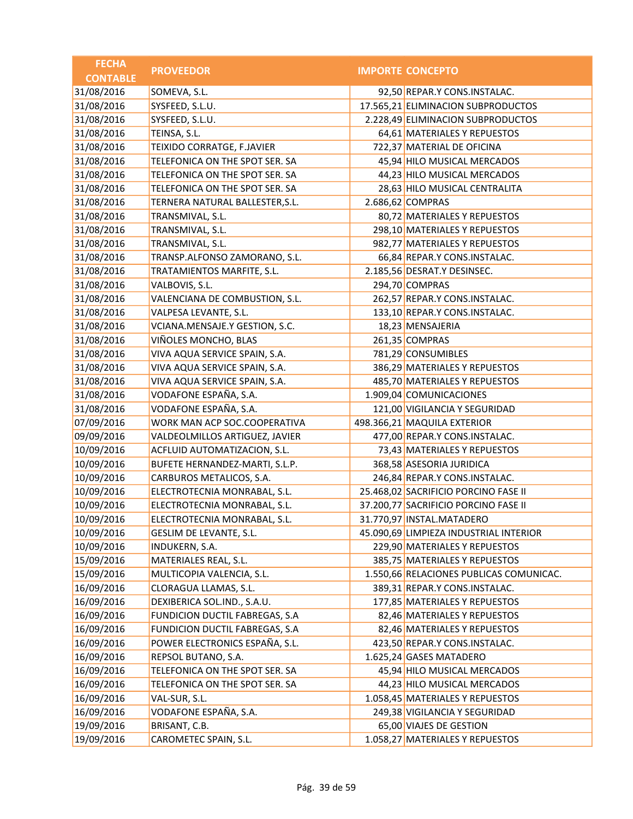| <b>FECHA</b>    | <b>PROVEEDOR</b>                | <b>IMPORTE CONCEPTO</b>                 |
|-----------------|---------------------------------|-----------------------------------------|
| <b>CONTABLE</b> |                                 |                                         |
| 31/08/2016      | SOMEVA, S.L.                    | 92,50 REPAR.Y CONS.INSTALAC.            |
| 31/08/2016      | SYSFEED, S.L.U.                 | 17.565,21 ELIMINACION SUBPRODUCTOS      |
| 31/08/2016      | SYSFEED, S.L.U.                 | 2.228,49 ELIMINACION SUBPRODUCTOS       |
| 31/08/2016      | TEINSA, S.L.                    | 64,61 MATERIALES Y REPUESTOS            |
| 31/08/2016      | TEIXIDO CORRATGE, F.JAVIER      | 722,37 MATERIAL DE OFICINA              |
| 31/08/2016      | TELEFONICA ON THE SPOT SER. SA  | 45,94 HILO MUSICAL MERCADOS             |
| 31/08/2016      | TELEFONICA ON THE SPOT SER. SA  | 44,23 HILO MUSICAL MERCADOS             |
| 31/08/2016      | TELEFONICA ON THE SPOT SER. SA  | 28,63 HILO MUSICAL CENTRALITA           |
| 31/08/2016      | TERNERA NATURAL BALLESTER, S.L. | 2.686,62 COMPRAS                        |
| 31/08/2016      | TRANSMIVAL, S.L.                | 80,72 MATERIALES Y REPUESTOS            |
| 31/08/2016      | TRANSMIVAL, S.L.                | 298,10 MATERIALES Y REPUESTOS           |
| 31/08/2016      | TRANSMIVAL, S.L.                | 982,77 MATERIALES Y REPUESTOS           |
| 31/08/2016      | TRANSP.ALFONSO ZAMORANO, S.L.   | 66,84 REPAR.Y CONS.INSTALAC.            |
| 31/08/2016      | TRATAMIENTOS MARFITE, S.L.      | 2.185,56 DESRAT.Y DESINSEC.             |
| 31/08/2016      | VALBOVIS, S.L.                  | 294,70 COMPRAS                          |
| 31/08/2016      | VALENCIANA DE COMBUSTION, S.L.  | 262,57 REPAR.Y CONS.INSTALAC.           |
| 31/08/2016      | VALPESA LEVANTE, S.L.           | 133,10 REPAR.Y CONS.INSTALAC.           |
| 31/08/2016      | VCIANA.MENSAJE.Y GESTION, S.C.  | 18,23 MENSAJERIA                        |
| 31/08/2016      | VIÑOLES MONCHO, BLAS            | 261,35 COMPRAS                          |
| 31/08/2016      | VIVA AQUA SERVICE SPAIN, S.A.   | 781,29 CONSUMIBLES                      |
| 31/08/2016      | VIVA AQUA SERVICE SPAIN, S.A.   | 386,29 MATERIALES Y REPUESTOS           |
| 31/08/2016      | VIVA AQUA SERVICE SPAIN, S.A.   | 485,70 MATERIALES Y REPUESTOS           |
| 31/08/2016      | VODAFONE ESPAÑA, S.A.           | 1.909,04 COMUNICACIONES                 |
| 31/08/2016      | VODAFONE ESPAÑA, S.A.           | 121,00 VIGILANCIA Y SEGURIDAD           |
| 07/09/2016      | WORK MAN ACP SOC.COOPERATIVA    | 498.366,21 MAQUILA EXTERIOR             |
| 09/09/2016      | VALDEOLMILLOS ARTIGUEZ, JAVIER  | 477,00 REPAR.Y CONS.INSTALAC.           |
| 10/09/2016      | ACFLUID AUTOMATIZACION, S.L.    | 73,43 MATERIALES Y REPUESTOS            |
| 10/09/2016      | BUFETE HERNANDEZ-MARTI, S.L.P.  | 368,58 ASESORIA JURIDICA                |
| 10/09/2016      | CARBUROS METALICOS, S.A.        | 246,84 REPAR.Y CONS.INSTALAC.           |
| 10/09/2016      | ELECTROTECNIA MONRABAL, S.L.    | 25.468,02 SACRIFICIO PORCINO FASE II    |
| 10/09/2016      | ELECTROTECNIA MONRABAL, S.L.    | 37.200,77 SACRIFICIO PORCINO FASE II    |
| 10/09/2016      | ELECTROTECNIA MONRABAL, S.L.    | 31.770,97 INSTAL.MATADERO               |
| 10/09/2016      | GESLIM DE LEVANTE, S.L.         | 45.090,69 LIMPIEZA INDUSTRIAL INTERIOR  |
| 10/09/2016      | INDUKERN, S.A.                  | 229,90 MATERIALES Y REPUESTOS           |
| 15/09/2016      | MATERIALES REAL, S.L.           | 385,75 MATERIALES Y REPUESTOS           |
| 15/09/2016      | MULTICOPIA VALENCIA, S.L.       | 1.550,66 RELACIONES PUBLICAS COMUNICAC. |
| 16/09/2016      | CLORAGUA LLAMAS, S.L.           | 389,31 REPAR.Y CONS.INSTALAC.           |
| 16/09/2016      | DEXIBERICA SOL.IND., S.A.U.     | 177,85 MATERIALES Y REPUESTOS           |
| 16/09/2016      | FUNDICION DUCTIL FABREGAS, S.A  | 82,46 MATERIALES Y REPUESTOS            |
| 16/09/2016      | FUNDICION DUCTIL FABREGAS, S.A  | 82,46 MATERIALES Y REPUESTOS            |
| 16/09/2016      | POWER ELECTRONICS ESPAÑA, S.L.  | 423,50 REPAR.Y CONS.INSTALAC.           |
| 16/09/2016      | REPSOL BUTANO, S.A.             | 1.625,24 GASES MATADERO                 |
| 16/09/2016      | TELEFONICA ON THE SPOT SER. SA  | 45,94 HILO MUSICAL MERCADOS             |
| 16/09/2016      | TELEFONICA ON THE SPOT SER. SA  | 44,23 HILO MUSICAL MERCADOS             |
| 16/09/2016      | VAL-SUR, S.L.                   | 1.058,45 MATERIALES Y REPUESTOS         |
| 16/09/2016      | VODAFONE ESPAÑA, S.A.           | 249,38 VIGILANCIA Y SEGURIDAD           |
| 19/09/2016      | BRISANT, C.B.                   | 65,00 VIAJES DE GESTION                 |
| 19/09/2016      | CAROMETEC SPAIN, S.L.           | 1.058,27 MATERIALES Y REPUESTOS         |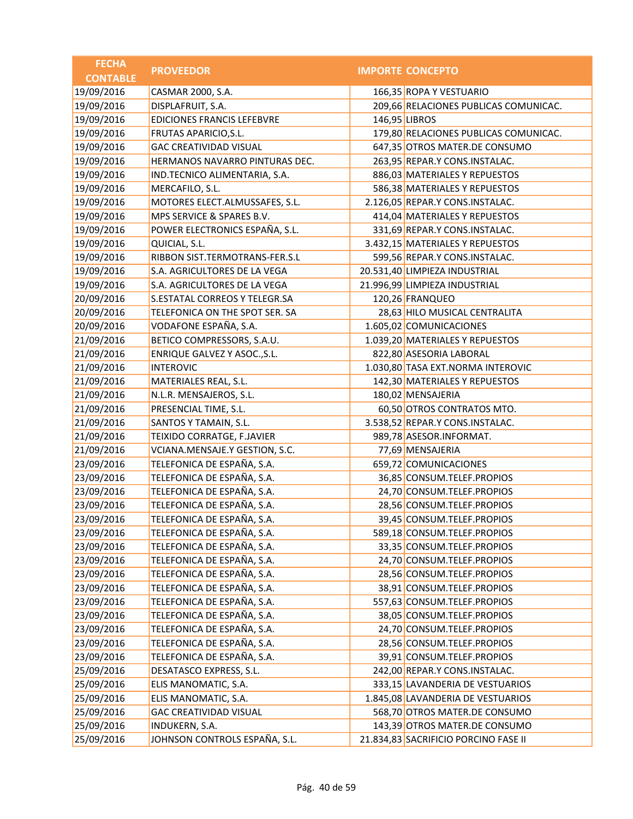| <b>FECHA</b>    | <b>PROVEEDOR</b>                  | <b>IMPORTE CONCEPTO</b>               |
|-----------------|-----------------------------------|---------------------------------------|
| <b>CONTABLE</b> |                                   |                                       |
| 19/09/2016      | CASMAR 2000, S.A.                 | 166,35 ROPA Y VESTUARIO               |
| 19/09/2016      | DISPLAFRUIT, S.A.                 | 209,66 RELACIONES PUBLICAS COMUNICAC. |
| 19/09/2016      | <b>EDICIONES FRANCIS LEFEBVRE</b> | 146,95 LIBROS                         |
| 19/09/2016      | FRUTAS APARICIO, S.L.             | 179,80 RELACIONES PUBLICAS COMUNICAC. |
| 19/09/2016      | <b>GAC CREATIVIDAD VISUAL</b>     | 647,35 OTROS MATER.DE CONSUMO         |
| 19/09/2016      | HERMANOS NAVARRO PINTURAS DEC.    | 263,95 REPAR.Y CONS.INSTALAC.         |
| 19/09/2016      | IND.TECNICO ALIMENTARIA, S.A.     | 886,03 MATERIALES Y REPUESTOS         |
| 19/09/2016      | MERCAFILO, S.L.                   | 586,38 MATERIALES Y REPUESTOS         |
| 19/09/2016      | MOTORES ELECT.ALMUSSAFES, S.L.    | 2.126,05 REPAR.Y CONS.INSTALAC.       |
| 19/09/2016      | MPS SERVICE & SPARES B.V.         | 414,04 MATERIALES Y REPUESTOS         |
| 19/09/2016      | POWER ELECTRONICS ESPAÑA, S.L.    | 331,69 REPAR.Y CONS.INSTALAC.         |
| 19/09/2016      | QUICIAL, S.L.                     | 3.432,15 MATERIALES Y REPUESTOS       |
| 19/09/2016      | RIBBON SIST.TERMOTRANS-FER.S.L    | 599,56 REPAR.Y CONS.INSTALAC.         |
| 19/09/2016      | S.A. AGRICULTORES DE LA VEGA      | 20.531,40 LIMPIEZA INDUSTRIAL         |
| 19/09/2016      | S.A. AGRICULTORES DE LA VEGA      | 21.996,99 LIMPIEZA INDUSTRIAL         |
| 20/09/2016      | S.ESTATAL CORREOS Y TELEGR.SA     | 120,26 FRANQUEO                       |
| 20/09/2016      | TELEFONICA ON THE SPOT SER. SA    | 28,63 HILO MUSICAL CENTRALITA         |
| 20/09/2016      | VODAFONE ESPAÑA, S.A.             | 1.605,02 COMUNICACIONES               |
| 21/09/2016      | BETICO COMPRESSORS, S.A.U.        | 1.039,20 MATERIALES Y REPUESTOS       |
| 21/09/2016      | ENRIQUE GALVEZ Y ASOC., S.L.      | 822,80 ASESORIA LABORAL               |
| 21/09/2016      | <b>INTEROVIC</b>                  | 1.030,80 TASA EXT.NORMA INTEROVIC     |
| 21/09/2016      | MATERIALES REAL, S.L.             | 142,30 MATERIALES Y REPUESTOS         |
| 21/09/2016      | N.L.R. MENSAJEROS, S.L.           | 180,02 MENSAJERIA                     |
| 21/09/2016      | PRESENCIAL TIME, S.L.             | 60,50 OTROS CONTRATOS MTO.            |
| 21/09/2016      | SANTOS Y TAMAIN, S.L.             | 3.538,52 REPAR.Y CONS.INSTALAC.       |
| 21/09/2016      | TEIXIDO CORRATGE, F.JAVIER        | 989,78 ASESOR.INFORMAT.               |
| 21/09/2016      | VCIANA.MENSAJE.Y GESTION, S.C.    | 77,69 MENSAJERIA                      |
| 23/09/2016      | TELEFONICA DE ESPAÑA, S.A.        | 659,72 COMUNICACIONES                 |
| 23/09/2016      | TELEFONICA DE ESPAÑA, S.A.        | 36,85 CONSUM.TELEF.PROPIOS            |
| 23/09/2016      | TELEFONICA DE ESPAÑA, S.A.        | 24,70 CONSUM.TELEF.PROPIOS            |
| 23/09/2016      | TELEFONICA DE ESPAÑA, S.A.        | 28,56 CONSUM.TELEF.PROPIOS            |
| 23/09/2016      | TELEFONICA DE ESPAÑA, S.A.        | 39,45 CONSUM.TELEF.PROPIOS            |
| 23/09/2016      | TELEFONICA DE ESPAÑA, S.A.        | 589,18 CONSUM.TELEF.PROPIOS           |
| 23/09/2016      | TELEFONICA DE ESPAÑA, S.A.        | 33,35 CONSUM.TELEF.PROPIOS            |
| 23/09/2016      | TELEFONICA DE ESPAÑA, S.A.        | 24,70 CONSUM.TELEF.PROPIOS            |
| 23/09/2016      | TELEFONICA DE ESPAÑA, S.A.        | 28,56 CONSUM.TELEF.PROPIOS            |
| 23/09/2016      | TELEFONICA DE ESPAÑA, S.A.        | 38,91 CONSUM.TELEF.PROPIOS            |
| 23/09/2016      | TELEFONICA DE ESPAÑA, S.A.        | 557,63 CONSUM.TELEF.PROPIOS           |
| 23/09/2016      | TELEFONICA DE ESPAÑA, S.A.        | 38,05 CONSUM.TELEF.PROPIOS            |
| 23/09/2016      | TELEFONICA DE ESPAÑA, S.A.        | 24,70 CONSUM.TELEF.PROPIOS            |
| 23/09/2016      | TELEFONICA DE ESPAÑA, S.A.        | 28,56 CONSUM.TELEF.PROPIOS            |
| 23/09/2016      | TELEFONICA DE ESPAÑA, S.A.        | 39,91 CONSUM.TELEF.PROPIOS            |
| 25/09/2016      | DESATASCO EXPRESS, S.L.           | 242,00 REPAR.Y CONS.INSTALAC.         |
| 25/09/2016      | ELIS MANOMATIC, S.A.              | 333,15 LAVANDERIA DE VESTUARIOS       |
| 25/09/2016      | ELIS MANOMATIC, S.A.              | 1.845,08 LAVANDERIA DE VESTUARIOS     |
| 25/09/2016      | <b>GAC CREATIVIDAD VISUAL</b>     | 568,70 OTROS MATER.DE CONSUMO         |
| 25/09/2016      | <b>INDUKERN, S.A.</b>             | 143,39 OTROS MATER.DE CONSUMO         |
| 25/09/2016      | JOHNSON CONTROLS ESPAÑA, S.L.     | 21.834,83 SACRIFICIO PORCINO FASE II  |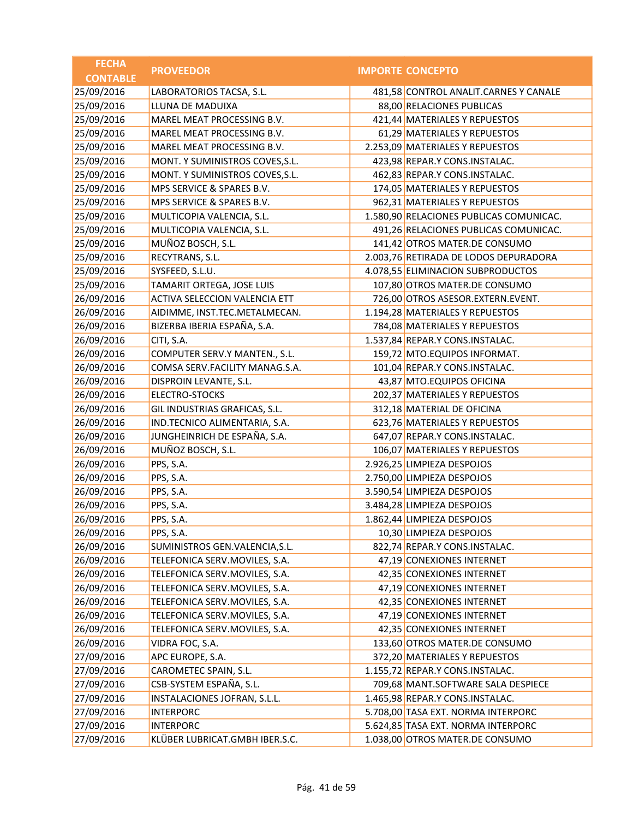| <b>CONTABLE</b><br>25/09/2016<br>LABORATORIOS TACSA, S.L.<br>481,58 CONTROL ANALIT.CARNES Y CANALE<br>25/09/2016<br>LLUNA DE MADUIXA<br>88,00 RELACIONES PUBLICAS<br>25/09/2016<br>421,44 MATERIALES Y REPUESTOS<br>MAREL MEAT PROCESSING B.V.<br>25/09/2016<br>61,29 MATERIALES Y REPUESTOS<br>MAREL MEAT PROCESSING B.V.<br>25/09/2016<br>MAREL MEAT PROCESSING B.V.<br>2.253,09 MATERIALES Y REPUESTOS<br>25/09/2016<br>MONT. Y SUMINISTROS COVES, S.L.<br>423,98 REPAR.Y CONS.INSTALAC.<br>25/09/2016<br>462,83 REPAR.Y CONS.INSTALAC.<br>MONT. Y SUMINISTROS COVES, S.L.<br>25/09/2016<br>MPS SERVICE & SPARES B.V.<br>174,05 MATERIALES Y REPUESTOS<br>25/09/2016<br>962,31 MATERIALES Y REPUESTOS<br>MPS SERVICE & SPARES B.V.<br>25/09/2016<br>1.580,90 RELACIONES PUBLICAS COMUNICAC.<br>MULTICOPIA VALENCIA, S.L.<br>25/09/2016<br>MULTICOPIA VALENCIA, S.L.<br>491,26 RELACIONES PUBLICAS COMUNICAC.<br>25/09/2016<br>MUÑOZ BOSCH, S.L.<br>141,42 OTROS MATER.DE CONSUMO<br>25/09/2016<br>RECYTRANS, S.L.<br>2.003,76 RETIRADA DE LODOS DEPURADORA<br>25/09/2016<br>SYSFEED, S.L.U.<br>4.078,55 ELIMINACION SUBPRODUCTOS<br>25/09/2016<br>107,80 OTROS MATER.DE CONSUMO<br>TAMARIT ORTEGA, JOSE LUIS<br>26/09/2016<br>ACTIVA SELECCION VALENCIA ETT<br>726,00 OTROS ASESOR.EXTERN.EVENT.<br>26/09/2016<br>1.194,28 MATERIALES Y REPUESTOS<br>AIDIMME, INST.TEC.METALMECAN.<br>26/09/2016<br>BIZERBA IBERIA ESPAÑA, S.A.<br>784,08 MATERIALES Y REPUESTOS<br>26/09/2016<br>1.537,84 REPAR.Y CONS.INSTALAC.<br>CITI, S.A.<br>26/09/2016<br>COMPUTER SERV.Y MANTEN., S.L.<br>159,72 MTO.EQUIPOS INFORMAT.<br>26/09/2016<br>101,04 REPAR.Y CONS.INSTALAC.<br>COMSA SERV.FACILITY MANAG.S.A.<br>26/09/2016<br>43,87 MTO.EQUIPOS OFICINA<br>DISPROIN LEVANTE, S.L.<br>26/09/2016<br><b>ELECTRO-STOCKS</b><br>202,37 MATERIALES Y REPUESTOS<br>26/09/2016<br>GIL INDUSTRIAS GRAFICAS, S.L.<br>312,18 MATERIAL DE OFICINA<br>26/09/2016<br>IND.TECNICO ALIMENTARIA, S.A.<br>623,76 MATERIALES Y REPUESTOS<br>JUNGHEINRICH DE ESPAÑA, S.A.<br>26/09/2016<br>647,07 REPAR.Y CONS.INSTALAC.<br>26/09/2016<br>MUÑOZ BOSCH, S.L.<br>106,07 MATERIALES Y REPUESTOS<br>26/09/2016<br>2.926,25 LIMPIEZA DESPOJOS<br>PPS, S.A.<br>26/09/2016<br>2.750,00 LIMPIEZA DESPOJOS<br>PPS, S.A.<br>26/09/2016<br>3.590,54 LIMPIEZA DESPOJOS<br>PPS, S.A.<br>26/09/2016<br>3.484,28 LIMPIEZA DESPOJOS<br>PPS, S.A.<br>26/09/2016<br>PPS, S.A.<br>1.862,44 LIMPIEZA DESPOJOS<br>26/09/2016<br>PPS, S.A.<br>10,30 LIMPIEZA DESPOJOS<br>26/09/2016<br>SUMINISTROS GEN.VALENCIA, S.L.<br>822,74 REPAR.Y CONS.INSTALAC.<br>26/09/2016<br>TELEFONICA SERV.MOVILES, S.A.<br>47,19 CONEXIONES INTERNET<br>26/09/2016<br>42,35 CONEXIONES INTERNET<br>TELEFONICA SERV.MOVILES, S.A.<br>26/09/2016<br>47,19 CONEXIONES INTERNET<br>TELEFONICA SERV.MOVILES, S.A.<br>26/09/2016<br>TELEFONICA SERV.MOVILES, S.A.<br>42,35 CONEXIONES INTERNET<br>26/09/2016<br>TELEFONICA SERV.MOVILES, S.A.<br>47,19 CONEXIONES INTERNET<br>26/09/2016<br>42,35 CONEXIONES INTERNET<br>TELEFONICA SERV.MOVILES, S.A.<br>26/09/2016<br>VIDRA FOC, S.A.<br>133,60 OTROS MATER.DE CONSUMO<br>27/09/2016<br>372,20 MATERIALES Y REPUESTOS<br>APC EUROPE, S.A.<br>27/09/2016<br>CAROMETEC SPAIN, S.L.<br>1.155,72 REPAR.Y CONS.INSTALAC.<br>CSB-SYSTEM ESPAÑA, S.L.<br>27/09/2016<br>709,68 MANT.SOFTWARE SALA DESPIECE<br>27/09/2016<br>INSTALACIONES JOFRAN, S.L.L.<br>1.465,98 REPAR.Y CONS.INSTALAC.<br>27/09/2016<br><b>INTERPORC</b><br>5.708,00 TASA EXT. NORMA INTERPORC<br>27/09/2016<br>5.624,85 TASA EXT. NORMA INTERPORC<br><b>INTERPORC</b> | <b>FECHA</b> | <b>PROVEEDOR</b>               | <b>IMPORTE CONCEPTO</b>         |
|------------------------------------------------------------------------------------------------------------------------------------------------------------------------------------------------------------------------------------------------------------------------------------------------------------------------------------------------------------------------------------------------------------------------------------------------------------------------------------------------------------------------------------------------------------------------------------------------------------------------------------------------------------------------------------------------------------------------------------------------------------------------------------------------------------------------------------------------------------------------------------------------------------------------------------------------------------------------------------------------------------------------------------------------------------------------------------------------------------------------------------------------------------------------------------------------------------------------------------------------------------------------------------------------------------------------------------------------------------------------------------------------------------------------------------------------------------------------------------------------------------------------------------------------------------------------------------------------------------------------------------------------------------------------------------------------------------------------------------------------------------------------------------------------------------------------------------------------------------------------------------------------------------------------------------------------------------------------------------------------------------------------------------------------------------------------------------------------------------------------------------------------------------------------------------------------------------------------------------------------------------------------------------------------------------------------------------------------------------------------------------------------------------------------------------------------------------------------------------------------------------------------------------------------------------------------------------------------------------------------------------------------------------------------------------------------------------------------------------------------------------------------------------------------------------------------------------------------------------------------------------------------------------------------------------------------------------------------------------------------------------------------------------------------------------------------------------------------------------------------------------------------------------------------------------------------------------------------------------------------------------------------------------------------------------------------------------------------------------------------------------------------------------------------------------------------------------------------------------------------------------------------------------------------------------------------------------------------------------|--------------|--------------------------------|---------------------------------|
|                                                                                                                                                                                                                                                                                                                                                                                                                                                                                                                                                                                                                                                                                                                                                                                                                                                                                                                                                                                                                                                                                                                                                                                                                                                                                                                                                                                                                                                                                                                                                                                                                                                                                                                                                                                                                                                                                                                                                                                                                                                                                                                                                                                                                                                                                                                                                                                                                                                                                                                                                                                                                                                                                                                                                                                                                                                                                                                                                                                                                                                                                                                                                                                                                                                                                                                                                                                                                                                                                                                                                                                                            |              |                                |                                 |
|                                                                                                                                                                                                                                                                                                                                                                                                                                                                                                                                                                                                                                                                                                                                                                                                                                                                                                                                                                                                                                                                                                                                                                                                                                                                                                                                                                                                                                                                                                                                                                                                                                                                                                                                                                                                                                                                                                                                                                                                                                                                                                                                                                                                                                                                                                                                                                                                                                                                                                                                                                                                                                                                                                                                                                                                                                                                                                                                                                                                                                                                                                                                                                                                                                                                                                                                                                                                                                                                                                                                                                                                            |              |                                |                                 |
|                                                                                                                                                                                                                                                                                                                                                                                                                                                                                                                                                                                                                                                                                                                                                                                                                                                                                                                                                                                                                                                                                                                                                                                                                                                                                                                                                                                                                                                                                                                                                                                                                                                                                                                                                                                                                                                                                                                                                                                                                                                                                                                                                                                                                                                                                                                                                                                                                                                                                                                                                                                                                                                                                                                                                                                                                                                                                                                                                                                                                                                                                                                                                                                                                                                                                                                                                                                                                                                                                                                                                                                                            |              |                                |                                 |
|                                                                                                                                                                                                                                                                                                                                                                                                                                                                                                                                                                                                                                                                                                                                                                                                                                                                                                                                                                                                                                                                                                                                                                                                                                                                                                                                                                                                                                                                                                                                                                                                                                                                                                                                                                                                                                                                                                                                                                                                                                                                                                                                                                                                                                                                                                                                                                                                                                                                                                                                                                                                                                                                                                                                                                                                                                                                                                                                                                                                                                                                                                                                                                                                                                                                                                                                                                                                                                                                                                                                                                                                            |              |                                |                                 |
|                                                                                                                                                                                                                                                                                                                                                                                                                                                                                                                                                                                                                                                                                                                                                                                                                                                                                                                                                                                                                                                                                                                                                                                                                                                                                                                                                                                                                                                                                                                                                                                                                                                                                                                                                                                                                                                                                                                                                                                                                                                                                                                                                                                                                                                                                                                                                                                                                                                                                                                                                                                                                                                                                                                                                                                                                                                                                                                                                                                                                                                                                                                                                                                                                                                                                                                                                                                                                                                                                                                                                                                                            |              |                                |                                 |
|                                                                                                                                                                                                                                                                                                                                                                                                                                                                                                                                                                                                                                                                                                                                                                                                                                                                                                                                                                                                                                                                                                                                                                                                                                                                                                                                                                                                                                                                                                                                                                                                                                                                                                                                                                                                                                                                                                                                                                                                                                                                                                                                                                                                                                                                                                                                                                                                                                                                                                                                                                                                                                                                                                                                                                                                                                                                                                                                                                                                                                                                                                                                                                                                                                                                                                                                                                                                                                                                                                                                                                                                            |              |                                |                                 |
|                                                                                                                                                                                                                                                                                                                                                                                                                                                                                                                                                                                                                                                                                                                                                                                                                                                                                                                                                                                                                                                                                                                                                                                                                                                                                                                                                                                                                                                                                                                                                                                                                                                                                                                                                                                                                                                                                                                                                                                                                                                                                                                                                                                                                                                                                                                                                                                                                                                                                                                                                                                                                                                                                                                                                                                                                                                                                                                                                                                                                                                                                                                                                                                                                                                                                                                                                                                                                                                                                                                                                                                                            |              |                                |                                 |
|                                                                                                                                                                                                                                                                                                                                                                                                                                                                                                                                                                                                                                                                                                                                                                                                                                                                                                                                                                                                                                                                                                                                                                                                                                                                                                                                                                                                                                                                                                                                                                                                                                                                                                                                                                                                                                                                                                                                                                                                                                                                                                                                                                                                                                                                                                                                                                                                                                                                                                                                                                                                                                                                                                                                                                                                                                                                                                                                                                                                                                                                                                                                                                                                                                                                                                                                                                                                                                                                                                                                                                                                            |              |                                |                                 |
|                                                                                                                                                                                                                                                                                                                                                                                                                                                                                                                                                                                                                                                                                                                                                                                                                                                                                                                                                                                                                                                                                                                                                                                                                                                                                                                                                                                                                                                                                                                                                                                                                                                                                                                                                                                                                                                                                                                                                                                                                                                                                                                                                                                                                                                                                                                                                                                                                                                                                                                                                                                                                                                                                                                                                                                                                                                                                                                                                                                                                                                                                                                                                                                                                                                                                                                                                                                                                                                                                                                                                                                                            |              |                                |                                 |
|                                                                                                                                                                                                                                                                                                                                                                                                                                                                                                                                                                                                                                                                                                                                                                                                                                                                                                                                                                                                                                                                                                                                                                                                                                                                                                                                                                                                                                                                                                                                                                                                                                                                                                                                                                                                                                                                                                                                                                                                                                                                                                                                                                                                                                                                                                                                                                                                                                                                                                                                                                                                                                                                                                                                                                                                                                                                                                                                                                                                                                                                                                                                                                                                                                                                                                                                                                                                                                                                                                                                                                                                            |              |                                |                                 |
|                                                                                                                                                                                                                                                                                                                                                                                                                                                                                                                                                                                                                                                                                                                                                                                                                                                                                                                                                                                                                                                                                                                                                                                                                                                                                                                                                                                                                                                                                                                                                                                                                                                                                                                                                                                                                                                                                                                                                                                                                                                                                                                                                                                                                                                                                                                                                                                                                                                                                                                                                                                                                                                                                                                                                                                                                                                                                                                                                                                                                                                                                                                                                                                                                                                                                                                                                                                                                                                                                                                                                                                                            |              |                                |                                 |
|                                                                                                                                                                                                                                                                                                                                                                                                                                                                                                                                                                                                                                                                                                                                                                                                                                                                                                                                                                                                                                                                                                                                                                                                                                                                                                                                                                                                                                                                                                                                                                                                                                                                                                                                                                                                                                                                                                                                                                                                                                                                                                                                                                                                                                                                                                                                                                                                                                                                                                                                                                                                                                                                                                                                                                                                                                                                                                                                                                                                                                                                                                                                                                                                                                                                                                                                                                                                                                                                                                                                                                                                            |              |                                |                                 |
|                                                                                                                                                                                                                                                                                                                                                                                                                                                                                                                                                                                                                                                                                                                                                                                                                                                                                                                                                                                                                                                                                                                                                                                                                                                                                                                                                                                                                                                                                                                                                                                                                                                                                                                                                                                                                                                                                                                                                                                                                                                                                                                                                                                                                                                                                                                                                                                                                                                                                                                                                                                                                                                                                                                                                                                                                                                                                                                                                                                                                                                                                                                                                                                                                                                                                                                                                                                                                                                                                                                                                                                                            |              |                                |                                 |
|                                                                                                                                                                                                                                                                                                                                                                                                                                                                                                                                                                                                                                                                                                                                                                                                                                                                                                                                                                                                                                                                                                                                                                                                                                                                                                                                                                                                                                                                                                                                                                                                                                                                                                                                                                                                                                                                                                                                                                                                                                                                                                                                                                                                                                                                                                                                                                                                                                                                                                                                                                                                                                                                                                                                                                                                                                                                                                                                                                                                                                                                                                                                                                                                                                                                                                                                                                                                                                                                                                                                                                                                            |              |                                |                                 |
|                                                                                                                                                                                                                                                                                                                                                                                                                                                                                                                                                                                                                                                                                                                                                                                                                                                                                                                                                                                                                                                                                                                                                                                                                                                                                                                                                                                                                                                                                                                                                                                                                                                                                                                                                                                                                                                                                                                                                                                                                                                                                                                                                                                                                                                                                                                                                                                                                                                                                                                                                                                                                                                                                                                                                                                                                                                                                                                                                                                                                                                                                                                                                                                                                                                                                                                                                                                                                                                                                                                                                                                                            |              |                                |                                 |
|                                                                                                                                                                                                                                                                                                                                                                                                                                                                                                                                                                                                                                                                                                                                                                                                                                                                                                                                                                                                                                                                                                                                                                                                                                                                                                                                                                                                                                                                                                                                                                                                                                                                                                                                                                                                                                                                                                                                                                                                                                                                                                                                                                                                                                                                                                                                                                                                                                                                                                                                                                                                                                                                                                                                                                                                                                                                                                                                                                                                                                                                                                                                                                                                                                                                                                                                                                                                                                                                                                                                                                                                            |              |                                |                                 |
|                                                                                                                                                                                                                                                                                                                                                                                                                                                                                                                                                                                                                                                                                                                                                                                                                                                                                                                                                                                                                                                                                                                                                                                                                                                                                                                                                                                                                                                                                                                                                                                                                                                                                                                                                                                                                                                                                                                                                                                                                                                                                                                                                                                                                                                                                                                                                                                                                                                                                                                                                                                                                                                                                                                                                                                                                                                                                                                                                                                                                                                                                                                                                                                                                                                                                                                                                                                                                                                                                                                                                                                                            |              |                                |                                 |
|                                                                                                                                                                                                                                                                                                                                                                                                                                                                                                                                                                                                                                                                                                                                                                                                                                                                                                                                                                                                                                                                                                                                                                                                                                                                                                                                                                                                                                                                                                                                                                                                                                                                                                                                                                                                                                                                                                                                                                                                                                                                                                                                                                                                                                                                                                                                                                                                                                                                                                                                                                                                                                                                                                                                                                                                                                                                                                                                                                                                                                                                                                                                                                                                                                                                                                                                                                                                                                                                                                                                                                                                            |              |                                |                                 |
|                                                                                                                                                                                                                                                                                                                                                                                                                                                                                                                                                                                                                                                                                                                                                                                                                                                                                                                                                                                                                                                                                                                                                                                                                                                                                                                                                                                                                                                                                                                                                                                                                                                                                                                                                                                                                                                                                                                                                                                                                                                                                                                                                                                                                                                                                                                                                                                                                                                                                                                                                                                                                                                                                                                                                                                                                                                                                                                                                                                                                                                                                                                                                                                                                                                                                                                                                                                                                                                                                                                                                                                                            |              |                                |                                 |
|                                                                                                                                                                                                                                                                                                                                                                                                                                                                                                                                                                                                                                                                                                                                                                                                                                                                                                                                                                                                                                                                                                                                                                                                                                                                                                                                                                                                                                                                                                                                                                                                                                                                                                                                                                                                                                                                                                                                                                                                                                                                                                                                                                                                                                                                                                                                                                                                                                                                                                                                                                                                                                                                                                                                                                                                                                                                                                                                                                                                                                                                                                                                                                                                                                                                                                                                                                                                                                                                                                                                                                                                            |              |                                |                                 |
|                                                                                                                                                                                                                                                                                                                                                                                                                                                                                                                                                                                                                                                                                                                                                                                                                                                                                                                                                                                                                                                                                                                                                                                                                                                                                                                                                                                                                                                                                                                                                                                                                                                                                                                                                                                                                                                                                                                                                                                                                                                                                                                                                                                                                                                                                                                                                                                                                                                                                                                                                                                                                                                                                                                                                                                                                                                                                                                                                                                                                                                                                                                                                                                                                                                                                                                                                                                                                                                                                                                                                                                                            |              |                                |                                 |
|                                                                                                                                                                                                                                                                                                                                                                                                                                                                                                                                                                                                                                                                                                                                                                                                                                                                                                                                                                                                                                                                                                                                                                                                                                                                                                                                                                                                                                                                                                                                                                                                                                                                                                                                                                                                                                                                                                                                                                                                                                                                                                                                                                                                                                                                                                                                                                                                                                                                                                                                                                                                                                                                                                                                                                                                                                                                                                                                                                                                                                                                                                                                                                                                                                                                                                                                                                                                                                                                                                                                                                                                            |              |                                |                                 |
|                                                                                                                                                                                                                                                                                                                                                                                                                                                                                                                                                                                                                                                                                                                                                                                                                                                                                                                                                                                                                                                                                                                                                                                                                                                                                                                                                                                                                                                                                                                                                                                                                                                                                                                                                                                                                                                                                                                                                                                                                                                                                                                                                                                                                                                                                                                                                                                                                                                                                                                                                                                                                                                                                                                                                                                                                                                                                                                                                                                                                                                                                                                                                                                                                                                                                                                                                                                                                                                                                                                                                                                                            |              |                                |                                 |
|                                                                                                                                                                                                                                                                                                                                                                                                                                                                                                                                                                                                                                                                                                                                                                                                                                                                                                                                                                                                                                                                                                                                                                                                                                                                                                                                                                                                                                                                                                                                                                                                                                                                                                                                                                                                                                                                                                                                                                                                                                                                                                                                                                                                                                                                                                                                                                                                                                                                                                                                                                                                                                                                                                                                                                                                                                                                                                                                                                                                                                                                                                                                                                                                                                                                                                                                                                                                                                                                                                                                                                                                            |              |                                |                                 |
|                                                                                                                                                                                                                                                                                                                                                                                                                                                                                                                                                                                                                                                                                                                                                                                                                                                                                                                                                                                                                                                                                                                                                                                                                                                                                                                                                                                                                                                                                                                                                                                                                                                                                                                                                                                                                                                                                                                                                                                                                                                                                                                                                                                                                                                                                                                                                                                                                                                                                                                                                                                                                                                                                                                                                                                                                                                                                                                                                                                                                                                                                                                                                                                                                                                                                                                                                                                                                                                                                                                                                                                                            |              |                                |                                 |
|                                                                                                                                                                                                                                                                                                                                                                                                                                                                                                                                                                                                                                                                                                                                                                                                                                                                                                                                                                                                                                                                                                                                                                                                                                                                                                                                                                                                                                                                                                                                                                                                                                                                                                                                                                                                                                                                                                                                                                                                                                                                                                                                                                                                                                                                                                                                                                                                                                                                                                                                                                                                                                                                                                                                                                                                                                                                                                                                                                                                                                                                                                                                                                                                                                                                                                                                                                                                                                                                                                                                                                                                            |              |                                |                                 |
|                                                                                                                                                                                                                                                                                                                                                                                                                                                                                                                                                                                                                                                                                                                                                                                                                                                                                                                                                                                                                                                                                                                                                                                                                                                                                                                                                                                                                                                                                                                                                                                                                                                                                                                                                                                                                                                                                                                                                                                                                                                                                                                                                                                                                                                                                                                                                                                                                                                                                                                                                                                                                                                                                                                                                                                                                                                                                                                                                                                                                                                                                                                                                                                                                                                                                                                                                                                                                                                                                                                                                                                                            |              |                                |                                 |
|                                                                                                                                                                                                                                                                                                                                                                                                                                                                                                                                                                                                                                                                                                                                                                                                                                                                                                                                                                                                                                                                                                                                                                                                                                                                                                                                                                                                                                                                                                                                                                                                                                                                                                                                                                                                                                                                                                                                                                                                                                                                                                                                                                                                                                                                                                                                                                                                                                                                                                                                                                                                                                                                                                                                                                                                                                                                                                                                                                                                                                                                                                                                                                                                                                                                                                                                                                                                                                                                                                                                                                                                            |              |                                |                                 |
|                                                                                                                                                                                                                                                                                                                                                                                                                                                                                                                                                                                                                                                                                                                                                                                                                                                                                                                                                                                                                                                                                                                                                                                                                                                                                                                                                                                                                                                                                                                                                                                                                                                                                                                                                                                                                                                                                                                                                                                                                                                                                                                                                                                                                                                                                                                                                                                                                                                                                                                                                                                                                                                                                                                                                                                                                                                                                                                                                                                                                                                                                                                                                                                                                                                                                                                                                                                                                                                                                                                                                                                                            |              |                                |                                 |
|                                                                                                                                                                                                                                                                                                                                                                                                                                                                                                                                                                                                                                                                                                                                                                                                                                                                                                                                                                                                                                                                                                                                                                                                                                                                                                                                                                                                                                                                                                                                                                                                                                                                                                                                                                                                                                                                                                                                                                                                                                                                                                                                                                                                                                                                                                                                                                                                                                                                                                                                                                                                                                                                                                                                                                                                                                                                                                                                                                                                                                                                                                                                                                                                                                                                                                                                                                                                                                                                                                                                                                                                            |              |                                |                                 |
|                                                                                                                                                                                                                                                                                                                                                                                                                                                                                                                                                                                                                                                                                                                                                                                                                                                                                                                                                                                                                                                                                                                                                                                                                                                                                                                                                                                                                                                                                                                                                                                                                                                                                                                                                                                                                                                                                                                                                                                                                                                                                                                                                                                                                                                                                                                                                                                                                                                                                                                                                                                                                                                                                                                                                                                                                                                                                                                                                                                                                                                                                                                                                                                                                                                                                                                                                                                                                                                                                                                                                                                                            |              |                                |                                 |
|                                                                                                                                                                                                                                                                                                                                                                                                                                                                                                                                                                                                                                                                                                                                                                                                                                                                                                                                                                                                                                                                                                                                                                                                                                                                                                                                                                                                                                                                                                                                                                                                                                                                                                                                                                                                                                                                                                                                                                                                                                                                                                                                                                                                                                                                                                                                                                                                                                                                                                                                                                                                                                                                                                                                                                                                                                                                                                                                                                                                                                                                                                                                                                                                                                                                                                                                                                                                                                                                                                                                                                                                            |              |                                |                                 |
|                                                                                                                                                                                                                                                                                                                                                                                                                                                                                                                                                                                                                                                                                                                                                                                                                                                                                                                                                                                                                                                                                                                                                                                                                                                                                                                                                                                                                                                                                                                                                                                                                                                                                                                                                                                                                                                                                                                                                                                                                                                                                                                                                                                                                                                                                                                                                                                                                                                                                                                                                                                                                                                                                                                                                                                                                                                                                                                                                                                                                                                                                                                                                                                                                                                                                                                                                                                                                                                                                                                                                                                                            |              |                                |                                 |
|                                                                                                                                                                                                                                                                                                                                                                                                                                                                                                                                                                                                                                                                                                                                                                                                                                                                                                                                                                                                                                                                                                                                                                                                                                                                                                                                                                                                                                                                                                                                                                                                                                                                                                                                                                                                                                                                                                                                                                                                                                                                                                                                                                                                                                                                                                                                                                                                                                                                                                                                                                                                                                                                                                                                                                                                                                                                                                                                                                                                                                                                                                                                                                                                                                                                                                                                                                                                                                                                                                                                                                                                            |              |                                |                                 |
|                                                                                                                                                                                                                                                                                                                                                                                                                                                                                                                                                                                                                                                                                                                                                                                                                                                                                                                                                                                                                                                                                                                                                                                                                                                                                                                                                                                                                                                                                                                                                                                                                                                                                                                                                                                                                                                                                                                                                                                                                                                                                                                                                                                                                                                                                                                                                                                                                                                                                                                                                                                                                                                                                                                                                                                                                                                                                                                                                                                                                                                                                                                                                                                                                                                                                                                                                                                                                                                                                                                                                                                                            |              |                                |                                 |
|                                                                                                                                                                                                                                                                                                                                                                                                                                                                                                                                                                                                                                                                                                                                                                                                                                                                                                                                                                                                                                                                                                                                                                                                                                                                                                                                                                                                                                                                                                                                                                                                                                                                                                                                                                                                                                                                                                                                                                                                                                                                                                                                                                                                                                                                                                                                                                                                                                                                                                                                                                                                                                                                                                                                                                                                                                                                                                                                                                                                                                                                                                                                                                                                                                                                                                                                                                                                                                                                                                                                                                                                            |              |                                |                                 |
|                                                                                                                                                                                                                                                                                                                                                                                                                                                                                                                                                                                                                                                                                                                                                                                                                                                                                                                                                                                                                                                                                                                                                                                                                                                                                                                                                                                                                                                                                                                                                                                                                                                                                                                                                                                                                                                                                                                                                                                                                                                                                                                                                                                                                                                                                                                                                                                                                                                                                                                                                                                                                                                                                                                                                                                                                                                                                                                                                                                                                                                                                                                                                                                                                                                                                                                                                                                                                                                                                                                                                                                                            |              |                                |                                 |
|                                                                                                                                                                                                                                                                                                                                                                                                                                                                                                                                                                                                                                                                                                                                                                                                                                                                                                                                                                                                                                                                                                                                                                                                                                                                                                                                                                                                                                                                                                                                                                                                                                                                                                                                                                                                                                                                                                                                                                                                                                                                                                                                                                                                                                                                                                                                                                                                                                                                                                                                                                                                                                                                                                                                                                                                                                                                                                                                                                                                                                                                                                                                                                                                                                                                                                                                                                                                                                                                                                                                                                                                            |              |                                |                                 |
|                                                                                                                                                                                                                                                                                                                                                                                                                                                                                                                                                                                                                                                                                                                                                                                                                                                                                                                                                                                                                                                                                                                                                                                                                                                                                                                                                                                                                                                                                                                                                                                                                                                                                                                                                                                                                                                                                                                                                                                                                                                                                                                                                                                                                                                                                                                                                                                                                                                                                                                                                                                                                                                                                                                                                                                                                                                                                                                                                                                                                                                                                                                                                                                                                                                                                                                                                                                                                                                                                                                                                                                                            |              |                                |                                 |
|                                                                                                                                                                                                                                                                                                                                                                                                                                                                                                                                                                                                                                                                                                                                                                                                                                                                                                                                                                                                                                                                                                                                                                                                                                                                                                                                                                                                                                                                                                                                                                                                                                                                                                                                                                                                                                                                                                                                                                                                                                                                                                                                                                                                                                                                                                                                                                                                                                                                                                                                                                                                                                                                                                                                                                                                                                                                                                                                                                                                                                                                                                                                                                                                                                                                                                                                                                                                                                                                                                                                                                                                            |              |                                |                                 |
|                                                                                                                                                                                                                                                                                                                                                                                                                                                                                                                                                                                                                                                                                                                                                                                                                                                                                                                                                                                                                                                                                                                                                                                                                                                                                                                                                                                                                                                                                                                                                                                                                                                                                                                                                                                                                                                                                                                                                                                                                                                                                                                                                                                                                                                                                                                                                                                                                                                                                                                                                                                                                                                                                                                                                                                                                                                                                                                                                                                                                                                                                                                                                                                                                                                                                                                                                                                                                                                                                                                                                                                                            |              |                                |                                 |
|                                                                                                                                                                                                                                                                                                                                                                                                                                                                                                                                                                                                                                                                                                                                                                                                                                                                                                                                                                                                                                                                                                                                                                                                                                                                                                                                                                                                                                                                                                                                                                                                                                                                                                                                                                                                                                                                                                                                                                                                                                                                                                                                                                                                                                                                                                                                                                                                                                                                                                                                                                                                                                                                                                                                                                                                                                                                                                                                                                                                                                                                                                                                                                                                                                                                                                                                                                                                                                                                                                                                                                                                            |              |                                |                                 |
|                                                                                                                                                                                                                                                                                                                                                                                                                                                                                                                                                                                                                                                                                                                                                                                                                                                                                                                                                                                                                                                                                                                                                                                                                                                                                                                                                                                                                                                                                                                                                                                                                                                                                                                                                                                                                                                                                                                                                                                                                                                                                                                                                                                                                                                                                                                                                                                                                                                                                                                                                                                                                                                                                                                                                                                                                                                                                                                                                                                                                                                                                                                                                                                                                                                                                                                                                                                                                                                                                                                                                                                                            |              |                                |                                 |
|                                                                                                                                                                                                                                                                                                                                                                                                                                                                                                                                                                                                                                                                                                                                                                                                                                                                                                                                                                                                                                                                                                                                                                                                                                                                                                                                                                                                                                                                                                                                                                                                                                                                                                                                                                                                                                                                                                                                                                                                                                                                                                                                                                                                                                                                                                                                                                                                                                                                                                                                                                                                                                                                                                                                                                                                                                                                                                                                                                                                                                                                                                                                                                                                                                                                                                                                                                                                                                                                                                                                                                                                            |              |                                |                                 |
|                                                                                                                                                                                                                                                                                                                                                                                                                                                                                                                                                                                                                                                                                                                                                                                                                                                                                                                                                                                                                                                                                                                                                                                                                                                                                                                                                                                                                                                                                                                                                                                                                                                                                                                                                                                                                                                                                                                                                                                                                                                                                                                                                                                                                                                                                                                                                                                                                                                                                                                                                                                                                                                                                                                                                                                                                                                                                                                                                                                                                                                                                                                                                                                                                                                                                                                                                                                                                                                                                                                                                                                                            |              |                                |                                 |
|                                                                                                                                                                                                                                                                                                                                                                                                                                                                                                                                                                                                                                                                                                                                                                                                                                                                                                                                                                                                                                                                                                                                                                                                                                                                                                                                                                                                                                                                                                                                                                                                                                                                                                                                                                                                                                                                                                                                                                                                                                                                                                                                                                                                                                                                                                                                                                                                                                                                                                                                                                                                                                                                                                                                                                                                                                                                                                                                                                                                                                                                                                                                                                                                                                                                                                                                                                                                                                                                                                                                                                                                            |              |                                |                                 |
|                                                                                                                                                                                                                                                                                                                                                                                                                                                                                                                                                                                                                                                                                                                                                                                                                                                                                                                                                                                                                                                                                                                                                                                                                                                                                                                                                                                                                                                                                                                                                                                                                                                                                                                                                                                                                                                                                                                                                                                                                                                                                                                                                                                                                                                                                                                                                                                                                                                                                                                                                                                                                                                                                                                                                                                                                                                                                                                                                                                                                                                                                                                                                                                                                                                                                                                                                                                                                                                                                                                                                                                                            |              |                                |                                 |
|                                                                                                                                                                                                                                                                                                                                                                                                                                                                                                                                                                                                                                                                                                                                                                                                                                                                                                                                                                                                                                                                                                                                                                                                                                                                                                                                                                                                                                                                                                                                                                                                                                                                                                                                                                                                                                                                                                                                                                                                                                                                                                                                                                                                                                                                                                                                                                                                                                                                                                                                                                                                                                                                                                                                                                                                                                                                                                                                                                                                                                                                                                                                                                                                                                                                                                                                                                                                                                                                                                                                                                                                            |              |                                |                                 |
|                                                                                                                                                                                                                                                                                                                                                                                                                                                                                                                                                                                                                                                                                                                                                                                                                                                                                                                                                                                                                                                                                                                                                                                                                                                                                                                                                                                                                                                                                                                                                                                                                                                                                                                                                                                                                                                                                                                                                                                                                                                                                                                                                                                                                                                                                                                                                                                                                                                                                                                                                                                                                                                                                                                                                                                                                                                                                                                                                                                                                                                                                                                                                                                                                                                                                                                                                                                                                                                                                                                                                                                                            | 27/09/2016   | KLÜBER LUBRICAT.GMBH IBER.S.C. | 1.038,00 OTROS MATER.DE CONSUMO |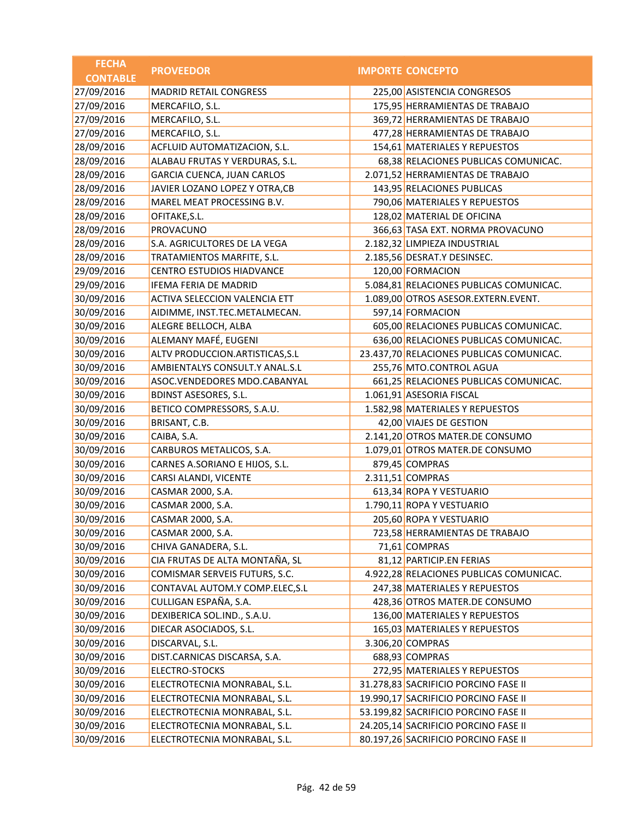| <b>FECHA</b>    | <b>PROVEEDOR</b>                  | <b>IMPORTE CONCEPTO</b>                  |
|-----------------|-----------------------------------|------------------------------------------|
| <b>CONTABLE</b> |                                   |                                          |
| 27/09/2016      | <b>MADRID RETAIL CONGRESS</b>     | 225,00 ASISTENCIA CONGRESOS              |
| 27/09/2016      | MERCAFILO, S.L.                   | 175,95 HERRAMIENTAS DE TRABAJO           |
| 27/09/2016      | MERCAFILO, S.L.                   | 369,72 HERRAMIENTAS DE TRABAJO           |
| 27/09/2016      | MERCAFILO, S.L.                   | 477,28 HERRAMIENTAS DE TRABAJO           |
| 28/09/2016      | ACFLUID AUTOMATIZACION, S.L.      | 154,61 MATERIALES Y REPUESTOS            |
| 28/09/2016      | ALABAU FRUTAS Y VERDURAS, S.L.    | 68,38 RELACIONES PUBLICAS COMUNICAC.     |
| 28/09/2016      | <b>GARCIA CUENCA, JUAN CARLOS</b> | 2.071,52 HERRAMIENTAS DE TRABAJO         |
| 28/09/2016      | JAVIER LOZANO LOPEZ Y OTRA, CB    | 143,95 RELACIONES PUBLICAS               |
| 28/09/2016      | MAREL MEAT PROCESSING B.V.        | 790,06 MATERIALES Y REPUESTOS            |
| 28/09/2016      | OFITAKE, S.L.                     | 128,02 MATERIAL DE OFICINA               |
| 28/09/2016      | <b>PROVACUNO</b>                  | 366,63 TASA EXT. NORMA PROVACUNO         |
| 28/09/2016      | S.A. AGRICULTORES DE LA VEGA      | 2.182,32 LIMPIEZA INDUSTRIAL             |
| 28/09/2016      | TRATAMIENTOS MARFITE, S.L.        | 2.185,56 DESRAT.Y DESINSEC.              |
| 29/09/2016      | <b>CENTRO ESTUDIOS HIADVANCE</b>  | 120,00 FORMACION                         |
| 29/09/2016      | <b>IFEMA FERIA DE MADRID</b>      | 5.084,81 RELACIONES PUBLICAS COMUNICAC.  |
| 30/09/2016      | ACTIVA SELECCION VALENCIA ETT     | 1.089,00 OTROS ASESOR.EXTERN.EVENT.      |
| 30/09/2016      | AIDIMME, INST.TEC.METALMECAN.     | 597,14 FORMACION                         |
| 30/09/2016      | ALEGRE BELLOCH, ALBA              | 605,00 RELACIONES PUBLICAS COMUNICAC.    |
| 30/09/2016      | ALEMANY MAFÉ, EUGENI              | 636,00 RELACIONES PUBLICAS COMUNICAC.    |
| 30/09/2016      | ALTV PRODUCCION.ARTISTICAS, S.L   | 23.437,70 RELACIONES PUBLICAS COMUNICAC. |
| 30/09/2016      | AMBIENTALYS CONSULT.Y ANAL.S.L    | 255,76 MTO.CONTROL AGUA                  |
| 30/09/2016      | ASOC.VENDEDORES MDO.CABANYAL      | 661,25 RELACIONES PUBLICAS COMUNICAC.    |
| 30/09/2016      | <b>BDINST ASESORES, S.L.</b>      | 1.061,91 ASESORIA FISCAL                 |
| 30/09/2016      | BETICO COMPRESSORS, S.A.U.        | 1.582,98 MATERIALES Y REPUESTOS          |
| 30/09/2016      | BRISANT, C.B.                     | 42,00 VIAJES DE GESTION                  |
| 30/09/2016      | CAIBA, S.A.                       | 2.141,20 OTROS MATER.DE CONSUMO          |
| 30/09/2016      | CARBUROS METALICOS, S.A.          | 1.079,01 OTROS MATER.DE CONSUMO          |
| 30/09/2016      | CARNES A.SORIANO E HIJOS, S.L.    | 879,45 COMPRAS                           |
| 30/09/2016      | CARSI ALANDI, VICENTE             | 2.311,51 COMPRAS                         |
| 30/09/2016      | CASMAR 2000, S.A.                 | 613,34 ROPA Y VESTUARIO                  |
| 30/09/2016      | CASMAR 2000, S.A.                 | 1.790,11 ROPA Y VESTUARIO                |
| 30/09/2016      | CASMAR 2000, S.A.                 | 205,60 ROPA Y VESTUARIO                  |
| 30/09/2016      | CASMAR 2000, S.A.                 | 723,58 HERRAMIENTAS DE TRABAJO           |
| 30/09/2016      | CHIVA GANADERA, S.L.              | 71,61 COMPRAS                            |
| 30/09/2016      | CIA FRUTAS DE ALTA MONTAÑA, SL    | 81,12 PARTICIP.EN FERIAS                 |
| 30/09/2016      | COMISMAR SERVEIS FUTURS, S.C.     | 4.922,28 RELACIONES PUBLICAS COMUNICAC.  |
| 30/09/2016      | CONTAVAL AUTOM.Y COMP.ELEC, S.L   | 247,38 MATERIALES Y REPUESTOS            |
| 30/09/2016      | CULLIGAN ESPAÑA, S.A.             | 428,36 OTROS MATER.DE CONSUMO            |
| 30/09/2016      | DEXIBERICA SOL.IND., S.A.U.       | 136,00 MATERIALES Y REPUESTOS            |
| 30/09/2016      | DIECAR ASOCIADOS, S.L.            | 165,03 MATERIALES Y REPUESTOS            |
| 30/09/2016      | DISCARVAL, S.L.                   | 3.306,20 COMPRAS                         |
| 30/09/2016      | DIST.CARNICAS DISCARSA, S.A.      | 688,93 COMPRAS                           |
| 30/09/2016      | <b>ELECTRO-STOCKS</b>             | 272,95 MATERIALES Y REPUESTOS            |
| 30/09/2016      | ELECTROTECNIA MONRABAL, S.L.      | 31.278,83 SACRIFICIO PORCINO FASE II     |
| 30/09/2016      | ELECTROTECNIA MONRABAL, S.L.      | 19.990,17 SACRIFICIO PORCINO FASE II     |
| 30/09/2016      | ELECTROTECNIA MONRABAL, S.L.      | 53.199,82 SACRIFICIO PORCINO FASE II     |
| 30/09/2016      | ELECTROTECNIA MONRABAL, S.L.      | 24.205,14 SACRIFICIO PORCINO FASE II     |
| 30/09/2016      | ELECTROTECNIA MONRABAL, S.L.      | 80.197,26 SACRIFICIO PORCINO FASE II     |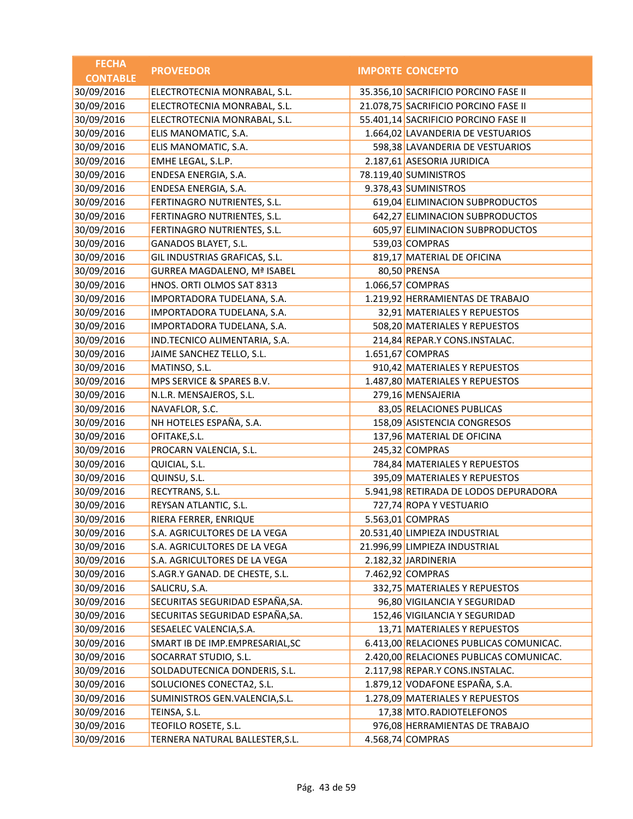| <b>FECHA</b>    | <b>PROVEEDOR</b>                   | <b>IMPORTE CONCEPTO</b>                 |
|-----------------|------------------------------------|-----------------------------------------|
| <b>CONTABLE</b> |                                    |                                         |
| 30/09/2016      | ELECTROTECNIA MONRABAL, S.L.       | 35.356,10 SACRIFICIO PORCINO FASE II    |
| 30/09/2016      | ELECTROTECNIA MONRABAL, S.L.       | 21.078,75 SACRIFICIO PORCINO FASE II    |
| 30/09/2016      | ELECTROTECNIA MONRABAL, S.L.       | 55.401,14 SACRIFICIO PORCINO FASE II    |
| 30/09/2016      | ELIS MANOMATIC, S.A.               | 1.664,02 LAVANDERIA DE VESTUARIOS       |
| 30/09/2016      | ELIS MANOMATIC, S.A.               | 598,38 LAVANDERIA DE VESTUARIOS         |
| 30/09/2016      | EMHE LEGAL, S.L.P.                 | 2.187,61 ASESORIA JURIDICA              |
| 30/09/2016      | ENDESA ENERGIA, S.A.               | 78.119,40 SUMINISTROS                   |
| 30/09/2016      | ENDESA ENERGIA, S.A.               | 9.378,43 SUMINISTROS                    |
| 30/09/2016      | FERTINAGRO NUTRIENTES, S.L.        | 619,04 ELIMINACION SUBPRODUCTOS         |
| 30/09/2016      | FERTINAGRO NUTRIENTES, S.L.        | 642,27 ELIMINACION SUBPRODUCTOS         |
| 30/09/2016      | FERTINAGRO NUTRIENTES, S.L.        | 605,97 ELIMINACION SUBPRODUCTOS         |
| 30/09/2016      | GANADOS BLAYET, S.L.               | 539,03 COMPRAS                          |
| 30/09/2016      | GIL INDUSTRIAS GRAFICAS, S.L.      | 819,17 MATERIAL DE OFICINA              |
| 30/09/2016      | <b>GURREA MAGDALENO, Mª ISABEL</b> | 80,50 PRENSA                            |
| 30/09/2016      | HNOS. ORTI OLMOS SAT 8313          | 1.066,57 COMPRAS                        |
| 30/09/2016      | IMPORTADORA TUDELANA, S.A.         | 1.219,92 HERRAMIENTAS DE TRABAJO        |
| 30/09/2016      | IMPORTADORA TUDELANA, S.A.         | 32,91 MATERIALES Y REPUESTOS            |
| 30/09/2016      | IMPORTADORA TUDELANA, S.A.         | 508,20 MATERIALES Y REPUESTOS           |
| 30/09/2016      | IND.TECNICO ALIMENTARIA, S.A.      | 214,84 REPAR.Y CONS.INSTALAC.           |
| 30/09/2016      | JAIME SANCHEZ TELLO, S.L.          | 1.651,67 COMPRAS                        |
| 30/09/2016      | MATINSO, S.L.                      | 910,42 MATERIALES Y REPUESTOS           |
| 30/09/2016      | MPS SERVICE & SPARES B.V.          | 1.487,80 MATERIALES Y REPUESTOS         |
| 30/09/2016      | N.L.R. MENSAJEROS, S.L.            | 279,16 MENSAJERIA                       |
| 30/09/2016      | NAVAFLOR, S.C.                     | 83,05 RELACIONES PUBLICAS               |
| 30/09/2016      | NH HOTELES ESPAÑA, S.A.            | 158,09 ASISTENCIA CONGRESOS             |
| 30/09/2016      | OFITAKE, S.L.                      | 137,96 MATERIAL DE OFICINA              |
| 30/09/2016      | PROCARN VALENCIA, S.L.             | 245,32 COMPRAS                          |
| 30/09/2016      | QUICIAL, S.L.                      | 784,84 MATERIALES Y REPUESTOS           |
| 30/09/2016      | QUINSU, S.L.                       | 395,09 MATERIALES Y REPUESTOS           |
| 30/09/2016      | RECYTRANS, S.L.                    | 5.941,98 RETIRADA DE LODOS DEPURADORA   |
| 30/09/2016      | REYSAN ATLANTIC, S.L.              | 727,74 ROPA Y VESTUARIO                 |
| 30/09/2016      | RIERA FERRER, ENRIQUE              | 5.563,01 COMPRAS                        |
| 30/09/2016      | S.A. AGRICULTORES DE LA VEGA       | 20.531,40 LIMPIEZA INDUSTRIAL           |
| 30/09/2016      | S.A. AGRICULTORES DE LA VEGA       | 21.996,99 LIMPIEZA INDUSTRIAL           |
| 30/09/2016      | S.A. AGRICULTORES DE LA VEGA       | 2.182,32 JARDINERIA                     |
| 30/09/2016      | S.AGR.Y GANAD. DE CHESTE, S.L.     | 7.462,92 COMPRAS                        |
| 30/09/2016      | SALICRU, S.A.                      | 332,75 MATERIALES Y REPUESTOS           |
| 30/09/2016      | SECURITAS SEGURIDAD ESPAÑA, SA.    | 96,80 VIGILANCIA Y SEGURIDAD            |
| 30/09/2016      | SECURITAS SEGURIDAD ESPAÑA, SA.    | 152,46 VIGILANCIA Y SEGURIDAD           |
| 30/09/2016      | SESAELEC VALENCIA, S.A.            | 13,71 MATERIALES Y REPUESTOS            |
| 30/09/2016      | SMART IB DE IMP.EMPRESARIAL, SC    | 6.413,00 RELACIONES PUBLICAS COMUNICAC. |
| 30/09/2016      | SOCARRAT STUDIO, S.L.              | 2.420,00 RELACIONES PUBLICAS COMUNICAC. |
| 30/09/2016      | SOLDADUTECNICA DONDERIS, S.L.      | 2.117,98 REPAR.Y CONS.INSTALAC.         |
| 30/09/2016      | SOLUCIONES CONECTA2, S.L.          | 1.879,12 VODAFONE ESPAÑA, S.A.          |
| 30/09/2016      | SUMINISTROS GEN.VALENCIA, S.L.     | 1.278,09 MATERIALES Y REPUESTOS         |
| 30/09/2016      | TEINSA, S.L.                       | 17,38 MTO.RADIOTELEFONOS                |
| 30/09/2016      | TEOFILO ROSETE, S.L.               | 976,08 HERRAMIENTAS DE TRABAJO          |
| 30/09/2016      | TERNERA NATURAL BALLESTER, S.L.    | 4.568,74 COMPRAS                        |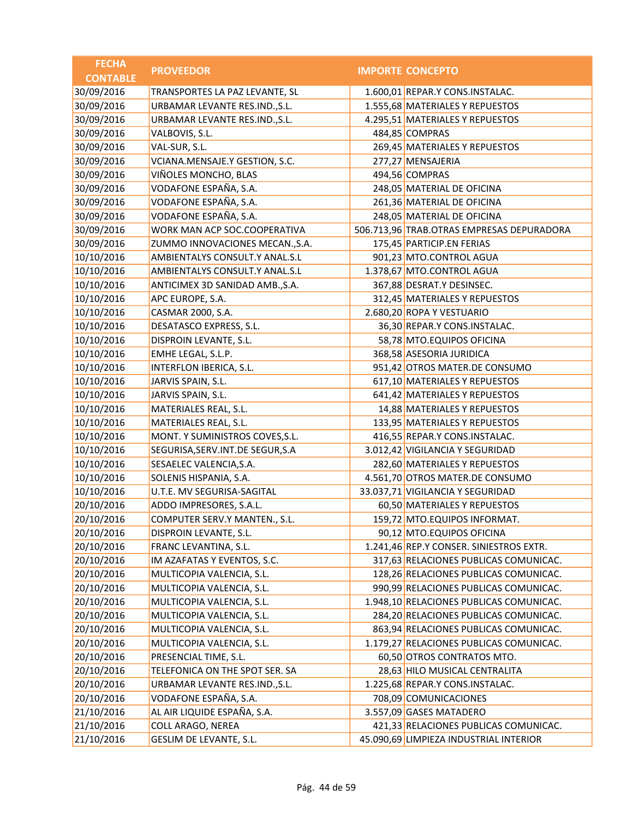| <b>FECHA</b>    | <b>PROVEEDOR</b>                   | <b>IMPORTE CONCEPTO</b>                   |
|-----------------|------------------------------------|-------------------------------------------|
| <b>CONTABLE</b> |                                    |                                           |
| 30/09/2016      | TRANSPORTES LA PAZ LEVANTE, SL     | 1.600,01 REPAR.Y CONS.INSTALAC.           |
| 30/09/2016      | URBAMAR LEVANTE RES.IND., S.L.     | 1.555,68 MATERIALES Y REPUESTOS           |
| 30/09/2016      | URBAMAR LEVANTE RES.IND., S.L.     | 4.295,51 MATERIALES Y REPUESTOS           |
| 30/09/2016      | VALBOVIS, S.L.                     | 484,85 COMPRAS                            |
| 30/09/2016      | VAL-SUR, S.L.                      | 269,45 MATERIALES Y REPUESTOS             |
| 30/09/2016      | VCIANA.MENSAJE.Y GESTION, S.C.     | 277,27 MENSAJERIA                         |
| 30/09/2016      | VIÑOLES MONCHO, BLAS               | 494,56 COMPRAS                            |
| 30/09/2016      | VODAFONE ESPAÑA, S.A.              | 248,05 MATERIAL DE OFICINA                |
| 30/09/2016      | VODAFONE ESPAÑA, S.A.              | 261,36 MATERIAL DE OFICINA                |
| 30/09/2016      | VODAFONE ESPAÑA, S.A.              | 248,05 MATERIAL DE OFICINA                |
| 30/09/2016      | WORK MAN ACP SOC.COOPERATIVA       | 506.713,96 TRAB.OTRAS EMPRESAS DEPURADORA |
| 30/09/2016      | ZUMMO INNOVACIONES MECAN., S.A.    | 175,45 PARTICIP.EN FERIAS                 |
| 10/10/2016      | AMBIENTALYS CONSULT.Y ANAL.S.L     | 901,23 MTO.CONTROL AGUA                   |
| 10/10/2016      | AMBIENTALYS CONSULT.Y ANAL.S.L     | 1.378,67 MTO.CONTROL AGUA                 |
| 10/10/2016      | ANTICIMEX 3D SANIDAD AMB., S.A.    | 367,88 DESRAT.Y DESINSEC.                 |
| 10/10/2016      | APC EUROPE, S.A.                   | 312,45 MATERIALES Y REPUESTOS             |
| 10/10/2016      | CASMAR 2000, S.A.                  | 2.680,20 ROPA Y VESTUARIO                 |
| 10/10/2016      | DESATASCO EXPRESS, S.L.            | 36,30 REPAR.Y CONS.INSTALAC.              |
| 10/10/2016      | DISPROIN LEVANTE, S.L.             | 58,78 MTO.EQUIPOS OFICINA                 |
| 10/10/2016      | EMHE LEGAL, S.L.P.                 | 368,58 ASESORIA JURIDICA                  |
| 10/10/2016      | INTERFLON IBERICA, S.L.            | 951,42 OTROS MATER.DE CONSUMO             |
| 10/10/2016      | JARVIS SPAIN, S.L.                 | 617,10 MATERIALES Y REPUESTOS             |
| 10/10/2016      | JARVIS SPAIN, S.L.                 | 641,42 MATERIALES Y REPUESTOS             |
| 10/10/2016      | MATERIALES REAL, S.L.              | 14,88 MATERIALES Y REPUESTOS              |
| 10/10/2016      | MATERIALES REAL, S.L.              | 133,95 MATERIALES Y REPUESTOS             |
| 10/10/2016      | MONT. Y SUMINISTROS COVES, S.L.    | 416,55 REPAR.Y CONS.INSTALAC.             |
| 10/10/2016      | SEGURISA, SERV. INT. DE SEGUR, S.A | 3.012,42 VIGILANCIA Y SEGURIDAD           |
| 10/10/2016      | SESAELEC VALENCIA, S.A.            | 282,60 MATERIALES Y REPUESTOS             |
| 10/10/2016      | SOLENIS HISPANIA, S.A.             | 4.561,70 OTROS MATER.DE CONSUMO           |
| 10/10/2016      | U.T.E. MV SEGURISA-SAGITAL         | 33.037,71 VIGILANCIA Y SEGURIDAD          |
| 20/10/2016      | ADDO IMPRESORES, S.A.L.            | 60,50 MATERIALES Y REPUESTOS              |
| 20/10/2016      | COMPUTER SERV.Y MANTEN., S.L.      | 159,72 MTO.EQUIPOS INFORMAT.              |
| 20/10/2016      | DISPROIN LEVANTE, S.L.             | 90,12 MTO.EQUIPOS OFICINA                 |
| 20/10/2016      | FRANC LEVANTINA, S.L.              | 1.241,46 REP.Y CONSER. SINIESTROS EXTR.   |
| 20/10/2016      | IM AZAFATAS Y EVENTOS, S.C.        | 317,63 RELACIONES PUBLICAS COMUNICAC.     |
| 20/10/2016      | MULTICOPIA VALENCIA, S.L.          | 128,26 RELACIONES PUBLICAS COMUNICAC.     |
| 20/10/2016      | MULTICOPIA VALENCIA, S.L.          | 990,99 RELACIONES PUBLICAS COMUNICAC.     |
| 20/10/2016      | MULTICOPIA VALENCIA, S.L.          | 1.948,10 RELACIONES PUBLICAS COMUNICAC.   |
| 20/10/2016      | MULTICOPIA VALENCIA, S.L.          | 284,20 RELACIONES PUBLICAS COMUNICAC.     |
| 20/10/2016      | MULTICOPIA VALENCIA, S.L.          | 863,94 RELACIONES PUBLICAS COMUNICAC.     |
| 20/10/2016      | MULTICOPIA VALENCIA, S.L.          | 1.179,27 RELACIONES PUBLICAS COMUNICAC.   |
| 20/10/2016      | PRESENCIAL TIME, S.L.              | 60,50 OTROS CONTRATOS MTO.                |
| 20/10/2016      | TELEFONICA ON THE SPOT SER. SA     | 28,63 HILO MUSICAL CENTRALITA             |
| 20/10/2016      | URBAMAR LEVANTE RES.IND., S.L.     | 1.225,68 REPAR.Y CONS.INSTALAC.           |
| 20/10/2016      | VODAFONE ESPAÑA, S.A.              | 708,09 COMUNICACIONES                     |
| 21/10/2016      | AL AIR LIQUIDE ESPAÑA, S.A.        | 3.557,09 GASES MATADERO                   |
| 21/10/2016      | <b>COLL ARAGO, NEREA</b>           | 421,33 RELACIONES PUBLICAS COMUNICAC.     |
| 21/10/2016      | GESLIM DE LEVANTE, S.L.            | 45.090,69 LIMPIEZA INDUSTRIAL INTERIOR    |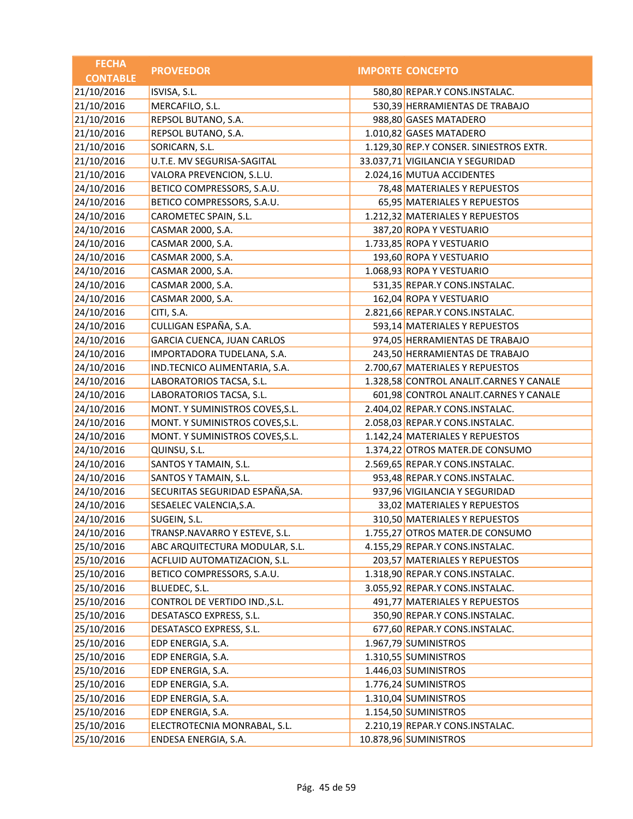| <b>FECHA</b>    | <b>PROVEEDOR</b>                  | <b>IMPORTE CONCEPTO</b>                 |
|-----------------|-----------------------------------|-----------------------------------------|
| <b>CONTABLE</b> |                                   |                                         |
| 21/10/2016      | ISVISA, S.L.                      | 580,80 REPAR.Y CONS.INSTALAC.           |
| 21/10/2016      | MERCAFILO, S.L.                   | 530,39 HERRAMIENTAS DE TRABAJO          |
| 21/10/2016      | REPSOL BUTANO, S.A.               | 988,80 GASES MATADERO                   |
| 21/10/2016      | REPSOL BUTANO, S.A.               | 1.010,82 GASES MATADERO                 |
| 21/10/2016      | SORICARN, S.L.                    | 1.129,30 REP.Y CONSER. SINIESTROS EXTR. |
| 21/10/2016      | U.T.E. MV SEGURISA-SAGITAL        | 33.037,71 VIGILANCIA Y SEGURIDAD        |
| 21/10/2016      | VALORA PREVENCION, S.L.U.         | 2.024,16 MUTUA ACCIDENTES               |
| 24/10/2016      | BETICO COMPRESSORS, S.A.U.        | 78,48 MATERIALES Y REPUESTOS            |
| 24/10/2016      | BETICO COMPRESSORS, S.A.U.        | 65,95 MATERIALES Y REPUESTOS            |
| 24/10/2016      | CAROMETEC SPAIN, S.L.             | 1.212,32 MATERIALES Y REPUESTOS         |
| 24/10/2016      | CASMAR 2000, S.A.                 | 387,20 ROPA Y VESTUARIO                 |
| 24/10/2016      | CASMAR 2000, S.A.                 | 1.733,85 ROPA Y VESTUARIO               |
| 24/10/2016      | CASMAR 2000, S.A.                 | 193,60 ROPA Y VESTUARIO                 |
| 24/10/2016      | CASMAR 2000, S.A.                 | 1.068,93 ROPA Y VESTUARIO               |
| 24/10/2016      | CASMAR 2000, S.A.                 | 531,35 REPAR.Y CONS.INSTALAC.           |
| 24/10/2016      | CASMAR 2000, S.A.                 | 162,04 ROPA Y VESTUARIO                 |
| 24/10/2016      | CITI, S.A.                        | 2.821,66 REPAR.Y CONS.INSTALAC.         |
| 24/10/2016      | CULLIGAN ESPAÑA, S.A.             | 593,14 MATERIALES Y REPUESTOS           |
| 24/10/2016      | <b>GARCIA CUENCA, JUAN CARLOS</b> | 974,05 HERRAMIENTAS DE TRABAJO          |
| 24/10/2016      | IMPORTADORA TUDELANA, S.A.        | 243,50 HERRAMIENTAS DE TRABAJO          |
| 24/10/2016      | IND.TECNICO ALIMENTARIA, S.A.     | 2.700,67 MATERIALES Y REPUESTOS         |
| 24/10/2016      | LABORATORIOS TACSA, S.L.          | 1.328,58 CONTROL ANALIT.CARNES Y CANALE |
| 24/10/2016      | LABORATORIOS TACSA, S.L.          | 601,98 CONTROL ANALIT.CARNES Y CANALE   |
| 24/10/2016      | MONT. Y SUMINISTROS COVES, S.L.   | 2.404,02 REPAR.Y CONS.INSTALAC.         |
| 24/10/2016      | MONT. Y SUMINISTROS COVES, S.L.   | 2.058,03 REPAR.Y CONS.INSTALAC.         |
| 24/10/2016      | MONT. Y SUMINISTROS COVES, S.L.   | 1.142,24 MATERIALES Y REPUESTOS         |
| 24/10/2016      | QUINSU, S.L.                      | 1.374,22 OTROS MATER.DE CONSUMO         |
| 24/10/2016      | SANTOS Y TAMAIN, S.L.             | 2.569,65 REPAR.Y CONS.INSTALAC.         |
| 24/10/2016      | SANTOS Y TAMAIN, S.L.             | 953,48 REPAR.Y CONS.INSTALAC.           |
| 24/10/2016      | SECURITAS SEGURIDAD ESPAÑA, SA.   | 937,96 VIGILANCIA Y SEGURIDAD           |
| 24/10/2016      | SESAELEC VALENCIA, S.A.           | 33,02 MATERIALES Y REPUESTOS            |
| 24/10/2016      | SUGEIN, S.L.                      | 310,50 MATERIALES Y REPUESTOS           |
| 24/10/2016      | TRANSP.NAVARRO Y ESTEVE, S.L.     | 1.755,27 OTROS MATER.DE CONSUMO         |
| 25/10/2016      | ABC ARQUITECTURA MODULAR, S.L.    | 4.155,29 REPAR.Y CONS.INSTALAC.         |
| 25/10/2016      | ACFLUID AUTOMATIZACION, S.L.      | 203,57 MATERIALES Y REPUESTOS           |
| 25/10/2016      | BETICO COMPRESSORS, S.A.U.        | 1.318,90 REPAR.Y CONS.INSTALAC.         |
| 25/10/2016      | BLUEDEC, S.L.                     | 3.055,92 REPAR.Y CONS.INSTALAC.         |
| 25/10/2016      | CONTROL DE VERTIDO IND., S.L.     | 491,77 MATERIALES Y REPUESTOS           |
| 25/10/2016      | DESATASCO EXPRESS, S.L.           | 350,90 REPAR.Y CONS.INSTALAC.           |
| 25/10/2016      | DESATASCO EXPRESS, S.L.           | 677,60 REPAR.Y CONS.INSTALAC.           |
| 25/10/2016      | EDP ENERGIA, S.A.                 | 1.967,79 SUMINISTROS                    |
| 25/10/2016      | EDP ENERGIA, S.A.                 | 1.310,55 SUMINISTROS                    |
| 25/10/2016      | EDP ENERGIA, S.A.                 | 1.446,03 SUMINISTROS                    |
| 25/10/2016      | EDP ENERGIA, S.A.                 | 1.776,24 SUMINISTROS                    |
| 25/10/2016      | EDP ENERGIA, S.A.                 | 1.310,04 SUMINISTROS                    |
| 25/10/2016      | EDP ENERGIA, S.A.                 | 1.154,50 SUMINISTROS                    |
| 25/10/2016      | ELECTROTECNIA MONRABAL, S.L.      | 2.210,19 REPAR.Y CONS.INSTALAC.         |
| 25/10/2016      | ENDESA ENERGIA, S.A.              | 10.878,96 SUMINISTROS                   |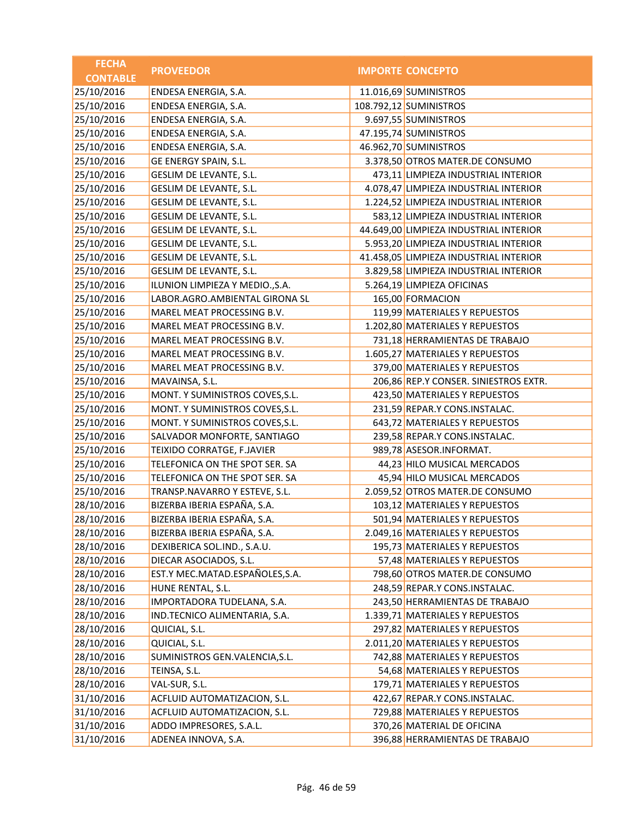| <b>FECHA</b>    | <b>PROVEEDOR</b>                | <b>IMPORTE CONCEPTO</b>                |
|-----------------|---------------------------------|----------------------------------------|
| <b>CONTABLE</b> |                                 |                                        |
| 25/10/2016      | ENDESA ENERGIA, S.A.            | 11.016,69 SUMINISTROS                  |
| 25/10/2016      | ENDESA ENERGIA, S.A.            | 108.792,12 SUMINISTROS                 |
| 25/10/2016      | ENDESA ENERGIA, S.A.            | 9.697,55 SUMINISTROS                   |
| 25/10/2016      | ENDESA ENERGIA, S.A.            | 47.195,74 SUMINISTROS                  |
| 25/10/2016      | ENDESA ENERGIA, S.A.            | 46.962,70 SUMINISTROS                  |
| 25/10/2016      | GE ENERGY SPAIN, S.L.           | 3.378,50 OTROS MATER.DE CONSUMO        |
| 25/10/2016      | GESLIM DE LEVANTE, S.L.         | 473,11 LIMPIEZA INDUSTRIAL INTERIOR    |
| 25/10/2016      | GESLIM DE LEVANTE, S.L.         | 4.078,47 LIMPIEZA INDUSTRIAL INTERIOR  |
| 25/10/2016      | GESLIM DE LEVANTE, S.L.         | 1.224,52 LIMPIEZA INDUSTRIAL INTERIOR  |
| 25/10/2016      | GESLIM DE LEVANTE, S.L.         | 583,12 LIMPIEZA INDUSTRIAL INTERIOR    |
| 25/10/2016      | GESLIM DE LEVANTE, S.L.         | 44.649,00 LIMPIEZA INDUSTRIAL INTERIOR |
| 25/10/2016      | GESLIM DE LEVANTE, S.L.         | 5.953,20 LIMPIEZA INDUSTRIAL INTERIOR  |
| 25/10/2016      | GESLIM DE LEVANTE, S.L.         | 41.458,05 LIMPIEZA INDUSTRIAL INTERIOR |
| 25/10/2016      | GESLIM DE LEVANTE, S.L.         | 3.829,58 LIMPIEZA INDUSTRIAL INTERIOR  |
| 25/10/2016      | ILUNION LIMPIEZA Y MEDIO., S.A. | 5.264,19 LIMPIEZA OFICINAS             |
| 25/10/2016      | LABOR.AGRO.AMBIENTAL GIRONA SL  | 165,00 FORMACION                       |
| 25/10/2016      | MAREL MEAT PROCESSING B.V.      | 119,99 MATERIALES Y REPUESTOS          |
| 25/10/2016      | MAREL MEAT PROCESSING B.V.      | 1.202,80 MATERIALES Y REPUESTOS        |
| 25/10/2016      | MAREL MEAT PROCESSING B.V.      | 731,18 HERRAMIENTAS DE TRABAJO         |
| 25/10/2016      | MAREL MEAT PROCESSING B.V.      | 1.605,27 MATERIALES Y REPUESTOS        |
| 25/10/2016      | MAREL MEAT PROCESSING B.V.      | 379,00 MATERIALES Y REPUESTOS          |
| 25/10/2016      | MAVAINSA, S.L.                  | 206,86 REP.Y CONSER. SINIESTROS EXTR.  |
| 25/10/2016      | MONT. Y SUMINISTROS COVES, S.L. | 423,50 MATERIALES Y REPUESTOS          |
| 25/10/2016      | MONT. Y SUMINISTROS COVES, S.L. | 231,59 REPAR.Y CONS.INSTALAC.          |
| 25/10/2016      | MONT. Y SUMINISTROS COVES, S.L. | 643,72 MATERIALES Y REPUESTOS          |
| 25/10/2016      | SALVADOR MONFORTE, SANTIAGO     | 239,58 REPAR.Y CONS.INSTALAC.          |
| 25/10/2016      | TEIXIDO CORRATGE, F.JAVIER      | 989,78 ASESOR.INFORMAT.                |
| 25/10/2016      | TELEFONICA ON THE SPOT SER. SA  | 44,23 HILO MUSICAL MERCADOS            |
| 25/10/2016      | TELEFONICA ON THE SPOT SER. SA  | 45,94 HILO MUSICAL MERCADOS            |
| 25/10/2016      | TRANSP.NAVARRO Y ESTEVE, S.L.   | 2.059,52 OTROS MATER.DE CONSUMO        |
| 28/10/2016      | BIZERBA IBERIA ESPAÑA, S.A.     | 103,12 MATERIALES Y REPUESTOS          |
| 28/10/2016      | BIZERBA IBERIA ESPAÑA, S.A.     | 501,94 MATERIALES Y REPUESTOS          |
| 28/10/2016      | BIZERBA IBERIA ESPAÑA, S.A.     | 2.049,16 MATERIALES Y REPUESTOS        |
| 28/10/2016      | DEXIBERICA SOL.IND., S.A.U.     | 195,73 MATERIALES Y REPUESTOS          |
| 28/10/2016      | DIECAR ASOCIADOS, S.L.          | 57,48 MATERIALES Y REPUESTOS           |
| 28/10/2016      | EST.Y MEC.MATAD.ESPAÑOLES,S.A.  | 798,60 OTROS MATER.DE CONSUMO          |
| 28/10/2016      | HUNE RENTAL, S.L.               | 248,59 REPAR.Y CONS.INSTALAC.          |
| 28/10/2016      | IMPORTADORA TUDELANA, S.A.      | 243,50 HERRAMIENTAS DE TRABAJO         |
| 28/10/2016      | IND.TECNICO ALIMENTARIA, S.A.   | 1.339,71 MATERIALES Y REPUESTOS        |
| 28/10/2016      | QUICIAL, S.L.                   | 297,82 MATERIALES Y REPUESTOS          |
| 28/10/2016      | QUICIAL, S.L.                   | 2.011,20 MATERIALES Y REPUESTOS        |
| 28/10/2016      | SUMINISTROS GEN.VALENCIA, S.L.  | 742,88 MATERIALES Y REPUESTOS          |
| 28/10/2016      | TEINSA, S.L.                    | 54,68 MATERIALES Y REPUESTOS           |
| 28/10/2016      | VAL-SUR, S.L.                   | 179,71 MATERIALES Y REPUESTOS          |
| 31/10/2016      | ACFLUID AUTOMATIZACION, S.L.    | 422,67 REPAR.Y CONS.INSTALAC.          |
| 31/10/2016      | ACFLUID AUTOMATIZACION, S.L.    | 729,88 MATERIALES Y REPUESTOS          |
| 31/10/2016      | ADDO IMPRESORES, S.A.L.         | 370,26 MATERIAL DE OFICINA             |
| 31/10/2016      | ADENEA INNOVA, S.A.             | 396,88 HERRAMIENTAS DE TRABAJO         |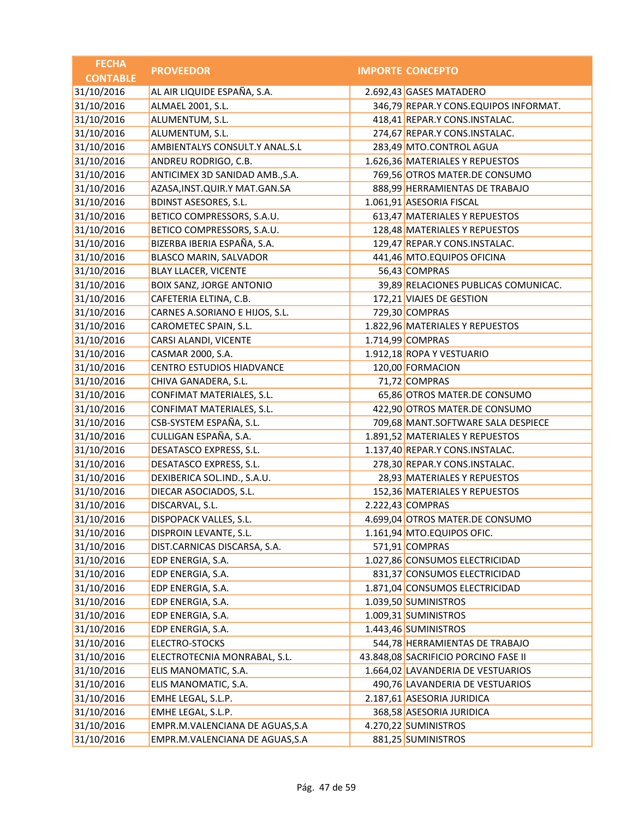| <b>FECHA</b>    | <b>PROVEEDOR</b>                  | <b>IMPORTE CONCEPTO</b>               |
|-----------------|-----------------------------------|---------------------------------------|
| <b>CONTABLE</b> |                                   |                                       |
| 31/10/2016      | AL AIR LIQUIDE ESPAÑA, S.A.       | 2.692,43 GASES MATADERO               |
| 31/10/2016      | ALMAEL 2001, S.L.                 | 346,79 REPAR.Y CONS.EQUIPOS INFORMAT. |
| 31/10/2016      | ALUMENTUM, S.L.                   | 418,41 REPAR.Y CONS.INSTALAC.         |
| 31/10/2016      | ALUMENTUM, S.L.                   | 274,67 REPAR.Y CONS.INSTALAC.         |
| 31/10/2016      | AMBIENTALYS CONSULT.Y ANAL.S.L    | 283,49 MTO.CONTROL AGUA               |
| 31/10/2016      | ANDREU RODRIGO, C.B.              | 1.626,36 MATERIALES Y REPUESTOS       |
| 31/10/2016      | ANTICIMEX 3D SANIDAD AMB., S.A.   | 769,56 OTROS MATER.DE CONSUMO         |
| 31/10/2016      | AZASA, INST. QUIR. Y MAT. GAN. SA | 888,99 HERRAMIENTAS DE TRABAJO        |
| 31/10/2016      | <b>BDINST ASESORES, S.L.</b>      | 1.061,91 ASESORIA FISCAL              |
| 31/10/2016      | BETICO COMPRESSORS, S.A.U.        | 613,47 MATERIALES Y REPUESTOS         |
| 31/10/2016      | BETICO COMPRESSORS, S.A.U.        | 128,48 MATERIALES Y REPUESTOS         |
| 31/10/2016      | BIZERBA IBERIA ESPAÑA, S.A.       | 129,47 REPAR.Y CONS.INSTALAC.         |
| 31/10/2016      | BLASCO MARIN, SALVADOR            | 441,46 MTO.EQUIPOS OFICINA            |
| 31/10/2016      | <b>BLAY LLACER, VICENTE</b>       | 56,43 COMPRAS                         |
| 31/10/2016      | <b>BOIX SANZ, JORGE ANTONIO</b>   | 39,89 RELACIONES PUBLICAS COMUNICAC.  |
| 31/10/2016      | CAFETERIA ELTINA, C.B.            | 172,21 VIAJES DE GESTION              |
| 31/10/2016      | CARNES A.SORIANO E HIJOS, S.L.    | 729,30 COMPRAS                        |
| 31/10/2016      | CAROMETEC SPAIN, S.L.             | 1.822,96 MATERIALES Y REPUESTOS       |
| 31/10/2016      | CARSI ALANDI, VICENTE             | 1.714,99 COMPRAS                      |
| 31/10/2016      | CASMAR 2000, S.A.                 | 1.912,18 ROPA Y VESTUARIO             |
| 31/10/2016      | <b>CENTRO ESTUDIOS HIADVANCE</b>  | 120,00 FORMACION                      |
| 31/10/2016      | CHIVA GANADERA, S.L.              | 71,72 COMPRAS                         |
| 31/10/2016      | CONFIMAT MATERIALES, S.L.         | 65,86 OTROS MATER.DE CONSUMO          |
| 31/10/2016      | CONFIMAT MATERIALES, S.L.         | 422,90 OTROS MATER.DE CONSUMO         |
| 31/10/2016      | CSB-SYSTEM ESPAÑA, S.L.           | 709,68 MANT.SOFTWARE SALA DESPIECE    |
| 31/10/2016      | CULLIGAN ESPAÑA, S.A.             | 1.891,52 MATERIALES Y REPUESTOS       |
| 31/10/2016      | DESATASCO EXPRESS, S.L.           | 1.137,40 REPAR.Y CONS.INSTALAC.       |
| 31/10/2016      | DESATASCO EXPRESS, S.L.           | 278,30 REPAR.Y CONS.INSTALAC.         |
| 31/10/2016      | DEXIBERICA SOL.IND., S.A.U.       | 28,93 MATERIALES Y REPUESTOS          |
| 31/10/2016      | DIECAR ASOCIADOS, S.L.            | 152,36 MATERIALES Y REPUESTOS         |
| 31/10/2016      | DISCARVAL, S.L.                   | 2.222,43 COMPRAS                      |
| 31/10/2016      | DISPOPACK VALLES, S.L.            | 4.699,04 OTROS MATER.DE CONSUMO       |
| 31/10/2016      | DISPROIN LEVANTE, S.L.            | 1.161,94 MTO.EQUIPOS OFIC.            |
| 31/10/2016      | DIST.CARNICAS DISCARSA, S.A.      | 571,91 COMPRAS                        |
| 31/10/2016      | EDP ENERGIA, S.A.                 | 1.027,86 CONSUMOS ELECTRICIDAD        |
| 31/10/2016      | EDP ENERGIA, S.A.                 | 831,37 CONSUMOS ELECTRICIDAD          |
| 31/10/2016      | EDP ENERGIA, S.A.                 | 1.871,04 CONSUMOS ELECTRICIDAD        |
| 31/10/2016      | EDP ENERGIA, S.A.                 | 1.039,50 SUMINISTROS                  |
| 31/10/2016      | EDP ENERGIA, S.A.                 | 1.009,31 SUMINISTROS                  |
| 31/10/2016      | EDP ENERGIA, S.A.                 | 1.443,46 SUMINISTROS                  |
| 31/10/2016      | <b>ELECTRO-STOCKS</b>             | 544,78 HERRAMIENTAS DE TRABAJO        |
| 31/10/2016      | ELECTROTECNIA MONRABAL, S.L.      | 43.848,08 SACRIFICIO PORCINO FASE II  |
| 31/10/2016      | ELIS MANOMATIC, S.A.              | 1.664,02 LAVANDERIA DE VESTUARIOS     |
| 31/10/2016      | ELIS MANOMATIC, S.A.              | 490,76 LAVANDERIA DE VESTUARIOS       |
| 31/10/2016      | EMHE LEGAL, S.L.P.                | 2.187,61 ASESORIA JURIDICA            |
| 31/10/2016      | EMHE LEGAL, S.L.P.                | 368,58 ASESORIA JURIDICA              |
| 31/10/2016      | EMPR.M.VALENCIANA DE AGUAS, S.A   | 4.270,22 SUMINISTROS                  |
| 31/10/2016      | EMPR.M.VALENCIANA DE AGUAS, S.A   | 881,25 SUMINISTROS                    |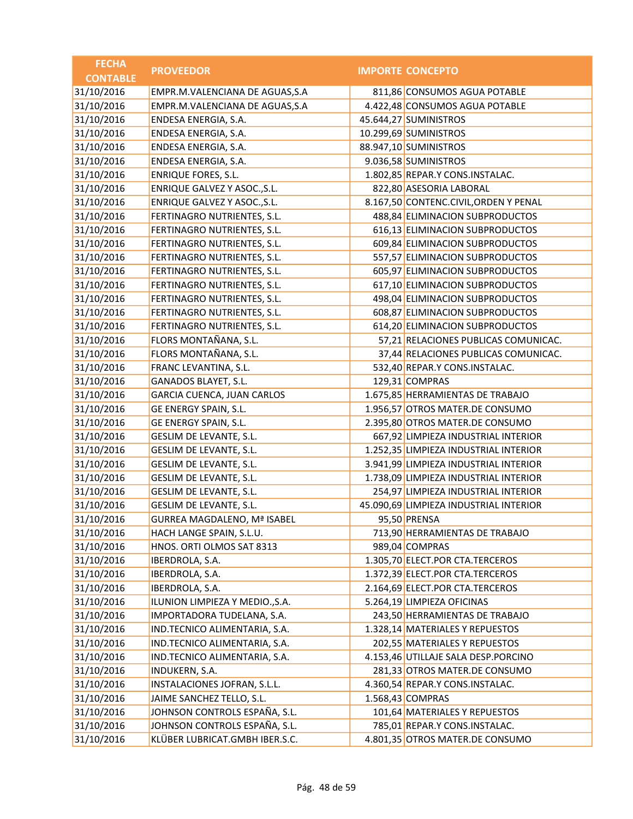| <b>FECHA</b>    | <b>PROVEEDOR</b>                   | <b>IMPORTE CONCEPTO</b>                |
|-----------------|------------------------------------|----------------------------------------|
| <b>CONTABLE</b> |                                    |                                        |
| 31/10/2016      | EMPR.M.VALENCIANA DE AGUAS, S.A    | 811,86 CONSUMOS AGUA POTABLE           |
| 31/10/2016      | EMPR.M.VALENCIANA DE AGUAS, S.A    | 4.422,48 CONSUMOS AGUA POTABLE         |
| 31/10/2016      | ENDESA ENERGIA, S.A.               | 45.644,27 SUMINISTROS                  |
| 31/10/2016      | ENDESA ENERGIA, S.A.               | 10.299,69 SUMINISTROS                  |
| 31/10/2016      | ENDESA ENERGIA, S.A.               | 88.947,10 SUMINISTROS                  |
| 31/10/2016      | ENDESA ENERGIA, S.A.               | 9.036,58 SUMINISTROS                   |
| 31/10/2016      | <b>ENRIQUE FORES, S.L.</b>         | 1.802,85 REPAR.Y CONS.INSTALAC.        |
| 31/10/2016      | ENRIQUE GALVEZ Y ASOC., S.L.       | 822,80 ASESORIA LABORAL                |
| 31/10/2016      | ENRIQUE GALVEZ Y ASOC., S.L.       | 8.167,50 CONTENC.CIVIL, ORDEN Y PENAL  |
| 31/10/2016      | FERTINAGRO NUTRIENTES, S.L.        | 488,84 ELIMINACION SUBPRODUCTOS        |
| 31/10/2016      | FERTINAGRO NUTRIENTES, S.L.        | 616,13 ELIMINACION SUBPRODUCTOS        |
| 31/10/2016      | FERTINAGRO NUTRIENTES, S.L.        | 609,84 ELIMINACION SUBPRODUCTOS        |
| 31/10/2016      | FERTINAGRO NUTRIENTES, S.L.        | 557,57 ELIMINACION SUBPRODUCTOS        |
| 31/10/2016      | FERTINAGRO NUTRIENTES, S.L.        | 605,97 ELIMINACION SUBPRODUCTOS        |
| 31/10/2016      | FERTINAGRO NUTRIENTES, S.L.        | 617,10 ELIMINACION SUBPRODUCTOS        |
| 31/10/2016      | FERTINAGRO NUTRIENTES, S.L.        | 498,04 ELIMINACION SUBPRODUCTOS        |
| 31/10/2016      | FERTINAGRO NUTRIENTES, S.L.        | 608,87 ELIMINACION SUBPRODUCTOS        |
| 31/10/2016      | FERTINAGRO NUTRIENTES, S.L.        | 614,20 ELIMINACION SUBPRODUCTOS        |
| 31/10/2016      | FLORS MONTAÑANA, S.L.              | 57,21 RELACIONES PUBLICAS COMUNICAC.   |
| 31/10/2016      | FLORS MONTAÑANA, S.L.              | 37,44 RELACIONES PUBLICAS COMUNICAC.   |
| 31/10/2016      | FRANC LEVANTINA, S.L.              | 532,40 REPAR.Y CONS.INSTALAC.          |
| 31/10/2016      | GANADOS BLAYET, S.L.               | 129,31 COMPRAS                         |
| 31/10/2016      | GARCIA CUENCA, JUAN CARLOS         | 1.675,85 HERRAMIENTAS DE TRABAJO       |
| 31/10/2016      | GE ENERGY SPAIN, S.L.              | 1.956,57 OTROS MATER.DE CONSUMO        |
| 31/10/2016      | GE ENERGY SPAIN, S.L.              | 2.395,80 OTROS MATER.DE CONSUMO        |
| 31/10/2016      | GESLIM DE LEVANTE, S.L.            | 667,92 LIMPIEZA INDUSTRIAL INTERIOR    |
| 31/10/2016      | GESLIM DE LEVANTE, S.L.            | 1.252,35 LIMPIEZA INDUSTRIAL INTERIOR  |
| 31/10/2016      | GESLIM DE LEVANTE, S.L.            | 3.941,99 LIMPIEZA INDUSTRIAL INTERIOR  |
| 31/10/2016      | GESLIM DE LEVANTE, S.L.            | 1.738,09 LIMPIEZA INDUSTRIAL INTERIOR  |
| 31/10/2016      | GESLIM DE LEVANTE, S.L.            | 254,97 LIMPIEZA INDUSTRIAL INTERIOR    |
| 31/10/2016      | GESLIM DE LEVANTE, S.L.            | 45.090,69 LIMPIEZA INDUSTRIAL INTERIOR |
| 31/10/2016      | <b>GURREA MAGDALENO, Mª ISABEL</b> | 95,50 PRENSA                           |
| 31/10/2016      | HACH LANGE SPAIN, S.L.U.           | 713,90 HERRAMIENTAS DE TRABAJO         |
| 31/10/2016      | HNOS. ORTI OLMOS SAT 8313          | 989,04 COMPRAS                         |
| 31/10/2016      | IBERDROLA, S.A.                    | 1.305,70 ELECT.POR CTA.TERCEROS        |
| 31/10/2016      | IBERDROLA, S.A.                    | 1.372,39 ELECT.POR CTA.TERCEROS        |
| 31/10/2016      | IBERDROLA, S.A.                    | 2.164,69 ELECT.POR CTA.TERCEROS        |
| 31/10/2016      | ILUNION LIMPIEZA Y MEDIO., S.A.    | 5.264,19 LIMPIEZA OFICINAS             |
| 31/10/2016      | IMPORTADORA TUDELANA, S.A.         | 243,50 HERRAMIENTAS DE TRABAJO         |
| 31/10/2016      | IND.TECNICO ALIMENTARIA, S.A.      | 1.328,14 MATERIALES Y REPUESTOS        |
| 31/10/2016      | IND.TECNICO ALIMENTARIA, S.A.      | 202,55 MATERIALES Y REPUESTOS          |
| 31/10/2016      | IND.TECNICO ALIMENTARIA, S.A.      | 4.153,46 UTILLAJE SALA DESP.PORCINO    |
| 31/10/2016      | <b>INDUKERN, S.A.</b>              | 281,33 OTROS MATER.DE CONSUMO          |
| 31/10/2016      | INSTALACIONES JOFRAN, S.L.L.       | 4.360,54 REPAR.Y CONS.INSTALAC.        |
| 31/10/2016      | JAIME SANCHEZ TELLO, S.L.          | 1.568,43 COMPRAS                       |
| 31/10/2016      | JOHNSON CONTROLS ESPAÑA, S.L.      | 101,64 MATERIALES Y REPUESTOS          |
| 31/10/2016      | JOHNSON CONTROLS ESPAÑA, S.L.      | 785,01 REPAR.Y CONS.INSTALAC.          |
| 31/10/2016      | KLÜBER LUBRICAT.GMBH IBER.S.C.     | 4.801,35 OTROS MATER.DE CONSUMO        |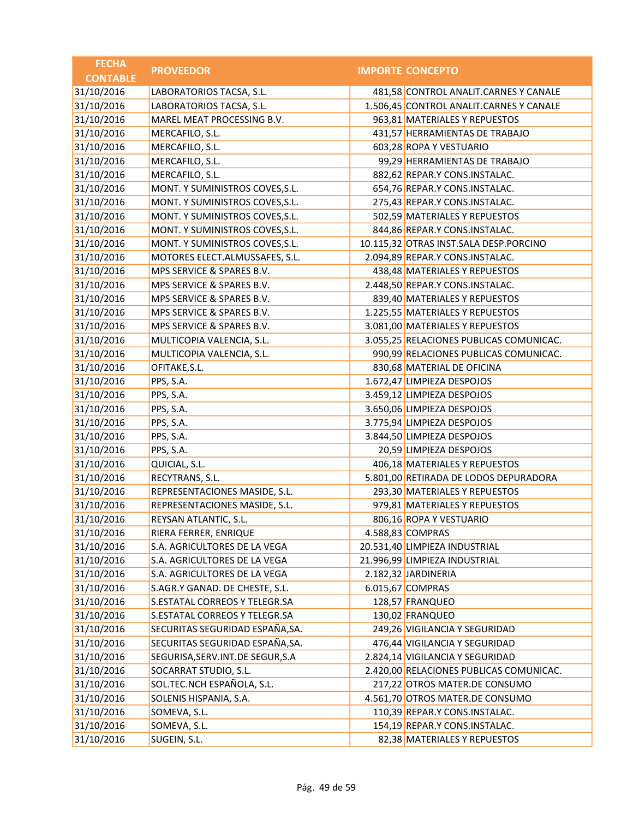| <b>FECHA</b>    | <b>PROVEEDOR</b>                   | <b>IMPORTE CONCEPTO</b>                 |
|-----------------|------------------------------------|-----------------------------------------|
| <b>CONTABLE</b> |                                    |                                         |
| 31/10/2016      | LABORATORIOS TACSA, S.L.           | 481,58 CONTROL ANALIT.CARNES Y CANALE   |
| 31/10/2016      | LABORATORIOS TACSA, S.L.           | 1.506,45 CONTROL ANALIT.CARNES Y CANALE |
| 31/10/2016      | MAREL MEAT PROCESSING B.V.         | 963,81 MATERIALES Y REPUESTOS           |
| 31/10/2016      | MERCAFILO, S.L.                    | 431,57 HERRAMIENTAS DE TRABAJO          |
| 31/10/2016      | MERCAFILO, S.L.                    | 603,28 ROPA Y VESTUARIO                 |
| 31/10/2016      | MERCAFILO, S.L.                    | 99,29 HERRAMIENTAS DE TRABAJO           |
| 31/10/2016      | MERCAFILO, S.L.                    | 882,62 REPAR.Y CONS.INSTALAC.           |
| 31/10/2016      | MONT. Y SUMINISTROS COVES, S.L.    | 654,76 REPAR.Y CONS.INSTALAC.           |
| 31/10/2016      | MONT. Y SUMINISTROS COVES, S.L.    | 275,43 REPAR.Y CONS.INSTALAC.           |
| 31/10/2016      | MONT. Y SUMINISTROS COVES, S.L.    | 502,59 MATERIALES Y REPUESTOS           |
| 31/10/2016      | MONT. Y SUMINISTROS COVES, S.L.    | 844,86 REPAR.Y CONS.INSTALAC.           |
| 31/10/2016      | MONT. Y SUMINISTROS COVES, S.L.    | 10.115,32 OTRAS INST.SALA DESP.PORCINO  |
| 31/10/2016      | MOTORES ELECT.ALMUSSAFES, S.L.     | 2.094,89 REPAR.Y CONS.INSTALAC.         |
| 31/10/2016      | MPS SERVICE & SPARES B.V.          | 438,48 MATERIALES Y REPUESTOS           |
| 31/10/2016      | MPS SERVICE & SPARES B.V.          | 2.448,50 REPAR.Y CONS.INSTALAC.         |
| 31/10/2016      | MPS SERVICE & SPARES B.V.          | 839,40 MATERIALES Y REPUESTOS           |
| 31/10/2016      | MPS SERVICE & SPARES B.V.          | 1.225,55 MATERIALES Y REPUESTOS         |
| 31/10/2016      | MPS SERVICE & SPARES B.V.          | 3.081,00 MATERIALES Y REPUESTOS         |
| 31/10/2016      | MULTICOPIA VALENCIA, S.L.          | 3.055,25 RELACIONES PUBLICAS COMUNICAC. |
| 31/10/2016      | MULTICOPIA VALENCIA, S.L.          | 990,99 RELACIONES PUBLICAS COMUNICAC.   |
| 31/10/2016      | OFITAKE, S.L.                      | 830,68 MATERIAL DE OFICINA              |
| 31/10/2016      | PPS, S.A.                          | 1.672,47 LIMPIEZA DESPOJOS              |
| 31/10/2016      | PPS, S.A.                          | 3.459,12 LIMPIEZA DESPOJOS              |
| 31/10/2016      | PPS, S.A.                          | 3.650,06 LIMPIEZA DESPOJOS              |
| 31/10/2016      | PPS, S.A.                          | 3.775,94 LIMPIEZA DESPOJOS              |
| 31/10/2016      | PPS, S.A.                          | 3.844,50 LIMPIEZA DESPOJOS              |
| 31/10/2016      | PPS, S.A.                          | 20,59 LIMPIEZA DESPOJOS                 |
| 31/10/2016      | QUICIAL, S.L.                      | 406,18 MATERIALES Y REPUESTOS           |
| 31/10/2016      | RECYTRANS, S.L.                    | 5.801,00 RETIRADA DE LODOS DEPURADORA   |
| 31/10/2016      | REPRESENTACIONES MASIDE, S.L.      | 293,30 MATERIALES Y REPUESTOS           |
| 31/10/2016      | REPRESENTACIONES MASIDE, S.L.      | 979,81 MATERIALES Y REPUESTOS           |
| 31/10/2016      | REYSAN ATLANTIC, S.L.              | 806,16 ROPA Y VESTUARIO                 |
| 31/10/2016      | RIERA FERRER, ENRIQUE              | 4.588,83 COMPRAS                        |
| 31/10/2016      | S.A. AGRICULTORES DE LA VEGA       | 20.531,40 LIMPIEZA INDUSTRIAL           |
| 31/10/2016      | S.A. AGRICULTORES DE LA VEGA       | 21.996,99 LIMPIEZA INDUSTRIAL           |
| 31/10/2016      | S.A. AGRICULTORES DE LA VEGA       | 2.182,32 JARDINERIA                     |
| 31/10/2016      | S.AGR.Y GANAD. DE CHESTE, S.L.     | 6.015,67 COMPRAS                        |
| 31/10/2016      | S.ESTATAL CORREOS Y TELEGR.SA      | 128,57 FRANQUEO                         |
| 31/10/2016      | S.ESTATAL CORREOS Y TELEGR.SA      | 130,02 FRANQUEO                         |
| 31/10/2016      | SECURITAS SEGURIDAD ESPAÑA, SA.    | 249,26 VIGILANCIA Y SEGURIDAD           |
| 31/10/2016      | SECURITAS SEGURIDAD ESPAÑA, SA.    | 476,44 VIGILANCIA Y SEGURIDAD           |
| 31/10/2016      | SEGURISA, SERV. INT. DE SEGUR, S.A | 2.824,14 VIGILANCIA Y SEGURIDAD         |
| 31/10/2016      | SOCARRAT STUDIO, S.L.              | 2.420,00 RELACIONES PUBLICAS COMUNICAC. |
| 31/10/2016      | SOL.TEC.NCH ESPAÑOLA, S.L.         | 217,22 OTROS MATER.DE CONSUMO           |
| 31/10/2016      | SOLENIS HISPANIA, S.A.             | 4.561,70 OTROS MATER.DE CONSUMO         |
| 31/10/2016      | SOMEVA, S.L.                       | 110,39 REPAR.Y CONS.INSTALAC.           |
| 31/10/2016      | SOMEVA, S.L.                       | 154,19 REPAR.Y CONS.INSTALAC.           |
| 31/10/2016      | SUGEIN, S.L.                       | 82,38 MATERIALES Y REPUESTOS            |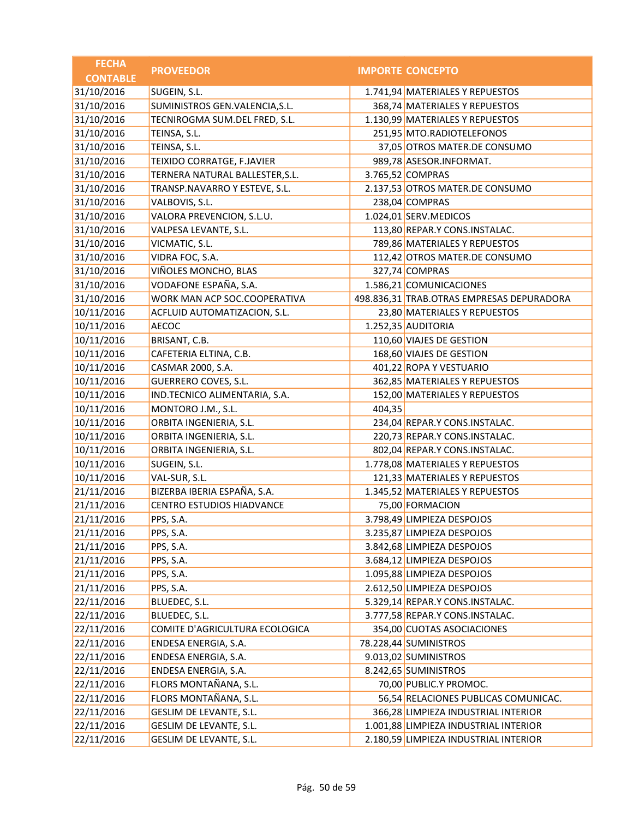| <b>FECHA</b>    | <b>PROVEEDOR</b>                 |        | <b>IMPORTE CONCEPTO</b>                   |
|-----------------|----------------------------------|--------|-------------------------------------------|
| <b>CONTABLE</b> |                                  |        |                                           |
| 31/10/2016      | SUGEIN, S.L.                     |        | 1.741,94 MATERIALES Y REPUESTOS           |
| 31/10/2016      | SUMINISTROS GEN.VALENCIA, S.L.   |        | 368,74 MATERIALES Y REPUESTOS             |
| 31/10/2016      | TECNIROGMA SUM.DEL FRED, S.L.    |        | 1.130,99 MATERIALES Y REPUESTOS           |
| 31/10/2016      | TEINSA, S.L.                     |        | 251,95 MTO.RADIOTELEFONOS                 |
| 31/10/2016      | TEINSA, S.L.                     |        | 37,05 OTROS MATER.DE CONSUMO              |
| 31/10/2016      | TEIXIDO CORRATGE, F.JAVIER       |        | 989,78 ASESOR.INFORMAT.                   |
| 31/10/2016      | TERNERA NATURAL BALLESTER, S.L.  |        | 3.765,52 COMPRAS                          |
| 31/10/2016      | TRANSP.NAVARRO Y ESTEVE, S.L.    |        | 2.137,53 OTROS MATER.DE CONSUMO           |
| 31/10/2016      | VALBOVIS, S.L.                   |        | 238,04 COMPRAS                            |
| 31/10/2016      | VALORA PREVENCION, S.L.U.        |        | 1.024,01 SERV.MEDICOS                     |
| 31/10/2016      | VALPESA LEVANTE, S.L.            |        | 113,80 REPAR.Y CONS.INSTALAC.             |
| 31/10/2016      | VICMATIC, S.L.                   |        | 789,86 MATERIALES Y REPUESTOS             |
| 31/10/2016      | VIDRA FOC, S.A.                  |        | 112,42 OTROS MATER.DE CONSUMO             |
| 31/10/2016      | VIÑOLES MONCHO, BLAS             |        | 327,74 COMPRAS                            |
| 31/10/2016      | VODAFONE ESPAÑA, S.A.            |        | 1.586,21 COMUNICACIONES                   |
| 31/10/2016      | WORK MAN ACP SOC.COOPERATIVA     |        | 498.836,31 TRAB.OTRAS EMPRESAS DEPURADORA |
| 10/11/2016      | ACFLUID AUTOMATIZACION, S.L.     |        | 23,80 MATERIALES Y REPUESTOS              |
| 10/11/2016      | <b>AECOC</b>                     |        | 1.252,35 AUDITORIA                        |
| 10/11/2016      | BRISANT, C.B.                    |        | 110,60 VIAJES DE GESTION                  |
| 10/11/2016      | CAFETERIA ELTINA, C.B.           |        | 168,60 VIAJES DE GESTION                  |
| 10/11/2016      | CASMAR 2000, S.A.                |        | 401,22 ROPA Y VESTUARIO                   |
| 10/11/2016      | <b>GUERRERO COVES, S.L.</b>      |        | 362,85 MATERIALES Y REPUESTOS             |
| 10/11/2016      | IND.TECNICO ALIMENTARIA, S.A.    |        | 152,00 MATERIALES Y REPUESTOS             |
| 10/11/2016      | MONTORO J.M., S.L.               | 404,35 |                                           |
| 10/11/2016      | ORBITA INGENIERIA, S.L.          |        | 234,04 REPAR.Y CONS.INSTALAC.             |
| 10/11/2016      | ORBITA INGENIERIA, S.L.          |        | 220,73 REPAR.Y CONS.INSTALAC.             |
| 10/11/2016      | ORBITA INGENIERIA, S.L.          |        | 802,04 REPAR.Y CONS.INSTALAC.             |
| 10/11/2016      | SUGEIN, S.L.                     |        | 1.778,08 MATERIALES Y REPUESTOS           |
| 10/11/2016      | VAL-SUR, S.L.                    |        | 121,33 MATERIALES Y REPUESTOS             |
| 21/11/2016      | BIZERBA IBERIA ESPAÑA, S.A.      |        | 1.345,52 MATERIALES Y REPUESTOS           |
| 21/11/2016      | <b>CENTRO ESTUDIOS HIADVANCE</b> |        | 75,00 FORMACION                           |
| 21/11/2016      | PPS, S.A.                        |        | 3.798,49 LIMPIEZA DESPOJOS                |
| 21/11/2016      | PPS, S.A.                        |        | 3.235,87 LIMPIEZA DESPOJOS                |
| 21/11/2016      | PPS, S.A.                        |        | 3.842,68 LIMPIEZA DESPOJOS                |
| 21/11/2016      | PPS, S.A.                        |        | 3.684,12 LIMPIEZA DESPOJOS                |
| 21/11/2016      | PPS, S.A.                        |        | 1.095,88 LIMPIEZA DESPOJOS                |
| 21/11/2016      | PPS, S.A.                        |        | 2.612,50 LIMPIEZA DESPOJOS                |
| 22/11/2016      | BLUEDEC, S.L.                    |        | 5.329,14 REPAR.Y CONS.INSTALAC.           |
| 22/11/2016      | BLUEDEC, S.L.                    |        | 3.777,58 REPAR.Y CONS.INSTALAC.           |
| 22/11/2016      | COMITE D'AGRICULTURA ECOLOGICA   |        | 354,00 CUOTAS ASOCIACIONES                |
| 22/11/2016      | ENDESA ENERGIA, S.A.             |        | 78.228,44 SUMINISTROS                     |
| 22/11/2016      | ENDESA ENERGIA, S.A.             |        | 9.013,02 SUMINISTROS                      |
| 22/11/2016      | ENDESA ENERGIA, S.A.             |        | 8.242,65 SUMINISTROS                      |
| 22/11/2016      | FLORS MONTAÑANA, S.L.            |        | 70,00 PUBLIC.Y PROMOC.                    |
| 22/11/2016      | FLORS MONTAÑANA, S.L.            |        | 56,54 RELACIONES PUBLICAS COMUNICAC.      |
| 22/11/2016      | GESLIM DE LEVANTE, S.L.          |        | 366,28 LIMPIEZA INDUSTRIAL INTERIOR       |
| 22/11/2016      | GESLIM DE LEVANTE, S.L.          |        | 1.001,88 LIMPIEZA INDUSTRIAL INTERIOR     |
| 22/11/2016      | GESLIM DE LEVANTE, S.L.          |        | 2.180,59 LIMPIEZA INDUSTRIAL INTERIOR     |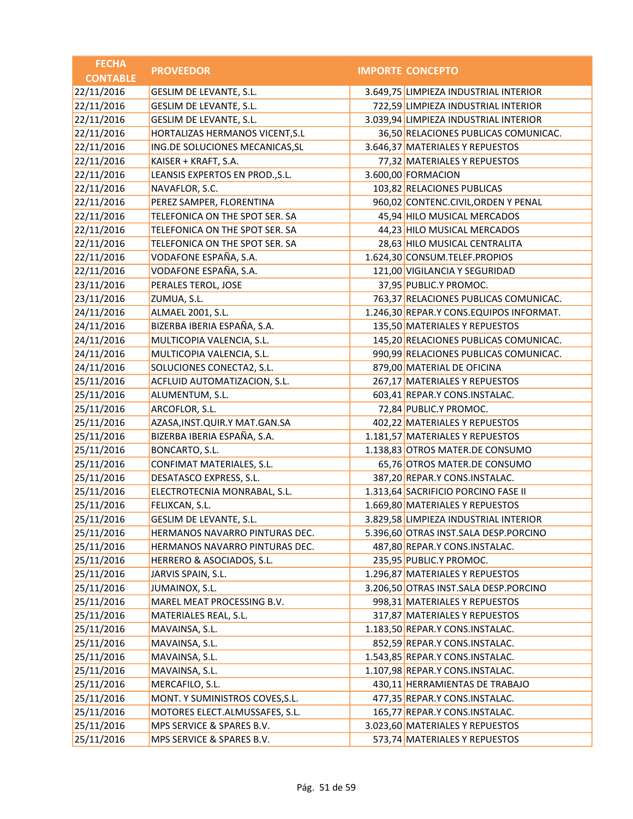| <b>FECHA</b>    | <b>PROVEEDOR</b>                  | <b>IMPORTE CONCEPTO</b>                 |
|-----------------|-----------------------------------|-----------------------------------------|
| <b>CONTABLE</b> |                                   |                                         |
| 22/11/2016      | GESLIM DE LEVANTE, S.L.           | 3.649,75 LIMPIEZA INDUSTRIAL INTERIOR   |
| 22/11/2016      | GESLIM DE LEVANTE, S.L.           | 722,59 LIMPIEZA INDUSTRIAL INTERIOR     |
| 22/11/2016      | GESLIM DE LEVANTE, S.L.           | 3.039,94 LIMPIEZA INDUSTRIAL INTERIOR   |
| 22/11/2016      | HORTALIZAS HERMANOS VICENT, S.L   | 36,50 RELACIONES PUBLICAS COMUNICAC.    |
| 22/11/2016      | ING.DE SOLUCIONES MECANICAS, SL   | 3.646,37 MATERIALES Y REPUESTOS         |
| 22/11/2016      | KAISER + KRAFT, S.A.              | 77,32 MATERIALES Y REPUESTOS            |
| 22/11/2016      | LEANSIS EXPERTOS EN PROD., S.L.   | 3.600,00 FORMACION                      |
| 22/11/2016      | NAVAFLOR, S.C.                    | 103,82 RELACIONES PUBLICAS              |
| 22/11/2016      | PEREZ SAMPER, FLORENTINA          | 960,02 CONTENC.CIVIL, ORDEN Y PENAL     |
| 22/11/2016      | TELEFONICA ON THE SPOT SER. SA    | 45,94 HILO MUSICAL MERCADOS             |
| 22/11/2016      | TELEFONICA ON THE SPOT SER. SA    | 44,23 HILO MUSICAL MERCADOS             |
| 22/11/2016      | TELEFONICA ON THE SPOT SER. SA    | 28,63 HILO MUSICAL CENTRALITA           |
| 22/11/2016      | VODAFONE ESPAÑA, S.A.             | 1.624,30 CONSUM.TELEF.PROPIOS           |
| 22/11/2016      | VODAFONE ESPAÑA, S.A.             | 121,00 VIGILANCIA Y SEGURIDAD           |
| 23/11/2016      | PERALES TEROL, JOSE               | 37,95 PUBLIC.Y PROMOC.                  |
| 23/11/2016      | ZUMUA, S.L.                       | 763,37 RELACIONES PUBLICAS COMUNICAC.   |
| 24/11/2016      | ALMAEL 2001, S.L.                 | 1.246,30 REPAR.Y CONS.EQUIPOS INFORMAT. |
| 24/11/2016      | BIZERBA IBERIA ESPAÑA, S.A.       | 135,50 MATERIALES Y REPUESTOS           |
| 24/11/2016      | MULTICOPIA VALENCIA, S.L.         | 145,20 RELACIONES PUBLICAS COMUNICAC.   |
| 24/11/2016      | MULTICOPIA VALENCIA, S.L.         | 990,99 RELACIONES PUBLICAS COMUNICAC.   |
| 24/11/2016      | SOLUCIONES CONECTA2, S.L.         | 879,00 MATERIAL DE OFICINA              |
| 25/11/2016      | ACFLUID AUTOMATIZACION, S.L.      | 267,17 MATERIALES Y REPUESTOS           |
| 25/11/2016      | ALUMENTUM, S.L.                   | 603,41 REPAR.Y CONS.INSTALAC.           |
| 25/11/2016      | ARCOFLOR, S.L.                    | 72,84 PUBLIC.Y PROMOC.                  |
| 25/11/2016      | AZASA, INST. QUIR. Y MAT. GAN. SA | 402,22 MATERIALES Y REPUESTOS           |
| 25/11/2016      | BIZERBA IBERIA ESPAÑA, S.A.       | 1.181,57 MATERIALES Y REPUESTOS         |
| 25/11/2016      | BONCARTO, S.L.                    | 1.138,83 OTROS MATER.DE CONSUMO         |
| 25/11/2016      | CONFIMAT MATERIALES, S.L.         | 65,76 OTROS MATER.DE CONSUMO            |
| 25/11/2016      | DESATASCO EXPRESS, S.L.           | 387,20 REPAR.Y CONS.INSTALAC.           |
| 25/11/2016      | ELECTROTECNIA MONRABAL, S.L.      | 1.313,64 SACRIFICIO PORCINO FASE II     |
| 25/11/2016      | FELIXCAN, S.L.                    | 1.669,80 MATERIALES Y REPUESTOS         |
| 25/11/2016      | GESLIM DE LEVANTE, S.L.           | 3.829,58 LIMPIEZA INDUSTRIAL INTERIOR   |
| 25/11/2016      | HERMANOS NAVARRO PINTURAS DEC.    | 5.396,60 OTRAS INST.SALA DESP.PORCINO   |
| 25/11/2016      | HERMANOS NAVARRO PINTURAS DEC.    | 487,80 REPAR.Y CONS.INSTALAC.           |
| 25/11/2016      | HERRERO & ASOCIADOS, S.L.         | 235,95 PUBLIC.Y PROMOC.                 |
| 25/11/2016      | JARVIS SPAIN, S.L.                | 1.296,87 MATERIALES Y REPUESTOS         |
| 25/11/2016      | JUMAINOX, S.L.                    | 3.206,50 OTRAS INST.SALA DESP.PORCINO   |
| 25/11/2016      | MAREL MEAT PROCESSING B.V.        | 998,31 MATERIALES Y REPUESTOS           |
| 25/11/2016      | MATERIALES REAL, S.L.             | 317,87 MATERIALES Y REPUESTOS           |
| 25/11/2016      | MAVAINSA, S.L.                    | 1.183,50 REPAR.Y CONS.INSTALAC.         |
| 25/11/2016      | MAVAINSA, S.L.                    | 852,59 REPAR.Y CONS.INSTALAC.           |
| 25/11/2016      | MAVAINSA, S.L.                    | 1.543,85 REPAR.Y CONS.INSTALAC.         |
| 25/11/2016      | MAVAINSA, S.L.                    | 1.107,98 REPAR.Y CONS.INSTALAC.         |
| 25/11/2016      | MERCAFILO, S.L.                   | 430,11 HERRAMIENTAS DE TRABAJO          |
| 25/11/2016      | MONT. Y SUMINISTROS COVES, S.L.   | 477,35 REPAR.Y CONS.INSTALAC.           |
| 25/11/2016      | MOTORES ELECT.ALMUSSAFES, S.L.    | 165,77 REPAR.Y CONS.INSTALAC.           |
| 25/11/2016      | MPS SERVICE & SPARES B.V.         | 3.023,60 MATERIALES Y REPUESTOS         |
| 25/11/2016      | MPS SERVICE & SPARES B.V.         | 573,74 MATERIALES Y REPUESTOS           |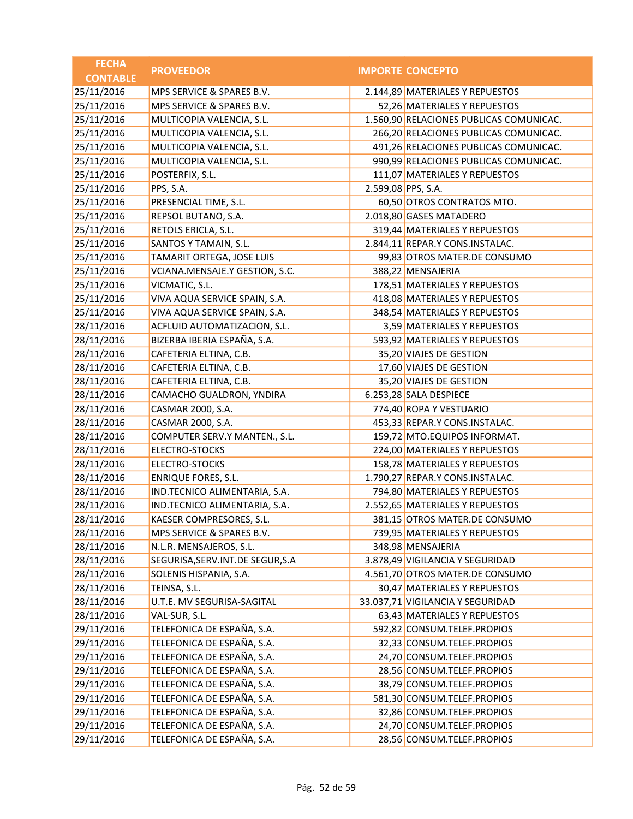| <b>FECHA</b>    | <b>PROVEEDOR</b>                   |                    | <b>IMPORTE CONCEPTO</b>                 |
|-----------------|------------------------------------|--------------------|-----------------------------------------|
| <b>CONTABLE</b> |                                    |                    |                                         |
| 25/11/2016      | MPS SERVICE & SPARES B.V.          |                    | 2.144,89 MATERIALES Y REPUESTOS         |
| 25/11/2016      | MPS SERVICE & SPARES B.V.          |                    | 52,26 MATERIALES Y REPUESTOS            |
| 25/11/2016      | MULTICOPIA VALENCIA, S.L.          |                    | 1.560,90 RELACIONES PUBLICAS COMUNICAC. |
| 25/11/2016      | MULTICOPIA VALENCIA, S.L.          |                    | 266,20 RELACIONES PUBLICAS COMUNICAC.   |
| 25/11/2016      | MULTICOPIA VALENCIA, S.L.          |                    | 491,26 RELACIONES PUBLICAS COMUNICAC.   |
| 25/11/2016      | MULTICOPIA VALENCIA, S.L.          |                    | 990,99 RELACIONES PUBLICAS COMUNICAC.   |
| 25/11/2016      | POSTERFIX, S.L.                    |                    | 111,07 MATERIALES Y REPUESTOS           |
| 25/11/2016      | PPS, S.A.                          | 2.599,08 PPS, S.A. |                                         |
| 25/11/2016      | PRESENCIAL TIME, S.L.              |                    | 60,50 OTROS CONTRATOS MTO.              |
| 25/11/2016      | REPSOL BUTANO, S.A.                |                    | 2.018,80 GASES MATADERO                 |
| 25/11/2016      | RETOLS ERICLA, S.L.                |                    | 319,44 MATERIALES Y REPUESTOS           |
| 25/11/2016      | SANTOS Y TAMAIN, S.L.              |                    | 2.844,11 REPAR.Y CONS.INSTALAC.         |
| 25/11/2016      | TAMARIT ORTEGA, JOSE LUIS          |                    | 99,83 OTROS MATER.DE CONSUMO            |
| 25/11/2016      | VCIANA.MENSAJE.Y GESTION, S.C.     |                    | 388,22 MENSAJERIA                       |
| 25/11/2016      | VICMATIC, S.L.                     |                    | 178,51 MATERIALES Y REPUESTOS           |
| 25/11/2016      | VIVA AQUA SERVICE SPAIN, S.A.      |                    | 418,08 MATERIALES Y REPUESTOS           |
| 25/11/2016      | VIVA AQUA SERVICE SPAIN, S.A.      |                    | 348,54 MATERIALES Y REPUESTOS           |
| 28/11/2016      | ACFLUID AUTOMATIZACION, S.L.       |                    | 3,59 MATERIALES Y REPUESTOS             |
| 28/11/2016      | BIZERBA IBERIA ESPAÑA, S.A.        |                    | 593,92 MATERIALES Y REPUESTOS           |
| 28/11/2016      | CAFETERIA ELTINA, C.B.             |                    | 35,20 VIAJES DE GESTION                 |
| 28/11/2016      | CAFETERIA ELTINA, C.B.             |                    | 17,60 VIAJES DE GESTION                 |
| 28/11/2016      | CAFETERIA ELTINA, C.B.             |                    | 35,20 VIAJES DE GESTION                 |
| 28/11/2016      | CAMACHO GUALDRON, YNDIRA           |                    | 6.253,28 SALA DESPIECE                  |
| 28/11/2016      | CASMAR 2000, S.A.                  |                    | 774,40 ROPA Y VESTUARIO                 |
| 28/11/2016      | CASMAR 2000, S.A.                  |                    | 453,33 REPAR.Y CONS.INSTALAC.           |
| 28/11/2016      | COMPUTER SERV.Y MANTEN., S.L.      |                    | 159,72 MTO.EQUIPOS INFORMAT.            |
| 28/11/2016      | ELECTRO-STOCKS                     |                    | 224,00 MATERIALES Y REPUESTOS           |
| 28/11/2016      | ELECTRO-STOCKS                     |                    | 158,78 MATERIALES Y REPUESTOS           |
| 28/11/2016      | <b>ENRIQUE FORES, S.L.</b>         |                    | 1.790,27 REPAR.Y CONS.INSTALAC.         |
| 28/11/2016      | IND.TECNICO ALIMENTARIA, S.A.      |                    | 794,80 MATERIALES Y REPUESTOS           |
| 28/11/2016      | IND.TECNICO ALIMENTARIA, S.A.      |                    | 2.552,65 MATERIALES Y REPUESTOS         |
| 28/11/2016      | KAESER COMPRESORES, S.L.           |                    | 381,15 OTROS MATER.DE CONSUMO           |
| 28/11/2016      | MPS SERVICE & SPARES B.V.          |                    | 739,95 MATERIALES Y REPUESTOS           |
| 28/11/2016      | N.L.R. MENSAJEROS, S.L.            |                    | 348,98 MENSAJERIA                       |
| 28/11/2016      | SEGURISA, SERV. INT. DE SEGUR, S.A |                    | 3.878,49 VIGILANCIA Y SEGURIDAD         |
| 28/11/2016      | SOLENIS HISPANIA, S.A.             |                    | 4.561,70 OTROS MATER.DE CONSUMO         |
| 28/11/2016      | TEINSA, S.L.                       |                    | 30,47 MATERIALES Y REPUESTOS            |
| 28/11/2016      | U.T.E. MV SEGURISA-SAGITAL         |                    | 33.037,71 VIGILANCIA Y SEGURIDAD        |
| 28/11/2016      | VAL-SUR, S.L.                      |                    | 63,43 MATERIALES Y REPUESTOS            |
| 29/11/2016      | TELEFONICA DE ESPAÑA, S.A.         |                    | 592,82 CONSUM.TELEF.PROPIOS             |
| 29/11/2016      | TELEFONICA DE ESPAÑA, S.A.         |                    | 32,33 CONSUM.TELEF.PROPIOS              |
| 29/11/2016      | TELEFONICA DE ESPAÑA, S.A.         |                    | 24,70 CONSUM.TELEF.PROPIOS              |
| 29/11/2016      | TELEFONICA DE ESPAÑA, S.A.         |                    | 28,56 CONSUM.TELEF.PROPIOS              |
| 29/11/2016      | TELEFONICA DE ESPAÑA, S.A.         |                    | 38,79 CONSUM.TELEF.PROPIOS              |
| 29/11/2016      | TELEFONICA DE ESPAÑA, S.A.         |                    | 581,30 CONSUM.TELEF.PROPIOS             |
| 29/11/2016      | TELEFONICA DE ESPAÑA, S.A.         |                    | 32,86 CONSUM.TELEF.PROPIOS              |
| 29/11/2016      | TELEFONICA DE ESPAÑA, S.A.         |                    | 24,70 CONSUM.TELEF.PROPIOS              |
| 29/11/2016      | TELEFONICA DE ESPAÑA, S.A.         |                    | 28,56 CONSUM.TELEF.PROPIOS              |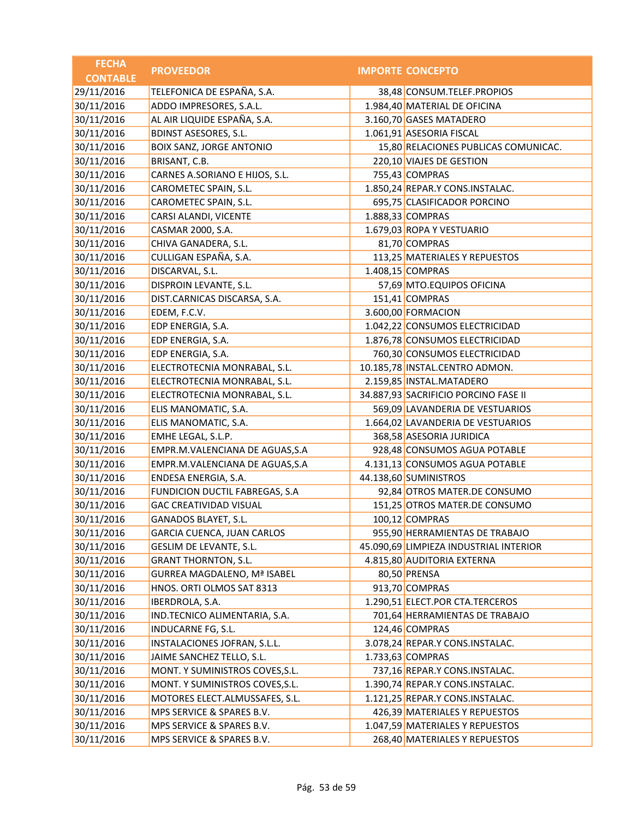| <b>FECHA</b>    | <b>PROVEEDOR</b>                   | <b>IMPORTE CONCEPTO</b>                |
|-----------------|------------------------------------|----------------------------------------|
| <b>CONTABLE</b> |                                    |                                        |
| 29/11/2016      | TELEFONICA DE ESPAÑA, S.A.         | 38,48 CONSUM.TELEF.PROPIOS             |
| 30/11/2016      | ADDO IMPRESORES, S.A.L.            | 1.984,40 MATERIAL DE OFICINA           |
| 30/11/2016      | AL AIR LIQUIDE ESPAÑA, S.A.        | 3.160,70 GASES MATADERO                |
| 30/11/2016      | <b>BDINST ASESORES, S.L.</b>       | 1.061,91 ASESORIA FISCAL               |
| 30/11/2016      | BOIX SANZ, JORGE ANTONIO           | 15,80 RELACIONES PUBLICAS COMUNICAC.   |
| 30/11/2016      | BRISANT, C.B.                      | 220,10 VIAJES DE GESTION               |
| 30/11/2016      | CARNES A.SORIANO E HIJOS, S.L.     | 755,43 COMPRAS                         |
| 30/11/2016      | CAROMETEC SPAIN, S.L.              | 1.850,24 REPAR.Y CONS.INSTALAC.        |
| 30/11/2016      | CAROMETEC SPAIN, S.L.              | 695,75 CLASIFICADOR PORCINO            |
| 30/11/2016      | CARSI ALANDI, VICENTE              | 1.888,33 COMPRAS                       |
| 30/11/2016      | CASMAR 2000, S.A.                  | 1.679,03 ROPA Y VESTUARIO              |
| 30/11/2016      | CHIVA GANADERA, S.L.               | 81,70 COMPRAS                          |
| 30/11/2016      | CULLIGAN ESPAÑA, S.A.              | 113,25 MATERIALES Y REPUESTOS          |
| 30/11/2016      | DISCARVAL, S.L.                    | 1.408,15 COMPRAS                       |
| 30/11/2016      | DISPROIN LEVANTE, S.L.             | 57,69 MTO.EQUIPOS OFICINA              |
| 30/11/2016      | DIST.CARNICAS DISCARSA, S.A.       | 151,41 COMPRAS                         |
| 30/11/2016      | EDEM, F.C.V.                       | 3.600,00 FORMACION                     |
| 30/11/2016      | EDP ENERGIA, S.A.                  | 1.042,22 CONSUMOS ELECTRICIDAD         |
| 30/11/2016      | EDP ENERGIA, S.A.                  | 1.876,78 CONSUMOS ELECTRICIDAD         |
| 30/11/2016      | EDP ENERGIA, S.A.                  | 760,30 CONSUMOS ELECTRICIDAD           |
| 30/11/2016      | ELECTROTECNIA MONRABAL, S.L.       | 10.185,78 INSTAL.CENTRO ADMON.         |
| 30/11/2016      | ELECTROTECNIA MONRABAL, S.L.       | 2.159,85 INSTAL.MATADERO               |
| 30/11/2016      | ELECTROTECNIA MONRABAL, S.L.       | 34.887,93 SACRIFICIO PORCINO FASE II   |
| 30/11/2016      | ELIS MANOMATIC, S.A.               | 569,09 LAVANDERIA DE VESTUARIOS        |
| 30/11/2016      | ELIS MANOMATIC, S.A.               | 1.664,02 LAVANDERIA DE VESTUARIOS      |
| 30/11/2016      | EMHE LEGAL, S.L.P.                 | 368,58 ASESORIA JURIDICA               |
| 30/11/2016      | EMPR.M.VALENCIANA DE AGUAS, S.A    | 928,48 CONSUMOS AGUA POTABLE           |
| 30/11/2016      | EMPR.M.VALENCIANA DE AGUAS, S.A    | 4.131,13 CONSUMOS AGUA POTABLE         |
| 30/11/2016      | ENDESA ENERGIA, S.A.               | 44.138,60 SUMINISTROS                  |
| 30/11/2016      | FUNDICION DUCTIL FABREGAS, S.A     | 92,84 OTROS MATER.DE CONSUMO           |
| 30/11/2016      | <b>GAC CREATIVIDAD VISUAL</b>      | 151,25 OTROS MATER.DE CONSUMO          |
| 30/11/2016      | GANADOS BLAYET, S.L.               | 100,12 COMPRAS                         |
| 30/11/2016      | GARCIA CUENCA, JUAN CARLOS         | 955,90 HERRAMIENTAS DE TRABAJO         |
| 30/11/2016      | GESLIM DE LEVANTE, S.L.            | 45.090,69 LIMPIEZA INDUSTRIAL INTERIOR |
| 30/11/2016      | <b>GRANT THORNTON, S.L.</b>        | 4.815,80 AUDITORIA EXTERNA             |
| 30/11/2016      | <b>GURREA MAGDALENO, Mª ISABEL</b> | 80,50 PRENSA                           |
| 30/11/2016      | HNOS. ORTI OLMOS SAT 8313          | 913,70 COMPRAS                         |
| 30/11/2016      | IBERDROLA, S.A.                    | 1.290,51 ELECT.POR CTA.TERCEROS        |
| 30/11/2016      | IND.TECNICO ALIMENTARIA, S.A.      | 701,64 HERRAMIENTAS DE TRABAJO         |
| 30/11/2016      | INDUCARNE FG, S.L.                 | 124,46 COMPRAS                         |
| 30/11/2016      | INSTALACIONES JOFRAN, S.L.L.       | 3.078,24 REPAR.Y CONS.INSTALAC.        |
| 30/11/2016      | JAIME SANCHEZ TELLO, S.L.          | 1.733,63 COMPRAS                       |
| 30/11/2016      | MONT. Y SUMINISTROS COVES, S.L.    | 737,16 REPAR.Y CONS.INSTALAC.          |
| 30/11/2016      | MONT. Y SUMINISTROS COVES, S.L.    | 1.390,74 REPAR.Y CONS.INSTALAC.        |
| 30/11/2016      | MOTORES ELECT.ALMUSSAFES, S.L.     | 1.121,25 REPAR.Y CONS.INSTALAC.        |
| 30/11/2016      | MPS SERVICE & SPARES B.V.          | 426,39 MATERIALES Y REPUESTOS          |
| 30/11/2016      | MPS SERVICE & SPARES B.V.          | 1.047,59 MATERIALES Y REPUESTOS        |
| 30/11/2016      | MPS SERVICE & SPARES B.V.          | 268,40 MATERIALES Y REPUESTOS          |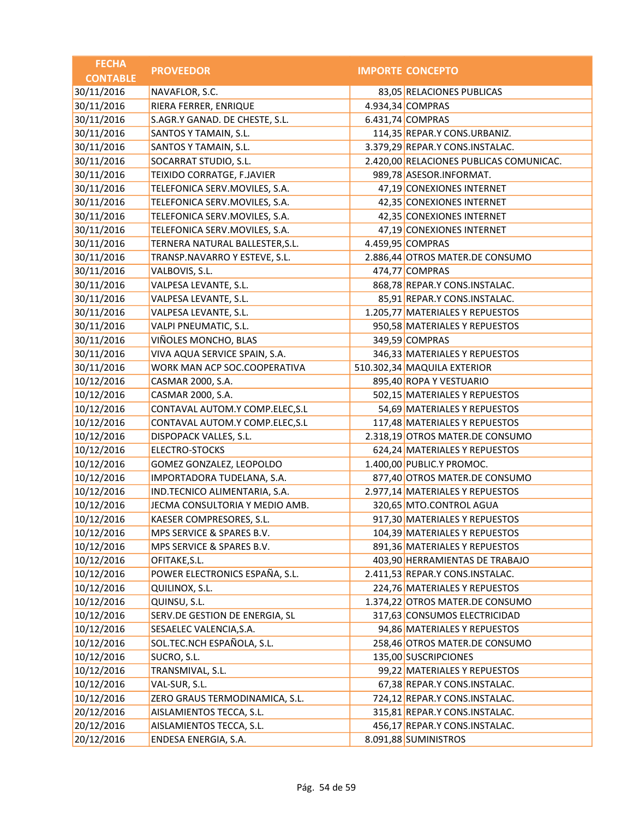| <b>FECHA</b>    | <b>PROVEEDOR</b>                | <b>IMPORTE CONCEPTO</b>                 |
|-----------------|---------------------------------|-----------------------------------------|
| <b>CONTABLE</b> |                                 |                                         |
| 30/11/2016      | NAVAFLOR, S.C.                  | 83,05 RELACIONES PUBLICAS               |
| 30/11/2016      | RIERA FERRER, ENRIQUE           | 4.934,34 COMPRAS                        |
| 30/11/2016      | S.AGR.Y GANAD. DE CHESTE, S.L.  | 6.431,74 COMPRAS                        |
| 30/11/2016      | SANTOS Y TAMAIN, S.L.           | 114,35 REPAR.Y CONS.URBANIZ.            |
| 30/11/2016      | SANTOS Y TAMAIN, S.L.           | 3.379,29 REPAR.Y CONS.INSTALAC.         |
| 30/11/2016      | SOCARRAT STUDIO, S.L.           | 2.420,00 RELACIONES PUBLICAS COMUNICAC. |
| 30/11/2016      | TEIXIDO CORRATGE, F.JAVIER      | 989,78 ASESOR.INFORMAT.                 |
| 30/11/2016      | TELEFONICA SERV.MOVILES, S.A.   | 47,19 CONEXIONES INTERNET               |
| 30/11/2016      | TELEFONICA SERV.MOVILES, S.A.   | 42,35 CONEXIONES INTERNET               |
| 30/11/2016      | TELEFONICA SERV.MOVILES, S.A.   | 42,35 CONEXIONES INTERNET               |
| 30/11/2016      | TELEFONICA SERV.MOVILES, S.A.   | 47,19 CONEXIONES INTERNET               |
| 30/11/2016      | TERNERA NATURAL BALLESTER, S.L. | 4.459,95 COMPRAS                        |
| 30/11/2016      | TRANSP.NAVARRO Y ESTEVE, S.L.   | 2.886,44 OTROS MATER.DE CONSUMO         |
| 30/11/2016      | VALBOVIS, S.L.                  | 474,77 COMPRAS                          |
| 30/11/2016      | VALPESA LEVANTE, S.L.           | 868,78 REPAR.Y CONS.INSTALAC.           |
| 30/11/2016      | VALPESA LEVANTE, S.L.           | 85,91 REPAR.Y CONS.INSTALAC.            |
| 30/11/2016      | VALPESA LEVANTE, S.L.           | 1.205,77 MATERIALES Y REPUESTOS         |
| 30/11/2016      | VALPI PNEUMATIC, S.L.           | 950,58 MATERIALES Y REPUESTOS           |
| 30/11/2016      | VIÑOLES MONCHO, BLAS            | 349,59 COMPRAS                          |
| 30/11/2016      | VIVA AQUA SERVICE SPAIN, S.A.   | 346,33 MATERIALES Y REPUESTOS           |
| 30/11/2016      | WORK MAN ACP SOC.COOPERATIVA    | 510.302,34 MAQUILA EXTERIOR             |
| 10/12/2016      | CASMAR 2000, S.A.               | 895,40 ROPA Y VESTUARIO                 |
| 10/12/2016      | CASMAR 2000, S.A.               | 502,15 MATERIALES Y REPUESTOS           |
| 10/12/2016      | CONTAVAL AUTOM.Y COMP.ELEC, S.L | 54,69 MATERIALES Y REPUESTOS            |
| 10/12/2016      | CONTAVAL AUTOM.Y COMP.ELEC, S.L | 117,48 MATERIALES Y REPUESTOS           |
| 10/12/2016      | DISPOPACK VALLES, S.L.          | 2.318,19 OTROS MATER.DE CONSUMO         |
| 10/12/2016      | ELECTRO-STOCKS                  | 624,24 MATERIALES Y REPUESTOS           |
| 10/12/2016      | GOMEZ GONZALEZ, LEOPOLDO        | 1.400,00 PUBLIC.Y PROMOC.               |
| 10/12/2016      | IMPORTADORA TUDELANA, S.A.      | 877,40 OTROS MATER.DE CONSUMO           |
| 10/12/2016      | IND.TECNICO ALIMENTARIA, S.A.   | 2.977,14 MATERIALES Y REPUESTOS         |
| 10/12/2016      | JECMA CONSULTORIA Y MEDIO AMB.  | 320,65 MTO.CONTROL AGUA                 |
| 10/12/2016      | KAESER COMPRESORES, S.L.        | 917,30 MATERIALES Y REPUESTOS           |
| 10/12/2016      | MPS SERVICE & SPARES B.V.       | 104,39 MATERIALES Y REPUESTOS           |
| 10/12/2016      | MPS SERVICE & SPARES B.V.       | 891,36 MATERIALES Y REPUESTOS           |
| 10/12/2016      | OFITAKE, S.L.                   | 403,90 HERRAMIENTAS DE TRABAJO          |
| 10/12/2016      | POWER ELECTRONICS ESPAÑA, S.L.  | 2.411,53 REPAR.Y CONS.INSTALAC.         |
| 10/12/2016      | QUILINOX, S.L.                  | 224,76 MATERIALES Y REPUESTOS           |
| 10/12/2016      | QUINSU, S.L.                    | 1.374,22 OTROS MATER.DE CONSUMO         |
| 10/12/2016      | SERV.DE GESTION DE ENERGIA, SL  | 317,63 CONSUMOS ELECTRICIDAD            |
| 10/12/2016      | SESAELEC VALENCIA, S.A.         | 94,86 MATERIALES Y REPUESTOS            |
| 10/12/2016      | SOL.TEC.NCH ESPAÑOLA, S.L.      | 258,46 OTROS MATER.DE CONSUMO           |
| 10/12/2016      | SUCRO, S.L.                     | 135,00 SUSCRIPCIONES                    |
| 10/12/2016      | TRANSMIVAL, S.L.                | 99,22 MATERIALES Y REPUESTOS            |
| 10/12/2016      | VAL-SUR, S.L.                   | 67,38 REPAR.Y CONS.INSTALAC.            |
| 10/12/2016      | ZERO GRAUS TERMODINAMICA, S.L.  | 724,12 REPAR.Y CONS.INSTALAC.           |
| 20/12/2016      | AISLAMIENTOS TECCA, S.L.        | 315,81 REPAR.Y CONS.INSTALAC.           |
| 20/12/2016      | AISLAMIENTOS TECCA, S.L.        | 456,17 REPAR.Y CONS.INSTALAC.           |
| 20/12/2016      | ENDESA ENERGIA, S.A.            | 8.091,88 SUMINISTROS                    |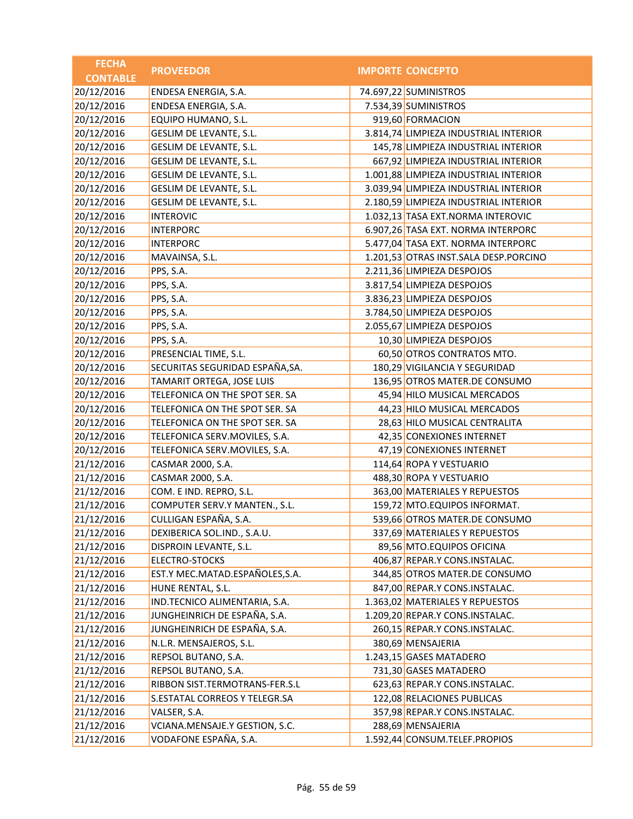| <b>FECHA</b>    | <b>PROVEEDOR</b>                | <b>IMPORTE CONCEPTO</b>               |
|-----------------|---------------------------------|---------------------------------------|
| <b>CONTABLE</b> |                                 |                                       |
| 20/12/2016      | ENDESA ENERGIA, S.A.            | 74.697,22 SUMINISTROS                 |
| 20/12/2016      | ENDESA ENERGIA, S.A.            | 7.534,39 SUMINISTROS                  |
| 20/12/2016      | EQUIPO HUMANO, S.L.             | 919,60 FORMACION                      |
| 20/12/2016      | GESLIM DE LEVANTE, S.L.         | 3.814,74 LIMPIEZA INDUSTRIAL INTERIOR |
| 20/12/2016      | GESLIM DE LEVANTE, S.L.         | 145,78 LIMPIEZA INDUSTRIAL INTERIOR   |
| 20/12/2016      | GESLIM DE LEVANTE, S.L.         | 667,92 LIMPIEZA INDUSTRIAL INTERIOR   |
| 20/12/2016      | GESLIM DE LEVANTE, S.L.         | 1.001,88 LIMPIEZA INDUSTRIAL INTERIOR |
| 20/12/2016      | GESLIM DE LEVANTE, S.L.         | 3.039,94 LIMPIEZA INDUSTRIAL INTERIOR |
| 20/12/2016      | GESLIM DE LEVANTE, S.L.         | 2.180,59 LIMPIEZA INDUSTRIAL INTERIOR |
| 20/12/2016      | <b>INTEROVIC</b>                | 1.032,13 TASA EXT.NORMA INTEROVIC     |
| 20/12/2016      | <b>INTERPORC</b>                | 6.907,26 TASA EXT. NORMA INTERPORC    |
| 20/12/2016      | <b>INTERPORC</b>                | 5.477,04 TASA EXT. NORMA INTERPORC    |
| 20/12/2016      | MAVAINSA, S.L.                  | 1.201,53 OTRAS INST.SALA DESP.PORCINO |
| 20/12/2016      | PPS, S.A.                       | 2.211,36 LIMPIEZA DESPOJOS            |
| 20/12/2016      | PPS, S.A.                       | 3.817,54 LIMPIEZA DESPOJOS            |
| 20/12/2016      | PPS, S.A.                       | 3.836,23 LIMPIEZA DESPOJOS            |
| 20/12/2016      | PPS, S.A.                       | 3.784,50 LIMPIEZA DESPOJOS            |
| 20/12/2016      | PPS, S.A.                       | 2.055,67 LIMPIEZA DESPOJOS            |
| 20/12/2016      | PPS, S.A.                       | 10,30 LIMPIEZA DESPOJOS               |
| 20/12/2016      | PRESENCIAL TIME, S.L.           | 60,50 OTROS CONTRATOS MTO.            |
| 20/12/2016      | SECURITAS SEGURIDAD ESPAÑA, SA. | 180,29 VIGILANCIA Y SEGURIDAD         |
| 20/12/2016      | TAMARIT ORTEGA, JOSE LUIS       | 136,95 OTROS MATER.DE CONSUMO         |
| 20/12/2016      | TELEFONICA ON THE SPOT SER. SA  | 45,94 HILO MUSICAL MERCADOS           |
| 20/12/2016      | TELEFONICA ON THE SPOT SER. SA  | 44,23 HILO MUSICAL MERCADOS           |
| 20/12/2016      | TELEFONICA ON THE SPOT SER. SA  | 28,63 HILO MUSICAL CENTRALITA         |
| 20/12/2016      | TELEFONICA SERV.MOVILES, S.A.   | 42,35 CONEXIONES INTERNET             |
| 20/12/2016      | TELEFONICA SERV.MOVILES, S.A.   | 47,19 CONEXIONES INTERNET             |
| 21/12/2016      | CASMAR 2000, S.A.               | 114,64 ROPA Y VESTUARIO               |
| 21/12/2016      | CASMAR 2000, S.A.               | 488,30 ROPA Y VESTUARIO               |
| 21/12/2016      | COM. E IND. REPRO, S.L.         | 363,00 MATERIALES Y REPUESTOS         |
| 21/12/2016      | COMPUTER SERV.Y MANTEN., S.L.   | 159,72 MTO.EQUIPOS INFORMAT.          |
| 21/12/2016      | CULLIGAN ESPAÑA, S.A.           | 539,66 OTROS MATER.DE CONSUMO         |
| 21/12/2016      | DEXIBERICA SOL.IND., S.A.U.     | 337,69 MATERIALES Y REPUESTOS         |
| 21/12/2016      | DISPROIN LEVANTE, S.L.          | 89,56 MTO.EQUIPOS OFICINA             |
| 21/12/2016      | ELECTRO-STOCKS                  | 406,87 REPAR.Y CONS.INSTALAC.         |
| 21/12/2016      | EST.Y MEC.MATAD.ESPAÑOLES,S.A.  | 344,85 OTROS MATER.DE CONSUMO         |
| 21/12/2016      | HUNE RENTAL, S.L.               | 847,00 REPAR.Y CONS.INSTALAC.         |
| 21/12/2016      | IND.TECNICO ALIMENTARIA, S.A.   | 1.363,02 MATERIALES Y REPUESTOS       |
| 21/12/2016      | JUNGHEINRICH DE ESPAÑA, S.A.    | 1.209,20 REPAR.Y CONS.INSTALAC.       |
| 21/12/2016      | JUNGHEINRICH DE ESPAÑA, S.A.    | 260,15 REPAR.Y CONS.INSTALAC.         |
| 21/12/2016      | N.L.R. MENSAJEROS, S.L.         | 380,69 MENSAJERIA                     |
| 21/12/2016      | REPSOL BUTANO, S.A.             | 1.243,15 GASES MATADERO               |
| 21/12/2016      | REPSOL BUTANO, S.A.             | 731,30 GASES MATADERO                 |
| 21/12/2016      | RIBBON SIST.TERMOTRANS-FER.S.L  | 623,63 REPAR.Y CONS.INSTALAC.         |
| 21/12/2016      | S.ESTATAL CORREOS Y TELEGR.SA   | 122,08 RELACIONES PUBLICAS            |
| 21/12/2016      | VALSER, S.A.                    | 357,98 REPAR.Y CONS.INSTALAC.         |
| 21/12/2016      | VCIANA.MENSAJE.Y GESTION, S.C.  | 288,69 MENSAJERIA                     |
| 21/12/2016      | VODAFONE ESPAÑA, S.A.           | 1.592,44 CONSUM.TELEF.PROPIOS         |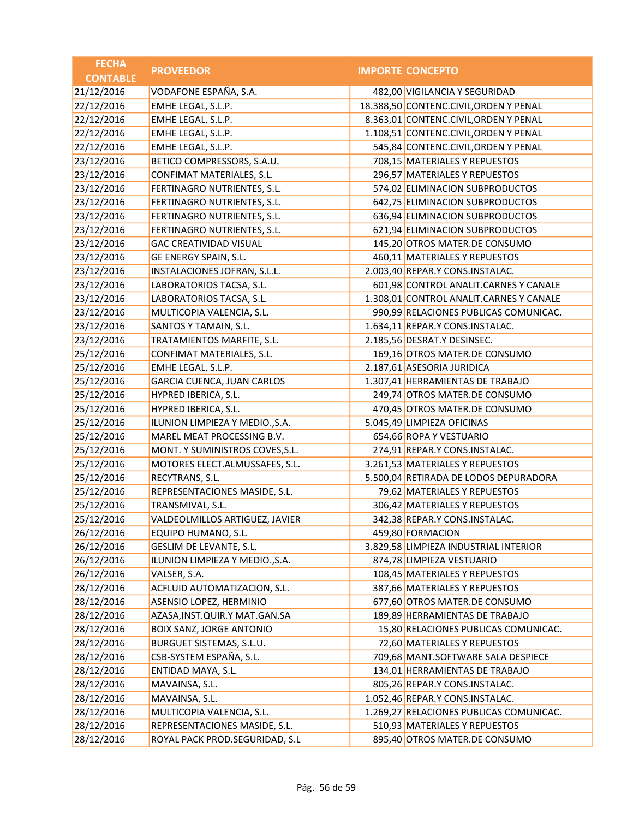| <b>FECHA</b>    | <b>PROVEEDOR</b>                  | <b>IMPORTE CONCEPTO</b>                 |
|-----------------|-----------------------------------|-----------------------------------------|
| <b>CONTABLE</b> |                                   |                                         |
| 21/12/2016      | VODAFONE ESPAÑA, S.A.             | 482,00 VIGILANCIA Y SEGURIDAD           |
| 22/12/2016      | EMHE LEGAL, S.L.P.                | 18.388,50 CONTENC.CIVIL, ORDEN Y PENAL  |
| 22/12/2016      | EMHE LEGAL, S.L.P.                | 8.363,01 CONTENC.CIVIL, ORDEN Y PENAL   |
| 22/12/2016      | EMHE LEGAL, S.L.P.                | 1.108,51 CONTENC.CIVIL, ORDEN Y PENAL   |
| 22/12/2016      | EMHE LEGAL, S.L.P.                | 545,84 CONTENC.CIVIL, ORDEN Y PENAL     |
| 23/12/2016      | BETICO COMPRESSORS, S.A.U.        | 708,15 MATERIALES Y REPUESTOS           |
| 23/12/2016      | CONFIMAT MATERIALES, S.L.         | 296,57 MATERIALES Y REPUESTOS           |
| 23/12/2016      | FERTINAGRO NUTRIENTES, S.L.       | 574,02 ELIMINACION SUBPRODUCTOS         |
| 23/12/2016      | FERTINAGRO NUTRIENTES, S.L.       | 642,75 ELIMINACION SUBPRODUCTOS         |
| 23/12/2016      | FERTINAGRO NUTRIENTES, S.L.       | 636,94 ELIMINACION SUBPRODUCTOS         |
| 23/12/2016      | FERTINAGRO NUTRIENTES, S.L.       | 621,94 ELIMINACION SUBPRODUCTOS         |
| 23/12/2016      | <b>GAC CREATIVIDAD VISUAL</b>     | 145,20 OTROS MATER.DE CONSUMO           |
| 23/12/2016      | GE ENERGY SPAIN, S.L.             | 460,11 MATERIALES Y REPUESTOS           |
| 23/12/2016      | INSTALACIONES JOFRAN, S.L.L.      | 2.003,40 REPAR.Y CONS.INSTALAC.         |
| 23/12/2016      | LABORATORIOS TACSA, S.L.          | 601,98 CONTROL ANALIT.CARNES Y CANALE   |
| 23/12/2016      | LABORATORIOS TACSA, S.L.          | 1.308,01 CONTROL ANALIT.CARNES Y CANALE |
| 23/12/2016      | MULTICOPIA VALENCIA, S.L.         | 990,99 RELACIONES PUBLICAS COMUNICAC.   |
| 23/12/2016      | SANTOS Y TAMAIN, S.L.             | 1.634,11 REPAR.Y CONS.INSTALAC.         |
| 23/12/2016      | TRATAMIENTOS MARFITE, S.L.        | 2.185,56 DESRAT.Y DESINSEC.             |
| 25/12/2016      | CONFIMAT MATERIALES, S.L.         | 169,16 OTROS MATER.DE CONSUMO           |
| 25/12/2016      | EMHE LEGAL, S.L.P.                | 2.187,61 ASESORIA JURIDICA              |
| 25/12/2016      | GARCIA CUENCA, JUAN CARLOS        | 1.307,41 HERRAMIENTAS DE TRABAJO        |
| 25/12/2016      | HYPRED IBERICA, S.L.              | 249,74 OTROS MATER.DE CONSUMO           |
| 25/12/2016      | HYPRED IBERICA, S.L.              | 470,45 OTROS MATER.DE CONSUMO           |
| 25/12/2016      | ILUNION LIMPIEZA Y MEDIO., S.A.   | 5.045,49 LIMPIEZA OFICINAS              |
| 25/12/2016      | MAREL MEAT PROCESSING B.V.        | 654,66 ROPA Y VESTUARIO                 |
| 25/12/2016      | MONT. Y SUMINISTROS COVES, S.L.   | 274,91 REPAR.Y CONS.INSTALAC.           |
| 25/12/2016      | MOTORES ELECT.ALMUSSAFES, S.L.    | 3.261,53 MATERIALES Y REPUESTOS         |
| 25/12/2016      | RECYTRANS, S.L.                   | 5.500,04 RETIRADA DE LODOS DEPURADORA   |
| 25/12/2016      | REPRESENTACIONES MASIDE, S.L.     | 79,62 MATERIALES Y REPUESTOS            |
| 25/12/2016      | TRANSMIVAL, S.L.                  | 306,42 MATERIALES Y REPUESTOS           |
| 25/12/2016      | VALDEOLMILLOS ARTIGUEZ, JAVIER    | 342,38 REPAR.Y CONS.INSTALAC.           |
| 26/12/2016      | EQUIPO HUMANO, S.L.               | 459,80 FORMACION                        |
| 26/12/2016      | GESLIM DE LEVANTE, S.L.           | 3.829,58 LIMPIEZA INDUSTRIAL INTERIOR   |
| 26/12/2016      | ILUNION LIMPIEZA Y MEDIO., S.A.   | 874,78 LIMPIEZA VESTUARIO               |
| 26/12/2016      | VALSER, S.A.                      | 108,45 MATERIALES Y REPUESTOS           |
| 28/12/2016      | ACFLUID AUTOMATIZACION, S.L.      | 387,66 MATERIALES Y REPUESTOS           |
| 28/12/2016      | ASENSIO LOPEZ, HERMINIO           | 677,60 OTROS MATER.DE CONSUMO           |
| 28/12/2016      | AZASA, INST. QUIR. Y MAT. GAN. SA | 189,89 HERRAMIENTAS DE TRABAJO          |
| 28/12/2016      | <b>BOIX SANZ, JORGE ANTONIO</b>   | 15,80 RELACIONES PUBLICAS COMUNICAC.    |
| 28/12/2016      | BURGUET SISTEMAS, S.L.U.          | 72,60 MATERIALES Y REPUESTOS            |
| 28/12/2016      | CSB-SYSTEM ESPAÑA, S.L.           | 709,68 MANT.SOFTWARE SALA DESPIECE      |
| 28/12/2016      | ENTIDAD MAYA, S.L.                | 134,01 HERRAMIENTAS DE TRABAJO          |
| 28/12/2016      | MAVAINSA, S.L.                    | 805,26 REPAR.Y CONS.INSTALAC.           |
| 28/12/2016      | MAVAINSA, S.L.                    | 1.052,46 REPAR.Y CONS.INSTALAC.         |
| 28/12/2016      | MULTICOPIA VALENCIA, S.L.         | 1.269,27 RELACIONES PUBLICAS COMUNICAC. |
| 28/12/2016      | REPRESENTACIONES MASIDE, S.L.     | 510,93 MATERIALES Y REPUESTOS           |
| 28/12/2016      | ROYAL PACK PROD.SEGURIDAD, S.L    | 895,40 OTROS MATER.DE CONSUMO           |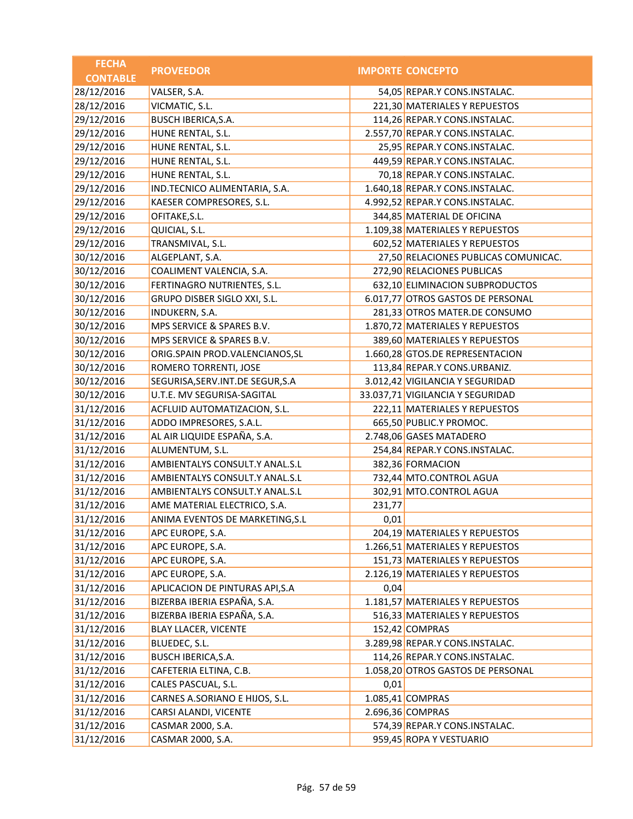| <b>FECHA</b>    | <b>PROVEEDOR</b>                   |        | <b>IMPORTE CONCEPTO</b>              |
|-----------------|------------------------------------|--------|--------------------------------------|
| <b>CONTABLE</b> |                                    |        |                                      |
| 28/12/2016      | VALSER, S.A.                       |        | 54,05 REPAR.Y CONS.INSTALAC.         |
| 28/12/2016      | VICMATIC, S.L.                     |        | 221,30 MATERIALES Y REPUESTOS        |
| 29/12/2016      | BUSCH IBERICA, S.A.                |        | 114,26 REPAR.Y CONS.INSTALAC.        |
| 29/12/2016      | HUNE RENTAL, S.L.                  |        | 2.557,70 REPAR.Y CONS.INSTALAC.      |
| 29/12/2016      | HUNE RENTAL, S.L.                  |        | 25,95 REPAR.Y CONS.INSTALAC.         |
| 29/12/2016      | HUNE RENTAL, S.L.                  |        | 449,59 REPAR.Y CONS.INSTALAC.        |
| 29/12/2016      | HUNE RENTAL, S.L.                  |        | 70,18 REPAR.Y CONS.INSTALAC.         |
| 29/12/2016      | IND.TECNICO ALIMENTARIA, S.A.      |        | 1.640,18 REPAR.Y CONS.INSTALAC.      |
| 29/12/2016      | KAESER COMPRESORES, S.L.           |        | 4.992,52 REPAR.Y CONS.INSTALAC.      |
| 29/12/2016      | OFITAKE, S.L.                      |        | 344,85 MATERIAL DE OFICINA           |
| 29/12/2016      | QUICIAL, S.L.                      |        | 1.109,38 MATERIALES Y REPUESTOS      |
| 29/12/2016      | TRANSMIVAL, S.L.                   |        | 602,52 MATERIALES Y REPUESTOS        |
| 30/12/2016      | ALGEPLANT, S.A.                    |        | 27,50 RELACIONES PUBLICAS COMUNICAC. |
| 30/12/2016      | COALIMENT VALENCIA, S.A.           |        | 272,90 RELACIONES PUBLICAS           |
| 30/12/2016      | FERTINAGRO NUTRIENTES, S.L.        |        | 632,10 ELIMINACION SUBPRODUCTOS      |
| 30/12/2016      | GRUPO DISBER SIGLO XXI, S.L.       |        | 6.017,77 OTROS GASTOS DE PERSONAL    |
| 30/12/2016      | INDUKERN, S.A.                     |        | 281,33 OTROS MATER.DE CONSUMO        |
| 30/12/2016      | MPS SERVICE & SPARES B.V.          |        | 1.870,72 MATERIALES Y REPUESTOS      |
| 30/12/2016      | MPS SERVICE & SPARES B.V.          |        | 389,60 MATERIALES Y REPUESTOS        |
| 30/12/2016      | ORIG.SPAIN PROD.VALENCIANOS, SL    |        | 1.660,28 GTOS.DE REPRESENTACION      |
| 30/12/2016      | ROMERO TORRENTI, JOSE              |        | 113,84 REPAR.Y CONS.URBANIZ.         |
| 30/12/2016      | SEGURISA, SERV. INT. DE SEGUR, S.A |        | 3.012,42 VIGILANCIA Y SEGURIDAD      |
| 30/12/2016      | U.T.E. MV SEGURISA-SAGITAL         |        | 33.037,71 VIGILANCIA Y SEGURIDAD     |
| 31/12/2016      | ACFLUID AUTOMATIZACION, S.L.       |        | 222,11 MATERIALES Y REPUESTOS        |
| 31/12/2016      | ADDO IMPRESORES, S.A.L.            |        | 665,50 PUBLIC.Y PROMOC.              |
| 31/12/2016      | AL AIR LIQUIDE ESPAÑA, S.A.        |        | 2.748,06 GASES MATADERO              |
| 31/12/2016      | ALUMENTUM, S.L.                    |        | 254,84 REPAR.Y CONS.INSTALAC.        |
| 31/12/2016      | AMBIENTALYS CONSULT.Y ANAL.S.L     |        | 382,36 FORMACION                     |
| 31/12/2016      | AMBIENTALYS CONSULT.Y ANAL.S.L     |        | 732,44 MTO.CONTROL AGUA              |
| 31/12/2016      | AMBIENTALYS CONSULT.Y ANAL.S.L     |        | 302,91 MTO.CONTROL AGUA              |
| 31/12/2016      | AME MATERIAL ELECTRICO, S.A.       | 231,77 |                                      |
| 31/12/2016      | ANIMA EVENTOS DE MARKETING, S.L    | 0,01   |                                      |
| 31/12/2016      | APC EUROPE, S.A.                   |        | 204,19 MATERIALES Y REPUESTOS        |
| 31/12/2016      | APC EUROPE, S.A.                   |        | 1.266,51 MATERIALES Y REPUESTOS      |
| 31/12/2016      | APC EUROPE, S.A.                   |        | 151,73 MATERIALES Y REPUESTOS        |
| 31/12/2016      | APC EUROPE, S.A.                   |        | 2.126,19 MATERIALES Y REPUESTOS      |
| 31/12/2016      | APLICACION DE PINTURAS API, S.A    | 0,04   |                                      |
| 31/12/2016      | BIZERBA IBERIA ESPAÑA, S.A.        |        | 1.181,57 MATERIALES Y REPUESTOS      |
| 31/12/2016      | BIZERBA IBERIA ESPAÑA, S.A.        |        | 516,33 MATERIALES Y REPUESTOS        |
| 31/12/2016      | <b>BLAY LLACER, VICENTE</b>        |        | 152,42 COMPRAS                       |
| 31/12/2016      | BLUEDEC, S.L.                      |        | 3.289,98 REPAR.Y CONS.INSTALAC.      |
| 31/12/2016      | BUSCH IBERICA, S.A.                |        | 114,26 REPAR.Y CONS.INSTALAC.        |
| 31/12/2016      | CAFETERIA ELTINA, C.B.             |        | 1.058,20 OTROS GASTOS DE PERSONAL    |
| 31/12/2016      | CALES PASCUAL, S.L.                | 0,01   |                                      |
| 31/12/2016      | CARNES A.SORIANO E HIJOS, S.L.     |        | 1.085,41 COMPRAS                     |
| 31/12/2016      | CARSI ALANDI, VICENTE              |        | 2.696,36 COMPRAS                     |
| 31/12/2016      | CASMAR 2000, S.A.                  |        | 574,39 REPAR.Y CONS.INSTALAC.        |
| 31/12/2016      | CASMAR 2000, S.A.                  |        | 959,45 ROPA Y VESTUARIO              |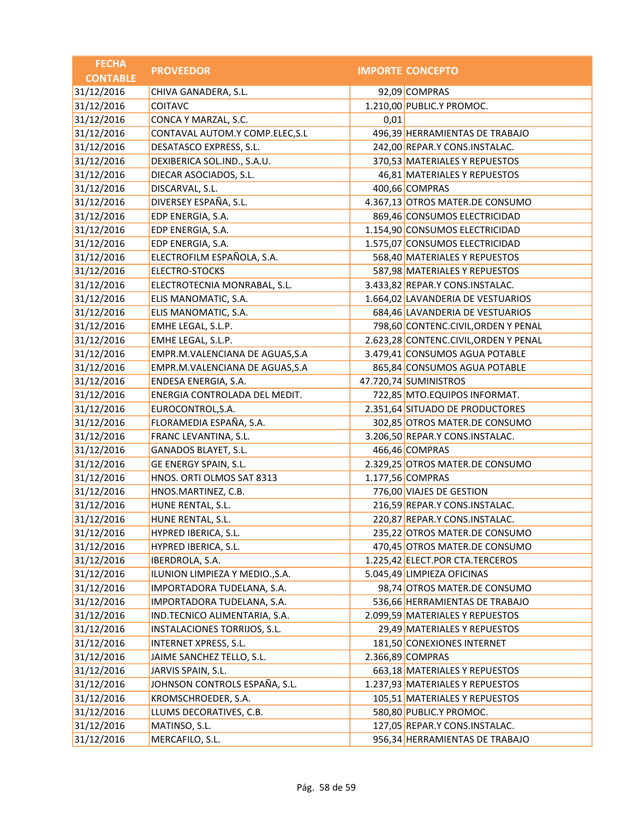| <b>FECHA</b>    | <b>PROVEEDOR</b>                |      | <b>IMPORTE CONCEPTO</b>               |
|-----------------|---------------------------------|------|---------------------------------------|
| <b>CONTABLE</b> |                                 |      |                                       |
| 31/12/2016      | CHIVA GANADERA, S.L.            |      | 92,09 COMPRAS                         |
| 31/12/2016      | <b>COITAVC</b>                  |      | 1.210,00 PUBLIC.Y PROMOC.             |
| 31/12/2016      | CONCA Y MARZAL, S.C.            | 0,01 |                                       |
| 31/12/2016      | CONTAVAL AUTOM.Y COMP.ELEC, S.L |      | 496,39 HERRAMIENTAS DE TRABAJO        |
| 31/12/2016      | DESATASCO EXPRESS, S.L.         |      | 242,00 REPAR.Y CONS.INSTALAC.         |
| 31/12/2016      | DEXIBERICA SOL.IND., S.A.U.     |      | 370,53 MATERIALES Y REPUESTOS         |
| 31/12/2016      | DIECAR ASOCIADOS, S.L.          |      | 46,81 MATERIALES Y REPUESTOS          |
| 31/12/2016      | DISCARVAL, S.L.                 |      | 400,66 COMPRAS                        |
| 31/12/2016      | DIVERSEY ESPAÑA, S.L.           |      | 4.367,13 OTROS MATER.DE CONSUMO       |
| 31/12/2016      | EDP ENERGIA, S.A.               |      | 869,46 CONSUMOS ELECTRICIDAD          |
| 31/12/2016      | EDP ENERGIA, S.A.               |      | 1.154,90 CONSUMOS ELECTRICIDAD        |
| 31/12/2016      | EDP ENERGIA, S.A.               |      | 1.575,07 CONSUMOS ELECTRICIDAD        |
| 31/12/2016      | ELECTROFILM ESPAÑOLA, S.A.      |      | 568,40 MATERIALES Y REPUESTOS         |
| 31/12/2016      | <b>ELECTRO-STOCKS</b>           |      | 587,98 MATERIALES Y REPUESTOS         |
| 31/12/2016      | ELECTROTECNIA MONRABAL, S.L.    |      | 3.433,82 REPAR.Y CONS.INSTALAC.       |
| 31/12/2016      | ELIS MANOMATIC, S.A.            |      | 1.664,02 LAVANDERIA DE VESTUARIOS     |
| 31/12/2016      | ELIS MANOMATIC, S.A.            |      | 684,46 LAVANDERIA DE VESTUARIOS       |
| 31/12/2016      | EMHE LEGAL, S.L.P.              |      | 798,60 CONTENC.CIVIL, ORDEN Y PENAL   |
| 31/12/2016      | EMHE LEGAL, S.L.P.              |      | 2.623,28 CONTENC.CIVIL, ORDEN Y PENAL |
| 31/12/2016      | EMPR.M.VALENCIANA DE AGUAS, S.A |      | 3.479,41 CONSUMOS AGUA POTABLE        |
| 31/12/2016      | EMPR.M.VALENCIANA DE AGUAS, S.A |      | 865,84 CONSUMOS AGUA POTABLE          |
| 31/12/2016      | ENDESA ENERGIA, S.A.            |      | 47.720,74 SUMINISTROS                 |
| 31/12/2016      | ENERGIA CONTROLADA DEL MEDIT.   |      | 722,85 MTO.EQUIPOS INFORMAT.          |
| 31/12/2016      | EUROCONTROL, S.A.               |      | 2.351,64 SITUADO DE PRODUCTORES       |
| 31/12/2016      | FLORAMEDIA ESPAÑA, S.A.         |      | 302,85 OTROS MATER.DE CONSUMO         |
| 31/12/2016      | FRANC LEVANTINA, S.L.           |      | 3.206,50 REPAR.Y CONS.INSTALAC.       |
| 31/12/2016      | GANADOS BLAYET, S.L.            |      | 466,46 COMPRAS                        |
| 31/12/2016      | GE ENERGY SPAIN, S.L.           |      | 2.329,25 OTROS MATER.DE CONSUMO       |
| 31/12/2016      | HNOS. ORTI OLMOS SAT 8313       |      | 1.177,56 COMPRAS                      |
| 31/12/2016      | HNOS.MARTINEZ, C.B.             |      | 776,00 VIAJES DE GESTION              |
| 31/12/2016      | HUNE RENTAL, S.L.               |      | 216,59 REPAR.Y CONS.INSTALAC.         |
| 31/12/2016      | HUNE RENTAL, S.L.               |      | 220,87 REPAR.Y CONS.INSTALAC.         |
| 31/12/2016      | HYPRED IBERICA, S.L.            |      | 235,22 OTROS MATER.DE CONSUMO         |
| 31/12/2016      | HYPRED IBERICA, S.L.            |      | 470,45 OTROS MATER.DE CONSUMO         |
| 31/12/2016      | IBERDROLA, S.A.                 |      | 1.225,42 ELECT.POR CTA.TERCEROS       |
| 31/12/2016      | ILUNION LIMPIEZA Y MEDIO., S.A. |      | 5.045,49 LIMPIEZA OFICINAS            |
| 31/12/2016      | IMPORTADORA TUDELANA, S.A.      |      | 98,74 OTROS MATER.DE CONSUMO          |
| 31/12/2016      | IMPORTADORA TUDELANA, S.A.      |      | 536,66 HERRAMIENTAS DE TRABAJO        |
| 31/12/2016      | IND.TECNICO ALIMENTARIA, S.A.   |      | 2.099,59 MATERIALES Y REPUESTOS       |
| 31/12/2016      | INSTALACIONES TORRIJOS, S.L.    |      | 29,49 MATERIALES Y REPUESTOS          |
| 31/12/2016      | INTERNET XPRESS, S.L.           |      | 181,50 CONEXIONES INTERNET            |
| 31/12/2016      | JAIME SANCHEZ TELLO, S.L.       |      | 2.366,89 COMPRAS                      |
| 31/12/2016      | JARVIS SPAIN, S.L.              |      | 663,18 MATERIALES Y REPUESTOS         |
| 31/12/2016      | JOHNSON CONTROLS ESPAÑA, S.L.   |      | 1.237,93 MATERIALES Y REPUESTOS       |
| 31/12/2016      | KROMSCHROEDER, S.A.             |      | 105,51 MATERIALES Y REPUESTOS         |
| 31/12/2016      | LLUMS DECORATIVES, C.B.         |      | 580,80 PUBLIC.Y PROMOC.               |
| 31/12/2016      | MATINSO, S.L.                   |      | 127,05 REPAR.Y CONS.INSTALAC.         |
| 31/12/2016      | MERCAFILO, S.L.                 |      | 956,34 HERRAMIENTAS DE TRABAJO        |